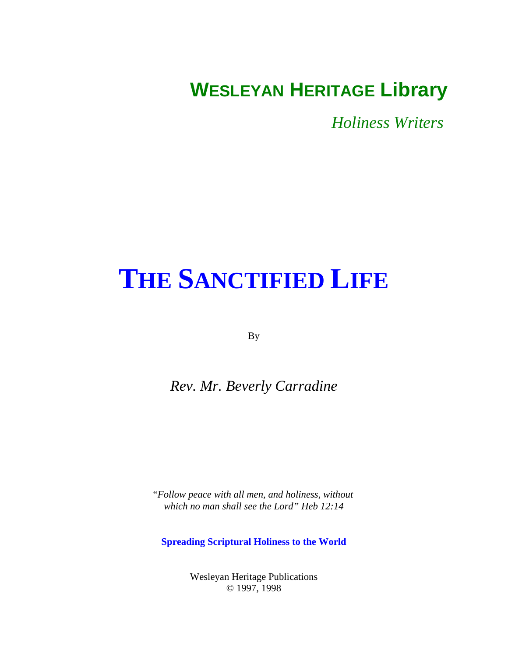# <span id="page-0-0"></span>**WESLEYAN HERITAGE Library**

*Holiness Writers* 

# **[THE SANCTIFIED LIFE](#page-1-0)**

By

### *Rev. Mr. Beverly Carradine*

*"Follow peace with all men, and holiness, without which no man shall see the Lord" Heb 12:14*

**Spreading Scriptural Holiness to the World**

Wesleyan Heritage Publications © 1997, 1998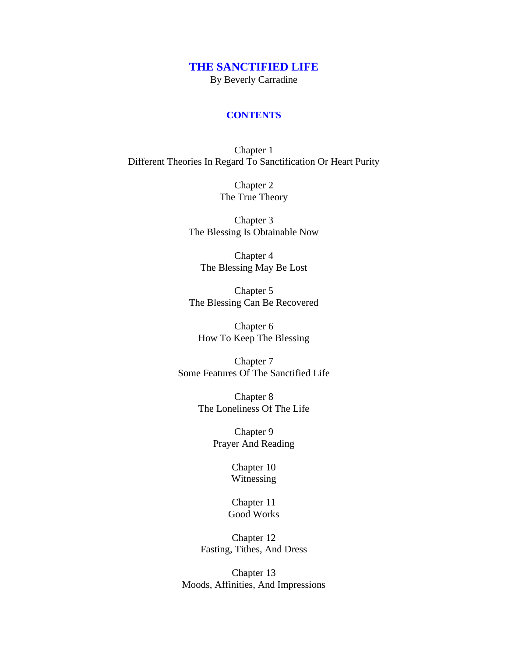## **[THE SANCTIFIED LIFE](#page-0-0)**

By Beverly Carradine

#### **CONTENTS**

<span id="page-1-0"></span>Chapter 1 [Different Theories In Regard To Sanctification Or Heart Purity](#page-3-0)

> Chapter 2 [The True Theory](#page-8-0)

Chapter 3 [The Blessing Is Obtainable Now](#page-13-0)

Chapter 4 [The Blessing May Be Lost](#page-18-0)

Chapter 5 [The Blessing Can Be Recovered](#page-24-0)

Chapter 6 [How To Keep The Blessing](#page-29-0)

Chapter 7 [Some Features Of The Sanctified Life](#page-35-0)

> Chapter 8 [The Loneliness Of The Life](#page-40-0)

> > Chapter 9 [Prayer And Reading](#page-47-0)

> > > [Chapter 10](#page-53-0) Witnessing

Chapter 11 [Good Works](#page-62-0)

Chapter 12 [Fasting, Tithes, And Dress](#page-68-0)

Chapter 13 [Moods, Affinities, And Impressions](#page-75-0)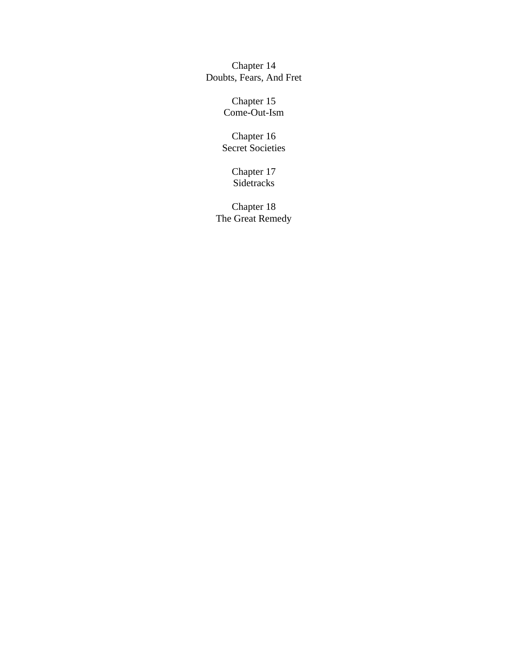Chapter 14 [Doubts, Fears, And Fret](#page-82-0)

> Chapter 15 [Come-Out-Ism](#page-90-0)

Chapter 16 [Secret Societies](#page-99-0)

> [Chapter 17](#page-106-0) Sidetracks

Chapter 18 [The Great Remedy](#page-120-0)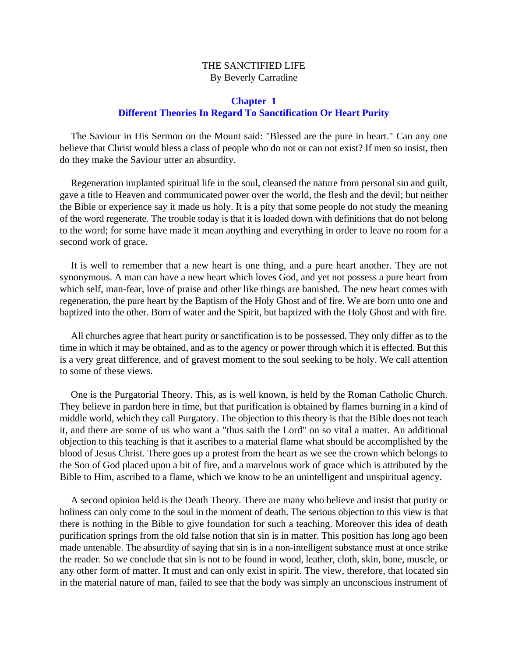#### THE SANCTIFIED LIFE By Beverly Carradine

#### **Chapter 1 Different Theories In Regard To Sanctification Or Heart Purity**

<span id="page-3-0"></span>The Saviour in His Sermon on the Mount said: "Blessed are the pure in heart." Can any one believe that Christ would bless a class of people who do not or can not exist? If men so insist, then do they make the Saviour utter an absurdity.

Regeneration implanted spiritual life in the soul, cleansed the nature from personal sin and guilt, gave a title to Heaven and communicated power over the world, the flesh and the devil; but neither the Bible or experience say it made us holy. It is a pity that some people do not study the meaning of the word regenerate. The trouble today is that it is loaded down with definitions that do not belong to the word; for some have made it mean anything and everything in order to leave no room for a second work of grace.

It is well to remember that a new heart is one thing, and a pure heart another. They are not synonymous. A man can have a new heart which loves God, and yet not possess a pure heart from which self, man-fear, love of praise and other like things are banished. The new heart comes with regeneration, the pure heart by the Baptism of the Holy Ghost and of fire. We are born unto one and baptized into the other. Born of water and the Spirit, but baptized with the Holy Ghost and with fire.

All churches agree that heart purity or sanctification is to be possessed. They only differ as to the time in which it may be obtained, and as to the agency or power through which it is effected. But this is a very great difference, and of gravest moment to the soul seeking to be holy. We call attention to some of these views.

One is the Purgatorial Theory. This, as is well known, is held by the Roman Catholic Church. They believe in pardon here in time, but that purification is obtained by flames burning in a kind of middle world, which they call Purgatory. The objection to this theory is that the Bible does not teach it, and there are some of us who want a "thus saith the Lord" on so vital a matter. An additional objection to this teaching is that it ascribes to a material flame what should be accomplished by the blood of Jesus Christ. There goes up a protest from the heart as we see the crown which belongs to the Son of God placed upon a bit of fire, and a marvelous work of grace which is attributed by the Bible to Him, ascribed to a flame, which we know to be an unintelligent and unspiritual agency.

A second opinion held is the Death Theory. There are many who believe and insist that purity or holiness can only come to the soul in the moment of death. The serious objection to this view is that there is nothing in the Bible to give foundation for such a teaching. Moreover this idea of death purification springs from the old false notion that sin is in matter. This position has long ago been made untenable. The absurdity of saying that sin is in a non-intelligent substance must at once strike the reader. So we conclude that sin is not to be found in wood, leather, cloth, skin, bone, muscle, or any other form of matter. It must and can only exist in spirit. The view, therefore, that located sin in the material nature of man, failed to see that the body was simply an unconscious instrument of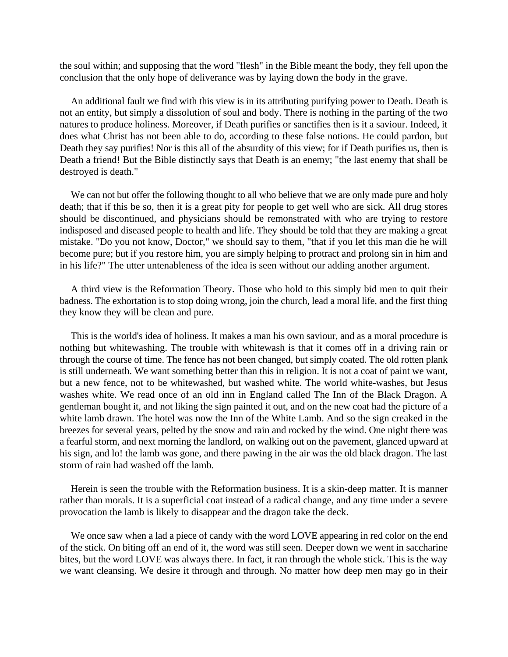the soul within; and supposing that the word "flesh" in the Bible meant the body, they fell upon the conclusion that the only hope of deliverance was by laying down the body in the grave.

An additional fault we find with this view is in its attributing purifying power to Death. Death is not an entity, but simply a dissolution of soul and body. There is nothing in the parting of the two natures to produce holiness. Moreover, if Death purifies or sanctifies then is it a saviour. Indeed, it does what Christ has not been able to do, according to these false notions. He could pardon, but Death they say purifies! Nor is this all of the absurdity of this view; for if Death purifies us, then is Death a friend! But the Bible distinctly says that Death is an enemy; "the last enemy that shall be destroyed is death."

We can not but offer the following thought to all who believe that we are only made pure and holy death; that if this be so, then it is a great pity for people to get well who are sick. All drug stores should be discontinued, and physicians should be remonstrated with who are trying to restore indisposed and diseased people to health and life. They should be told that they are making a great mistake. "Do you not know, Doctor," we should say to them, "that if you let this man die he will become pure; but if you restore him, you are simply helping to protract and prolong sin in him and in his life?" The utter untenableness of the idea is seen without our adding another argument.

A third view is the Reformation Theory. Those who hold to this simply bid men to quit their badness. The exhortation is to stop doing wrong, join the church, lead a moral life, and the first thing they know they will be clean and pure.

This is the world's idea of holiness. It makes a man his own saviour, and as a moral procedure is nothing but whitewashing. The trouble with whitewash is that it comes off in a driving rain or through the course of time. The fence has not been changed, but simply coated. The old rotten plank is still underneath. We want something better than this in religion. It is not a coat of paint we want, but a new fence, not to be whitewashed, but washed white. The world white-washes, but Jesus washes white. We read once of an old inn in England called The Inn of the Black Dragon. A gentleman bought it, and not liking the sign painted it out, and on the new coat had the picture of a white lamb drawn. The hotel was now the Inn of the White Lamb. And so the sign creaked in the breezes for several years, pelted by the snow and rain and rocked by the wind. One night there was a fearful storm, and next morning the landlord, on walking out on the pavement, glanced upward at his sign, and lo! the lamb was gone, and there pawing in the air was the old black dragon. The last storm of rain had washed off the lamb.

Herein is seen the trouble with the Reformation business. It is a skin-deep matter. It is manner rather than morals. It is a superficial coat instead of a radical change, and any time under a severe provocation the lamb is likely to disappear and the dragon take the deck.

We once saw when a lad a piece of candy with the word LOVE appearing in red color on the end of the stick. On biting off an end of it, the word was still seen. Deeper down we went in saccharine bites, but the word LOVE was always there. In fact, it ran through the whole stick. This is the way we want cleansing. We desire it through and through. No matter how deep men may go in their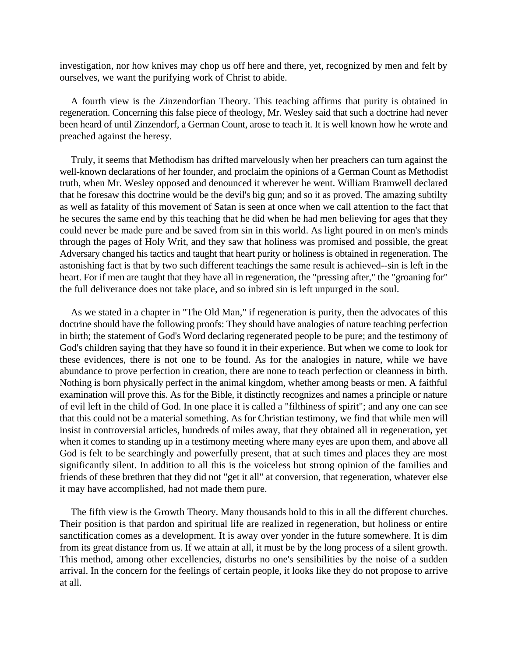investigation, nor how knives may chop us off here and there, yet, recognized by men and felt by ourselves, we want the purifying work of Christ to abide.

A fourth view is the Zinzendorfian Theory. This teaching affirms that purity is obtained in regeneration. Concerning this false piece of theology, Mr. Wesley said that such a doctrine had never been heard of until Zinzendorf, a German Count, arose to teach it. It is well known how he wrote and preached against the heresy.

Truly, it seems that Methodism has drifted marvelously when her preachers can turn against the well-known declarations of her founder, and proclaim the opinions of a German Count as Methodist truth, when Mr. Wesley opposed and denounced it wherever he went. William Bramwell declared that he foresaw this doctrine would be the devil's big gun; and so it as proved. The amazing subtilty as well as fatality of this movement of Satan is seen at once when we call attention to the fact that he secures the same end by this teaching that he did when he had men believing for ages that they could never be made pure and be saved from sin in this world. As light poured in on men's minds through the pages of Holy Writ, and they saw that holiness was promised and possible, the great Adversary changed his tactics and taught that heart purity or holiness is obtained in regeneration. The astonishing fact is that by two such different teachings the same result is achieved--sin is left in the heart. For if men are taught that they have all in regeneration, the "pressing after," the "groaning for" the full deliverance does not take place, and so inbred sin is left unpurged in the soul.

As we stated in a chapter in "The Old Man," if regeneration is purity, then the advocates of this doctrine should have the following proofs: They should have analogies of nature teaching perfection in birth; the statement of God's Word declaring regenerated people to be pure; and the testimony of God's children saying that they have so found it in their experience. But when we come to look for these evidences, there is not one to be found. As for the analogies in nature, while we have abundance to prove perfection in creation, there are none to teach perfection or cleanness in birth. Nothing is born physically perfect in the animal kingdom, whether among beasts or men. A faithful examination will prove this. As for the Bible, it distinctly recognizes and names a principle or nature of evil left in the child of God. In one place it is called a "filthiness of spirit"; and any one can see that this could not be a material something. As for Christian testimony, we find that while men will insist in controversial articles, hundreds of miles away, that they obtained all in regeneration, yet when it comes to standing up in a testimony meeting where many eyes are upon them, and above all God is felt to be searchingly and powerfully present, that at such times and places they are most significantly silent. In addition to all this is the voiceless but strong opinion of the families and friends of these brethren that they did not "get it all" at conversion, that regeneration, whatever else it may have accomplished, had not made them pure.

The fifth view is the Growth Theory. Many thousands hold to this in all the different churches. Their position is that pardon and spiritual life are realized in regeneration, but holiness or entire sanctification comes as a development. It is away over yonder in the future somewhere. It is dim from its great distance from us. If we attain at all, it must be by the long process of a silent growth. This method, among other excellencies, disturbs no one's sensibilities by the noise of a sudden arrival. In the concern for the feelings of certain people, it looks like they do not propose to arrive at all.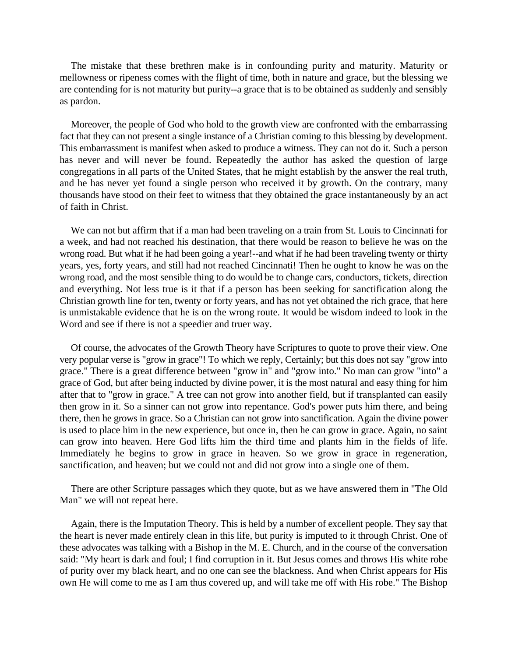The mistake that these brethren make is in confounding purity and maturity. Maturity or mellowness or ripeness comes with the flight of time, both in nature and grace, but the blessing we are contending for is not maturity but purity--a grace that is to be obtained as suddenly and sensibly as pardon.

Moreover, the people of God who hold to the growth view are confronted with the embarrassing fact that they can not present a single instance of a Christian coming to this blessing by development. This embarrassment is manifest when asked to produce a witness. They can not do it. Such a person has never and will never be found. Repeatedly the author has asked the question of large congregations in all parts of the United States, that he might establish by the answer the real truth, and he has never yet found a single person who received it by growth. On the contrary, many thousands have stood on their feet to witness that they obtained the grace instantaneously by an act of faith in Christ.

We can not but affirm that if a man had been traveling on a train from St. Louis to Cincinnati for a week, and had not reached his destination, that there would be reason to believe he was on the wrong road. But what if he had been going a year!--and what if he had been traveling twenty or thirty years, yes, forty years, and still had not reached Cincinnati! Then he ought to know he was on the wrong road, and the most sensible thing to do would be to change cars, conductors, tickets, direction and everything. Not less true is it that if a person has been seeking for sanctification along the Christian growth line for ten, twenty or forty years, and has not yet obtained the rich grace, that here is unmistakable evidence that he is on the wrong route. It would be wisdom indeed to look in the Word and see if there is not a speedier and truer way.

Of course, the advocates of the Growth Theory have Scriptures to quote to prove their view. One very popular verse is "grow in grace"! To which we reply, Certainly; but this does not say "grow into grace." There is a great difference between "grow in" and "grow into." No man can grow "into" a grace of God, but after being inducted by divine power, it is the most natural and easy thing for him after that to "grow in grace." A tree can not grow into another field, but if transplanted can easily then grow in it. So a sinner can not grow into repentance. God's power puts him there, and being there, then he grows in grace. So a Christian can not grow into sanctification. Again the divine power is used to place him in the new experience, but once in, then he can grow in grace. Again, no saint can grow into heaven. Here God lifts him the third time and plants him in the fields of life. Immediately he begins to grow in grace in heaven. So we grow in grace in regeneration, sanctification, and heaven; but we could not and did not grow into a single one of them.

There are other Scripture passages which they quote, but as we have answered them in "The Old Man" we will not repeat here.

Again, there is the Imputation Theory. This is held by a number of excellent people. They say that the heart is never made entirely clean in this life, but purity is imputed to it through Christ. One of these advocates was talking with a Bishop in the M. E. Church, and in the course of the conversation said: "My heart is dark and foul; I find corruption in it. But Jesus comes and throws His white robe of purity over my black heart, and no one can see the blackness. And when Christ appears for His own He will come to me as I am thus covered up, and will take me off with His robe." The Bishop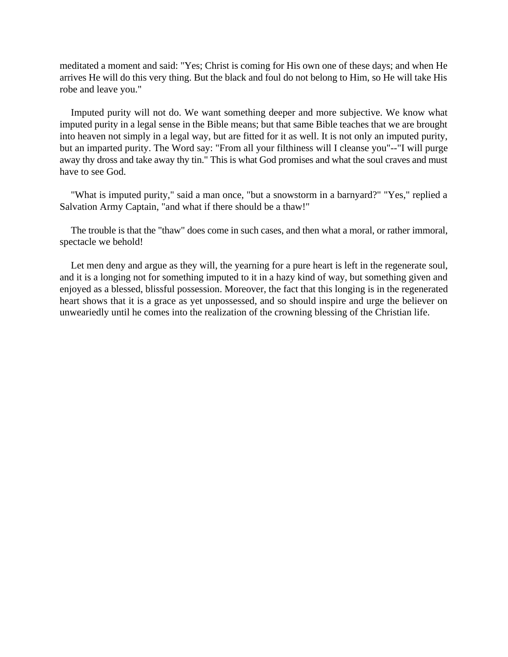meditated a moment and said: "Yes; Christ is coming for His own one of these days; and when He arrives He will do this very thing. But the black and foul do not belong to Him, so He will take His robe and leave you."

Imputed purity will not do. We want something deeper and more subjective. We know what imputed purity in a legal sense in the Bible means; but that same Bible teaches that we are brought into heaven not simply in a legal way, but are fitted for it as well. It is not only an imputed purity, but an imparted purity. The Word say: "From all your filthiness will I cleanse you"--"I will purge away thy dross and take away thy tin." This is what God promises and what the soul craves and must have to see God.

"What is imputed purity," said a man once, "but a snowstorm in a barnyard?" "Yes," replied a Salvation Army Captain, "and what if there should be a thaw!"

The trouble is that the "thaw" does come in such cases, and then what a moral, or rather immoral, spectacle we behold!

Let men deny and argue as they will, the yearning for a pure heart is left in the regenerate soul, and it is a longing not for something imputed to it in a hazy kind of way, but something given and enjoyed as a blessed, blissful possession. Moreover, the fact that this longing is in the regenerated heart shows that it is a grace as yet unpossessed, and so should inspire and urge the believer on unweariedly until he comes into the realization of the crowning blessing of the Christian life.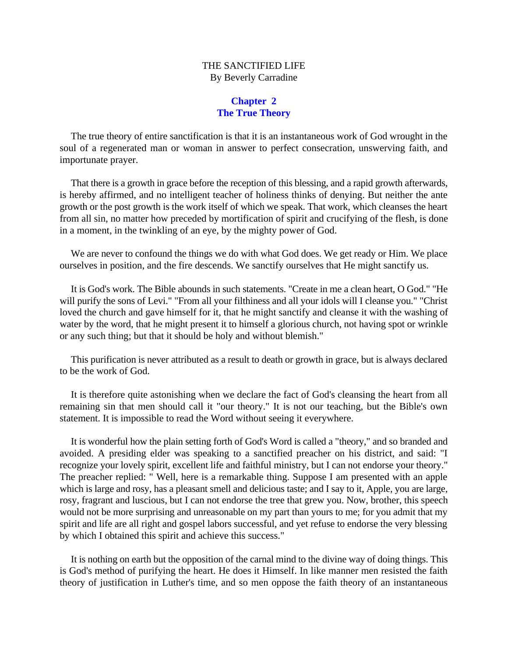#### THE SANCTIFIED LIFE By Beverly Carradine

#### **Chapter 2 The True Theory**

<span id="page-8-0"></span>The true theory of entire sanctification is that it is an instantaneous work of God wrought in the soul of a regenerated man or woman in answer to perfect consecration, unswerving faith, and importunate prayer.

That there is a growth in grace before the reception of this blessing, and a rapid growth afterwards, is hereby affirmed, and no intelligent teacher of holiness thinks of denying. But neither the ante growth or the post growth is the work itself of which we speak. That work, which cleanses the heart from all sin, no matter how preceded by mortification of spirit and crucifying of the flesh, is done in a moment, in the twinkling of an eye, by the mighty power of God.

We are never to confound the things we do with what God does. We get ready or Him. We place ourselves in position, and the fire descends. We sanctify ourselves that He might sanctify us.

It is God's work. The Bible abounds in such statements. "Create in me a clean heart, O God." "He will purify the sons of Levi." "From all your filthiness and all your idols will I cleanse you." "Christ loved the church and gave himself for it, that he might sanctify and cleanse it with the washing of water by the word, that he might present it to himself a glorious church, not having spot or wrinkle or any such thing; but that it should be holy and without blemish."

This purification is never attributed as a result to death or growth in grace, but is always declared to be the work of God.

It is therefore quite astonishing when we declare the fact of God's cleansing the heart from all remaining sin that men should call it "our theory." It is not our teaching, but the Bible's own statement. It is impossible to read the Word without seeing it everywhere.

It is wonderful how the plain setting forth of God's Word is called a "theory," and so branded and avoided. A presiding elder was speaking to a sanctified preacher on his district, and said: "I recognize your lovely spirit, excellent life and faithful ministry, but I can not endorse your theory." The preacher replied: " Well, here is a remarkable thing. Suppose I am presented with an apple which is large and rosy, has a pleasant smell and delicious taste; and I say to it, Apple, you are large, rosy, fragrant and luscious, but I can not endorse the tree that grew you. Now, brother, this speech would not be more surprising and unreasonable on my part than yours to me; for you admit that my spirit and life are all right and gospel labors successful, and yet refuse to endorse the very blessing by which I obtained this spirit and achieve this success."

It is nothing on earth but the opposition of the carnal mind to the divine way of doing things. This is God's method of purifying the heart. He does it Himself. In like manner men resisted the faith theory of justification in Luther's time, and so men oppose the faith theory of an instantaneous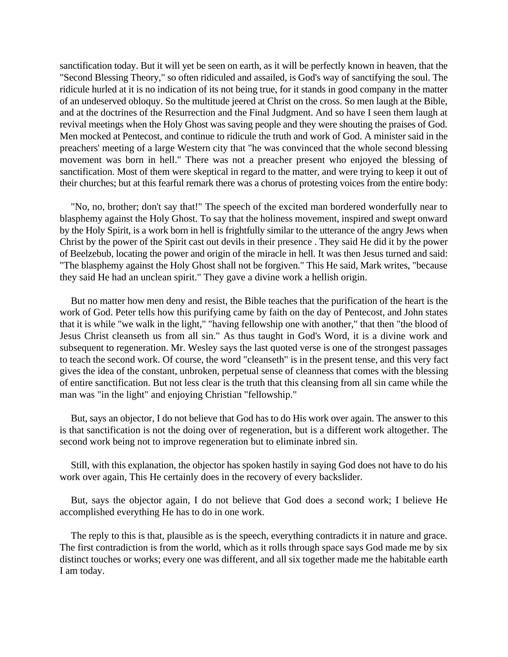sanctification today. But it will yet be seen on earth, as it will be perfectly known in heaven, that the "Second Blessing Theory," so often ridiculed and assailed, is God's way of sanctifying the soul. The ridicule hurled at it is no indication of its not being true, for it stands in good company in the matter of an undeserved obloquy. So the multitude jeered at Christ on the cross. So men laugh at the Bible, and at the doctrines of the Resurrection and the Final Judgment. And so have I seen them laugh at revival meetings when the Holy Ghost was saving people and they were shouting the praises of God. Men mocked at Pentecost, and continue to ridicule the truth and work of God. A minister said in the preachers' meeting of a large Western city that "he was convinced that the whole second blessing movement was born in hell." There was not a preacher present who enjoyed the blessing of sanctification. Most of them were skeptical in regard to the matter, and were trying to keep it out of their churches; but at this fearful remark there was a chorus of protesting voices from the entire body:

"No, no, brother; don't say that!" The speech of the excited man bordered wonderfully near to blasphemy against the Holy Ghost. To say that the holiness movement, inspired and swept onward by the Holy Spirit, is a work born in hell is frightfully similar to the utterance of the angry Jews when Christ by the power of the Spirit cast out devils in their presence . They said He did it by the power of Beelzebub, locating the power and origin of the miracle in hell. It was then Jesus turned and said: "The blasphemy against the Holy Ghost shall not be forgiven." This He said, Mark writes, "because they said He had an unclean spirit." They gave a divine work a hellish origin.

But no matter how men deny and resist, the Bible teaches that the purification of the heart is the work of God. Peter tells how this purifying came by faith on the day of Pentecost, and John states that it is while "we walk in the light," "having fellowship one with another," that then "the blood of Jesus Christ cleanseth us from all sin." As thus taught in God's Word, it is a divine work and subsequent to regeneration. Mr. Wesley says the last quoted verse is one of the strongest passages to teach the second work. Of course, the word "cleanseth" is in the present tense, and this very fact gives the idea of the constant, unbroken, perpetual sense of cleanness that comes with the blessing of entire sanctification. But not less clear is the truth that this cleansing from all sin came while the man was "in the light" and enjoying Christian "fellowship."

But, says an objector, I do not believe that God has to do His work over again. The answer to this is that sanctification is not the doing over of regeneration, but is a different work altogether. The second work being not to improve regeneration but to eliminate inbred sin.

Still, with this explanation, the objector has spoken hastily in saying God does not have to do his work over again, This He certainly does in the recovery of every backslider.

But, says the objector again, I do not believe that God does a second work; I believe He accomplished everything He has to do in one work.

The reply to this is that, plausible as is the speech, everything contradicts it in nature and grace. The first contradiction is from the world, which as it rolls through space says God made me by six distinct touches or works; every one was different, and all six together made me the habitable earth I am today.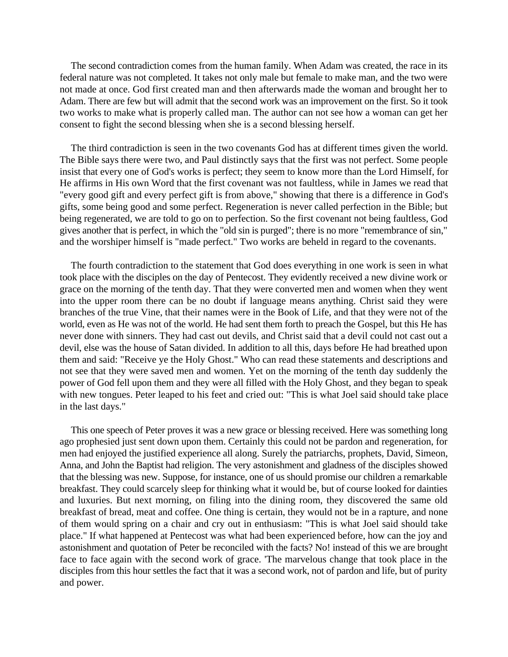The second contradiction comes from the human family. When Adam was created, the race in its federal nature was not completed. It takes not only male but female to make man, and the two were not made at once. God first created man and then afterwards made the woman and brought her to Adam. There are few but will admit that the second work was an improvement on the first. So it took two works to make what is properly called man. The author can not see how a woman can get her consent to fight the second blessing when she is a second blessing herself.

The third contradiction is seen in the two covenants God has at different times given the world. The Bible says there were two, and Paul distinctly says that the first was not perfect. Some people insist that every one of God's works is perfect; they seem to know more than the Lord Himself, for He affirms in His own Word that the first covenant was not faultless, while in James we read that "every good gift and every perfect gift is from above," showing that there is a difference in God's gifts, some being good and some perfect. Regeneration is never called perfection in the Bible; but being regenerated, we are told to go on to perfection. So the first covenant not being faultless, God gives another that is perfect, in which the "old sin is purged"; there is no more "remembrance of sin," and the worshiper himself is "made perfect." Two works are beheld in regard to the covenants.

The fourth contradiction to the statement that God does everything in one work is seen in what took place with the disciples on the day of Pentecost. They evidently received a new divine work or grace on the morning of the tenth day. That they were converted men and women when they went into the upper room there can be no doubt if language means anything. Christ said they were branches of the true Vine, that their names were in the Book of Life, and that they were not of the world, even as He was not of the world. He had sent them forth to preach the Gospel, but this He has never done with sinners. They had cast out devils, and Christ said that a devil could not cast out a devil, else was the house of Satan divided. In addition to all this, days before He had breathed upon them and said: "Receive ye the Holy Ghost." Who can read these statements and descriptions and not see that they were saved men and women. Yet on the morning of the tenth day suddenly the power of God fell upon them and they were all filled with the Holy Ghost, and they began to speak with new tongues. Peter leaped to his feet and cried out: "This is what Joel said should take place in the last days."

This one speech of Peter proves it was a new grace or blessing received. Here was something long ago prophesied just sent down upon them. Certainly this could not be pardon and regeneration, for men had enjoyed the justified experience all along. Surely the patriarchs, prophets, David, Simeon, Anna, and John the Baptist had religion. The very astonishment and gladness of the disciples showed that the blessing was new. Suppose, for instance, one of us should promise our children a remarkable breakfast. They could scarcely sleep for thinking what it would be, but of course looked for dainties and luxuries. But next morning, on filing into the dining room, they discovered the same old breakfast of bread, meat and coffee. One thing is certain, they would not be in a rapture, and none of them would spring on a chair and cry out in enthusiasm: "This is what Joel said should take place." If what happened at Pentecost was what had been experienced before, how can the joy and astonishment and quotation of Peter be reconciled with the facts? No! instead of this we are brought face to face again with the second work of grace. 'The marvelous change that took place in the disciples from this hour settles the fact that it was a second work, not of pardon and life, but of purity and power.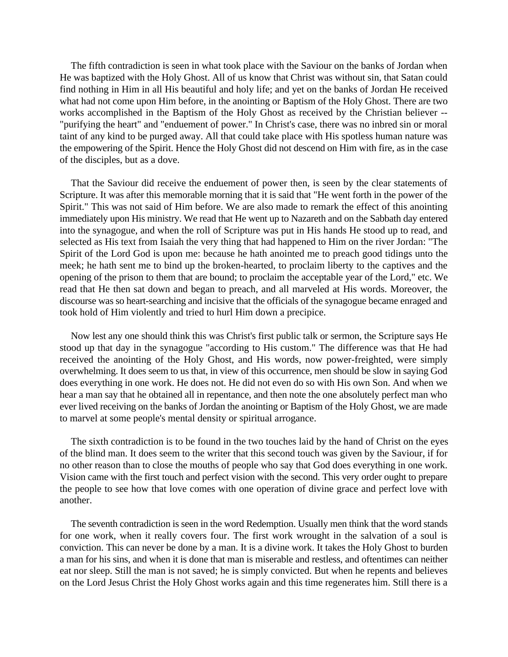The fifth contradiction is seen in what took place with the Saviour on the banks of Jordan when He was baptized with the Holy Ghost. All of us know that Christ was without sin, that Satan could find nothing in Him in all His beautiful and holy life; and yet on the banks of Jordan He received what had not come upon Him before, in the anointing or Baptism of the Holy Ghost. There are two works accomplished in the Baptism of the Holy Ghost as received by the Christian believer -- "purifying the heart" and "enduement of power." In Christ's case, there was no inbred sin or moral taint of any kind to be purged away. All that could take place with His spotless human nature was the empowering of the Spirit. Hence the Holy Ghost did not descend on Him with fire, as in the case of the disciples, but as a dove.

That the Saviour did receive the enduement of power then, is seen by the clear statements of Scripture. It was after this memorable morning that it is said that "He went forth in the power of the Spirit." This was not said of Him before. We are also made to remark the effect of this anointing immediately upon His ministry. We read that He went up to Nazareth and on the Sabbath day entered into the synagogue, and when the roll of Scripture was put in His hands He stood up to read, and selected as His text from Isaiah the very thing that had happened to Him on the river Jordan: "The Spirit of the Lord God is upon me: because he hath anointed me to preach good tidings unto the meek; he hath sent me to bind up the broken-hearted, to proclaim liberty to the captives and the opening of the prison to them that are bound; to proclaim the acceptable year of the Lord," etc. We read that He then sat down and began to preach, and all marveled at His words. Moreover, the discourse was so heart-searching and incisive that the officials of the synagogue became enraged and took hold of Him violently and tried to hurl Him down a precipice.

Now lest any one should think this was Christ's first public talk or sermon, the Scripture says He stood up that day in the synagogue "according to His custom." The difference was that He had received the anointing of the Holy Ghost, and His words, now power-freighted, were simply overwhelming. It does seem to us that, in view of this occurrence, men should be slow in saying God does everything in one work. He does not. He did not even do so with His own Son. And when we hear a man say that he obtained all in repentance, and then note the one absolutely perfect man who ever lived receiving on the banks of Jordan the anointing or Baptism of the Holy Ghost, we are made to marvel at some people's mental density or spiritual arrogance.

The sixth contradiction is to be found in the two touches laid by the hand of Christ on the eyes of the blind man. It does seem to the writer that this second touch was given by the Saviour, if for no other reason than to close the mouths of people who say that God does everything in one work. Vision came with the first touch and perfect vision with the second. This very order ought to prepare the people to see how that love comes with one operation of divine grace and perfect love with another.

The seventh contradiction is seen in the word Redemption. Usually men think that the word stands for one work, when it really covers four. The first work wrought in the salvation of a soul is conviction. This can never be done by a man. It is a divine work. It takes the Holy Ghost to burden a man for his sins, and when it is done that man is miserable and restless, and oftentimes can neither eat nor sleep. Still the man is not saved; he is simply convicted. But when he repents and believes on the Lord Jesus Christ the Holy Ghost works again and this time regenerates him. Still there is a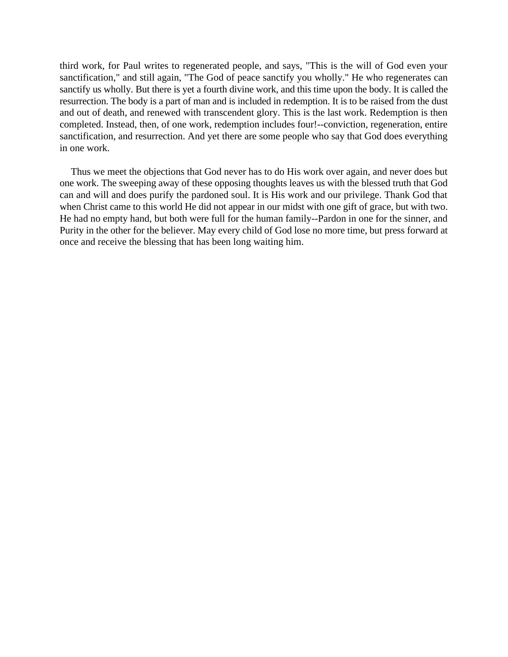third work, for Paul writes to regenerated people, and says, "This is the will of God even your sanctification," and still again, "The God of peace sanctify you wholly." He who regenerates can sanctify us wholly. But there is yet a fourth divine work, and this time upon the body. It is called the resurrection. The body is a part of man and is included in redemption. It is to be raised from the dust and out of death, and renewed with transcendent glory. This is the last work. Redemption is then completed. Instead, then, of one work, redemption includes four!--conviction, regeneration, entire sanctification, and resurrection. And yet there are some people who say that God does everything in one work.

Thus we meet the objections that God never has to do His work over again, and never does but one work. The sweeping away of these opposing thoughts leaves us with the blessed truth that God can and will and does purify the pardoned soul. It is His work and our privilege. Thank God that when Christ came to this world He did not appear in our midst with one gift of grace, but with two. He had no empty hand, but both were full for the human family--Pardon in one for the sinner, and Purity in the other for the believer. May every child of God lose no more time, but press forward at once and receive the blessing that has been long waiting him.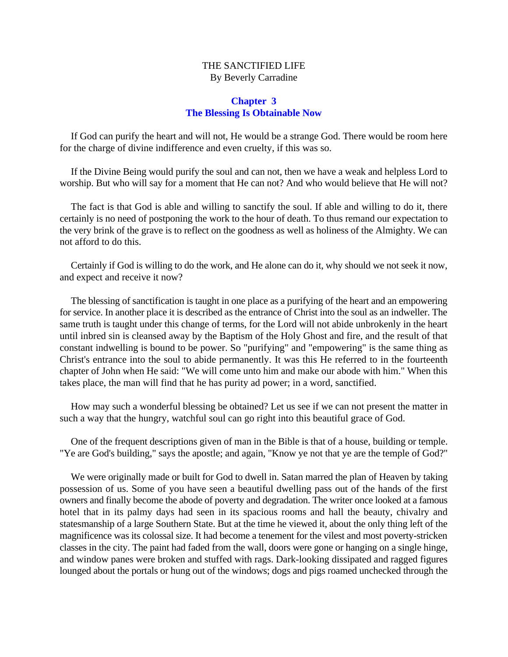#### THE SANCTIFIED LIFE By Beverly Carradine

#### **Chapter 3 The Blessing Is Obtainable Now**

<span id="page-13-0"></span>If God can purify the heart and will not, He would be a strange God. There would be room here for the charge of divine indifference and even cruelty, if this was so.

If the Divine Being would purify the soul and can not, then we have a weak and helpless Lord to worship. But who will say for a moment that He can not? And who would believe that He will not?

The fact is that God is able and willing to sanctify the soul. If able and willing to do it, there certainly is no need of postponing the work to the hour of death. To thus remand our expectation to the very brink of the grave is to reflect on the goodness as well as holiness of the Almighty. We can not afford to do this.

Certainly if God is willing to do the work, and He alone can do it, why should we not seek it now, and expect and receive it now?

The blessing of sanctification is taught in one place as a purifying of the heart and an empowering for service. In another place it is described as the entrance of Christ into the soul as an indweller. The same truth is taught under this change of terms, for the Lord will not abide unbrokenly in the heart until inbred sin is cleansed away by the Baptism of the Holy Ghost and fire, and the result of that constant indwelling is bound to be power. So "purifying" and "empowering" is the same thing as Christ's entrance into the soul to abide permanently. It was this He referred to in the fourteenth chapter of John when He said: "We will come unto him and make our abode with him." When this takes place, the man will find that he has purity ad power; in a word, sanctified.

How may such a wonderful blessing be obtained? Let us see if we can not present the matter in such a way that the hungry, watchful soul can go right into this beautiful grace of God.

One of the frequent descriptions given of man in the Bible is that of a house, building or temple. "Ye are God's building," says the apostle; and again, "Know ye not that ye are the temple of God?"

We were originally made or built for God to dwell in. Satan marred the plan of Heaven by taking possession of us. Some of you have seen a beautiful dwelling pass out of the hands of the first owners and finally become the abode of poverty and degradation. The writer once looked at a famous hotel that in its palmy days had seen in its spacious rooms and hall the beauty, chivalry and statesmanship of a large Southern State. But at the time he viewed it, about the only thing left of the magnificence was its colossal size. It had become a tenement for the vilest and most poverty-stricken classes in the city. The paint had faded from the wall, doors were gone or hanging on a single hinge, and window panes were broken and stuffed with rags. Dark-looking dissipated and ragged figures lounged about the portals or hung out of the windows; dogs and pigs roamed unchecked through the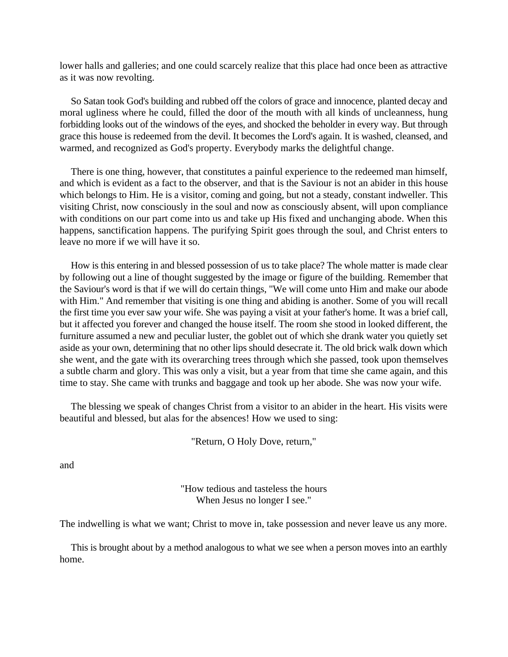lower halls and galleries; and one could scarcely realize that this place had once been as attractive as it was now revolting.

So Satan took God's building and rubbed off the colors of grace and innocence, planted decay and moral ugliness where he could, filled the door of the mouth with all kinds of uncleanness, hung forbidding looks out of the windows of the eyes, and shocked the beholder in every way. But through grace this house is redeemed from the devil. It becomes the Lord's again. It is washed, cleansed, and warmed, and recognized as God's property. Everybody marks the delightful change.

There is one thing, however, that constitutes a painful experience to the redeemed man himself, and which is evident as a fact to the observer, and that is the Saviour is not an abider in this house which belongs to Him. He is a visitor, coming and going, but not a steady, constant indweller. This visiting Christ, now consciously in the soul and now as consciously absent, will upon compliance with conditions on our part come into us and take up His fixed and unchanging abode. When this happens, sanctification happens. The purifying Spirit goes through the soul, and Christ enters to leave no more if we will have it so.

How is this entering in and blessed possession of us to take place? The whole matter is made clear by following out a line of thought suggested by the image or figure of the building. Remember that the Saviour's word is that if we will do certain things, "We will come unto Him and make our abode with Him." And remember that visiting is one thing and abiding is another. Some of you will recall the first time you ever saw your wife. She was paying a visit at your father's home. It was a brief call, but it affected you forever and changed the house itself. The room she stood in looked different, the furniture assumed a new and peculiar luster, the goblet out of which she drank water you quietly set aside as your own, determining that no other lips should desecrate it. The old brick walk down which she went, and the gate with its overarching trees through which she passed, took upon themselves a subtle charm and glory. This was only a visit, but a year from that time she came again, and this time to stay. She came with trunks and baggage and took up her abode. She was now your wife.

The blessing we speak of changes Christ from a visitor to an abider in the heart. His visits were beautiful and blessed, but alas for the absences! How we used to sing:

"Return, O Holy Dove, return,"

and

"How tedious and tasteless the hours When Jesus no longer I see."

The indwelling is what we want; Christ to move in, take possession and never leave us any more.

This is brought about by a method analogous to what we see when a person moves into an earthly home.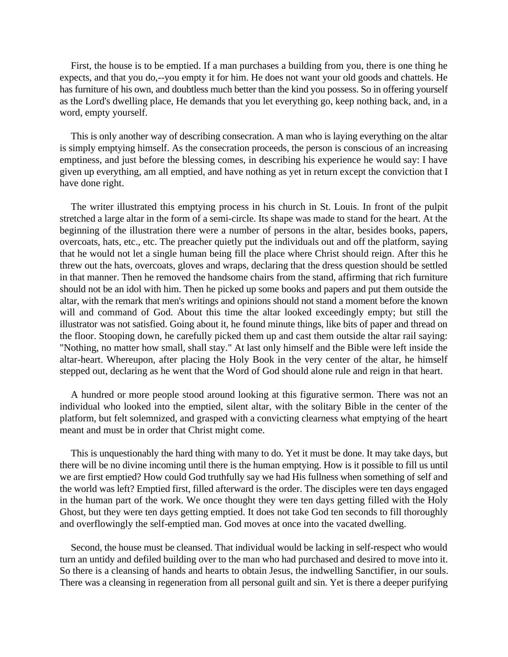First, the house is to be emptied. If a man purchases a building from you, there is one thing he expects, and that you do,--you empty it for him. He does not want your old goods and chattels. He has furniture of his own, and doubtless much better than the kind you possess. So in offering yourself as the Lord's dwelling place, He demands that you let everything go, keep nothing back, and, in a word, empty yourself.

This is only another way of describing consecration. A man who is laying everything on the altar is simply emptying himself. As the consecration proceeds, the person is conscious of an increasing emptiness, and just before the blessing comes, in describing his experience he would say: I have given up everything, am all emptied, and have nothing as yet in return except the conviction that I have done right.

The writer illustrated this emptying process in his church in St. Louis. In front of the pulpit stretched a large altar in the form of a semi-circle. Its shape was made to stand for the heart. At the beginning of the illustration there were a number of persons in the altar, besides books, papers, overcoats, hats, etc., etc. The preacher quietly put the individuals out and off the platform, saying that he would not let a single human being fill the place where Christ should reign. After this he threw out the hats, overcoats, gloves and wraps, declaring that the dress question should be settled in that manner. Then he removed the handsome chairs from the stand, affirming that rich furniture should not be an idol with him. Then he picked up some books and papers and put them outside the altar, with the remark that men's writings and opinions should not stand a moment before the known will and command of God. About this time the altar looked exceedingly empty; but still the illustrator was not satisfied. Going about it, he found minute things, like bits of paper and thread on the floor. Stooping down, he carefully picked them up and cast them outside the altar rail saying: "Nothing, no matter how small, shall stay." At last only himself and the Bible were left inside the altar-heart. Whereupon, after placing the Holy Book in the very center of the altar, he himself stepped out, declaring as he went that the Word of God should alone rule and reign in that heart.

A hundred or more people stood around looking at this figurative sermon. There was not an individual who looked into the emptied, silent altar, with the solitary Bible in the center of the platform, but felt solemnized, and grasped with a convicting clearness what emptying of the heart meant and must be in order that Christ might come.

This is unquestionably the hard thing with many to do. Yet it must be done. It may take days, but there will be no divine incoming until there is the human emptying. How is it possible to fill us until we are first emptied? How could God truthfully say we had His fullness when something of self and the world was left? Emptied first, filled afterward is the order. The disciples were ten days engaged in the human part of the work. We once thought they were ten days getting filled with the Holy Ghost, but they were ten days getting emptied. It does not take God ten seconds to fill thoroughly and overflowingly the self-emptied man. God moves at once into the vacated dwelling.

Second, the house must be cleansed. That individual would be lacking in self-respect who would turn an untidy and defiled building over to the man who had purchased and desired to move into it. So there is a cleansing of hands and hearts to obtain Jesus, the indwelling Sanctifier, in our souls. There was a cleansing in regeneration from all personal guilt and sin. Yet is there a deeper purifying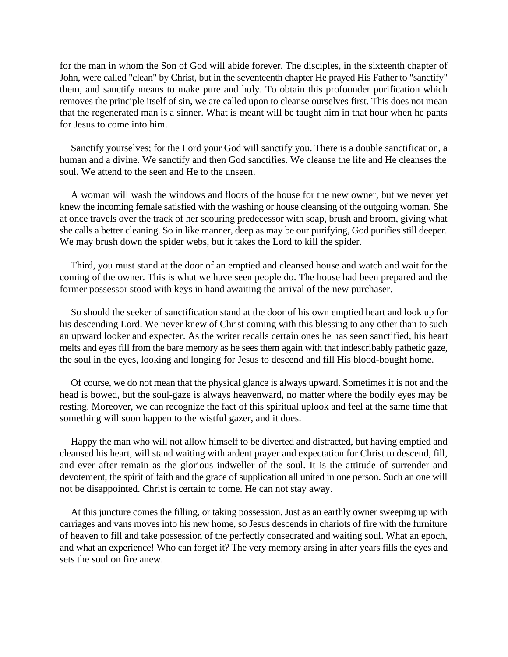for the man in whom the Son of God will abide forever. The disciples, in the sixteenth chapter of John, were called "clean" by Christ, but in the seventeenth chapter He prayed His Father to "sanctify" them, and sanctify means to make pure and holy. To obtain this profounder purification which removes the principle itself of sin, we are called upon to cleanse ourselves first. This does not mean that the regenerated man is a sinner. What is meant will be taught him in that hour when he pants for Jesus to come into him.

Sanctify yourselves; for the Lord your God will sanctify you. There is a double sanctification, a human and a divine. We sanctify and then God sanctifies. We cleanse the life and He cleanses the soul. We attend to the seen and He to the unseen.

A woman will wash the windows and floors of the house for the new owner, but we never yet knew the incoming female satisfied with the washing or house cleansing of the outgoing woman. She at once travels over the track of her scouring predecessor with soap, brush and broom, giving what she calls a better cleaning. So in like manner, deep as may be our purifying, God purifies still deeper. We may brush down the spider webs, but it takes the Lord to kill the spider.

Third, you must stand at the door of an emptied and cleansed house and watch and wait for the coming of the owner. This is what we have seen people do. The house had been prepared and the former possessor stood with keys in hand awaiting the arrival of the new purchaser.

So should the seeker of sanctification stand at the door of his own emptied heart and look up for his descending Lord. We never knew of Christ coming with this blessing to any other than to such an upward looker and expecter. As the writer recalls certain ones he has seen sanctified, his heart melts and eyes fill from the bare memory as he sees them again with that indescribably pathetic gaze, the soul in the eyes, looking and longing for Jesus to descend and fill His blood-bought home.

Of course, we do not mean that the physical glance is always upward. Sometimes it is not and the head is bowed, but the soul-gaze is always heavenward, no matter where the bodily eyes may be resting. Moreover, we can recognize the fact of this spiritual uplook and feel at the same time that something will soon happen to the wistful gazer, and it does.

Happy the man who will not allow himself to be diverted and distracted, but having emptied and cleansed his heart, will stand waiting with ardent prayer and expectation for Christ to descend, fill, and ever after remain as the glorious indweller of the soul. It is the attitude of surrender and devotement, the spirit of faith and the grace of supplication all united in one person. Such an one will not be disappointed. Christ is certain to come. He can not stay away.

At this juncture comes the filling, or taking possession. Just as an earthly owner sweeping up with carriages and vans moves into his new home, so Jesus descends in chariots of fire with the furniture of heaven to fill and take possession of the perfectly consecrated and waiting soul. What an epoch, and what an experience! Who can forget it? The very memory arsing in after years fills the eyes and sets the soul on fire anew.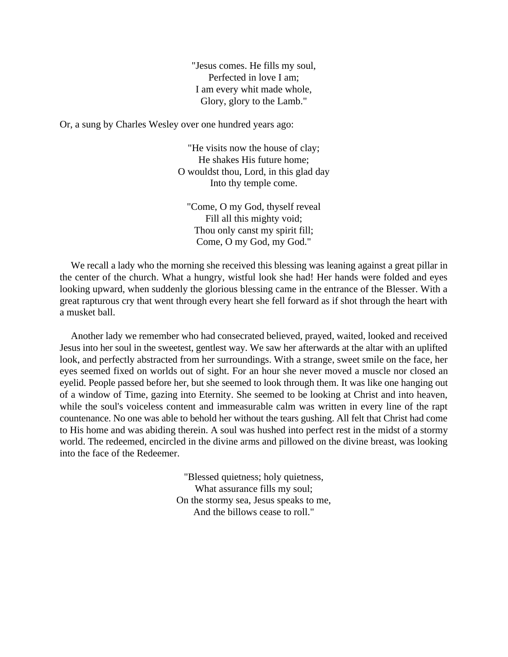"Jesus comes. He fills my soul, Perfected in love I am; I am every whit made whole, Glory, glory to the Lamb."

Or, a sung by Charles Wesley over one hundred years ago:

"He visits now the house of clay; He shakes His future home; O wouldst thou, Lord, in this glad day Into thy temple come.

"Come, O my God, thyself reveal Fill all this mighty void; Thou only canst my spirit fill; Come, O my God, my God."

We recall a lady who the morning she received this blessing was leaning against a great pillar in the center of the church. What a hungry, wistful look she had! Her hands were folded and eyes looking upward, when suddenly the glorious blessing came in the entrance of the Blesser. With a great rapturous cry that went through every heart she fell forward as if shot through the heart with a musket ball.

Another lady we remember who had consecrated believed, prayed, waited, looked and received Jesus into her soul in the sweetest, gentlest way. We saw her afterwards at the altar with an uplifted look, and perfectly abstracted from her surroundings. With a strange, sweet smile on the face, her eyes seemed fixed on worlds out of sight. For an hour she never moved a muscle nor closed an eyelid. People passed before her, but she seemed to look through them. It was like one hanging out of a window of Time, gazing into Eternity. She seemed to be looking at Christ and into heaven, while the soul's voiceless content and immeasurable calm was written in every line of the rapt countenance. No one was able to behold her without the tears gushing. All felt that Christ had come to His home and was abiding therein. A soul was hushed into perfect rest in the midst of a stormy world. The redeemed, encircled in the divine arms and pillowed on the divine breast, was looking into the face of the Redeemer.

> "Blessed quietness; holy quietness, What assurance fills my soul; On the stormy sea, Jesus speaks to me, And the billows cease to roll."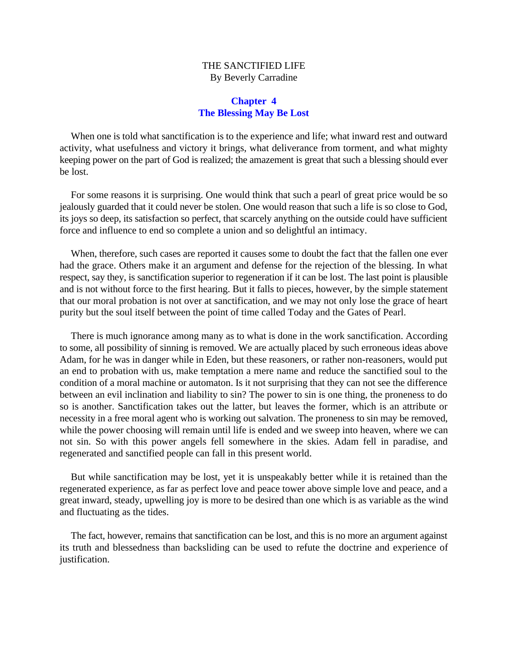#### THE SANCTIFIED LIFE By Beverly Carradine

#### **Chapter 4 The Blessing May Be Lost**

<span id="page-18-0"></span>When one is told what sanctification is to the experience and life; what inward rest and outward activity, what usefulness and victory it brings, what deliverance from torment, and what mighty keeping power on the part of God is realized; the amazement is great that such a blessing should ever be lost.

For some reasons it is surprising. One would think that such a pearl of great price would be so jealously guarded that it could never be stolen. One would reason that such a life is so close to God, its joys so deep, its satisfaction so perfect, that scarcely anything on the outside could have sufficient force and influence to end so complete a union and so delightful an intimacy.

When, therefore, such cases are reported it causes some to doubt the fact that the fallen one ever had the grace. Others make it an argument and defense for the rejection of the blessing. In what respect, say they, is sanctification superior to regeneration if it can be lost. The last point is plausible and is not without force to the first hearing. But it falls to pieces, however, by the simple statement that our moral probation is not over at sanctification, and we may not only lose the grace of heart purity but the soul itself between the point of time called Today and the Gates of Pearl.

There is much ignorance among many as to what is done in the work sanctification. According to some, all possibility of sinning is removed. We are actually placed by such erroneous ideas above Adam, for he was in danger while in Eden, but these reasoners, or rather non-reasoners, would put an end to probation with us, make temptation a mere name and reduce the sanctified soul to the condition of a moral machine or automaton. Is it not surprising that they can not see the difference between an evil inclination and liability to sin? The power to sin is one thing, the proneness to do so is another. Sanctification takes out the latter, but leaves the former, which is an attribute or necessity in a free moral agent who is working out salvation. The proneness to sin may be removed, while the power choosing will remain until life is ended and we sweep into heaven, where we can not sin. So with this power angels fell somewhere in the skies. Adam fell in paradise, and regenerated and sanctified people can fall in this present world.

But while sanctification may be lost, yet it is unspeakably better while it is retained than the regenerated experience, as far as perfect love and peace tower above simple love and peace, and a great inward, steady, upwelling joy is more to be desired than one which is as variable as the wind and fluctuating as the tides.

The fact, however, remains that sanctification can be lost, and this is no more an argument against its truth and blessedness than backsliding can be used to refute the doctrine and experience of justification.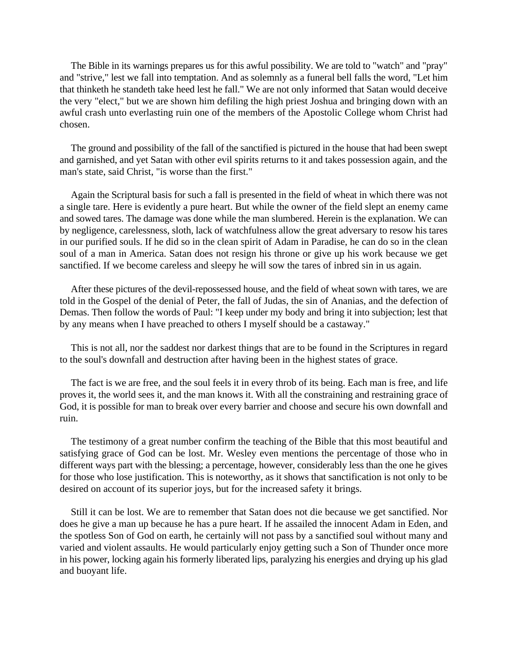The Bible in its warnings prepares us for this awful possibility. We are told to "watch" and "pray" and "strive," lest we fall into temptation. And as solemnly as a funeral bell falls the word, "Let him that thinketh he standeth take heed lest he fall." We are not only informed that Satan would deceive the very "elect," but we are shown him defiling the high priest Joshua and bringing down with an awful crash unto everlasting ruin one of the members of the Apostolic College whom Christ had chosen.

The ground and possibility of the fall of the sanctified is pictured in the house that had been swept and garnished, and yet Satan with other evil spirits returns to it and takes possession again, and the man's state, said Christ, "is worse than the first."

Again the Scriptural basis for such a fall is presented in the field of wheat in which there was not a single tare. Here is evidently a pure heart. But while the owner of the field slept an enemy came and sowed tares. The damage was done while the man slumbered. Herein is the explanation. We can by negligence, carelessness, sloth, lack of watchfulness allow the great adversary to resow his tares in our purified souls. If he did so in the clean spirit of Adam in Paradise, he can do so in the clean soul of a man in America. Satan does not resign his throne or give up his work because we get sanctified. If we become careless and sleepy he will sow the tares of inbred sin in us again.

After these pictures of the devil-repossessed house, and the field of wheat sown with tares, we are told in the Gospel of the denial of Peter, the fall of Judas, the sin of Ananias, and the defection of Demas. Then follow the words of Paul: "I keep under my body and bring it into subjection; lest that by any means when I have preached to others I myself should be a castaway."

This is not all, nor the saddest nor darkest things that are to be found in the Scriptures in regard to the soul's downfall and destruction after having been in the highest states of grace.

The fact is we are free, and the soul feels it in every throb of its being. Each man is free, and life proves it, the world sees it, and the man knows it. With all the constraining and restraining grace of God, it is possible for man to break over every barrier and choose and secure his own downfall and ruin.

The testimony of a great number confirm the teaching of the Bible that this most beautiful and satisfying grace of God can be lost. Mr. Wesley even mentions the percentage of those who in different ways part with the blessing; a percentage, however, considerably less than the one he gives for those who lose justification. This is noteworthy, as it shows that sanctification is not only to be desired on account of its superior joys, but for the increased safety it brings.

Still it can be lost. We are to remember that Satan does not die because we get sanctified. Nor does he give a man up because he has a pure heart. If he assailed the innocent Adam in Eden, and the spotless Son of God on earth, he certainly will not pass by a sanctified soul without many and varied and violent assaults. He would particularly enjoy getting such a Son of Thunder once more in his power, locking again his formerly liberated lips, paralyzing his energies and drying up his glad and buoyant life.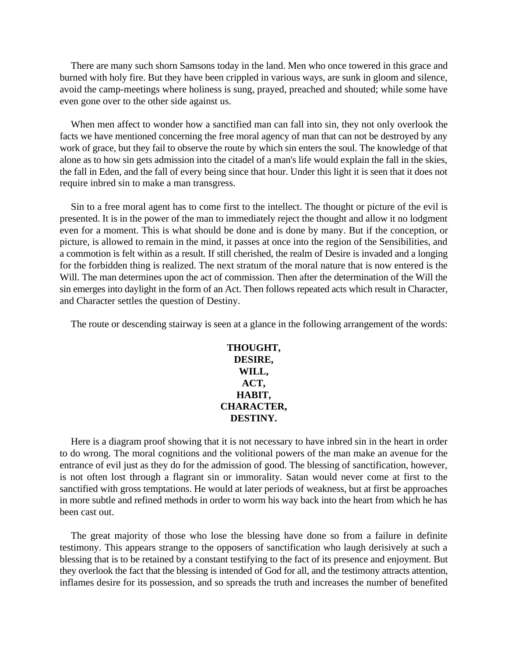There are many such shorn Samsons today in the land. Men who once towered in this grace and burned with holy fire. But they have been crippled in various ways, are sunk in gloom and silence, avoid the camp-meetings where holiness is sung, prayed, preached and shouted; while some have even gone over to the other side against us.

When men affect to wonder how a sanctified man can fall into sin, they not only overlook the facts we have mentioned concerning the free moral agency of man that can not be destroyed by any work of grace, but they fail to observe the route by which sin enters the soul. The knowledge of that alone as to how sin gets admission into the citadel of a man's life would explain the fall in the skies, the fall in Eden, and the fall of every being since that hour. Under this light it is seen that it does not require inbred sin to make a man transgress.

Sin to a free moral agent has to come first to the intellect. The thought or picture of the evil is presented. It is in the power of the man to immediately reject the thought and allow it no lodgment even for a moment. This is what should be done and is done by many. But if the conception, or picture, is allowed to remain in the mind, it passes at once into the region of the Sensibilities, and a commotion is felt within as a result. If still cherished, the realm of Desire is invaded and a longing for the forbidden thing is realized. The next stratum of the moral nature that is now entered is the Will. The man determines upon the act of commission. Then after the determination of the Will the sin emerges into daylight in the form of an Act. Then follows repeated acts which result in Character, and Character settles the question of Destiny.

The route or descending stairway is seen at a glance in the following arrangement of the words:

**THOUGHT, DESIRE, WILL, ACT, HABIT, CHARACTER, DESTINY.**

Here is a diagram proof showing that it is not necessary to have inbred sin in the heart in order to do wrong. The moral cognitions and the volitional powers of the man make an avenue for the entrance of evil just as they do for the admission of good. The blessing of sanctification, however, is not often lost through a flagrant sin or immorality. Satan would never come at first to the sanctified with gross temptations. He would at later periods of weakness, but at first be approaches in more subtle and refined methods in order to worm his way back into the heart from which he has been cast out.

The great majority of those who lose the blessing have done so from a failure in definite testimony. This appears strange to the opposers of sanctification who laugh derisively at such a blessing that is to be retained by a constant testifying to the fact of its presence and enjoyment. But they overlook the fact that the blessing is intended of God for all, and the testimony attracts attention, inflames desire for its possession, and so spreads the truth and increases the number of benefited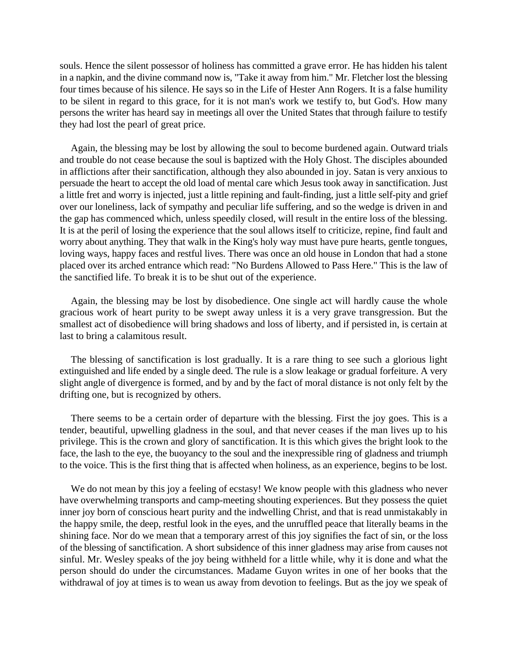souls. Hence the silent possessor of holiness has committed a grave error. He has hidden his talent in a napkin, and the divine command now is, "Take it away from him." Mr. Fletcher lost the blessing four times because of his silence. He says so in the Life of Hester Ann Rogers. It is a false humility to be silent in regard to this grace, for it is not man's work we testify to, but God's. How many persons the writer has heard say in meetings all over the United States that through failure to testify they had lost the pearl of great price.

Again, the blessing may be lost by allowing the soul to become burdened again. Outward trials and trouble do not cease because the soul is baptized with the Holy Ghost. The disciples abounded in afflictions after their sanctification, although they also abounded in joy. Satan is very anxious to persuade the heart to accept the old load of mental care which Jesus took away in sanctification. Just a little fret and worry is injected, just a little repining and fault-finding, just a little self-pity and grief over our loneliness, lack of sympathy and peculiar life suffering, and so the wedge is driven in and the gap has commenced which, unless speedily closed, will result in the entire loss of the blessing. It is at the peril of losing the experience that the soul allows itself to criticize, repine, find fault and worry about anything. They that walk in the King's holy way must have pure hearts, gentle tongues, loving ways, happy faces and restful lives. There was once an old house in London that had a stone placed over its arched entrance which read: "No Burdens Allowed to Pass Here." This is the law of the sanctified life. To break it is to be shut out of the experience.

Again, the blessing may be lost by disobedience. One single act will hardly cause the whole gracious work of heart purity to be swept away unless it is a very grave transgression. But the smallest act of disobedience will bring shadows and loss of liberty, and if persisted in, is certain at last to bring a calamitous result.

The blessing of sanctification is lost gradually. It is a rare thing to see such a glorious light extinguished and life ended by a single deed. The rule is a slow leakage or gradual forfeiture. A very slight angle of divergence is formed, and by and by the fact of moral distance is not only felt by the drifting one, but is recognized by others.

There seems to be a certain order of departure with the blessing. First the joy goes. This is a tender, beautiful, upwelling gladness in the soul, and that never ceases if the man lives up to his privilege. This is the crown and glory of sanctification. It is this which gives the bright look to the face, the lash to the eye, the buoyancy to the soul and the inexpressible ring of gladness and triumph to the voice. This is the first thing that is affected when holiness, as an experience, begins to be lost.

We do not mean by this joy a feeling of ecstasy! We know people with this gladness who never have overwhelming transports and camp-meeting shouting experiences. But they possess the quiet inner joy born of conscious heart purity and the indwelling Christ, and that is read unmistakably in the happy smile, the deep, restful look in the eyes, and the unruffled peace that literally beams in the shining face. Nor do we mean that a temporary arrest of this joy signifies the fact of sin, or the loss of the blessing of sanctification. A short subsidence of this inner gladness may arise from causes not sinful. Mr. Wesley speaks of the joy being withheld for a little while, why it is done and what the person should do under the circumstances. Madame Guyon writes in one of her books that the withdrawal of joy at times is to wean us away from devotion to feelings. But as the joy we speak of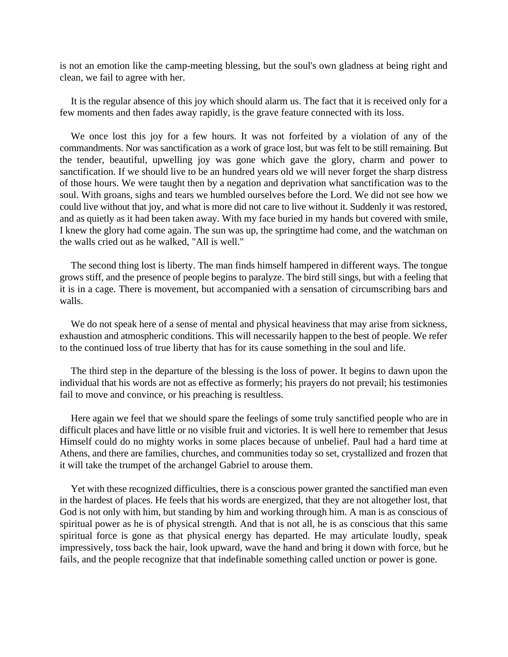is not an emotion like the camp-meeting blessing, but the soul's own gladness at being right and clean, we fail to agree with her.

It is the regular absence of this joy which should alarm us. The fact that it is received only for a few moments and then fades away rapidly, is the grave feature connected with its loss.

We once lost this joy for a few hours. It was not forfeited by a violation of any of the commandments. Nor was sanctification as a work of grace lost, but was felt to be still remaining. But the tender, beautiful, upwelling joy was gone which gave the glory, charm and power to sanctification. If we should live to be an hundred years old we will never forget the sharp distress of those hours. We were taught then by a negation and deprivation what sanctification was to the soul. With groans, sighs and tears we humbled ourselves before the Lord. We did not see how we could live without that joy, and what is more did not care to live without it. Suddenly it was restored, and as quietly as it had been taken away. With my face buried in my hands but covered with smile, I knew the glory had come again. The sun was up, the springtime had come, and the watchman on the walls cried out as he walked, "All is well."

The second thing lost is liberty. The man finds himself hampered in different ways. The tongue grows stiff, and the presence of people begins to paralyze. The bird still sings, but with a feeling that it is in a cage. There is movement, but accompanied with a sensation of circumscribing bars and walls.

We do not speak here of a sense of mental and physical heaviness that may arise from sickness, exhaustion and atmospheric conditions. This will necessarily happen to the best of people. We refer to the continued loss of true liberty that has for its cause something in the soul and life.

The third step in the departure of the blessing is the loss of power. It begins to dawn upon the individual that his words are not as effective as formerly; his prayers do not prevail; his testimonies fail to move and convince, or his preaching is resultless.

Here again we feel that we should spare the feelings of some truly sanctified people who are in difficult places and have little or no visible fruit and victories. It is well here to remember that Jesus Himself could do no mighty works in some places because of unbelief. Paul had a hard time at Athens, and there are families, churches, and communities today so set, crystallized and frozen that it will take the trumpet of the archangel Gabriel to arouse them.

Yet with these recognized difficulties, there is a conscious power granted the sanctified man even in the hardest of places. He feels that his words are energized, that they are not altogether lost, that God is not only with him, but standing by him and working through him. A man is as conscious of spiritual power as he is of physical strength. And that is not all, he is as conscious that this same spiritual force is gone as that physical energy has departed. He may articulate loudly, speak impressively, toss back the hair, look upward, wave the hand and bring it down with force, but he fails, and the people recognize that that indefinable something called unction or power is gone.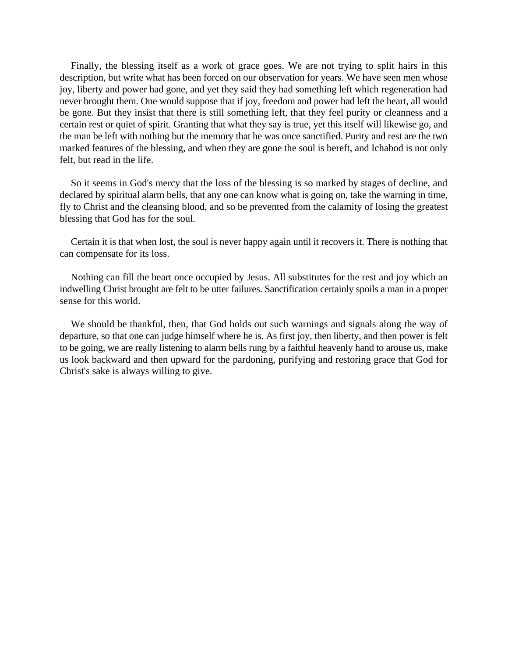Finally, the blessing itself as a work of grace goes. We are not trying to split hairs in this description, but write what has been forced on our observation for years. We have seen men whose joy, liberty and power had gone, and yet they said they had something left which regeneration had never brought them. One would suppose that if joy, freedom and power had left the heart, all would be gone. But they insist that there is still something left, that they feel purity or cleanness and a certain rest or quiet of spirit. Granting that what they say is true, yet this itself will likewise go, and the man be left with nothing but the memory that he was once sanctified. Purity and rest are the two marked features of the blessing, and when they are gone the soul is bereft, and Ichabod is not only felt, but read in the life.

So it seems in God's mercy that the loss of the blessing is so marked by stages of decline, and declared by spiritual alarm bells, that any one can know what is going on, take the warning in time, fly to Christ and the cleansing blood, and so be prevented from the calamity of losing the greatest blessing that God has for the soul.

Certain it is that when lost, the soul is never happy again until it recovers it. There is nothing that can compensate for its loss.

Nothing can fill the heart once occupied by Jesus. All substitutes for the rest and joy which an indwelling Christ brought are felt to be utter failures. Sanctification certainly spoils a man in a proper sense for this world.

We should be thankful, then, that God holds out such warnings and signals along the way of departure, so that one can judge himself where he is. As first joy, then liberty, and then power is felt to be going, we are really listening to alarm bells rung by a faithful heavenly hand to arouse us, make us look backward and then upward for the pardoning, purifying and restoring grace that God for Christ's sake is always willing to give.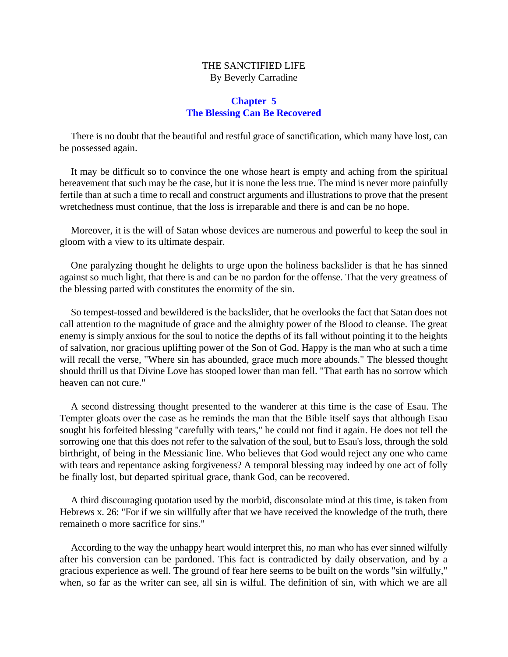#### THE SANCTIFIED LIFE By Beverly Carradine

#### **Chapter 5 The Blessing Can Be Recovered**

<span id="page-24-0"></span>There is no doubt that the beautiful and restful grace of sanctification, which many have lost, can be possessed again.

It may be difficult so to convince the one whose heart is empty and aching from the spiritual bereavement that such may be the case, but it is none the less true. The mind is never more painfully fertile than at such a time to recall and construct arguments and illustrations to prove that the present wretchedness must continue, that the loss is irreparable and there is and can be no hope.

Moreover, it is the will of Satan whose devices are numerous and powerful to keep the soul in gloom with a view to its ultimate despair.

One paralyzing thought he delights to urge upon the holiness backslider is that he has sinned against so much light, that there is and can be no pardon for the offense. That the very greatness of the blessing parted with constitutes the enormity of the sin.

So tempest-tossed and bewildered is the backslider, that he overlooks the fact that Satan does not call attention to the magnitude of grace and the almighty power of the Blood to cleanse. The great enemy is simply anxious for the soul to notice the depths of its fall without pointing it to the heights of salvation, nor gracious uplifting power of the Son of God. Happy is the man who at such a time will recall the verse, "Where sin has abounded, grace much more abounds." The blessed thought should thrill us that Divine Love has stooped lower than man fell. "That earth has no sorrow which heaven can not cure."

A second distressing thought presented to the wanderer at this time is the case of Esau. The Tempter gloats over the case as he reminds the man that the Bible itself says that although Esau sought his forfeited blessing "carefully with tears," he could not find it again. He does not tell the sorrowing one that this does not refer to the salvation of the soul, but to Esau's loss, through the sold birthright, of being in the Messianic line. Who believes that God would reject any one who came with tears and repentance asking forgiveness? A temporal blessing may indeed by one act of folly be finally lost, but departed spiritual grace, thank God, can be recovered.

A third discouraging quotation used by the morbid, disconsolate mind at this time, is taken from Hebrews x. 26: "For if we sin willfully after that we have received the knowledge of the truth, there remaineth o more sacrifice for sins."

According to the way the unhappy heart would interpret this, no man who has ever sinned wilfully after his conversion can be pardoned. This fact is contradicted by daily observation, and by a gracious experience as well. The ground of fear here seems to be built on the words "sin wilfully," when, so far as the writer can see, all sin is wilful. The definition of sin, with which we are all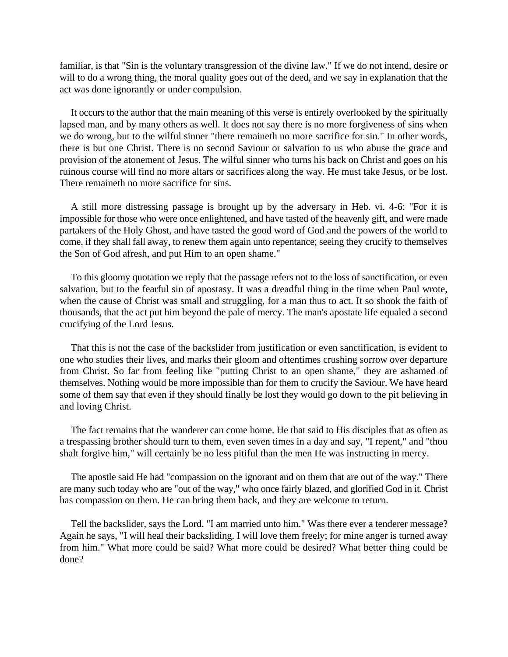familiar, is that "Sin is the voluntary transgression of the divine law." If we do not intend, desire or will to do a wrong thing, the moral quality goes out of the deed, and we say in explanation that the act was done ignorantly or under compulsion.

It occurs to the author that the main meaning of this verse is entirely overlooked by the spiritually lapsed man, and by many others as well. It does not say there is no more forgiveness of sins when we do wrong, but to the wilful sinner "there remaineth no more sacrifice for sin." In other words, there is but one Christ. There is no second Saviour or salvation to us who abuse the grace and provision of the atonement of Jesus. The wilful sinner who turns his back on Christ and goes on his ruinous course will find no more altars or sacrifices along the way. He must take Jesus, or be lost. There remaineth no more sacrifice for sins.

A still more distressing passage is brought up by the adversary in Heb. vi. 4-6: "For it is impossible for those who were once enlightened, and have tasted of the heavenly gift, and were made partakers of the Holy Ghost, and have tasted the good word of God and the powers of the world to come, if they shall fall away, to renew them again unto repentance; seeing they crucify to themselves the Son of God afresh, and put Him to an open shame."

To this gloomy quotation we reply that the passage refers not to the loss of sanctification, or even salvation, but to the fearful sin of apostasy. It was a dreadful thing in the time when Paul wrote, when the cause of Christ was small and struggling, for a man thus to act. It so shook the faith of thousands, that the act put him beyond the pale of mercy. The man's apostate life equaled a second crucifying of the Lord Jesus.

That this is not the case of the backslider from justification or even sanctification, is evident to one who studies their lives, and marks their gloom and oftentimes crushing sorrow over departure from Christ. So far from feeling like "putting Christ to an open shame," they are ashamed of themselves. Nothing would be more impossible than for them to crucify the Saviour. We have heard some of them say that even if they should finally be lost they would go down to the pit believing in and loving Christ.

The fact remains that the wanderer can come home. He that said to His disciples that as often as a trespassing brother should turn to them, even seven times in a day and say, "I repent," and "thou shalt forgive him," will certainly be no less pitiful than the men He was instructing in mercy.

The apostle said He had "compassion on the ignorant and on them that are out of the way." There are many such today who are "out of the way," who once fairly blazed, and glorified God in it. Christ has compassion on them. He can bring them back, and they are welcome to return.

Tell the backslider, says the Lord, "I am married unto him." Was there ever a tenderer message? Again he says, "I will heal their backsliding. I will love them freely; for mine anger is turned away from him." What more could be said? What more could be desired? What better thing could be done?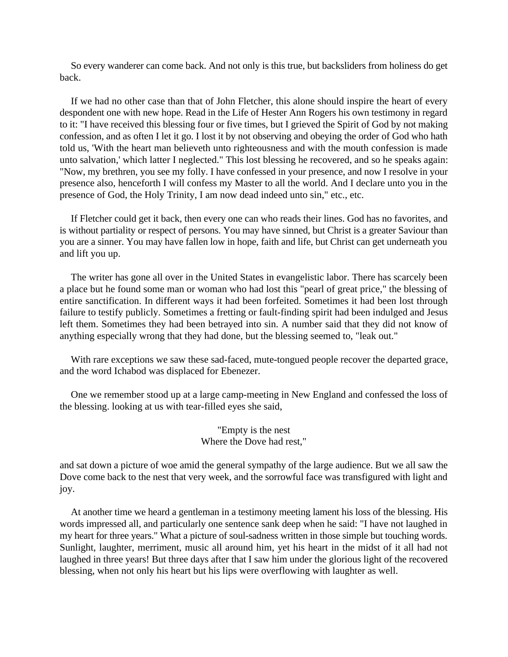So every wanderer can come back. And not only is this true, but backsliders from holiness do get back.

If we had no other case than that of John Fletcher, this alone should inspire the heart of every despondent one with new hope. Read in the Life of Hester Ann Rogers his own testimony in regard to it: "I have received this blessing four or five times, but I grieved the Spirit of God by not making confession, and as often I let it go. I lost it by not observing and obeying the order of God who hath told us, 'With the heart man believeth unto righteousness and with the mouth confession is made unto salvation,' which latter I neglected." This lost blessing he recovered, and so he speaks again: "Now, my brethren, you see my folly. I have confessed in your presence, and now I resolve in your presence also, henceforth I will confess my Master to all the world. And I declare unto you in the presence of God, the Holy Trinity, I am now dead indeed unto sin," etc., etc.

If Fletcher could get it back, then every one can who reads their lines. God has no favorites, and is without partiality or respect of persons. You may have sinned, but Christ is a greater Saviour than you are a sinner. You may have fallen low in hope, faith and life, but Christ can get underneath you and lift you up.

The writer has gone all over in the United States in evangelistic labor. There has scarcely been a place but he found some man or woman who had lost this "pearl of great price," the blessing of entire sanctification. In different ways it had been forfeited. Sometimes it had been lost through failure to testify publicly. Sometimes a fretting or fault-finding spirit had been indulged and Jesus left them. Sometimes they had been betrayed into sin. A number said that they did not know of anything especially wrong that they had done, but the blessing seemed to, "leak out."

With rare exceptions we saw these sad-faced, mute-tongued people recover the departed grace, and the word Ichabod was displaced for Ebenezer.

One we remember stood up at a large camp-meeting in New England and confessed the loss of the blessing. looking at us with tear-filled eyes she said,

#### "Empty is the nest Where the Dove had rest,"

and sat down a picture of woe amid the general sympathy of the large audience. But we all saw the Dove come back to the nest that very week, and the sorrowful face was transfigured with light and joy.

At another time we heard a gentleman in a testimony meeting lament his loss of the blessing. His words impressed all, and particularly one sentence sank deep when he said: "I have not laughed in my heart for three years." What a picture of soul-sadness written in those simple but touching words. Sunlight, laughter, merriment, music all around him, yet his heart in the midst of it all had not laughed in three years! But three days after that I saw him under the glorious light of the recovered blessing, when not only his heart but his lips were overflowing with laughter as well.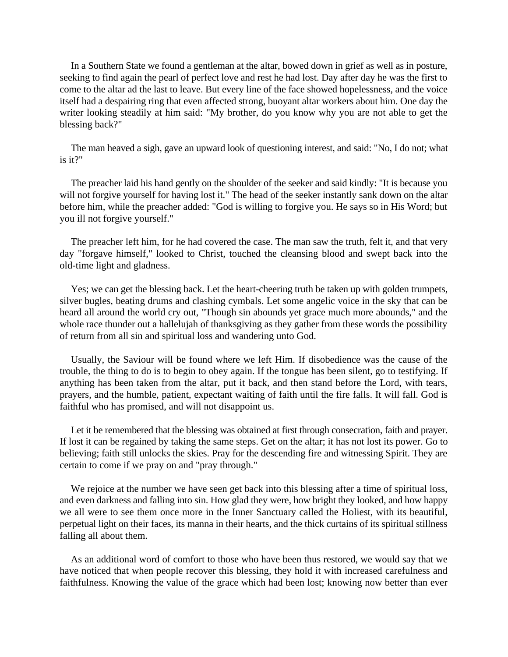In a Southern State we found a gentleman at the altar, bowed down in grief as well as in posture, seeking to find again the pearl of perfect love and rest he had lost. Day after day he was the first to come to the altar ad the last to leave. But every line of the face showed hopelessness, and the voice itself had a despairing ring that even affected strong, buoyant altar workers about him. One day the writer looking steadily at him said: "My brother, do you know why you are not able to get the blessing back?"

The man heaved a sigh, gave an upward look of questioning interest, and said: "No, I do not; what is it?"

The preacher laid his hand gently on the shoulder of the seeker and said kindly: "It is because you will not forgive yourself for having lost it." The head of the seeker instantly sank down on the altar before him, while the preacher added: "God is willing to forgive you. He says so in His Word; but you ill not forgive yourself."

The preacher left him, for he had covered the case. The man saw the truth, felt it, and that very day "forgave himself," looked to Christ, touched the cleansing blood and swept back into the old-time light and gladness.

Yes; we can get the blessing back. Let the heart-cheering truth be taken up with golden trumpets, silver bugles, beating drums and clashing cymbals. Let some angelic voice in the sky that can be heard all around the world cry out, "Though sin abounds yet grace much more abounds," and the whole race thunder out a hallelujah of thanksgiving as they gather from these words the possibility of return from all sin and spiritual loss and wandering unto God.

Usually, the Saviour will be found where we left Him. If disobedience was the cause of the trouble, the thing to do is to begin to obey again. If the tongue has been silent, go to testifying. If anything has been taken from the altar, put it back, and then stand before the Lord, with tears, prayers, and the humble, patient, expectant waiting of faith until the fire falls. It will fall. God is faithful who has promised, and will not disappoint us.

Let it be remembered that the blessing was obtained at first through consecration, faith and prayer. If lost it can be regained by taking the same steps. Get on the altar; it has not lost its power. Go to believing; faith still unlocks the skies. Pray for the descending fire and witnessing Spirit. They are certain to come if we pray on and "pray through."

We rejoice at the number we have seen get back into this blessing after a time of spiritual loss, and even darkness and falling into sin. How glad they were, how bright they looked, and how happy we all were to see them once more in the Inner Sanctuary called the Holiest, with its beautiful, perpetual light on their faces, its manna in their hearts, and the thick curtains of its spiritual stillness falling all about them.

As an additional word of comfort to those who have been thus restored, we would say that we have noticed that when people recover this blessing, they hold it with increased carefulness and faithfulness. Knowing the value of the grace which had been lost; knowing now better than ever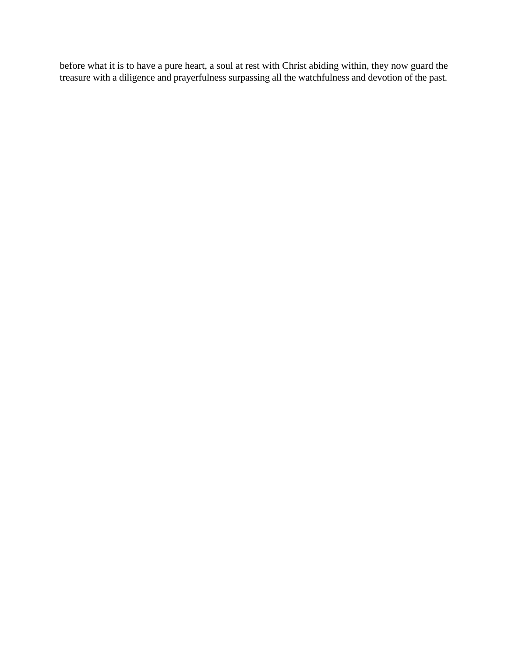before what it is to have a pure heart, a soul at rest with Christ abiding within, they now guard the treasure with a diligence and prayerfulness surpassing all the watchfulness and devotion of the past.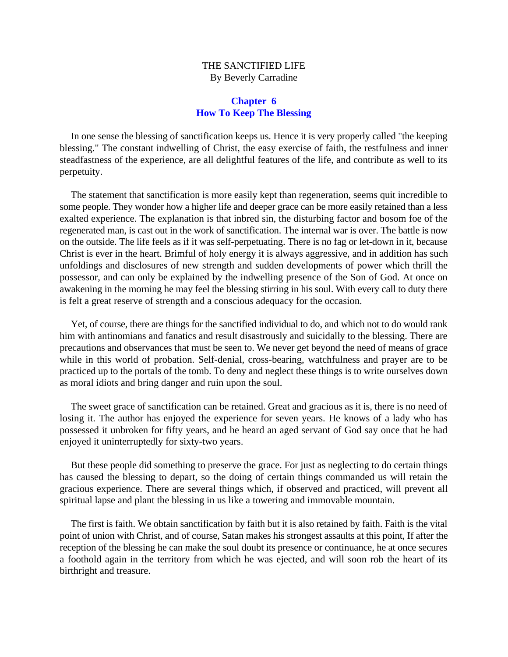#### THE SANCTIFIED LIFE By Beverly Carradine

#### **Chapter 6 How To Keep The Blessing**

<span id="page-29-0"></span>In one sense the blessing of sanctification keeps us. Hence it is very properly called "the keeping blessing." The constant indwelling of Christ, the easy exercise of faith, the restfulness and inner steadfastness of the experience, are all delightful features of the life, and contribute as well to its perpetuity.

The statement that sanctification is more easily kept than regeneration, seems quit incredible to some people. They wonder how a higher life and deeper grace can be more easily retained than a less exalted experience. The explanation is that inbred sin, the disturbing factor and bosom foe of the regenerated man, is cast out in the work of sanctification. The internal war is over. The battle is now on the outside. The life feels as if it was self-perpetuating. There is no fag or let-down in it, because Christ is ever in the heart. Brimful of holy energy it is always aggressive, and in addition has such unfoldings and disclosures of new strength and sudden developments of power which thrill the possessor, and can only be explained by the indwelling presence of the Son of God. At once on awakening in the morning he may feel the blessing stirring in his soul. With every call to duty there is felt a great reserve of strength and a conscious adequacy for the occasion.

Yet, of course, there are things for the sanctified individual to do, and which not to do would rank him with antinomians and fanatics and result disastrously and suicidally to the blessing. There are precautions and observances that must be seen to. We never get beyond the need of means of grace while in this world of probation. Self-denial, cross-bearing, watchfulness and prayer are to be practiced up to the portals of the tomb. To deny and neglect these things is to write ourselves down as moral idiots and bring danger and ruin upon the soul.

The sweet grace of sanctification can be retained. Great and gracious as it is, there is no need of losing it. The author has enjoyed the experience for seven years. He knows of a lady who has possessed it unbroken for fifty years, and he heard an aged servant of God say once that he had enjoyed it uninterruptedly for sixty-two years.

But these people did something to preserve the grace. For just as neglecting to do certain things has caused the blessing to depart, so the doing of certain things commanded us will retain the gracious experience. There are several things which, if observed and practiced, will prevent all spiritual lapse and plant the blessing in us like a towering and immovable mountain.

The first is faith. We obtain sanctification by faith but it is also retained by faith. Faith is the vital point of union with Christ, and of course, Satan makes his strongest assaults at this point, If after the reception of the blessing he can make the soul doubt its presence or continuance, he at once secures a foothold again in the territory from which he was ejected, and will soon rob the heart of its birthright and treasure.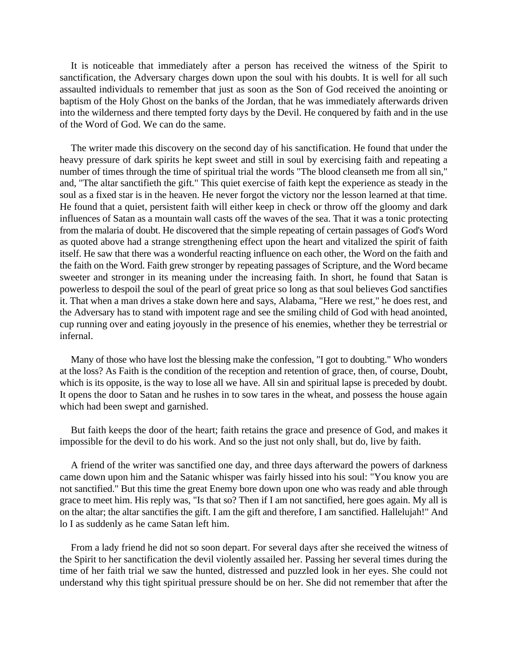It is noticeable that immediately after a person has received the witness of the Spirit to sanctification, the Adversary charges down upon the soul with his doubts. It is well for all such assaulted individuals to remember that just as soon as the Son of God received the anointing or baptism of the Holy Ghost on the banks of the Jordan, that he was immediately afterwards driven into the wilderness and there tempted forty days by the Devil. He conquered by faith and in the use of the Word of God. We can do the same.

The writer made this discovery on the second day of his sanctification. He found that under the heavy pressure of dark spirits he kept sweet and still in soul by exercising faith and repeating a number of times through the time of spiritual trial the words "The blood cleanseth me from all sin," and, "The altar sanctifieth the gift." This quiet exercise of faith kept the experience as steady in the soul as a fixed star is in the heaven. He never forgot the victory nor the lesson learned at that time. He found that a quiet, persistent faith will either keep in check or throw off the gloomy and dark influences of Satan as a mountain wall casts off the waves of the sea. That it was a tonic protecting from the malaria of doubt. He discovered that the simple repeating of certain passages of God's Word as quoted above had a strange strengthening effect upon the heart and vitalized the spirit of faith itself. He saw that there was a wonderful reacting influence on each other, the Word on the faith and the faith on the Word. Faith grew stronger by repeating passages of Scripture, and the Word became sweeter and stronger in its meaning under the increasing faith. In short, he found that Satan is powerless to despoil the soul of the pearl of great price so long as that soul believes God sanctifies it. That when a man drives a stake down here and says, Alabama, "Here we rest," he does rest, and the Adversary has to stand with impotent rage and see the smiling child of God with head anointed, cup running over and eating joyously in the presence of his enemies, whether they be terrestrial or infernal.

Many of those who have lost the blessing make the confession, "I got to doubting." Who wonders at the loss? As Faith is the condition of the reception and retention of grace, then, of course, Doubt, which is its opposite, is the way to lose all we have. All sin and spiritual lapse is preceded by doubt. It opens the door to Satan and he rushes in to sow tares in the wheat, and possess the house again which had been swept and garnished.

But faith keeps the door of the heart; faith retains the grace and presence of God, and makes it impossible for the devil to do his work. And so the just not only shall, but do, live by faith.

A friend of the writer was sanctified one day, and three days afterward the powers of darkness came down upon him and the Satanic whisper was fairly hissed into his soul: "You know you are not sanctified." But this time the great Enemy bore down upon one who was ready and able through grace to meet him. His reply was, "Is that so? Then if I am not sanctified, here goes again. My all is on the altar; the altar sanctifies the gift. I am the gift and therefore, I am sanctified. Hallelujah!" And lo I as suddenly as he came Satan left him.

From a lady friend he did not so soon depart. For several days after she received the witness of the Spirit to her sanctification the devil violently assailed her. Passing her several times during the time of her faith trial we saw the hunted, distressed and puzzled look in her eyes. She could not understand why this tight spiritual pressure should be on her. She did not remember that after the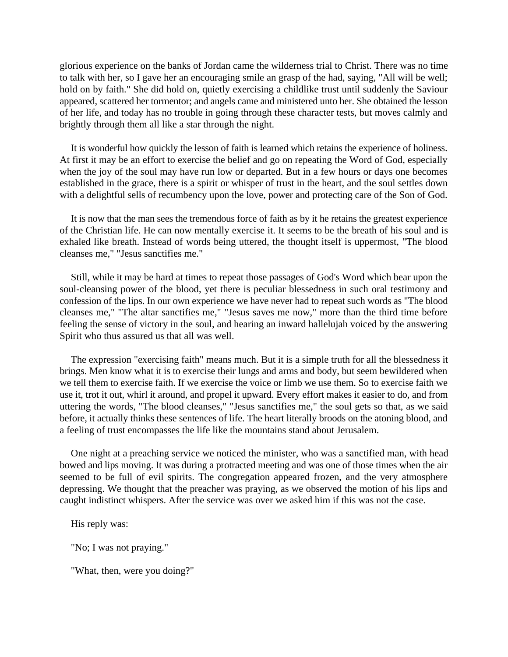glorious experience on the banks of Jordan came the wilderness trial to Christ. There was no time to talk with her, so I gave her an encouraging smile an grasp of the had, saying, "All will be well; hold on by faith." She did hold on, quietly exercising a childlike trust until suddenly the Saviour appeared, scattered her tormentor; and angels came and ministered unto her. She obtained the lesson of her life, and today has no trouble in going through these character tests, but moves calmly and brightly through them all like a star through the night.

It is wonderful how quickly the lesson of faith is learned which retains the experience of holiness. At first it may be an effort to exercise the belief and go on repeating the Word of God, especially when the joy of the soul may have run low or departed. But in a few hours or days one becomes established in the grace, there is a spirit or whisper of trust in the heart, and the soul settles down with a delightful sells of recumbency upon the love, power and protecting care of the Son of God.

It is now that the man sees the tremendous force of faith as by it he retains the greatest experience of the Christian life. He can now mentally exercise it. It seems to be the breath of his soul and is exhaled like breath. Instead of words being uttered, the thought itself is uppermost, "The blood cleanses me," "Jesus sanctifies me."

Still, while it may be hard at times to repeat those passages of God's Word which bear upon the soul-cleansing power of the blood, yet there is peculiar blessedness in such oral testimony and confession of the lips. In our own experience we have never had to repeat such words as "The blood cleanses me," "The altar sanctifies me," "Jesus saves me now," more than the third time before feeling the sense of victory in the soul, and hearing an inward hallelujah voiced by the answering Spirit who thus assured us that all was well.

The expression "exercising faith" means much. But it is a simple truth for all the blessedness it brings. Men know what it is to exercise their lungs and arms and body, but seem bewildered when we tell them to exercise faith. If we exercise the voice or limb we use them. So to exercise faith we use it, trot it out, whirl it around, and propel it upward. Every effort makes it easier to do, and from uttering the words, "The blood cleanses," "Jesus sanctifies me," the soul gets so that, as we said before, it actually thinks these sentences of life. The heart literally broods on the atoning blood, and a feeling of trust encompasses the life like the mountains stand about Jerusalem.

One night at a preaching service we noticed the minister, who was a sanctified man, with head bowed and lips moving. It was during a protracted meeting and was one of those times when the air seemed to be full of evil spirits. The congregation appeared frozen, and the very atmosphere depressing. We thought that the preacher was praying, as we observed the motion of his lips and caught indistinct whispers. After the service was over we asked him if this was not the case.

His reply was:

"No; I was not praying."

"What, then, were you doing?"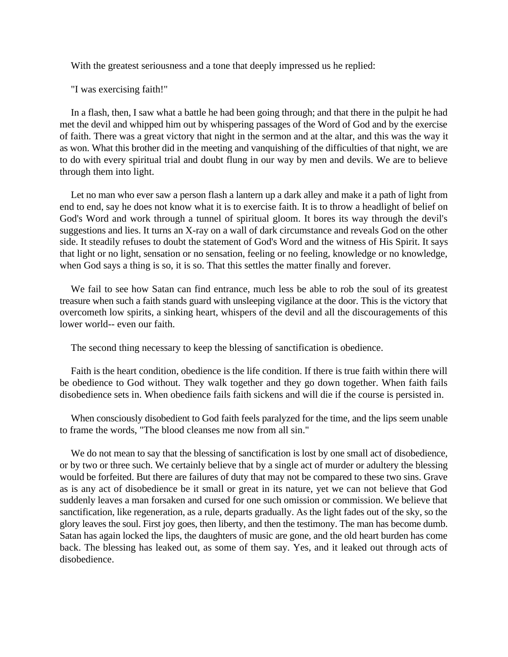With the greatest seriousness and a tone that deeply impressed us he replied:

"I was exercising faith!"

In a flash, then, I saw what a battle he had been going through; and that there in the pulpit he had met the devil and whipped him out by whispering passages of the Word of God and by the exercise of faith. There was a great victory that night in the sermon and at the altar, and this was the way it as won. What this brother did in the meeting and vanquishing of the difficulties of that night, we are to do with every spiritual trial and doubt flung in our way by men and devils. We are to believe through them into light.

Let no man who ever saw a person flash a lantern up a dark alley and make it a path of light from end to end, say he does not know what it is to exercise faith. It is to throw a headlight of belief on God's Word and work through a tunnel of spiritual gloom. It bores its way through the devil's suggestions and lies. It turns an X-ray on a wall of dark circumstance and reveals God on the other side. It steadily refuses to doubt the statement of God's Word and the witness of His Spirit. It says that light or no light, sensation or no sensation, feeling or no feeling, knowledge or no knowledge, when God says a thing is so, it is so. That this settles the matter finally and forever.

We fail to see how Satan can find entrance, much less be able to rob the soul of its greatest treasure when such a faith stands guard with unsleeping vigilance at the door. This is the victory that overcometh low spirits, a sinking heart, whispers of the devil and all the discouragements of this lower world-- even our faith.

The second thing necessary to keep the blessing of sanctification is obedience.

Faith is the heart condition, obedience is the life condition. If there is true faith within there will be obedience to God without. They walk together and they go down together. When faith fails disobedience sets in. When obedience fails faith sickens and will die if the course is persisted in.

When consciously disobedient to God faith feels paralyzed for the time, and the lips seem unable to frame the words, "The blood cleanses me now from all sin."

We do not mean to say that the blessing of sanctification is lost by one small act of disobedience, or by two or three such. We certainly believe that by a single act of murder or adultery the blessing would be forfeited. But there are failures of duty that may not be compared to these two sins. Grave as is any act of disobedience be it small or great in its nature, yet we can not believe that God suddenly leaves a man forsaken and cursed for one such omission or commission. We believe that sanctification, like regeneration, as a rule, departs gradually. As the light fades out of the sky, so the glory leaves the soul. First joy goes, then liberty, and then the testimony. The man has become dumb. Satan has again locked the lips, the daughters of music are gone, and the old heart burden has come back. The blessing has leaked out, as some of them say. Yes, and it leaked out through acts of disobedience.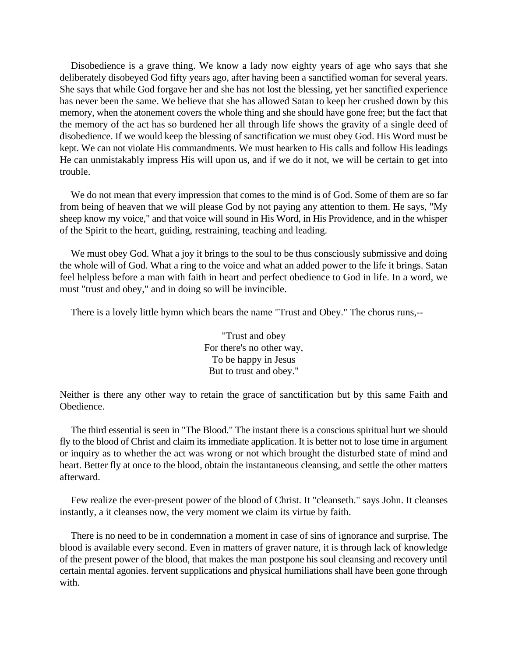Disobedience is a grave thing. We know a lady now eighty years of age who says that she deliberately disobeyed God fifty years ago, after having been a sanctified woman for several years. She says that while God forgave her and she has not lost the blessing, yet her sanctified experience has never been the same. We believe that she has allowed Satan to keep her crushed down by this memory, when the atonement covers the whole thing and she should have gone free; but the fact that the memory of the act has so burdened her all through life shows the gravity of a single deed of disobedience. If we would keep the blessing of sanctification we must obey God. His Word must be kept. We can not violate His commandments. We must hearken to His calls and follow His leadings He can unmistakably impress His will upon us, and if we do it not, we will be certain to get into trouble.

We do not mean that every impression that comes to the mind is of God. Some of them are so far from being of heaven that we will please God by not paying any attention to them. He says, "My sheep know my voice," and that voice will sound in His Word, in His Providence, and in the whisper of the Spirit to the heart, guiding, restraining, teaching and leading.

We must obey God. What a joy it brings to the soul to be thus consciously submissive and doing the whole will of God. What a ring to the voice and what an added power to the life it brings. Satan feel helpless before a man with faith in heart and perfect obedience to God in life. In a word, we must "trust and obey," and in doing so will be invincible.

There is a lovely little hymn which bears the name "Trust and Obey." The chorus runs,--

"Trust and obey For there's no other way, To be happy in Jesus But to trust and obey."

Neither is there any other way to retain the grace of sanctification but by this same Faith and Obedience.

The third essential is seen in "The Blood." The instant there is a conscious spiritual hurt we should fly to the blood of Christ and claim its immediate application. It is better not to lose time in argument or inquiry as to whether the act was wrong or not which brought the disturbed state of mind and heart. Better fly at once to the blood, obtain the instantaneous cleansing, and settle the other matters afterward.

Few realize the ever-present power of the blood of Christ. It "cleanseth." says John. It cleanses instantly, a it cleanses now, the very moment we claim its virtue by faith.

There is no need to be in condemnation a moment in case of sins of ignorance and surprise. The blood is available every second. Even in matters of graver nature, it is through lack of knowledge of the present power of the blood, that makes the man postpone his soul cleansing and recovery until certain mental agonies. fervent supplications and physical humiliations shall have been gone through with.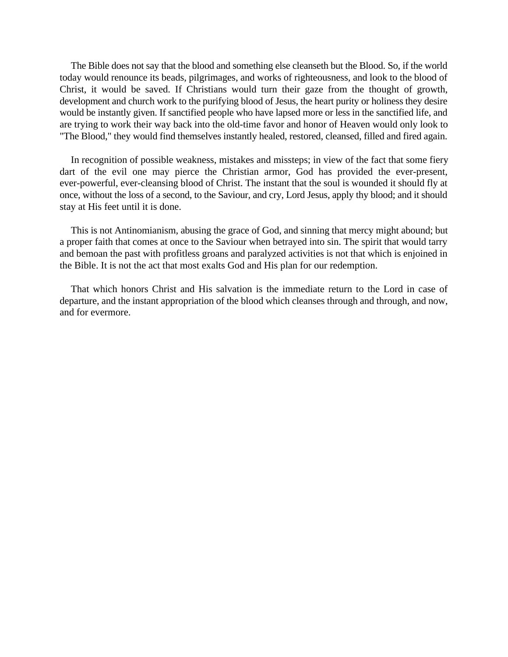The Bible does not say that the blood and something else cleanseth but the Blood. So, if the world today would renounce its beads, pilgrimages, and works of righteousness, and look to the blood of Christ, it would be saved. If Christians would turn their gaze from the thought of growth, development and church work to the purifying blood of Jesus, the heart purity or holiness they desire would be instantly given. If sanctified people who have lapsed more or less in the sanctified life, and are trying to work their way back into the old-time favor and honor of Heaven would only look to "The Blood," they would find themselves instantly healed, restored, cleansed, filled and fired again.

In recognition of possible weakness, mistakes and missteps; in view of the fact that some fiery dart of the evil one may pierce the Christian armor, God has provided the ever-present, ever-powerful, ever-cleansing blood of Christ. The instant that the soul is wounded it should fly at once, without the loss of a second, to the Saviour, and cry, Lord Jesus, apply thy blood; and it should stay at His feet until it is done.

This is not Antinomianism, abusing the grace of God, and sinning that mercy might abound; but a proper faith that comes at once to the Saviour when betrayed into sin. The spirit that would tarry and bemoan the past with profitless groans and paralyzed activities is not that which is enjoined in the Bible. It is not the act that most exalts God and His plan for our redemption.

That which honors Christ and His salvation is the immediate return to the Lord in case of departure, and the instant appropriation of the blood which cleanses through and through, and now, and for evermore.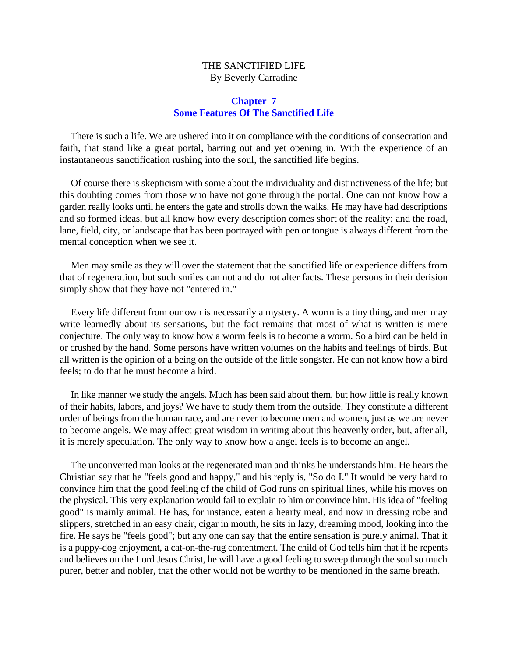#### THE SANCTIFIED LIFE By Beverly Carradine

#### **Chapter 7 Some Features Of The Sanctified Life**

<span id="page-35-0"></span>There is such a life. We are ushered into it on compliance with the conditions of consecration and faith, that stand like a great portal, barring out and yet opening in. With the experience of an instantaneous sanctification rushing into the soul, the sanctified life begins.

Of course there is skepticism with some about the individuality and distinctiveness of the life; but this doubting comes from those who have not gone through the portal. One can not know how a garden really looks until he enters the gate and strolls down the walks. He may have had descriptions and so formed ideas, but all know how every description comes short of the reality; and the road, lane, field, city, or landscape that has been portrayed with pen or tongue is always different from the mental conception when we see it.

Men may smile as they will over the statement that the sanctified life or experience differs from that of regeneration, but such smiles can not and do not alter facts. These persons in their derision simply show that they have not "entered in."

Every life different from our own is necessarily a mystery. A worm is a tiny thing, and men may write learnedly about its sensations, but the fact remains that most of what is written is mere conjecture. The only way to know how a worm feels is to become a worm. So a bird can be held in or crushed by the hand. Some persons have written volumes on the habits and feelings of birds. But all written is the opinion of a being on the outside of the little songster. He can not know how a bird feels; to do that he must become a bird.

In like manner we study the angels. Much has been said about them, but how little is really known of their habits, labors, and joys? We have to study them from the outside. They constitute a different order of beings from the human race, and are never to become men and women, just as we are never to become angels. We may affect great wisdom in writing about this heavenly order, but, after all, it is merely speculation. The only way to know how a angel feels is to become an angel.

The unconverted man looks at the regenerated man and thinks he understands him. He hears the Christian say that he "feels good and happy," and his reply is, "So do I." It would be very hard to convince him that the good feeling of the child of God runs on spiritual lines, while his moves on the physical. This very explanation would fail to explain to him or convince him. His idea of "feeling good" is mainly animal. He has, for instance, eaten a hearty meal, and now in dressing robe and slippers, stretched in an easy chair, cigar in mouth, he sits in lazy, dreaming mood, looking into the fire. He says he "feels good"; but any one can say that the entire sensation is purely animal. That it is a puppy-dog enjoyment, a cat-on-the-rug contentment. The child of God tells him that if he repents and believes on the Lord Jesus Christ, he will have a good feeling to sweep through the soul so much purer, better and nobler, that the other would not be worthy to be mentioned in the same breath.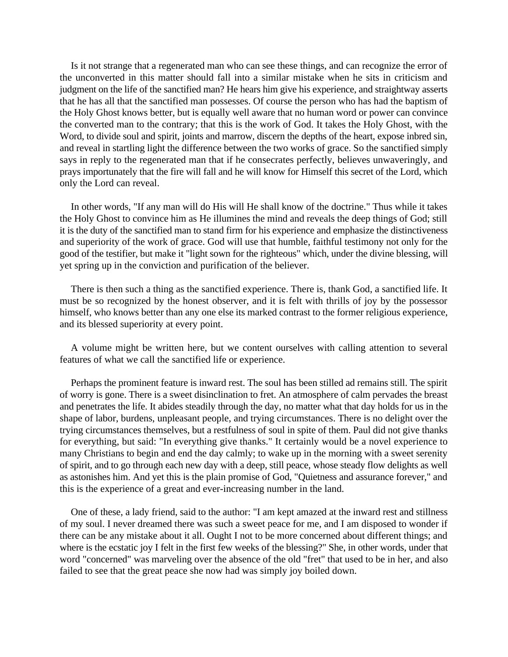Is it not strange that a regenerated man who can see these things, and can recognize the error of the unconverted in this matter should fall into a similar mistake when he sits in criticism and judgment on the life of the sanctified man? He hears him give his experience, and straightway asserts that he has all that the sanctified man possesses. Of course the person who has had the baptism of the Holy Ghost knows better, but is equally well aware that no human word or power can convince the converted man to the contrary; that this is the work of God. It takes the Holy Ghost, with the Word, to divide soul and spirit, joints and marrow, discern the depths of the heart, expose inbred sin, and reveal in startling light the difference between the two works of grace. So the sanctified simply says in reply to the regenerated man that if he consecrates perfectly, believes unwaveringly, and prays importunately that the fire will fall and he will know for Himself this secret of the Lord, which only the Lord can reveal.

In other words, "If any man will do His will He shall know of the doctrine." Thus while it takes the Holy Ghost to convince him as He illumines the mind and reveals the deep things of God; still it is the duty of the sanctified man to stand firm for his experience and emphasize the distinctiveness and superiority of the work of grace. God will use that humble, faithful testimony not only for the good of the testifier, but make it "light sown for the righteous" which, under the divine blessing, will yet spring up in the conviction and purification of the believer.

There is then such a thing as the sanctified experience. There is, thank God, a sanctified life. It must be so recognized by the honest observer, and it is felt with thrills of joy by the possessor himself, who knows better than any one else its marked contrast to the former religious experience, and its blessed superiority at every point.

A volume might be written here, but we content ourselves with calling attention to several features of what we call the sanctified life or experience.

Perhaps the prominent feature is inward rest. The soul has been stilled ad remains still. The spirit of worry is gone. There is a sweet disinclination to fret. An atmosphere of calm pervades the breast and penetrates the life. It abides steadily through the day, no matter what that day holds for us in the shape of labor, burdens, unpleasant people, and trying circumstances. There is no delight over the trying circumstances themselves, but a restfulness of soul in spite of them. Paul did not give thanks for everything, but said: "In everything give thanks." It certainly would be a novel experience to many Christians to begin and end the day calmly; to wake up in the morning with a sweet serenity of spirit, and to go through each new day with a deep, still peace, whose steady flow delights as well as astonishes him. And yet this is the plain promise of God, "Quietness and assurance forever," and this is the experience of a great and ever-increasing number in the land.

One of these, a lady friend, said to the author: "I am kept amazed at the inward rest and stillness of my soul. I never dreamed there was such a sweet peace for me, and I am disposed to wonder if there can be any mistake about it all. Ought I not to be more concerned about different things; and where is the ecstatic joy I felt in the first few weeks of the blessing?" She, in other words, under that word "concerned" was marveling over the absence of the old "fret" that used to be in her, and also failed to see that the great peace she now had was simply joy boiled down.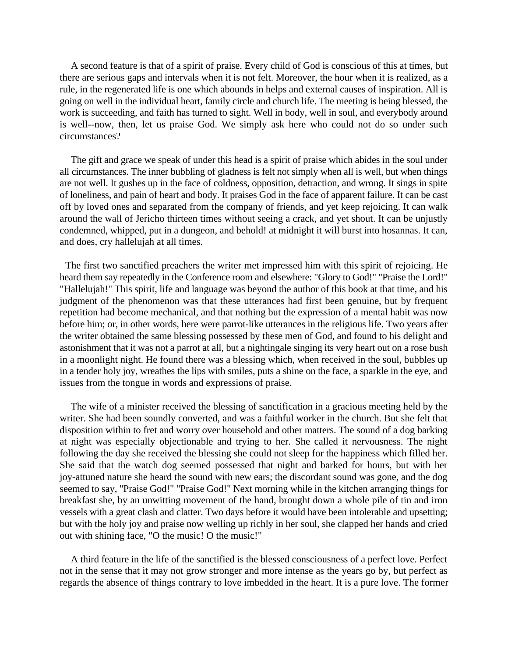A second feature is that of a spirit of praise. Every child of God is conscious of this at times, but there are serious gaps and intervals when it is not felt. Moreover, the hour when it is realized, as a rule, in the regenerated life is one which abounds in helps and external causes of inspiration. All is going on well in the individual heart, family circle and church life. The meeting is being blessed, the work is succeeding, and faith has turned to sight. Well in body, well in soul, and everybody around is well--now, then, let us praise God. We simply ask here who could not do so under such circumstances?

The gift and grace we speak of under this head is a spirit of praise which abides in the soul under all circumstances. The inner bubbling of gladness is felt not simply when all is well, but when things are not well. It gushes up in the face of coldness, opposition, detraction, and wrong. It sings in spite of loneliness, and pain of heart and body. It praises God in the face of apparent failure. It can be cast off by loved ones and separated from the company of friends, and yet keep rejoicing. It can walk around the wall of Jericho thirteen times without seeing a crack, and yet shout. It can be unjustly condemned, whipped, put in a dungeon, and behold! at midnight it will burst into hosannas. It can, and does, cry hallelujah at all times.

 The first two sanctified preachers the writer met impressed him with this spirit of rejoicing. He heard them say repeatedly in the Conference room and elsewhere: "Glory to God!" "Praise the Lord!" "Hallelujah!" This spirit, life and language was beyond the author of this book at that time, and his judgment of the phenomenon was that these utterances had first been genuine, but by frequent repetition had become mechanical, and that nothing but the expression of a mental habit was now before him; or, in other words, here were parrot-like utterances in the religious life. Two years after the writer obtained the same blessing possessed by these men of God, and found to his delight and astonishment that it was not a parrot at all, but a nightingale singing its very heart out on a rose bush in a moonlight night. He found there was a blessing which, when received in the soul, bubbles up in a tender holy joy, wreathes the lips with smiles, puts a shine on the face, a sparkle in the eye, and issues from the tongue in words and expressions of praise.

The wife of a minister received the blessing of sanctification in a gracious meeting held by the writer. She had been soundly converted, and was a faithful worker in the church. But she felt that disposition within to fret and worry over household and other matters. The sound of a dog barking at night was especially objectionable and trying to her. She called it nervousness. The night following the day she received the blessing she could not sleep for the happiness which filled her. She said that the watch dog seemed possessed that night and barked for hours, but with her joy-attuned nature she heard the sound with new ears; the discordant sound was gone, and the dog seemed to say, "Praise God!" "Praise God!" Next morning while in the kitchen arranging things for breakfast she, by an unwitting movement of the hand, brought down a whole pile of tin and iron vessels with a great clash and clatter. Two days before it would have been intolerable and upsetting; but with the holy joy and praise now welling up richly in her soul, she clapped her hands and cried out with shining face, "O the music! O the music!"

A third feature in the life of the sanctified is the blessed consciousness of a perfect love. Perfect not in the sense that it may not grow stronger and more intense as the years go by, but perfect as regards the absence of things contrary to love imbedded in the heart. It is a pure love. The former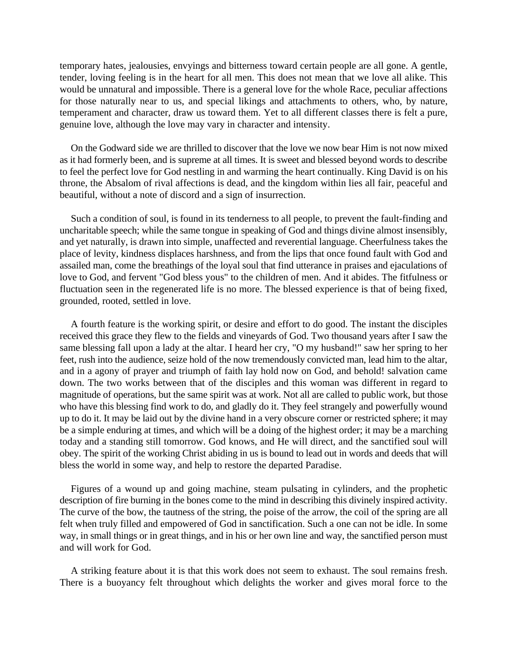temporary hates, jealousies, envyings and bitterness toward certain people are all gone. A gentle, tender, loving feeling is in the heart for all men. This does not mean that we love all alike. This would be unnatural and impossible. There is a general love for the whole Race, peculiar affections for those naturally near to us, and special likings and attachments to others, who, by nature, temperament and character, draw us toward them. Yet to all different classes there is felt a pure, genuine love, although the love may vary in character and intensity.

On the Godward side we are thrilled to discover that the love we now bear Him is not now mixed as it had formerly been, and is supreme at all times. It is sweet and blessed beyond words to describe to feel the perfect love for God nestling in and warming the heart continually. King David is on his throne, the Absalom of rival affections is dead, and the kingdom within lies all fair, peaceful and beautiful, without a note of discord and a sign of insurrection.

Such a condition of soul, is found in its tenderness to all people, to prevent the fault-finding and uncharitable speech; while the same tongue in speaking of God and things divine almost insensibly, and yet naturally, is drawn into simple, unaffected and reverential language. Cheerfulness takes the place of levity, kindness displaces harshness, and from the lips that once found fault with God and assailed man, come the breathings of the loyal soul that find utterance in praises and ejaculations of love to God, and fervent "God bless yous" to the children of men. And it abides. The fitfulness or fluctuation seen in the regenerated life is no more. The blessed experience is that of being fixed, grounded, rooted, settled in love.

A fourth feature is the working spirit, or desire and effort to do good. The instant the disciples received this grace they flew to the fields and vineyards of God. Two thousand years after I saw the same blessing fall upon a lady at the altar. I heard her cry, "O my husband!" saw her spring to her feet, rush into the audience, seize hold of the now tremendously convicted man, lead him to the altar, and in a agony of prayer and triumph of faith lay hold now on God, and behold! salvation came down. The two works between that of the disciples and this woman was different in regard to magnitude of operations, but the same spirit was at work. Not all are called to public work, but those who have this blessing find work to do, and gladly do it. They feel strangely and powerfully wound up to do it. It may be laid out by the divine hand in a very obscure corner or restricted sphere; it may be a simple enduring at times, and which will be a doing of the highest order; it may be a marching today and a standing still tomorrow. God knows, and He will direct, and the sanctified soul will obey. The spirit of the working Christ abiding in us is bound to lead out in words and deeds that will bless the world in some way, and help to restore the departed Paradise.

Figures of a wound up and going machine, steam pulsating in cylinders, and the prophetic description of fire burning in the bones come to the mind in describing this divinely inspired activity. The curve of the bow, the tautness of the string, the poise of the arrow, the coil of the spring are all felt when truly filled and empowered of God in sanctification. Such a one can not be idle. In some way, in small things or in great things, and in his or her own line and way, the sanctified person must and will work for God.

A striking feature about it is that this work does not seem to exhaust. The soul remains fresh. There is a buoyancy felt throughout which delights the worker and gives moral force to the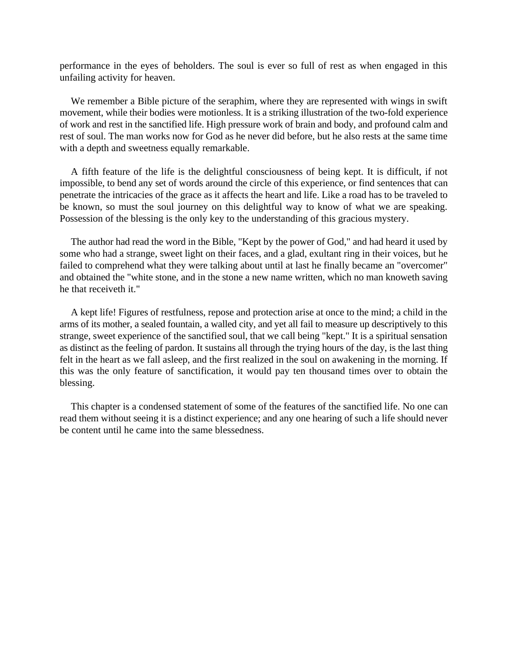performance in the eyes of beholders. The soul is ever so full of rest as when engaged in this unfailing activity for heaven.

We remember a Bible picture of the seraphim, where they are represented with wings in swift movement, while their bodies were motionless. It is a striking illustration of the two-fold experience of work and rest in the sanctified life. High pressure work of brain and body, and profound calm and rest of soul. The man works now for God as he never did before, but he also rests at the same time with a depth and sweetness equally remarkable.

A fifth feature of the life is the delightful consciousness of being kept. It is difficult, if not impossible, to bend any set of words around the circle of this experience, or find sentences that can penetrate the intricacies of the grace as it affects the heart and life. Like a road has to be traveled to be known, so must the soul journey on this delightful way to know of what we are speaking. Possession of the blessing is the only key to the understanding of this gracious mystery.

The author had read the word in the Bible, "Kept by the power of God," and had heard it used by some who had a strange, sweet light on their faces, and a glad, exultant ring in their voices, but he failed to comprehend what they were talking about until at last he finally became an "overcomer" and obtained the "white stone, and in the stone a new name written, which no man knoweth saving he that receiveth it."

A kept life! Figures of restfulness, repose and protection arise at once to the mind; a child in the arms of its mother, a sealed fountain, a walled city, and yet all fail to measure up descriptively to this strange, sweet experience of the sanctified soul, that we call being "kept." It is a spiritual sensation as distinct as the feeling of pardon. It sustains all through the trying hours of the day, is the last thing felt in the heart as we fall asleep, and the first realized in the soul on awakening in the morning. If this was the only feature of sanctification, it would pay ten thousand times over to obtain the blessing.

This chapter is a condensed statement of some of the features of the sanctified life. No one can read them without seeing it is a distinct experience; and any one hearing of such a life should never be content until he came into the same blessedness.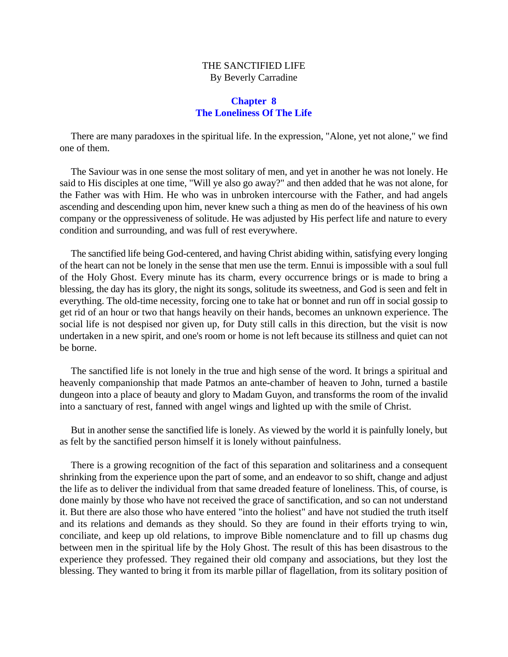# THE SANCTIFIED LIFE By Beverly Carradine

### **Chapter 8 The Loneliness Of The Life**

There are many paradoxes in the spiritual life. In the expression, "Alone, yet not alone," we find one of them.

The Saviour was in one sense the most solitary of men, and yet in another he was not lonely. He said to His disciples at one time, "Will ye also go away?" and then added that he was not alone, for the Father was with Him. He who was in unbroken intercourse with the Father, and had angels ascending and descending upon him, never knew such a thing as men do of the heaviness of his own company or the oppressiveness of solitude. He was adjusted by His perfect life and nature to every condition and surrounding, and was full of rest everywhere.

The sanctified life being God-centered, and having Christ abiding within, satisfying every longing of the heart can not be lonely in the sense that men use the term. Ennui is impossible with a soul full of the Holy Ghost. Every minute has its charm, every occurrence brings or is made to bring a blessing, the day has its glory, the night its songs, solitude its sweetness, and God is seen and felt in everything. The old-time necessity, forcing one to take hat or bonnet and run off in social gossip to get rid of an hour or two that hangs heavily on their hands, becomes an unknown experience. The social life is not despised nor given up, for Duty still calls in this direction, but the visit is now undertaken in a new spirit, and one's room or home is not left because its stillness and quiet can not be borne.

The sanctified life is not lonely in the true and high sense of the word. It brings a spiritual and heavenly companionship that made Patmos an ante-chamber of heaven to John, turned a bastile dungeon into a place of beauty and glory to Madam Guyon, and transforms the room of the invalid into a sanctuary of rest, fanned with angel wings and lighted up with the smile of Christ.

But in another sense the sanctified life is lonely. As viewed by the world it is painfully lonely, but as felt by the sanctified person himself it is lonely without painfulness.

There is a growing recognition of the fact of this separation and solitariness and a consequent shrinking from the experience upon the part of some, and an endeavor to so shift, change and adjust the life as to deliver the individual from that same dreaded feature of loneliness. This, of course, is done mainly by those who have not received the grace of sanctification, and so can not understand it. But there are also those who have entered "into the holiest" and have not studied the truth itself and its relations and demands as they should. So they are found in their efforts trying to win, conciliate, and keep up old relations, to improve Bible nomenclature and to fill up chasms dug between men in the spiritual life by the Holy Ghost. The result of this has been disastrous to the experience they professed. They regained their old company and associations, but they lost the blessing. They wanted to bring it from its marble pillar of flagellation, from its solitary position of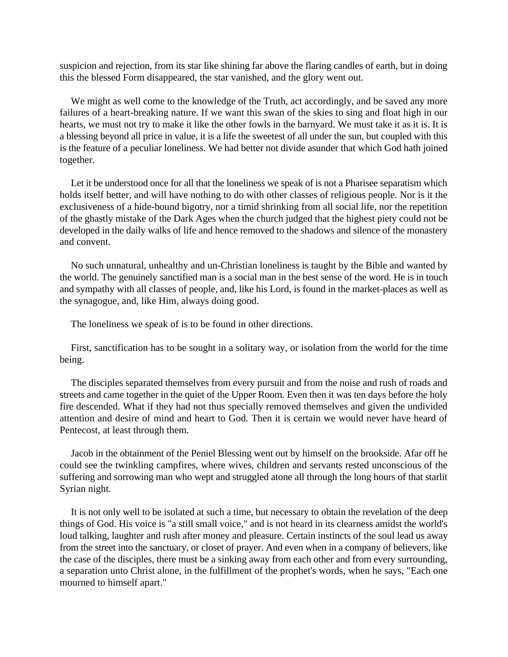suspicion and rejection, from its star like shining far above the flaring candles of earth, but in doing this the blessed Form disappeared, the star vanished, and the glory went out.

We might as well come to the knowledge of the Truth, act accordingly, and be saved any more failures of a heart-breaking nature. If we want this swan of the skies to sing and float high in our hearts, we must not try to make it like the other fowls in the barnyard. We must take it as it is. It is a blessing beyond all price in value, it is a life the sweetest of all under the sun, but coupled with this is the feature of a peculiar loneliness. We had better not divide asunder that which God hath joined together.

Let it be understood once for all that the loneliness we speak of is not a Pharisee separatism which holds itself better, and will have nothing to do with other classes of religious people. Nor is it the exclusiveness of a hide-bound bigotry, nor a timid shrinking from all social life, nor the repetition of the ghastly mistake of the Dark Ages when the church judged that the highest piety could not be developed in the daily walks of life and hence removed to the shadows and silence of the monastery and convent.

No such unnatural, unhealthy and un-Christian loneliness is taught by the Bible and wanted by the world. The genuinely sanctified man is a social man in the best sense of the word. He is in touch and sympathy with all classes of people, and, like his Lord, is found in the market-places as well as the synagogue, and, like Him, always doing good.

The loneliness we speak of is to be found in other directions.

First, sanctification has to be sought in a solitary way, or isolation from the world for the time being.

The disciples separated themselves from every pursuit and from the noise and rush of roads and streets and came together in the quiet of the Upper Room. Even then it was ten days before the holy fire descended. What if they had not thus specially removed themselves and given the undivided attention and desire of mind and heart to God. Then it is certain we would never have heard of Pentecost, at least through them.

Jacob in the obtainment of the Peniel Blessing went out by himself on the brookside. Afar off he could see the twinkling campfires, where wives, children and servants rested unconscious of the suffering and sorrowing man who wept and struggled atone all through the long hours of that starlit Syrian night.

It is not only well to be isolated at such a time, but necessary to obtain the revelation of the deep things of God. His voice is "a still small voice," and is not heard in its clearness amidst the world's loud talking, laughter and rush after money and pleasure. Certain instincts of the soul lead us away from the street into the sanctuary, or closet of prayer. And even when in a company of believers, like the case of the disciples, there must be a sinking away from each other and from every surrounding, a separation unto Christ alone, in the fulfillment of the prophet's words, when he says, "Each one mourned to himself apart."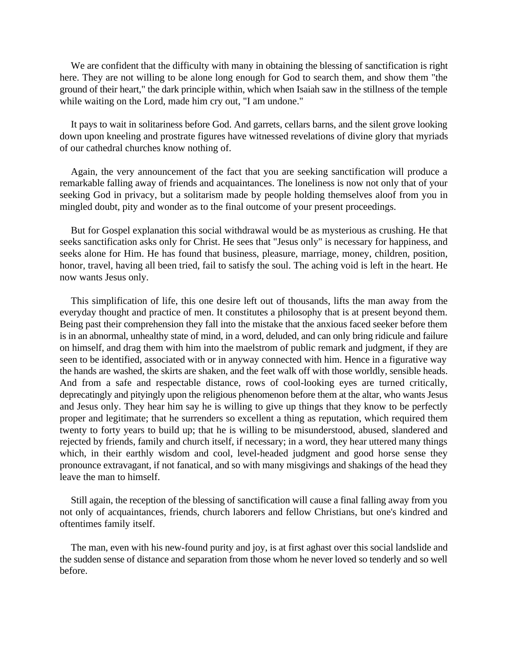We are confident that the difficulty with many in obtaining the blessing of sanctification is right here. They are not willing to be alone long enough for God to search them, and show them "the ground of their heart," the dark principle within, which when Isaiah saw in the stillness of the temple while waiting on the Lord, made him cry out, "I am undone."

It pays to wait in solitariness before God. And garrets, cellars barns, and the silent grove looking down upon kneeling and prostrate figures have witnessed revelations of divine glory that myriads of our cathedral churches know nothing of.

Again, the very announcement of the fact that you are seeking sanctification will produce a remarkable falling away of friends and acquaintances. The loneliness is now not only that of your seeking God in privacy, but a solitarism made by people holding themselves aloof from you in mingled doubt, pity and wonder as to the final outcome of your present proceedings.

But for Gospel explanation this social withdrawal would be as mysterious as crushing. He that seeks sanctification asks only for Christ. He sees that "Jesus only" is necessary for happiness, and seeks alone for Him. He has found that business, pleasure, marriage, money, children, position, honor, travel, having all been tried, fail to satisfy the soul. The aching void is left in the heart. He now wants Jesus only.

This simplification of life, this one desire left out of thousands, lifts the man away from the everyday thought and practice of men. It constitutes a philosophy that is at present beyond them. Being past their comprehension they fall into the mistake that the anxious faced seeker before them is in an abnormal, unhealthy state of mind, in a word, deluded, and can only bring ridicule and failure on himself, and drag them with him into the maelstrom of public remark and judgment, if they are seen to be identified, associated with or in anyway connected with him. Hence in a figurative way the hands are washed, the skirts are shaken, and the feet walk off with those worldly, sensible heads. And from a safe and respectable distance, rows of cool-looking eyes are turned critically, deprecatingly and pityingly upon the religious phenomenon before them at the altar, who wants Jesus and Jesus only. They hear him say he is willing to give up things that they know to be perfectly proper and legitimate; that he surrenders so excellent a thing as reputation, which required them twenty to forty years to build up; that he is willing to be misunderstood, abused, slandered and rejected by friends, family and church itself, if necessary; in a word, they hear uttered many things which, in their earthly wisdom and cool, level-headed judgment and good horse sense they pronounce extravagant, if not fanatical, and so with many misgivings and shakings of the head they leave the man to himself.

Still again, the reception of the blessing of sanctification will cause a final falling away from you not only of acquaintances, friends, church laborers and fellow Christians, but one's kindred and oftentimes family itself.

The man, even with his new-found purity and joy, is at first aghast over this social landslide and the sudden sense of distance and separation from those whom he never loved so tenderly and so well before.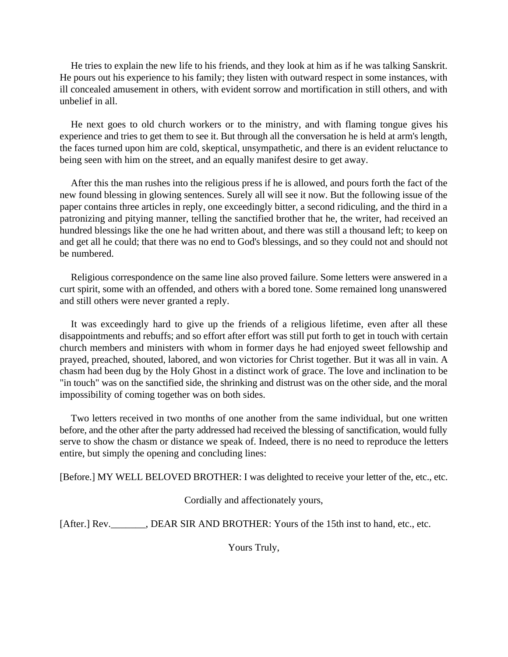He tries to explain the new life to his friends, and they look at him as if he was talking Sanskrit. He pours out his experience to his family; they listen with outward respect in some instances, with ill concealed amusement in others, with evident sorrow and mortification in still others, and with unbelief in all.

He next goes to old church workers or to the ministry, and with flaming tongue gives his experience and tries to get them to see it. But through all the conversation he is held at arm's length, the faces turned upon him are cold, skeptical, unsympathetic, and there is an evident reluctance to being seen with him on the street, and an equally manifest desire to get away.

After this the man rushes into the religious press if he is allowed, and pours forth the fact of the new found blessing in glowing sentences. Surely all will see it now. But the following issue of the paper contains three articles in reply, one exceedingly bitter, a second ridiculing, and the third in a patronizing and pitying manner, telling the sanctified brother that he, the writer, had received an hundred blessings like the one he had written about, and there was still a thousand left; to keep on and get all he could; that there was no end to God's blessings, and so they could not and should not be numbered.

Religious correspondence on the same line also proved failure. Some letters were answered in a curt spirit, some with an offended, and others with a bored tone. Some remained long unanswered and still others were never granted a reply.

It was exceedingly hard to give up the friends of a religious lifetime, even after all these disappointments and rebuffs; and so effort after effort was still put forth to get in touch with certain church members and ministers with whom in former days he had enjoyed sweet fellowship and prayed, preached, shouted, labored, and won victories for Christ together. But it was all in vain. A chasm had been dug by the Holy Ghost in a distinct work of grace. The love and inclination to be "in touch" was on the sanctified side, the shrinking and distrust was on the other side, and the moral impossibility of coming together was on both sides.

Two letters received in two months of one another from the same individual, but one written before, and the other after the party addressed had received the blessing of sanctification, would fully serve to show the chasm or distance we speak of. Indeed, there is no need to reproduce the letters entire, but simply the opening and concluding lines:

[Before.] MY WELL BELOVED BROTHER: I was delighted to receive your letter of the, etc., etc.

Cordially and affectionately yours,

[After.] Rev.\_\_\_\_\_\_, DEAR SIR AND BROTHER: Yours of the 15th inst to hand, etc., etc.

Yours Truly,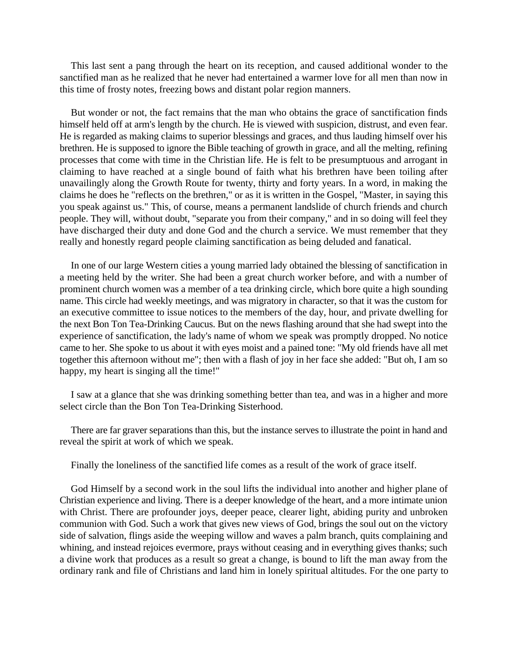This last sent a pang through the heart on its reception, and caused additional wonder to the sanctified man as he realized that he never had entertained a warmer love for all men than now in this time of frosty notes, freezing bows and distant polar region manners.

But wonder or not, the fact remains that the man who obtains the grace of sanctification finds himself held off at arm's length by the church. He is viewed with suspicion, distrust, and even fear. He is regarded as making claims to superior blessings and graces, and thus lauding himself over his brethren. He is supposed to ignore the Bible teaching of growth in grace, and all the melting, refining processes that come with time in the Christian life. He is felt to be presumptuous and arrogant in claiming to have reached at a single bound of faith what his brethren have been toiling after unavailingly along the Growth Route for twenty, thirty and forty years. In a word, in making the claims he does he "reflects on the brethren," or as it is written in the Gospel, "Master, in saying this you speak against us." This, of course, means a permanent landslide of church friends and church people. They will, without doubt, "separate you from their company," and in so doing will feel they have discharged their duty and done God and the church a service. We must remember that they really and honestly regard people claiming sanctification as being deluded and fanatical.

In one of our large Western cities a young married lady obtained the blessing of sanctification in a meeting held by the writer. She had been a great church worker before, and with a number of prominent church women was a member of a tea drinking circle, which bore quite a high sounding name. This circle had weekly meetings, and was migratory in character, so that it was the custom for an executive committee to issue notices to the members of the day, hour, and private dwelling for the next Bon Ton Tea-Drinking Caucus. But on the news flashing around that she had swept into the experience of sanctification, the lady's name of whom we speak was promptly dropped. No notice came to her. She spoke to us about it with eyes moist and a pained tone: "My old friends have all met together this afternoon without me"; then with a flash of joy in her face she added: "But oh, I am so happy, my heart is singing all the time!"

I saw at a glance that she was drinking something better than tea, and was in a higher and more select circle than the Bon Ton Tea-Drinking Sisterhood.

There are far graver separations than this, but the instance serves to illustrate the point in hand and reveal the spirit at work of which we speak.

Finally the loneliness of the sanctified life comes as a result of the work of grace itself.

God Himself by a second work in the soul lifts the individual into another and higher plane of Christian experience and living. There is a deeper knowledge of the heart, and a more intimate union with Christ. There are profounder joys, deeper peace, clearer light, abiding purity and unbroken communion with God. Such a work that gives new views of God, brings the soul out on the victory side of salvation, flings aside the weeping willow and waves a palm branch, quits complaining and whining, and instead rejoices evermore, prays without ceasing and in everything gives thanks; such a divine work that produces as a result so great a change, is bound to lift the man away from the ordinary rank and file of Christians and land him in lonely spiritual altitudes. For the one party to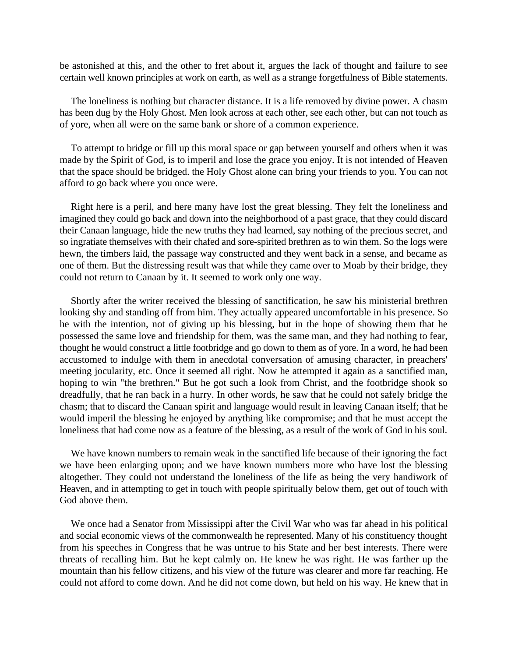be astonished at this, and the other to fret about it, argues the lack of thought and failure to see certain well known principles at work on earth, as well as a strange forgetfulness of Bible statements.

The loneliness is nothing but character distance. It is a life removed by divine power. A chasm has been dug by the Holy Ghost. Men look across at each other, see each other, but can not touch as of yore, when all were on the same bank or shore of a common experience.

To attempt to bridge or fill up this moral space or gap between yourself and others when it was made by the Spirit of God, is to imperil and lose the grace you enjoy. It is not intended of Heaven that the space should be bridged. the Holy Ghost alone can bring your friends to you. You can not afford to go back where you once were.

Right here is a peril, and here many have lost the great blessing. They felt the loneliness and imagined they could go back and down into the neighborhood of a past grace, that they could discard their Canaan language, hide the new truths they had learned, say nothing of the precious secret, and so ingratiate themselves with their chafed and sore-spirited brethren as to win them. So the logs were hewn, the timbers laid, the passage way constructed and they went back in a sense, and became as one of them. But the distressing result was that while they came over to Moab by their bridge, they could not return to Canaan by it. It seemed to work only one way.

Shortly after the writer received the blessing of sanctification, he saw his ministerial brethren looking shy and standing off from him. They actually appeared uncomfortable in his presence. So he with the intention, not of giving up his blessing, but in the hope of showing them that he possessed the same love and friendship for them, was the same man, and they had nothing to fear, thought he would construct a little footbridge and go down to them as of yore. In a word, he had been accustomed to indulge with them in anecdotal conversation of amusing character, in preachers' meeting jocularity, etc. Once it seemed all right. Now he attempted it again as a sanctified man, hoping to win "the brethren." But he got such a look from Christ, and the footbridge shook so dreadfully, that he ran back in a hurry. In other words, he saw that he could not safely bridge the chasm; that to discard the Canaan spirit and language would result in leaving Canaan itself; that he would imperil the blessing he enjoyed by anything like compromise; and that he must accept the loneliness that had come now as a feature of the blessing, as a result of the work of God in his soul.

We have known numbers to remain weak in the sanctified life because of their ignoring the fact we have been enlarging upon; and we have known numbers more who have lost the blessing altogether. They could not understand the loneliness of the life as being the very handiwork of Heaven, and in attempting to get in touch with people spiritually below them, get out of touch with God above them.

We once had a Senator from Mississippi after the Civil War who was far ahead in his political and social economic views of the commonwealth he represented. Many of his constituency thought from his speeches in Congress that he was untrue to his State and her best interests. There were threats of recalling him. But he kept calmly on. He knew he was right. He was farther up the mountain than his fellow citizens, and his view of the future was clearer and more far reaching. He could not afford to come down. And he did not come down, but held on his way. He knew that in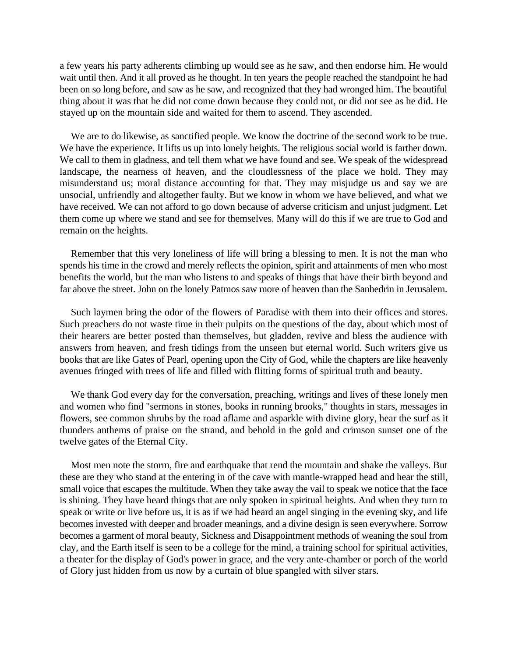a few years his party adherents climbing up would see as he saw, and then endorse him. He would wait until then. And it all proved as he thought. In ten years the people reached the standpoint he had been on so long before, and saw as he saw, and recognized that they had wronged him. The beautiful thing about it was that he did not come down because they could not, or did not see as he did. He stayed up on the mountain side and waited for them to ascend. They ascended.

We are to do likewise, as sanctified people. We know the doctrine of the second work to be true. We have the experience. It lifts us up into lonely heights. The religious social world is farther down. We call to them in gladness, and tell them what we have found and see. We speak of the widespread landscape, the nearness of heaven, and the cloudlessness of the place we hold. They may misunderstand us; moral distance accounting for that. They may misjudge us and say we are unsocial, unfriendly and altogether faulty. But we know in whom we have believed, and what we have received. We can not afford to go down because of adverse criticism and unjust judgment. Let them come up where we stand and see for themselves. Many will do this if we are true to God and remain on the heights.

Remember that this very loneliness of life will bring a blessing to men. It is not the man who spends his time in the crowd and merely reflects the opinion, spirit and attainments of men who most benefits the world, but the man who listens to and speaks of things that have their birth beyond and far above the street. John on the lonely Patmos saw more of heaven than the Sanhedrin in Jerusalem.

Such laymen bring the odor of the flowers of Paradise with them into their offices and stores. Such preachers do not waste time in their pulpits on the questions of the day, about which most of their hearers are better posted than themselves, but gladden, revive and bless the audience with answers from heaven, and fresh tidings from the unseen but eternal world. Such writers give us books that are like Gates of Pearl, opening upon the City of God, while the chapters are like heavenly avenues fringed with trees of life and filled with flitting forms of spiritual truth and beauty.

We thank God every day for the conversation, preaching, writings and lives of these lonely men and women who find "sermons in stones, books in running brooks," thoughts in stars, messages in flowers, see common shrubs by the road aflame and asparkle with divine glory, hear the surf as it thunders anthems of praise on the strand, and behold in the gold and crimson sunset one of the twelve gates of the Eternal City.

Most men note the storm, fire and earthquake that rend the mountain and shake the valleys. But these are they who stand at the entering in of the cave with mantle-wrapped head and hear the still, small voice that escapes the multitude. When they take away the vail to speak we notice that the face is shining. They have heard things that are only spoken in spiritual heights. And when they turn to speak or write or live before us, it is as if we had heard an angel singing in the evening sky, and life becomes invested with deeper and broader meanings, and a divine design is seen everywhere. Sorrow becomes a garment of moral beauty, Sickness and Disappointment methods of weaning the soul from clay, and the Earth itself is seen to be a college for the mind, a training school for spiritual activities, a theater for the display of God's power in grace, and the very ante-chamber or porch of the world of Glory just hidden from us now by a curtain of blue spangled with silver stars.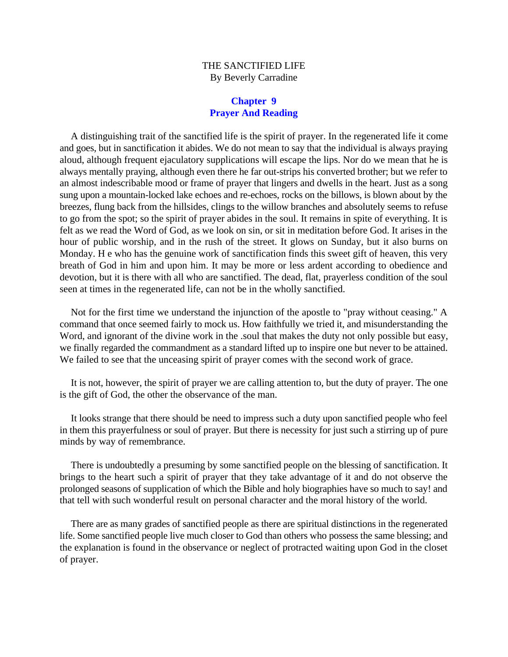# THE SANCTIFIED LIFE By Beverly Carradine

# **Chapter 9 Prayer And Reading**

A distinguishing trait of the sanctified life is the spirit of prayer. In the regenerated life it come and goes, but in sanctification it abides. We do not mean to say that the individual is always praying aloud, although frequent ejaculatory supplications will escape the lips. Nor do we mean that he is always mentally praying, although even there he far out-strips his converted brother; but we refer to an almost indescribable mood or frame of prayer that lingers and dwells in the heart. Just as a song sung upon a mountain-locked lake echoes and re-echoes, rocks on the billows, is blown about by the breezes, flung back from the hillsides, clings to the willow branches and absolutely seems to refuse to go from the spot; so the spirit of prayer abides in the soul. It remains in spite of everything. It is felt as we read the Word of God, as we look on sin, or sit in meditation before God. It arises in the hour of public worship, and in the rush of the street. It glows on Sunday, but it also burns on Monday. H e who has the genuine work of sanctification finds this sweet gift of heaven, this very breath of God in him and upon him. It may be more or less ardent according to obedience and devotion, but it is there with all who are sanctified. The dead, flat, prayerless condition of the soul seen at times in the regenerated life, can not be in the wholly sanctified.

Not for the first time we understand the injunction of the apostle to "pray without ceasing." A command that once seemed fairly to mock us. How faithfully we tried it, and misunderstanding the Word, and ignorant of the divine work in the .soul that makes the duty not only possible but easy, we finally regarded the commandment as a standard lifted up to inspire one but never to be attained. We failed to see that the unceasing spirit of prayer comes with the second work of grace.

It is not, however, the spirit of prayer we are calling attention to, but the duty of prayer. The one is the gift of God, the other the observance of the man.

It looks strange that there should be need to impress such a duty upon sanctified people who feel in them this prayerfulness or soul of prayer. But there is necessity for just such a stirring up of pure minds by way of remembrance.

There is undoubtedly a presuming by some sanctified people on the blessing of sanctification. It brings to the heart such a spirit of prayer that they take advantage of it and do not observe the prolonged seasons of supplication of which the Bible and holy biographies have so much to say! and that tell with such wonderful result on personal character and the moral history of the world.

There are as many grades of sanctified people as there are spiritual distinctions in the regenerated life. Some sanctified people live much closer to God than others who possess the same blessing; and the explanation is found in the observance or neglect of protracted waiting upon God in the closet of prayer.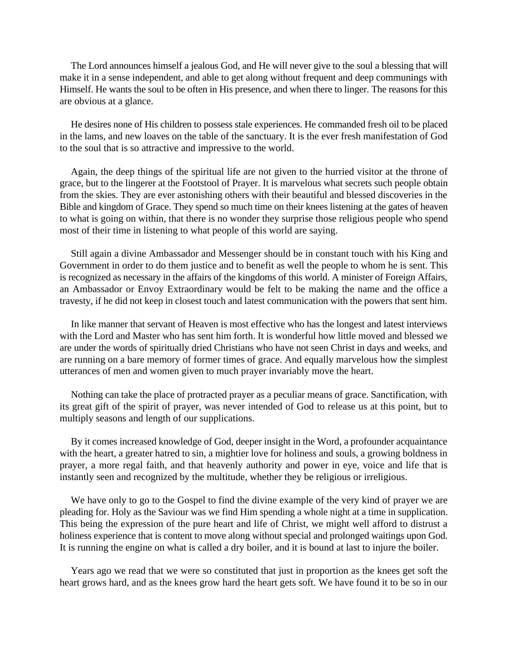The Lord announces himself a jealous God, and He will never give to the soul a blessing that will make it in a sense independent, and able to get along without frequent and deep communings with Himself. He wants the soul to be often in His presence, and when there to linger. The reasons for this are obvious at a glance.

He desires none of His children to possess stale experiences. He commanded fresh oil to be placed in the lams, and new loaves on the table of the sanctuary. It is the ever fresh manifestation of God to the soul that is so attractive and impressive to the world.

Again, the deep things of the spiritual life are not given to the hurried visitor at the throne of grace, but to the lingerer at the Footstool of Prayer. It is marvelous what secrets such people obtain from the skies. They are ever astonishing others with their beautiful and blessed discoveries in the Bible and kingdom of Grace. They spend so much time on their knees listening at the gates of heaven to what is going on within, that there is no wonder they surprise those religious people who spend most of their time in listening to what people of this world are saying.

Still again a divine Ambassador and Messenger should be in constant touch with his King and Government in order to do them justice and to benefit as well the people to whom he is sent. This is recognized as necessary in the affairs of the kingdoms of this world. A minister of Foreign Affairs, an Ambassador or Envoy Extraordinary would be felt to be making the name and the office a travesty, if he did not keep in closest touch and latest communication with the powers that sent him.

In like manner that servant of Heaven is most effective who has the longest and latest interviews with the Lord and Master who has sent him forth. It is wonderful how little moved and blessed we are under the words of spiritually dried Christians who have not seen Christ in days and weeks, and are running on a bare memory of former times of grace. And equally marvelous how the simplest utterances of men and women given to much prayer invariably move the heart.

Nothing can take the place of protracted prayer as a peculiar means of grace. Sanctification, with its great gift of the spirit of prayer, was never intended of God to release us at this point, but to multiply seasons and length of our supplications.

By it comes increased knowledge of God, deeper insight in the Word, a profounder acquaintance with the heart, a greater hatred to sin, a mightier love for holiness and souls, a growing boldness in prayer, a more regal faith, and that heavenly authority and power in eye, voice and life that is instantly seen and recognized by the multitude, whether they be religious or irreligious.

We have only to go to the Gospel to find the divine example of the very kind of prayer we are pleading for. Holy as the Saviour was we find Him spending a whole night at a time in supplication. This being the expression of the pure heart and life of Christ, we might well afford to distrust a holiness experience that is content to move along without special and prolonged waitings upon God. It is running the engine on what is called a dry boiler, and it is bound at last to injure the boiler.

Years ago we read that we were so constituted that just in proportion as the knees get soft the heart grows hard, and as the knees grow hard the heart gets soft. We have found it to be so in our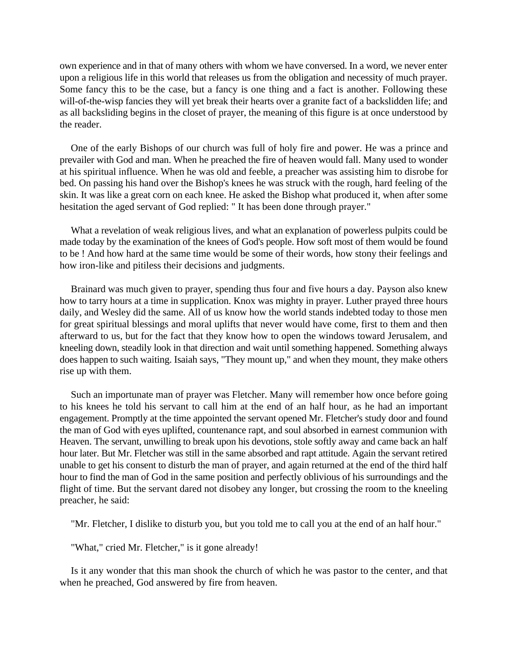own experience and in that of many others with whom we have conversed. In a word, we never enter upon a religious life in this world that releases us from the obligation and necessity of much prayer. Some fancy this to be the case, but a fancy is one thing and a fact is another. Following these will-of-the-wisp fancies they will yet break their hearts over a granite fact of a backslidden life; and as all backsliding begins in the closet of prayer, the meaning of this figure is at once understood by the reader.

One of the early Bishops of our church was full of holy fire and power. He was a prince and prevailer with God and man. When he preached the fire of heaven would fall. Many used to wonder at his spiritual influence. When he was old and feeble, a preacher was assisting him to disrobe for bed. On passing his hand over the Bishop's knees he was struck with the rough, hard feeling of the skin. It was like a great corn on each knee. He asked the Bishop what produced it, when after some hesitation the aged servant of God replied: " It has been done through prayer."

What a revelation of weak religious lives, and what an explanation of powerless pulpits could be made today by the examination of the knees of God's people. How soft most of them would be found to be ! And how hard at the same time would be some of their words, how stony their feelings and how iron-like and pitiless their decisions and judgments.

Brainard was much given to prayer, spending thus four and five hours a day. Payson also knew how to tarry hours at a time in supplication. Knox was mighty in prayer. Luther prayed three hours daily, and Wesley did the same. All of us know how the world stands indebted today to those men for great spiritual blessings and moral uplifts that never would have come, first to them and then afterward to us, but for the fact that they know how to open the windows toward Jerusalem, and kneeling down, steadily look in that direction and wait until something happened. Something always does happen to such waiting. Isaiah says, "They mount up," and when they mount, they make others rise up with them.

Such an importunate man of prayer was Fletcher. Many will remember how once before going to his knees he told his servant to call him at the end of an half hour, as he had an important engagement. Promptly at the time appointed the servant opened Mr. Fletcher's study door and found the man of God with eyes uplifted, countenance rapt, and soul absorbed in earnest communion with Heaven. The servant, unwilling to break upon his devotions, stole softly away and came back an half hour later. But Mr. Fletcher was still in the same absorbed and rapt attitude. Again the servant retired unable to get his consent to disturb the man of prayer, and again returned at the end of the third half hour to find the man of God in the same position and perfectly oblivious of his surroundings and the flight of time. But the servant dared not disobey any longer, but crossing the room to the kneeling preacher, he said:

"Mr. Fletcher, I dislike to disturb you, but you told me to call you at the end of an half hour."

"What," cried Mr. Fletcher," is it gone already!

Is it any wonder that this man shook the church of which he was pastor to the center, and that when he preached, God answered by fire from heaven.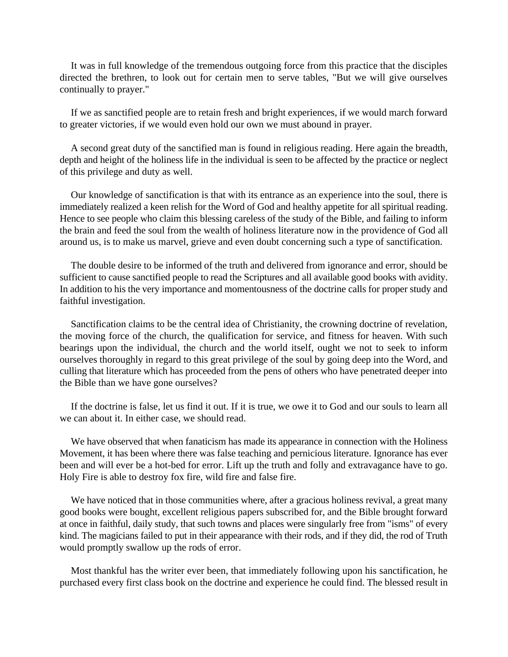It was in full knowledge of the tremendous outgoing force from this practice that the disciples directed the brethren, to look out for certain men to serve tables, "But we will give ourselves continually to prayer."

If we as sanctified people are to retain fresh and bright experiences, if we would march forward to greater victories, if we would even hold our own we must abound in prayer.

A second great duty of the sanctified man is found in religious reading. Here again the breadth, depth and height of the holiness life in the individual is seen to be affected by the practice or neglect of this privilege and duty as well.

Our knowledge of sanctification is that with its entrance as an experience into the soul, there is immediately realized a keen relish for the Word of God and healthy appetite for all spiritual reading. Hence to see people who claim this blessing careless of the study of the Bible, and failing to inform the brain and feed the soul from the wealth of holiness literature now in the providence of God all around us, is to make us marvel, grieve and even doubt concerning such a type of sanctification.

The double desire to be informed of the truth and delivered from ignorance and error, should be sufficient to cause sanctified people to read the Scriptures and all available good books with avidity. In addition to his the very importance and momentousness of the doctrine calls for proper study and faithful investigation.

Sanctification claims to be the central idea of Christianity, the crowning doctrine of revelation, the moving force of the church, the qualification for service, and fitness for heaven. With such bearings upon the individual, the church and the world itself, ought we not to seek to inform ourselves thoroughly in regard to this great privilege of the soul by going deep into the Word, and culling that literature which has proceeded from the pens of others who have penetrated deeper into the Bible than we have gone ourselves?

If the doctrine is false, let us find it out. If it is true, we owe it to God and our souls to learn all we can about it. In either case, we should read.

We have observed that when fanaticism has made its appearance in connection with the Holiness Movement, it has been where there was false teaching and pernicious literature. Ignorance has ever been and will ever be a hot-bed for error. Lift up the truth and folly and extravagance have to go. Holy Fire is able to destroy fox fire, wild fire and false fire.

We have noticed that in those communities where, after a gracious holiness revival, a great many good books were bought, excellent religious papers subscribed for, and the Bible brought forward at once in faithful, daily study, that such towns and places were singularly free from "isms" of every kind. The magicians failed to put in their appearance with their rods, and if they did, the rod of Truth would promptly swallow up the rods of error.

Most thankful has the writer ever been, that immediately following upon his sanctification, he purchased every first class book on the doctrine and experience he could find. The blessed result in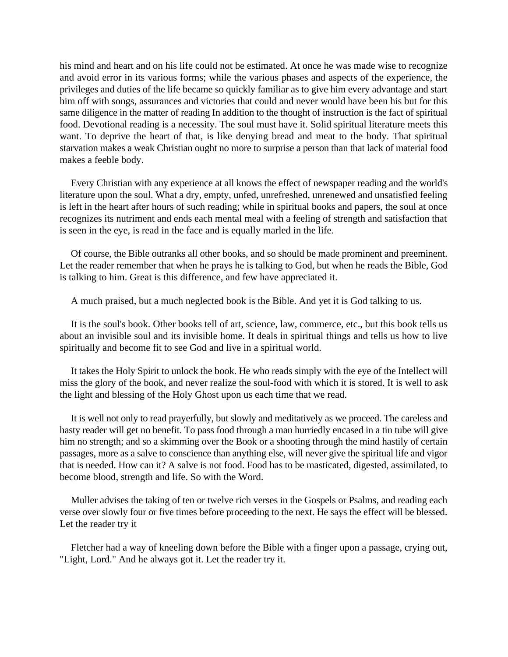his mind and heart and on his life could not be estimated. At once he was made wise to recognize and avoid error in its various forms; while the various phases and aspects of the experience, the privileges and duties of the life became so quickly familiar as to give him every advantage and start him off with songs, assurances and victories that could and never would have been his but for this same diligence in the matter of reading In addition to the thought of instruction is the fact of spiritual food. Devotional reading is a necessity. The soul must have it. Solid spiritual literature meets this want. To deprive the heart of that, is like denying bread and meat to the body. That spiritual starvation makes a weak Christian ought no more to surprise a person than that lack of material food makes a feeble body.

Every Christian with any experience at all knows the effect of newspaper reading and the world's literature upon the soul. What a dry, empty, unfed, unrefreshed, unrenewed and unsatisfied feeling is left in the heart after hours of such reading; while in spiritual books and papers, the soul at once recognizes its nutriment and ends each mental meal with a feeling of strength and satisfaction that is seen in the eye, is read in the face and is equally marled in the life.

Of course, the Bible outranks all other books, and so should be made prominent and preeminent. Let the reader remember that when he prays he is talking to God, but when he reads the Bible, God is talking to him. Great is this difference, and few have appreciated it.

A much praised, but a much neglected book is the Bible. And yet it is God talking to us.

It is the soul's book. Other books tell of art, science, law, commerce, etc., but this book tells us about an invisible soul and its invisible home. It deals in spiritual things and tells us how to live spiritually and become fit to see God and live in a spiritual world.

It takes the Holy Spirit to unlock the book. He who reads simply with the eye of the Intellect will miss the glory of the book, and never realize the soul-food with which it is stored. It is well to ask the light and blessing of the Holy Ghost upon us each time that we read.

It is well not only to read prayerfully, but slowly and meditatively as we proceed. The careless and hasty reader will get no benefit. To pass food through a man hurriedly encased in a tin tube will give him no strength; and so a skimming over the Book or a shooting through the mind hastily of certain passages, more as a salve to conscience than anything else, will never give the spiritual life and vigor that is needed. How can it? A salve is not food. Food has to be masticated, digested, assimilated, to become blood, strength and life. So with the Word.

Muller advises the taking of ten or twelve rich verses in the Gospels or Psalms, and reading each verse over slowly four or five times before proceeding to the next. He says the effect will be blessed. Let the reader try it

Fletcher had a way of kneeling down before the Bible with a finger upon a passage, crying out, "Light, Lord." And he always got it. Let the reader try it.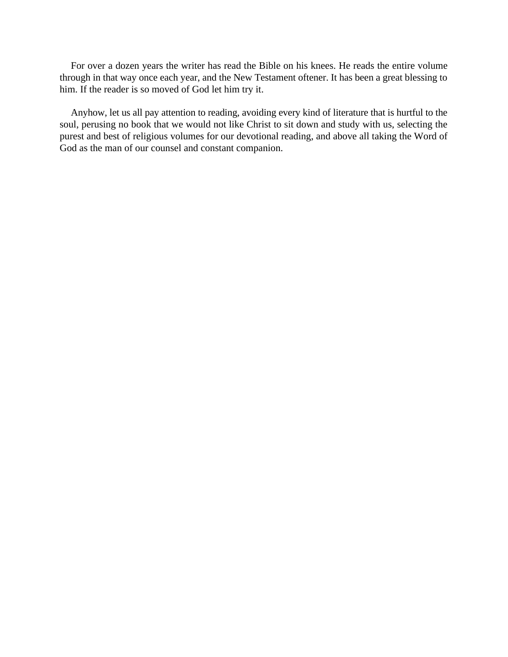For over a dozen years the writer has read the Bible on his knees. He reads the entire volume through in that way once each year, and the New Testament oftener. It has been a great blessing to him. If the reader is so moved of God let him try it.

Anyhow, let us all pay attention to reading, avoiding every kind of literature that is hurtful to the soul, perusing no book that we would not like Christ to sit down and study with us, selecting the purest and best of religious volumes for our devotional reading, and above all taking the Word of God as the man of our counsel and constant companion.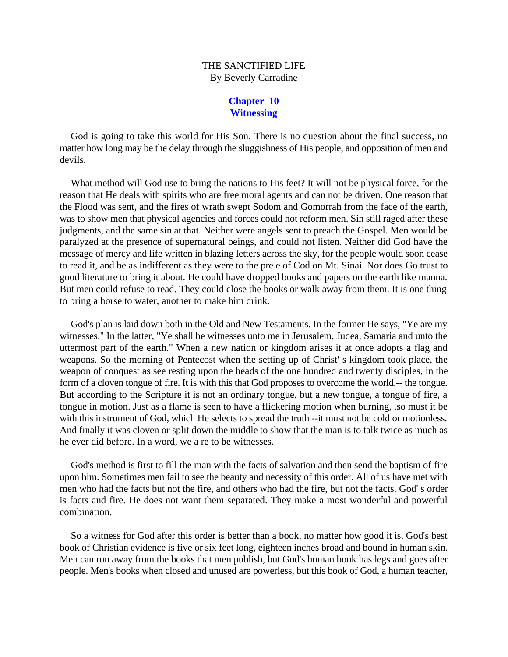# THE SANCTIFIED LIFE By Beverly Carradine

#### **Chapter 10 Witnessing**

God is going to take this world for His Son. There is no question about the final success, no matter how long may be the delay through the sluggishness of His people, and opposition of men and devils.

What method will God use to bring the nations to His feet? It will not be physical force, for the reason that He deals with spirits who are free moral agents and can not be driven. One reason that the Flood was sent, and the fires of wrath swept Sodom and Gomorrah from the face of the earth, was to show men that physical agencies and forces could not reform men. Sin still raged after these judgments, and the same sin at that. Neither were angels sent to preach the Gospel. Men would be paralyzed at the presence of supernatural beings, and could not listen. Neither did God have the message of mercy and life written in blazing letters across the sky, for the people would soon cease to read it, and be as indifferent as they were to the pre e of Cod on Mt. Sinai. Nor does Go trust to good literature to bring it about. He could have dropped books and papers on the earth like manna. But men could refuse to read. They could close the books or walk away from them. It is one thing to bring a horse to water, another to make him drink.

God's plan is laid down both in the Old and New Testaments. In the former He says, "Ye are my witnesses." In the latter, "Ye shall be witnesses unto me in Jerusalem, Judea, Samaria and unto the uttermost part of the earth." When a new nation or kingdom arises it at once adopts a flag and weapons. So the morning of Pentecost when the setting up of Christ' s kingdom took place, the weapon of conquest as see resting upon the heads of the one hundred and twenty disciples, in the form of a cloven tongue of fire. It is with this that God proposes to overcome the world,-- the tongue. But according to the Scripture it is not an ordinary tongue, but a new tongue, a tongue of fire, a tongue in motion. Just as a flame is seen to have a flickering motion when burning, .so must it be with this instrument of God, which He selects to spread the truth --it must not be cold or motionless. And finally it was cloven or split down the middle to show that the man is to talk twice as much as he ever did before. In a word, we a re to be witnesses.

God's method is first to fill the man with the facts of salvation and then send the baptism of fire upon him. Sometimes men fail to see the beauty and necessity of this order. All of us have met with men who had the facts but not the fire, and others who had the fire, but not the facts. God' s order is facts and fire. He does not want them separated. They make a most wonderful and powerful combination.

So a witness for God after this order is better than a book, no matter how good it is. God's best book of Christian evidence is five or six feet long, eighteen inches broad and bound in human skin. Men can run away from the books that men publish, but God's human book has legs and goes after people. Men's books when closed and unused are powerless, but this book of God, a human teacher,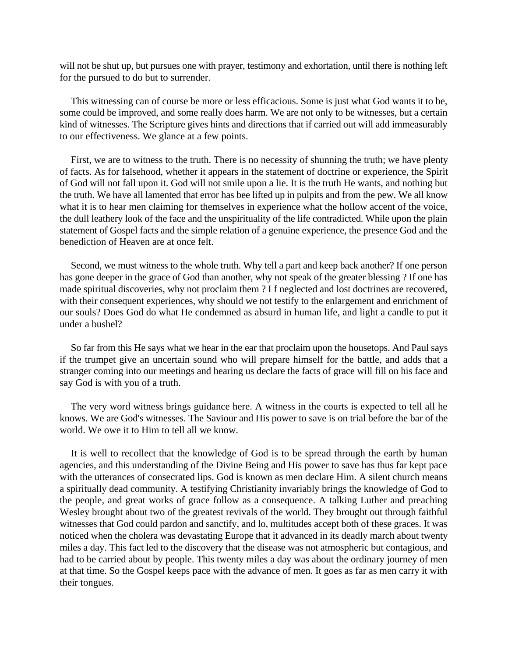will not be shut up, but pursues one with prayer, testimony and exhortation, until there is nothing left for the pursued to do but to surrender.

This witnessing can of course be more or less efficacious. Some is just what God wants it to be, some could be improved, and some really does harm. We are not only to be witnesses, but a certain kind of witnesses. The Scripture gives hints and directions that if carried out will add immeasurably to our effectiveness. We glance at a few points.

First, we are to witness to the truth. There is no necessity of shunning the truth; we have plenty of facts. As for falsehood, whether it appears in the statement of doctrine or experience, the Spirit of God will not fall upon it. God will not smile upon a lie. It is the truth He wants, and nothing but the truth. We have all lamented that error has bee lifted up in pulpits and from the pew. We all know what it is to hear men claiming for themselves in experience what the hollow accent of the voice, the dull leathery look of the face and the unspirituality of the life contradicted. While upon the plain statement of Gospel facts and the simple relation of a genuine experience, the presence God and the benediction of Heaven are at once felt.

Second, we must witness to the whole truth. Why tell a part and keep back another? If one person has gone deeper in the grace of God than another, why not speak of the greater blessing ? If one has made spiritual discoveries, why not proclaim them ? I f neglected and lost doctrines are recovered, with their consequent experiences, why should we not testify to the enlargement and enrichment of our souls? Does God do what He condemned as absurd in human life, and light a candle to put it under a bushel?

So far from this He says what we hear in the ear that proclaim upon the housetops. And Paul says if the trumpet give an uncertain sound who will prepare himself for the battle, and adds that a stranger coming into our meetings and hearing us declare the facts of grace will fill on his face and say God is with you of a truth.

The very word witness brings guidance here. A witness in the courts is expected to tell all he knows. We are God's witnesses. The Saviour and His power to save is on trial before the bar of the world. We owe it to Him to tell all we know.

It is well to recollect that the knowledge of God is to be spread through the earth by human agencies, and this understanding of the Divine Being and His power to save has thus far kept pace with the utterances of consecrated lips. God is known as men declare Him. A silent church means a spiritually dead community. A testifying Christianity invariably brings the knowledge of God to the people, and great works of grace follow as a consequence. A talking Luther and preaching Wesley brought about two of the greatest revivals of the world. They brought out through faithful witnesses that God could pardon and sanctify, and lo, multitudes accept both of these graces. It was noticed when the cholera was devastating Europe that it advanced in its deadly march about twenty miles a day. This fact led to the discovery that the disease was not atmospheric but contagious, and had to be carried about by people. This twenty miles a day was about the ordinary journey of men at that time. So the Gospel keeps pace with the advance of men. It goes as far as men carry it with their tongues.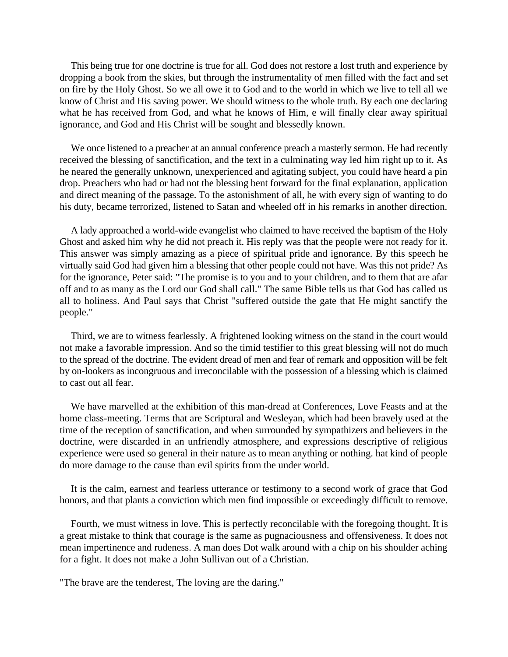This being true for one doctrine is true for all. God does not restore a lost truth and experience by dropping a book from the skies, but through the instrumentality of men filled with the fact and set on fire by the Holy Ghost. So we all owe it to God and to the world in which we live to tell all we know of Christ and His saving power. We should witness to the whole truth. By each one declaring what he has received from God, and what he knows of Him, e will finally clear away spiritual ignorance, and God and His Christ will be sought and blessedly known.

We once listened to a preacher at an annual conference preach a masterly sermon. He had recently received the blessing of sanctification, and the text in a culminating way led him right up to it. As he neared the generally unknown, unexperienced and agitating subject, you could have heard a pin drop. Preachers who had or had not the blessing bent forward for the final explanation, application and direct meaning of the passage. To the astonishment of all, he with every sign of wanting to do his duty, became terrorized, listened to Satan and wheeled off in his remarks in another direction.

A lady approached a world-wide evangelist who claimed to have received the baptism of the Holy Ghost and asked him why he did not preach it. His reply was that the people were not ready for it. This answer was simply amazing as a piece of spiritual pride and ignorance. By this speech he virtually said God had given him a blessing that other people could not have. Was this not pride? As for the ignorance, Peter said: "The promise is to you and to your children, and to them that are afar off and to as many as the Lord our God shall call." The same Bible tells us that God has called us all to holiness. And Paul says that Christ "suffered outside the gate that He might sanctify the people."

Third, we are to witness fearlessly. A frightened looking witness on the stand in the court would not make a favorable impression. And so the timid testifier to this great blessing will not do much to the spread of the doctrine. The evident dread of men and fear of remark and opposition will be felt by on-lookers as incongruous and irreconcilable with the possession of a blessing which is claimed to cast out all fear.

We have marvelled at the exhibition of this man-dread at Conferences, Love Feasts and at the home class-meeting. Terms that are Scriptural and Wesleyan, which had been bravely used at the time of the reception of sanctification, and when surrounded by sympathizers and believers in the doctrine, were discarded in an unfriendly atmosphere, and expressions descriptive of religious experience were used so general in their nature as to mean anything or nothing. hat kind of people do more damage to the cause than evil spirits from the under world.

It is the calm, earnest and fearless utterance or testimony to a second work of grace that God honors, and that plants a conviction which men find impossible or exceedingly difficult to remove.

Fourth, we must witness in love. This is perfectly reconcilable with the foregoing thought. It is a great mistake to think that courage is the same as pugnaciousness and offensiveness. It does not mean impertinence and rudeness. A man does Dot walk around with a chip on his shoulder aching for a fight. It does not make a John Sullivan out of a Christian.

"The brave are the tenderest, The loving are the daring."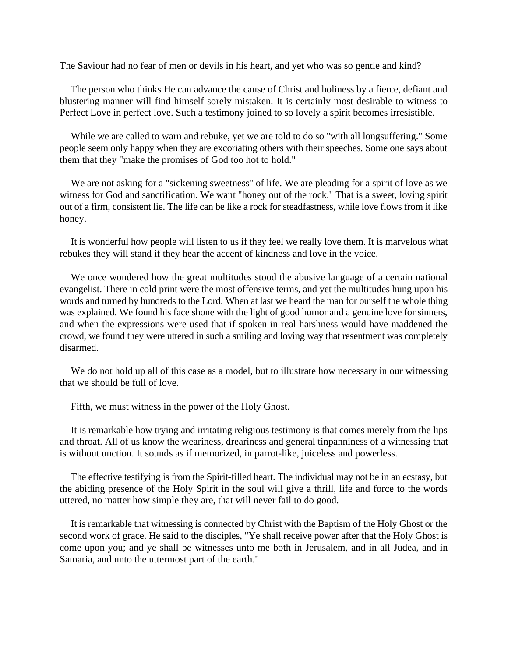The Saviour had no fear of men or devils in his heart, and yet who was so gentle and kind?

The person who thinks He can advance the cause of Christ and holiness by a fierce, defiant and blustering manner will find himself sorely mistaken. It is certainly most desirable to witness to Perfect Love in perfect love. Such a testimony joined to so lovely a spirit becomes irresistible.

While we are called to warn and rebuke, yet we are told to do so "with all longsuffering." Some people seem only happy when they are excoriating others with their speeches. Some one says about them that they "make the promises of God too hot to hold."

We are not asking for a "sickening sweetness" of life. We are pleading for a spirit of love as we witness for God and sanctification. We want "honey out of the rock." That is a sweet, loving spirit out of a firm, consistent lie. The life can be like a rock for steadfastness, while love flows from it like honey.

It is wonderful how people will listen to us if they feel we really love them. It is marvelous what rebukes they will stand if they hear the accent of kindness and love in the voice.

We once wondered how the great multitudes stood the abusive language of a certain national evangelist. There in cold print were the most offensive terms, and yet the multitudes hung upon his words and turned by hundreds to the Lord. When at last we heard the man for ourself the whole thing was explained. We found his face shone with the light of good humor and a genuine love for sinners, and when the expressions were used that if spoken in real harshness would have maddened the crowd, we found they were uttered in such a smiling and loving way that resentment was completely disarmed.

We do not hold up all of this case as a model, but to illustrate how necessary in our witnessing that we should be full of love.

Fifth, we must witness in the power of the Holy Ghost.

It is remarkable how trying and irritating religious testimony is that comes merely from the lips and throat. All of us know the weariness, dreariness and general tinpanniness of a witnessing that is without unction. It sounds as if memorized, in parrot-like, juiceless and powerless.

The effective testifying is from the Spirit-filled heart. The individual may not be in an ecstasy, but the abiding presence of the Holy Spirit in the soul will give a thrill, life and force to the words uttered, no matter how simple they are, that will never fail to do good.

It is remarkable that witnessing is connected by Christ with the Baptism of the Holy Ghost or the second work of grace. He said to the disciples, "Ye shall receive power after that the Holy Ghost is come upon you; and ye shall be witnesses unto me both in Jerusalem, and in all Judea, and in Samaria, and unto the uttermost part of the earth."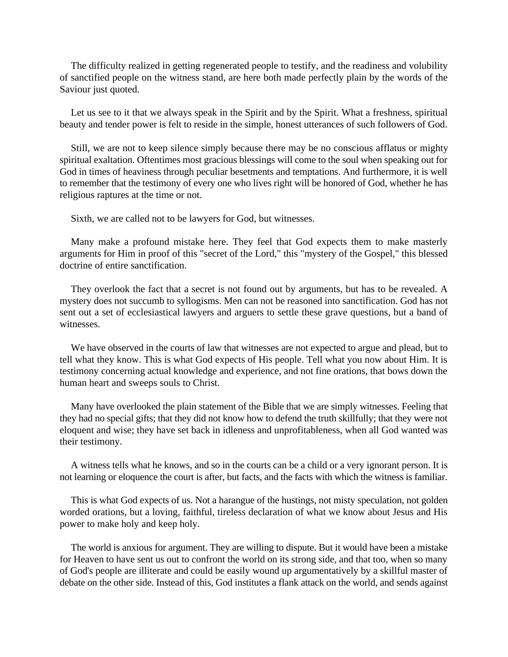The difficulty realized in getting regenerated people to testify, and the readiness and volubility of sanctified people on the witness stand, are here both made perfectly plain by the words of the Saviour just quoted.

Let us see to it that we always speak in the Spirit and by the Spirit. What a freshness, spiritual beauty and tender power is felt to reside in the simple, honest utterances of such followers of God.

Still, we are not to keep silence simply because there may be no conscious afflatus or mighty spiritual exaltation. Oftentimes most gracious blessings will come to the soul when speaking out for God in times of heaviness through peculiar besetments and temptations. And furthermore, it is well to remember that the testimony of every one who lives right will be honored of God, whether he has religious raptures at the time or not.

Sixth, we are called not to be lawyers for God, but witnesses.

Many make a profound mistake here. They feel that God expects them to make masterly arguments for Him in proof of this "secret of the Lord," this "mystery of the Gospel," this blessed doctrine of entire sanctification.

They overlook the fact that a secret is not found out by arguments, but has to be revealed. A mystery does not succumb to syllogisms. Men can not be reasoned into sanctification. God has not sent out a set of ecclesiastical lawyers and arguers to settle these grave questions, but a band of witnesses.

We have observed in the courts of law that witnesses are not expected to argue and plead, but to tell what they know. This is what God expects of His people. Tell what you now about Him. It is testimony concerning actual knowledge and experience, and not fine orations, that bows down the human heart and sweeps souls to Christ.

Many have overlooked the plain statement of the Bible that we are simply witnesses. Feeling that they had no special gifts; that they did not know how to defend the truth skillfully; that they were not eloquent and wise; they have set back in idleness and unprofitableness, when all God wanted was their testimony.

A witness tells what he knows, and so in the courts can be a child or a very ignorant person. It is not learning or eloquence the court is after, but facts, and the facts with which the witness is familiar.

This is what God expects of us. Not a harangue of the hustings, not misty speculation, not golden worded orations, but a loving, faithful, tireless declaration of what we know about Jesus and His power to make holy and keep holy.

The world is anxious for argument. They are willing to dispute. But it would have been a mistake for Heaven to have sent us out to confront the world on its strong side, and that too, when so many of God's people are illiterate and could be easily wound up argumentatively by a skillful master of debate on the other side. Instead of this, God institutes a flank attack on the world, and sends against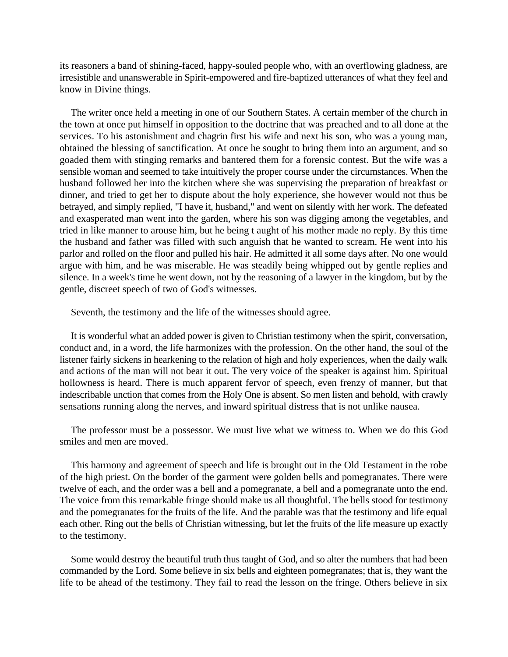its reasoners a band of shining-faced, happy-souled people who, with an overflowing gladness, are irresistible and unanswerable in Spirit-empowered and fire-baptized utterances of what they feel and know in Divine things.

The writer once held a meeting in one of our Southern States. A certain member of the church in the town at once put himself in opposition to the doctrine that was preached and to all done at the services. To his astonishment and chagrin first his wife and next his son, who was a young man, obtained the blessing of sanctification. At once he sought to bring them into an argument, and so goaded them with stinging remarks and bantered them for a forensic contest. But the wife was a sensible woman and seemed to take intuitively the proper course under the circumstances. When the husband followed her into the kitchen where she was supervising the preparation of breakfast or dinner, and tried to get her to dispute about the holy experience, she however would not thus be betrayed, and simply replied, "I have it, husband," and went on silently with her work. The defeated and exasperated man went into the garden, where his son was digging among the vegetables, and tried in like manner to arouse him, but he being t aught of his mother made no reply. By this time the husband and father was filled with such anguish that he wanted to scream. He went into his parlor and rolled on the floor and pulled his hair. He admitted it all some days after. No one would argue with him, and he was miserable. He was steadily being whipped out by gentle replies and silence. In a week's time he went down, not by the reasoning of a lawyer in the kingdom, but by the gentle, discreet speech of two of God's witnesses.

Seventh, the testimony and the life of the witnesses should agree.

It is wonderful what an added power is given to Christian testimony when the spirit, conversation, conduct and, in a word, the life harmonizes with the profession. On the other hand, the soul of the listener fairly sickens in hearkening to the relation of high and holy experiences, when the daily walk and actions of the man will not bear it out. The very voice of the speaker is against him. Spiritual hollowness is heard. There is much apparent fervor of speech, even frenzy of manner, but that indescribable unction that comes from the Holy One is absent. So men listen and behold, with crawly sensations running along the nerves, and inward spiritual distress that is not unlike nausea.

The professor must be a possessor. We must live what we witness to. When we do this God smiles and men are moved.

This harmony and agreement of speech and life is brought out in the Old Testament in the robe of the high priest. On the border of the garment were golden bells and pomegranates. There were twelve of each, and the order was a bell and a pomegranate, a bell and a pomegranate unto the end. The voice from this remarkable fringe should make us all thoughtful. The bells stood for testimony and the pomegranates for the fruits of the life. And the parable was that the testimony and life equal each other. Ring out the bells of Christian witnessing, but let the fruits of the life measure up exactly to the testimony.

Some would destroy the beautiful truth thus taught of God, and so alter the numbers that had been commanded by the Lord. Some believe in six bells and eighteen pomegranates; that is, they want the life to be ahead of the testimony. They fail to read the lesson on the fringe. Others believe in six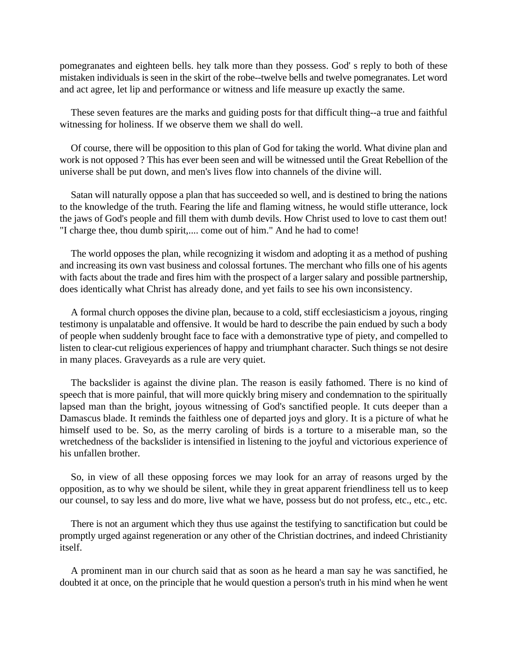pomegranates and eighteen bells. hey talk more than they possess. God' s reply to both of these mistaken individuals is seen in the skirt of the robe--twelve bells and twelve pomegranates. Let word and act agree, let lip and performance or witness and life measure up exactly the same.

These seven features are the marks and guiding posts for that difficult thing--a true and faithful witnessing for holiness. If we observe them we shall do well.

Of course, there will be opposition to this plan of God for taking the world. What divine plan and work is not opposed ? This has ever been seen and will be witnessed until the Great Rebellion of the universe shall be put down, and men's lives flow into channels of the divine will.

Satan will naturally oppose a plan that has succeeded so well, and is destined to bring the nations to the knowledge of the truth. Fearing the life and flaming witness, he would stifle utterance, lock the jaws of God's people and fill them with dumb devils. How Christ used to love to cast them out! "I charge thee, thou dumb spirit,.... come out of him." And he had to come!

The world opposes the plan, while recognizing it wisdom and adopting it as a method of pushing and increasing its own vast business and colossal fortunes. The merchant who fills one of his agents with facts about the trade and fires him with the prospect of a larger salary and possible partnership, does identically what Christ has already done, and yet fails to see his own inconsistency.

A formal church opposes the divine plan, because to a cold, stiff ecclesiasticism a joyous, ringing testimony is unpalatable and offensive. It would be hard to describe the pain endued by such a body of people when suddenly brought face to face with a demonstrative type of piety, and compelled to listen to clear-cut religious experiences of happy and triumphant character. Such things se not desire in many places. Graveyards as a rule are very quiet.

The backslider is against the divine plan. The reason is easily fathomed. There is no kind of speech that is more painful, that will more quickly bring misery and condemnation to the spiritually lapsed man than the bright, joyous witnessing of God's sanctified people. It cuts deeper than a Damascus blade. It reminds the faithless one of departed joys and glory. It is a picture of what he himself used to be. So, as the merry caroling of birds is a torture to a miserable man, so the wretchedness of the backslider is intensified in listening to the joyful and victorious experience of his unfallen brother.

So, in view of all these opposing forces we may look for an array of reasons urged by the opposition, as to why we should be silent, while they in great apparent friendliness tell us to keep our counsel, to say less and do more, live what we have, possess but do not profess, etc., etc., etc.

There is not an argument which they thus use against the testifying to sanctification but could be promptly urged against regeneration or any other of the Christian doctrines, and indeed Christianity itself.

A prominent man in our church said that as soon as he heard a man say he was sanctified, he doubted it at once, on the principle that he would question a person's truth in his mind when he went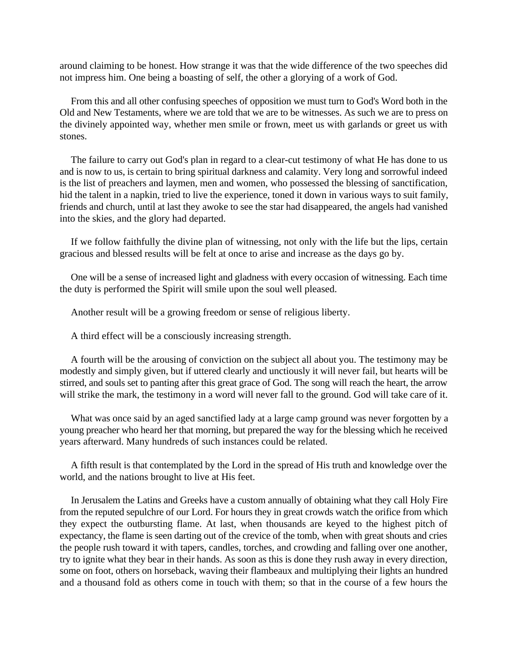around claiming to be honest. How strange it was that the wide difference of the two speeches did not impress him. One being a boasting of self, the other a glorying of a work of God.

From this and all other confusing speeches of opposition we must turn to God's Word both in the Old and New Testaments, where we are told that we are to be witnesses. As such we are to press on the divinely appointed way, whether men smile or frown, meet us with garlands or greet us with stones.

The failure to carry out God's plan in regard to a clear-cut testimony of what He has done to us and is now to us, is certain to bring spiritual darkness and calamity. Very long and sorrowful indeed is the list of preachers and laymen, men and women, who possessed the blessing of sanctification, hid the talent in a napkin, tried to live the experience, toned it down in various ways to suit family, friends and church, until at last they awoke to see the star had disappeared, the angels had vanished into the skies, and the glory had departed.

If we follow faithfully the divine plan of witnessing, not only with the life but the lips, certain gracious and blessed results will be felt at once to arise and increase as the days go by.

One will be a sense of increased light and gladness with every occasion of witnessing. Each time the duty is performed the Spirit will smile upon the soul well pleased.

Another result will be a growing freedom or sense of religious liberty.

A third effect will be a consciously increasing strength.

A fourth will be the arousing of conviction on the subject all about you. The testimony may be modestly and simply given, but if uttered clearly and unctiously it will never fail, but hearts will be stirred, and souls set to panting after this great grace of God. The song will reach the heart, the arrow will strike the mark, the testimony in a word will never fall to the ground. God will take care of it.

What was once said by an aged sanctified lady at a large camp ground was never forgotten by a young preacher who heard her that morning, but prepared the way for the blessing which he received years afterward. Many hundreds of such instances could be related.

A fifth result is that contemplated by the Lord in the spread of His truth and knowledge over the world, and the nations brought to live at His feet.

In Jerusalem the Latins and Greeks have a custom annually of obtaining what they call Holy Fire from the reputed sepulchre of our Lord. For hours they in great crowds watch the orifice from which they expect the outbursting flame. At last, when thousands are keyed to the highest pitch of expectancy, the flame is seen darting out of the crevice of the tomb, when with great shouts and cries the people rush toward it with tapers, candles, torches, and crowding and falling over one another, try to ignite what they bear in their hands. As soon as this is done they rush away in every direction, some on foot, others on horseback, waving their flambeaux and multiplying their lights an hundred and a thousand fold as others come in touch with them; so that in the course of a few hours the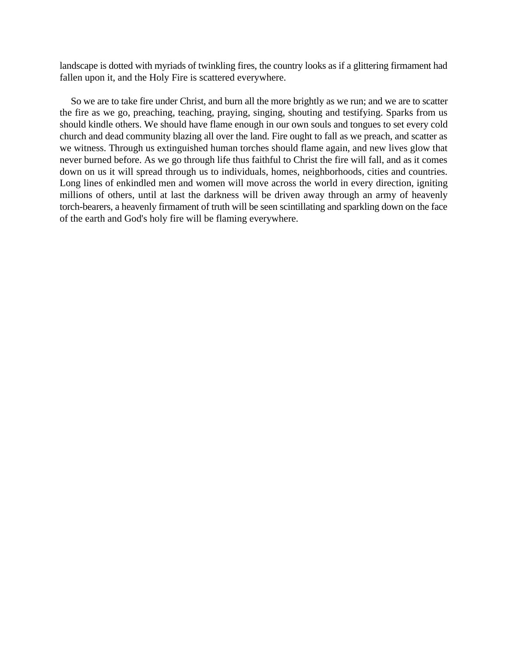landscape is dotted with myriads of twinkling fires, the country looks as if a glittering firmament had fallen upon it, and the Holy Fire is scattered everywhere.

So we are to take fire under Christ, and burn all the more brightly as we run; and we are to scatter the fire as we go, preaching, teaching, praying, singing, shouting and testifying. Sparks from us should kindle others. We should have flame enough in our own souls and tongues to set every cold church and dead community blazing all over the land. Fire ought to fall as we preach, and scatter as we witness. Through us extinguished human torches should flame again, and new lives glow that never burned before. As we go through life thus faithful to Christ the fire will fall, and as it comes down on us it will spread through us to individuals, homes, neighborhoods, cities and countries. Long lines of enkindled men and women will move across the world in every direction, igniting millions of others, until at last the darkness will be driven away through an army of heavenly torch-bearers, a heavenly firmament of truth will be seen scintillating and sparkling down on the face of the earth and God's holy fire will be flaming everywhere.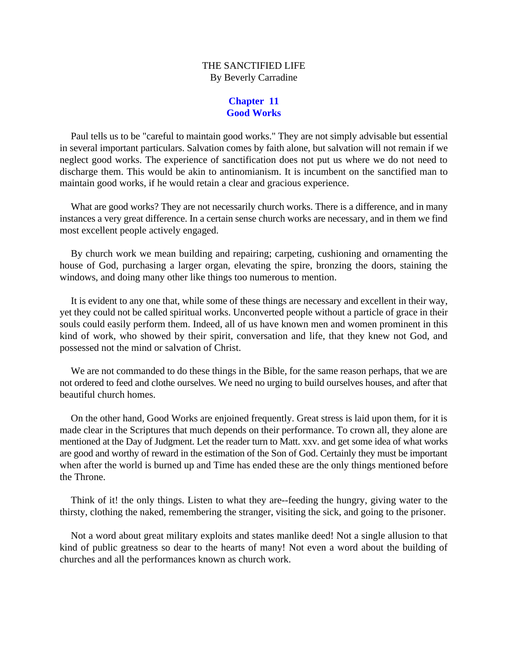# THE SANCTIFIED LIFE By Beverly Carradine

# **Chapter 11 Good Works**

Paul tells us to be "careful to maintain good works." They are not simply advisable but essential in several important particulars. Salvation comes by faith alone, but salvation will not remain if we neglect good works. The experience of sanctification does not put us where we do not need to discharge them. This would be akin to antinomianism. It is incumbent on the sanctified man to maintain good works, if he would retain a clear and gracious experience.

What are good works? They are not necessarily church works. There is a difference, and in many instances a very great difference. In a certain sense church works are necessary, and in them we find most excellent people actively engaged.

By church work we mean building and repairing; carpeting, cushioning and ornamenting the house of God, purchasing a larger organ, elevating the spire, bronzing the doors, staining the windows, and doing many other like things too numerous to mention.

It is evident to any one that, while some of these things are necessary and excellent in their way, yet they could not be called spiritual works. Unconverted people without a particle of grace in their souls could easily perform them. Indeed, all of us have known men and women prominent in this kind of work, who showed by their spirit, conversation and life, that they knew not God, and possessed not the mind or salvation of Christ.

We are not commanded to do these things in the Bible, for the same reason perhaps, that we are not ordered to feed and clothe ourselves. We need no urging to build ourselves houses, and after that beautiful church homes.

On the other hand, Good Works are enjoined frequently. Great stress is laid upon them, for it is made clear in the Scriptures that much depends on their performance. To crown all, they alone are mentioned at the Day of Judgment. Let the reader turn to Matt. xxv. and get some idea of what works are good and worthy of reward in the estimation of the Son of God. Certainly they must be important when after the world is burned up and Time has ended these are the only things mentioned before the Throne.

Think of it! the only things. Listen to what they are--feeding the hungry, giving water to the thirsty, clothing the naked, remembering the stranger, visiting the sick, and going to the prisoner.

Not a word about great military exploits and states manlike deed! Not a single allusion to that kind of public greatness so dear to the hearts of many! Not even a word about the building of churches and all the performances known as church work.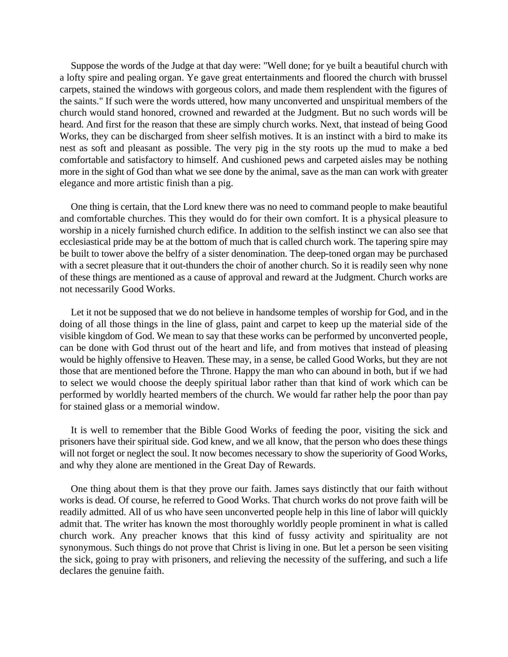Suppose the words of the Judge at that day were: "Well done; for ye built a beautiful church with a lofty spire and pealing organ. Ye gave great entertainments and floored the church with brussel carpets, stained the windows with gorgeous colors, and made them resplendent with the figures of the saints." If such were the words uttered, how many unconverted and unspiritual members of the church would stand honored, crowned and rewarded at the Judgment. But no such words will be heard. And first for the reason that these are simply church works. Next, that instead of being Good Works, they can be discharged from sheer selfish motives. It is an instinct with a bird to make its nest as soft and pleasant as possible. The very pig in the sty roots up the mud to make a bed comfortable and satisfactory to himself. And cushioned pews and carpeted aisles may be nothing more in the sight of God than what we see done by the animal, save as the man can work with greater elegance and more artistic finish than a pig.

One thing is certain, that the Lord knew there was no need to command people to make beautiful and comfortable churches. This they would do for their own comfort. It is a physical pleasure to worship in a nicely furnished church edifice. In addition to the selfish instinct we can also see that ecclesiastical pride may be at the bottom of much that is called church work. The tapering spire may be built to tower above the belfry of a sister denomination. The deep-toned organ may be purchased with a secret pleasure that it out-thunders the choir of another church. So it is readily seen why none of these things are mentioned as a cause of approval and reward at the Judgment. Church works are not necessarily Good Works.

Let it not be supposed that we do not believe in handsome temples of worship for God, and in the doing of all those things in the line of glass, paint and carpet to keep up the material side of the visible kingdom of God. We mean to say that these works can be performed by unconverted people, can be done with God thrust out of the heart and life, and from motives that instead of pleasing would be highly offensive to Heaven. These may, in a sense, be called Good Works, but they are not those that are mentioned before the Throne. Happy the man who can abound in both, but if we had to select we would choose the deeply spiritual labor rather than that kind of work which can be performed by worldly hearted members of the church. We would far rather help the poor than pay for stained glass or a memorial window.

It is well to remember that the Bible Good Works of feeding the poor, visiting the sick and prisoners have their spiritual side. God knew, and we all know, that the person who does these things will not forget or neglect the soul. It now becomes necessary to show the superiority of Good Works, and why they alone are mentioned in the Great Day of Rewards.

One thing about them is that they prove our faith. James says distinctly that our faith without works is dead. Of course, he referred to Good Works. That church works do not prove faith will be readily admitted. All of us who have seen unconverted people help in this line of labor will quickly admit that. The writer has known the most thoroughly worldly people prominent in what is called church work. Any preacher knows that this kind of fussy activity and spirituality are not synonymous. Such things do not prove that Christ is living in one. But let a person be seen visiting the sick, going to pray with prisoners, and relieving the necessity of the suffering, and such a life declares the genuine faith.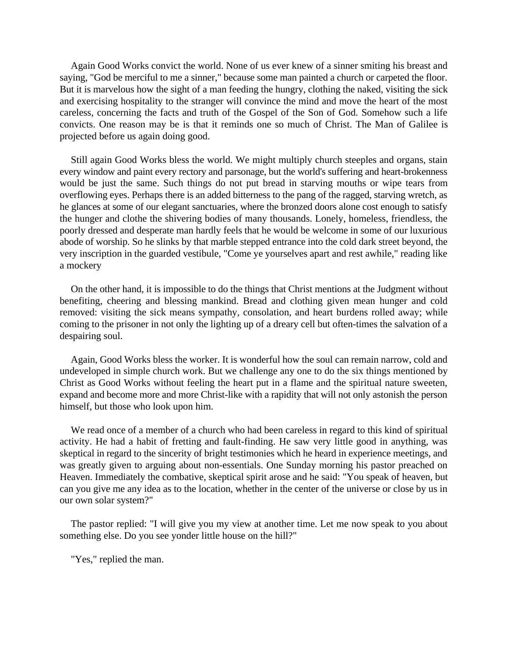Again Good Works convict the world. None of us ever knew of a sinner smiting his breast and saying, "God be merciful to me a sinner," because some man painted a church or carpeted the floor. But it is marvelous how the sight of a man feeding the hungry, clothing the naked, visiting the sick and exercising hospitality to the stranger will convince the mind and move the heart of the most careless, concerning the facts and truth of the Gospel of the Son of God. Somehow such a life convicts. One reason may be is that it reminds one so much of Christ. The Man of Galilee is projected before us again doing good.

Still again Good Works bless the world. We might multiply church steeples and organs, stain every window and paint every rectory and parsonage, but the world's suffering and heart-brokenness would be just the same. Such things do not put bread in starving mouths or wipe tears from overflowing eyes. Perhaps there is an added bitterness to the pang of the ragged, starving wretch, as he glances at some of our elegant sanctuaries, where the bronzed doors alone cost enough to satisfy the hunger and clothe the shivering bodies of many thousands. Lonely, homeless, friendless, the poorly dressed and desperate man hardly feels that he would be welcome in some of our luxurious abode of worship. So he slinks by that marble stepped entrance into the cold dark street beyond, the very inscription in the guarded vestibule, "Come ye yourselves apart and rest awhile," reading like a mockery

On the other hand, it is impossible to do the things that Christ mentions at the Judgment without benefiting, cheering and blessing mankind. Bread and clothing given mean hunger and cold removed: visiting the sick means sympathy, consolation, and heart burdens rolled away; while coming to the prisoner in not only the lighting up of a dreary cell but often-times the salvation of a despairing soul.

Again, Good Works bless the worker. It is wonderful how the soul can remain narrow, cold and undeveloped in simple church work. But we challenge any one to do the six things mentioned by Christ as Good Works without feeling the heart put in a flame and the spiritual nature sweeten, expand and become more and more Christ-like with a rapidity that will not only astonish the person himself, but those who look upon him.

We read once of a member of a church who had been careless in regard to this kind of spiritual activity. He had a habit of fretting and fault-finding. He saw very little good in anything, was skeptical in regard to the sincerity of bright testimonies which he heard in experience meetings, and was greatly given to arguing about non-essentials. One Sunday morning his pastor preached on Heaven. Immediately the combative, skeptical spirit arose and he said: "You speak of heaven, but can you give me any idea as to the location, whether in the center of the universe or close by us in our own solar system?"

The pastor replied: "I will give you my view at another time. Let me now speak to you about something else. Do you see yonder little house on the hill?"

"Yes," replied the man.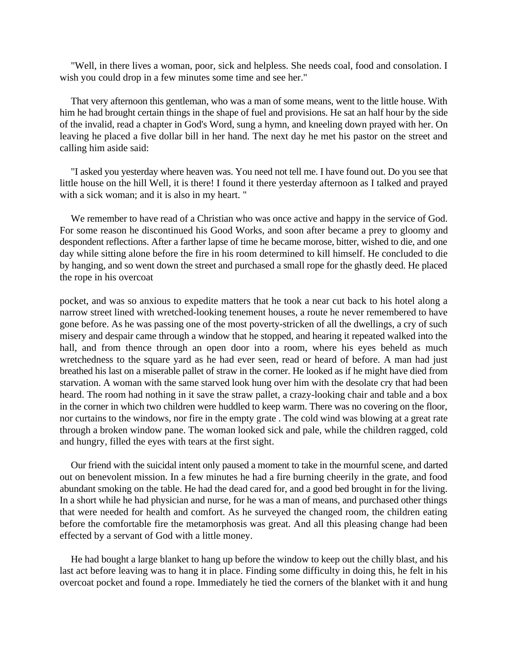"Well, in there lives a woman, poor, sick and helpless. She needs coal, food and consolation. I wish you could drop in a few minutes some time and see her."

That very afternoon this gentleman, who was a man of some means, went to the little house. With him he had brought certain things in the shape of fuel and provisions. He sat an half hour by the side of the invalid, read a chapter in God's Word, sung a hymn, and kneeling down prayed with her. On leaving he placed a five dollar bill in her hand. The next day he met his pastor on the street and calling him aside said:

"I asked you yesterday where heaven was. You need not tell me. I have found out. Do you see that little house on the hill Well, it is there! I found it there yesterday afternoon as I talked and prayed with a sick woman; and it is also in my heart. "

We remember to have read of a Christian who was once active and happy in the service of God. For some reason he discontinued his Good Works, and soon after became a prey to gloomy and despondent reflections. After a farther lapse of time he became morose, bitter, wished to die, and one day while sitting alone before the fire in his room determined to kill himself. He concluded to die by hanging, and so went down the street and purchased a small rope for the ghastly deed. He placed the rope in his overcoat

pocket, and was so anxious to expedite matters that he took a near cut back to his hotel along a narrow street lined with wretched-looking tenement houses, a route he never remembered to have gone before. As he was passing one of the most poverty-stricken of all the dwellings, a cry of such misery and despair came through a window that he stopped, and hearing it repeated walked into the hall, and from thence through an open door into a room, where his eyes beheld as much wretchedness to the square yard as he had ever seen, read or heard of before. A man had just breathed his last on a miserable pallet of straw in the corner. He looked as if he might have died from starvation. A woman with the same starved look hung over him with the desolate cry that had been heard. The room had nothing in it save the straw pallet, a crazy-looking chair and table and a box in the corner in which two children were huddled to keep warm. There was no covering on the floor, nor curtains to the windows, nor fire in the empty grate . The cold wind was blowing at a great rate through a broken window pane. The woman looked sick and pale, while the children ragged, cold and hungry, filled the eyes with tears at the first sight.

Our friend with the suicidal intent only paused a moment to take in the mournful scene, and darted out on benevolent mission. In a few minutes he had a fire burning cheerily in the grate, and food abundant smoking on the table. He had the dead cared for, and a good bed brought in for the living. In a short while he had physician and nurse, for he was a man of means, and purchased other things that were needed for health and comfort. As he surveyed the changed room, the children eating before the comfortable fire the metamorphosis was great. And all this pleasing change had been effected by a servant of God with a little money.

He had bought a large blanket to hang up before the window to keep out the chilly blast, and his last act before leaving was to hang it in place. Finding some difficulty in doing this, he felt in his overcoat pocket and found a rope. Immediately he tied the corners of the blanket with it and hung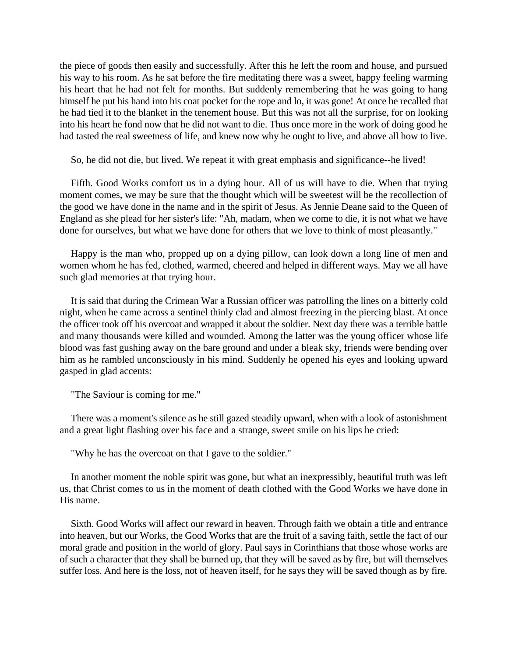the piece of goods then easily and successfully. After this he left the room and house, and pursued his way to his room. As he sat before the fire meditating there was a sweet, happy feeling warming his heart that he had not felt for months. But suddenly remembering that he was going to hang himself he put his hand into his coat pocket for the rope and lo, it was gone! At once he recalled that he had tied it to the blanket in the tenement house. But this was not all the surprise, for on looking into his heart he fond now that he did not want to die. Thus once more in the work of doing good he had tasted the real sweetness of life, and knew now why he ought to live, and above all how to live.

So, he did not die, but lived. We repeat it with great emphasis and significance--he lived!

Fifth. Good Works comfort us in a dying hour. All of us will have to die. When that trying moment comes, we may be sure that the thought which will be sweetest will be the recollection of the good we have done in the name and in the spirit of Jesus. As Jennie Deane said to the Queen of England as she plead for her sister's life: "Ah, madam, when we come to die, it is not what we have done for ourselves, but what we have done for others that we love to think of most pleasantly."

Happy is the man who, propped up on a dying pillow, can look down a long line of men and women whom he has fed, clothed, warmed, cheered and helped in different ways. May we all have such glad memories at that trying hour.

It is said that during the Crimean War a Russian officer was patrolling the lines on a bitterly cold night, when he came across a sentinel thinly clad and almost freezing in the piercing blast. At once the officer took off his overcoat and wrapped it about the soldier. Next day there was a terrible battle and many thousands were killed and wounded. Among the latter was the young officer whose life blood was fast gushing away on the bare ground and under a bleak sky, friends were bending over him as he rambled unconsciously in his mind. Suddenly he opened his eyes and looking upward gasped in glad accents:

"The Saviour is coming for me."

There was a moment's silence as he still gazed steadily upward, when with a look of astonishment and a great light flashing over his face and a strange, sweet smile on his lips he cried:

"Why he has the overcoat on that I gave to the soldier."

In another moment the noble spirit was gone, but what an inexpressibly, beautiful truth was left us, that Christ comes to us in the moment of death clothed with the Good Works we have done in His name.

Sixth. Good Works will affect our reward in heaven. Through faith we obtain a title and entrance into heaven, but our Works, the Good Works that are the fruit of a saving faith, settle the fact of our moral grade and position in the world of glory. Paul says in Corinthians that those whose works are of such a character that they shall be burned up, that they will be saved as by fire, but will themselves suffer loss. And here is the loss, not of heaven itself, for he says they will be saved though as by fire.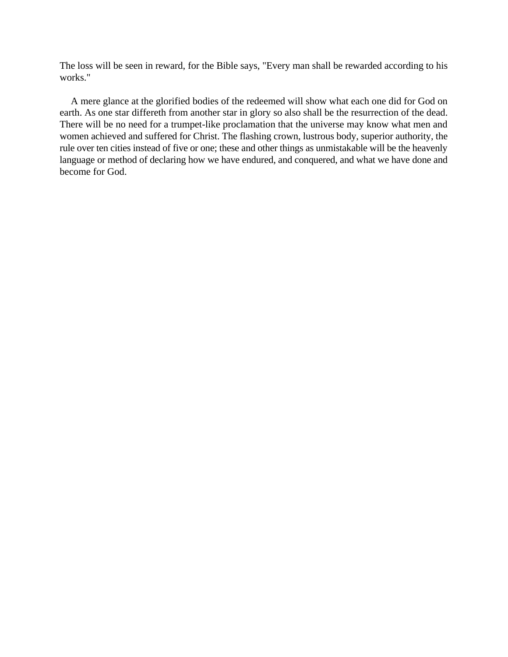The loss will be seen in reward, for the Bible says, "Every man shall be rewarded according to his works."

A mere glance at the glorified bodies of the redeemed will show what each one did for God on earth. As one star differeth from another star in glory so also shall be the resurrection of the dead. There will be no need for a trumpet-like proclamation that the universe may know what men and women achieved and suffered for Christ. The flashing crown, lustrous body, superior authority, the rule over ten cities instead of five or one; these and other things as unmistakable will be the heavenly language or method of declaring how we have endured, and conquered, and what we have done and become for God.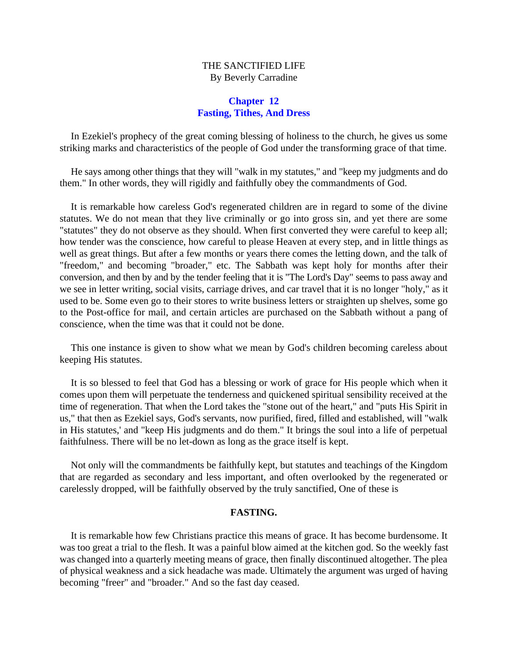# THE SANCTIFIED LIFE By Beverly Carradine

#### **Chapter 12 Fasting, Tithes, And Dress**

In Ezekiel's prophecy of the great coming blessing of holiness to the church, he gives us some striking marks and characteristics of the people of God under the transforming grace of that time.

He says among other things that they will "walk in my statutes," and "keep my judgments and do them." In other words, they will rigidly and faithfully obey the commandments of God.

It is remarkable how careless God's regenerated children are in regard to some of the divine statutes. We do not mean that they live criminally or go into gross sin, and yet there are some "statutes" they do not observe as they should. When first converted they were careful to keep all; how tender was the conscience, how careful to please Heaven at every step, and in little things as well as great things. But after a few months or years there comes the letting down, and the talk of "freedom," and becoming "broader," etc. The Sabbath was kept holy for months after their conversion, and then by and by the tender feeling that it is "The Lord's Day" seems to pass away and we see in letter writing, social visits, carriage drives, and car travel that it is no longer "holy," as it used to be. Some even go to their stores to write business letters or straighten up shelves, some go to the Post-office for mail, and certain articles are purchased on the Sabbath without a pang of conscience, when the time was that it could not be done.

This one instance is given to show what we mean by God's children becoming careless about keeping His statutes.

It is so blessed to feel that God has a blessing or work of grace for His people which when it comes upon them will perpetuate the tenderness and quickened spiritual sensibility received at the time of regeneration. That when the Lord takes the "stone out of the heart," and "puts His Spirit in us," that then as Ezekiel says, God's servants, now purified, fired, filled and established, will "walk in His statutes,' and "keep His judgments and do them." It brings the soul into a life of perpetual faithfulness. There will be no let-down as long as the grace itself is kept.

Not only will the commandments be faithfully kept, but statutes and teachings of the Kingdom that are regarded as secondary and less important, and often overlooked by the regenerated or carelessly dropped, will be faithfully observed by the truly sanctified, One of these is

#### **FASTING.**

It is remarkable how few Christians practice this means of grace. It has become burdensome. It was too great a trial to the flesh. It was a painful blow aimed at the kitchen god. So the weekly fast was changed into a quarterly meeting means of grace, then finally discontinued altogether. The plea of physical weakness and a sick headache was made. Ultimately the argument was urged of having becoming "freer" and "broader." And so the fast day ceased.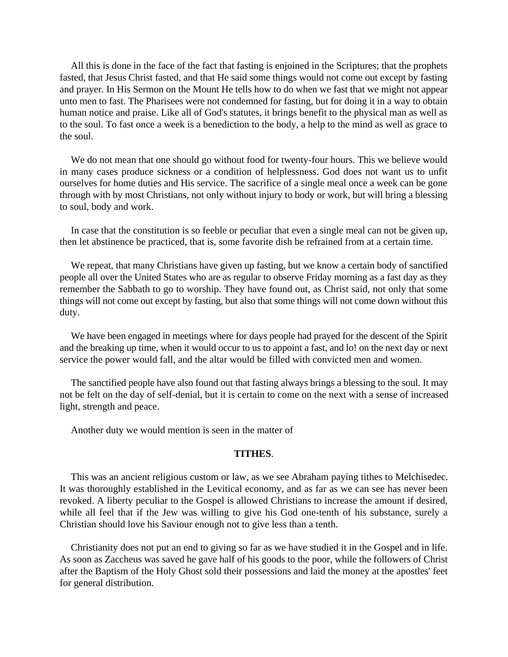All this is done in the face of the fact that fasting is enjoined in the Scriptures; that the prophets fasted, that Jesus Christ fasted, and that He said some things would not come out except by fasting and prayer. In His Sermon on the Mount He tells how to do when we fast that we might not appear unto men to fast. The Pharisees were not condemned for fasting, but for doing it in a way to obtain human notice and praise. Like all of God's statutes, it brings benefit to the physical man as well as to the soul. To fast once a week is a benediction to the body, a help to the mind as well as grace to the soul.

We do not mean that one should go without food for twenty-four hours. This we believe would in many cases produce sickness or a condition of helplessness. God does not want us to unfit ourselves for home duties and His service. The sacrifice of a single meal once a week can be gone through with by most Christians, not only without injury to body or work, but will bring a blessing to soul, body and work.

In case that the constitution is so feeble or peculiar that even a single meal can not be given up, then let abstinence be practiced, that is, some favorite dish be refrained from at a certain time.

We repeat, that many Christians have given up fasting, but we know a certain body of sanctified people all over the United States who are as regular to observe Friday morning as a fast day as they remember the Sabbath to go to worship. They have found out, as Christ said, not only that some things will not come out except by fasting, but also that some things will not come down without this duty.

We have been engaged in meetings where for days people had prayed for the descent of the Spirit and the breaking up time, when it would occur to us to appoint a fast, and lo! on the next day or next service the power would fall, and the altar would be filled with convicted men and women.

The sanctified people have also found out that fasting always brings a blessing to the soul. It may not be felt on the day of self-denial, but it is certain to come on the next with a sense of increased light, strength and peace.

Another duty we would mention is seen in the matter of

#### **TITHES**.

This was an ancient religious custom or law, as we see Abraham paying tithes to Melchisedec. It was thoroughly established in the Levitical economy, and as far as we can see has never been revoked. A liberty peculiar to the Gospel is allowed Christians to increase the amount if desired, while all feel that if the Jew was willing to give his God one-tenth of his substance, surely a Christian should love his Saviour enough not to give less than a tenth.

Christianity does not put an end to giving so far as we have studied it in the Gospel and in life. As soon as Zaccheus was saved he gave half of his goods to the poor, while the followers of Christ after the Baptism of the Holy Ghost sold their possessions and laid the money at the apostles' feet for general distribution.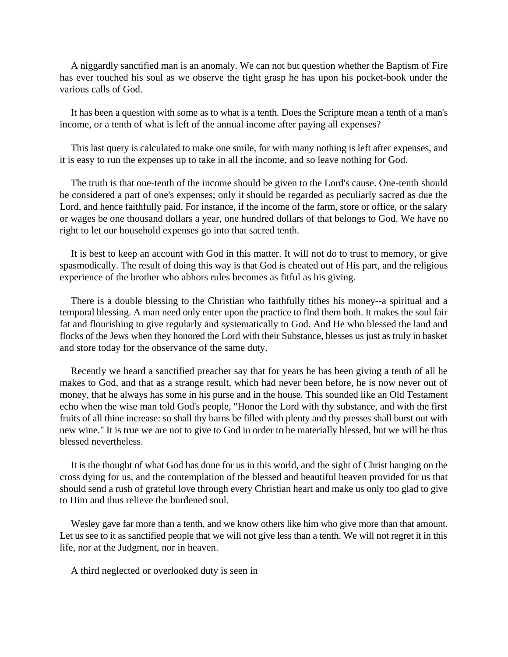A niggardly sanctified man is an anomaly. We can not but question whether the Baptism of Fire has ever touched his soul as we observe the tight grasp he has upon his pocket-book under the various calls of God.

It has been a question with some as to what is a tenth. Does the Scripture mean a tenth of a man's income, or a tenth of what is left of the annual income after paying all expenses?

This last query is calculated to make one smile, for with many nothing is left after expenses, and it is easy to run the expenses up to take in all the income, and so leave nothing for God.

The truth is that one-tenth of the income should be given to the Lord's cause. One-tenth should be considered a part of one's expenses; only it should be regarded as peculiarly sacred as due the Lord, and hence faithfully paid. For instance, if the income of the farm, store or office, or the salary or wages be one thousand dollars a year, one hundred dollars of that belongs to God. We have no right to let our household expenses go into that sacred tenth.

It is best to keep an account with God in this matter. It will not do to trust to memory, or give spasmodically. The result of doing this way is that God is cheated out of His part, and the religious experience of the brother who abhors rules becomes as fitful as his giving.

There is a double blessing to the Christian who faithfully tithes his money--a spiritual and a temporal blessing. A man need only enter upon the practice to find them both. It makes the soul fair fat and flourishing to give regularly and systematically to God. And He who blessed the land and flocks of the Jews when they honored the Lord with their Substance, blesses us just as truly in basket and store today for the observance of the same duty.

Recently we heard a sanctified preacher say that for years he has been giving a tenth of all he makes to God, and that as a strange result, which had never been before, he is now never out of money, that he always has some in his purse and in the house. This sounded like an Old Testament echo when the wise man told God's people, "Honor the Lord with thy substance, and with the first fruits of all thine increase: so shall thy barns be filled with plenty and thy presses shall burst out with new wine." It is true we are not to give to God in order to be materially blessed, but we will be thus blessed nevertheless.

It is the thought of what God has done for us in this world, and the sight of Christ hanging on the cross dying for us, and the contemplation of the blessed and beautiful heaven provided for us that should send a rush of grateful love through every Christian heart and make us only too glad to give to Him and thus relieve the burdened soul.

Wesley gave far more than a tenth, and we know others like him who give more than that amount. Let us see to it as sanctified people that we will not give less than a tenth. We will not regret it in this life, nor at the Judgment, nor in heaven.

A third neglected or overlooked duty is seen in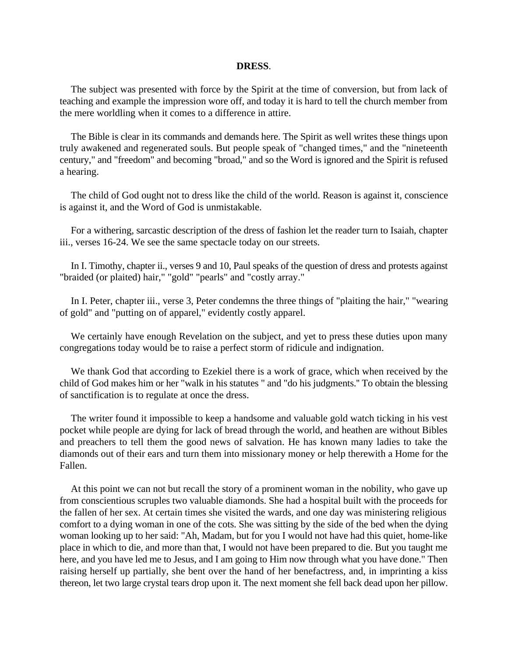#### **DRESS**.

The subject was presented with force by the Spirit at the time of conversion, but from lack of teaching and example the impression wore off, and today it is hard to tell the church member from the mere worldling when it comes to a difference in attire.

The Bible is clear in its commands and demands here. The Spirit as well writes these things upon truly awakened and regenerated souls. But people speak of "changed times," and the "nineteenth century," and "freedom" and becoming "broad," and so the Word is ignored and the Spirit is refused a hearing.

The child of God ought not to dress like the child of the world. Reason is against it, conscience is against it, and the Word of God is unmistakable.

For a withering, sarcastic description of the dress of fashion let the reader turn to Isaiah, chapter iii., verses 16-24. We see the same spectacle today on our streets.

In I. Timothy, chapter ii., verses 9 and 10, Paul speaks of the question of dress and protests against "braided (or plaited) hair," "gold" "pearls" and "costly array."

In I. Peter, chapter iii., verse 3, Peter condemns the three things of "plaiting the hair," "wearing of gold" and "putting on of apparel," evidently costly apparel.

We certainly have enough Revelation on the subject, and yet to press these duties upon many congregations today would be to raise a perfect storm of ridicule and indignation.

We thank God that according to Ezekiel there is a work of grace, which when received by the child of God makes him or her "walk in his statutes " and "do his judgments.'' To obtain the blessing of sanctification is to regulate at once the dress.

The writer found it impossible to keep a handsome and valuable gold watch ticking in his vest pocket while people are dying for lack of bread through the world, and heathen are without Bibles and preachers to tell them the good news of salvation. He has known many ladies to take the diamonds out of their ears and turn them into missionary money or help therewith a Home for the Fallen.

At this point we can not but recall the story of a prominent woman in the nobility, who gave up from conscientious scruples two valuable diamonds. She had a hospital built with the proceeds for the fallen of her sex. At certain times she visited the wards, and one day was ministering religious comfort to a dying woman in one of the cots. She was sitting by the side of the bed when the dying woman looking up to her said: "Ah, Madam, but for you I would not have had this quiet, home-like place in which to die, and more than that, I would not have been prepared to die. But you taught me here, and you have led me to Jesus, and I am going to Him now through what you have done." Then raising herself up partially, she bent over the hand of her benefactress, and, in imprinting a kiss thereon, let two large crystal tears drop upon it. The next moment she fell back dead upon her pillow.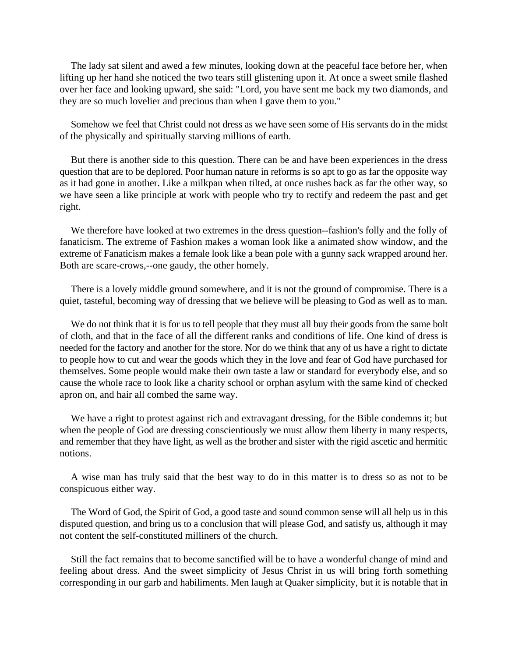The lady sat silent and awed a few minutes, looking down at the peaceful face before her, when lifting up her hand she noticed the two tears still glistening upon it. At once a sweet smile flashed over her face and looking upward, she said: "Lord, you have sent me back my two diamonds, and they are so much lovelier and precious than when I gave them to you."

Somehow we feel that Christ could not dress as we have seen some of His servants do in the midst of the physically and spiritually starving millions of earth.

But there is another side to this question. There can be and have been experiences in the dress question that are to be deplored. Poor human nature in reforms is so apt to go as far the opposite way as it had gone in another. Like a milkpan when tilted, at once rushes back as far the other way, so we have seen a like principle at work with people who try to rectify and redeem the past and get right.

We therefore have looked at two extremes in the dress question--fashion's folly and the folly of fanaticism. The extreme of Fashion makes a woman look like a animated show window, and the extreme of Fanaticism makes a female look like a bean pole with a gunny sack wrapped around her. Both are scare-crows,--one gaudy, the other homely.

There is a lovely middle ground somewhere, and it is not the ground of compromise. There is a quiet, tasteful, becoming way of dressing that we believe will be pleasing to God as well as to man.

We do not think that it is for us to tell people that they must all buy their goods from the same bolt of cloth, and that in the face of all the different ranks and conditions of life. One kind of dress is needed for the factory and another for the store. Nor do we think that any of us have a right to dictate to people how to cut and wear the goods which they in the love and fear of God have purchased for themselves. Some people would make their own taste a law or standard for everybody else, and so cause the whole race to look like a charity school or orphan asylum with the same kind of checked apron on, and hair all combed the same way.

We have a right to protest against rich and extravagant dressing, for the Bible condemns it; but when the people of God are dressing conscientiously we must allow them liberty in many respects, and remember that they have light, as well as the brother and sister with the rigid ascetic and hermitic notions.

A wise man has truly said that the best way to do in this matter is to dress so as not to be conspicuous either way.

The Word of God, the Spirit of God, a good taste and sound common sense will all help us in this disputed question, and bring us to a conclusion that will please God, and satisfy us, although it may not content the self-constituted milliners of the church.

Still the fact remains that to become sanctified will be to have a wonderful change of mind and feeling about dress. And the sweet simplicity of Jesus Christ in us will bring forth something corresponding in our garb and habiliments. Men laugh at Quaker simplicity, but it is notable that in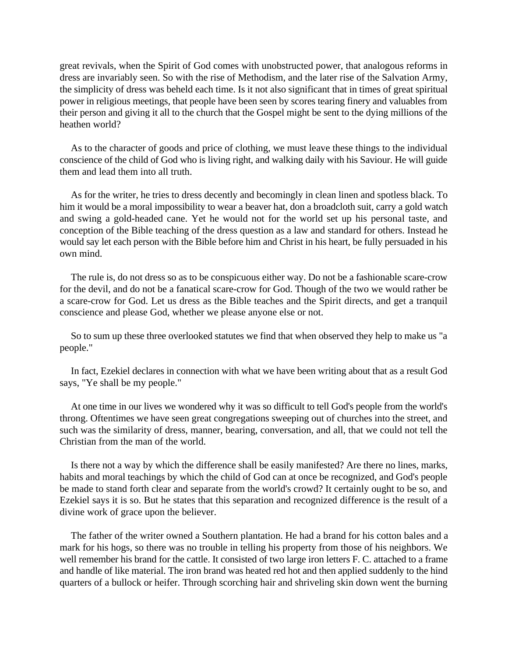great revivals, when the Spirit of God comes with unobstructed power, that analogous reforms in dress are invariably seen. So with the rise of Methodism, and the later rise of the Salvation Army, the simplicity of dress was beheld each time. Is it not also significant that in times of great spiritual power in religious meetings, that people have been seen by scores tearing finery and valuables from their person and giving it all to the church that the Gospel might be sent to the dying millions of the heathen world?

As to the character of goods and price of clothing, we must leave these things to the individual conscience of the child of God who is living right, and walking daily with his Saviour. He will guide them and lead them into all truth.

As for the writer, he tries to dress decently and becomingly in clean linen and spotless black. To him it would be a moral impossibility to wear a beaver hat, don a broadcloth suit, carry a gold watch and swing a gold-headed cane. Yet he would not for the world set up his personal taste, and conception of the Bible teaching of the dress question as a law and standard for others. Instead he would say let each person with the Bible before him and Christ in his heart, be fully persuaded in his own mind.

The rule is, do not dress so as to be conspicuous either way. Do not be a fashionable scare-crow for the devil, and do not be a fanatical scare-crow for God. Though of the two we would rather be a scare-crow for God. Let us dress as the Bible teaches and the Spirit directs, and get a tranquil conscience and please God, whether we please anyone else or not.

So to sum up these three overlooked statutes we find that when observed they help to make us "a people."

In fact, Ezekiel declares in connection with what we have been writing about that as a result God says, "Ye shall be my people."

At one time in our lives we wondered why it was so difficult to tell God's people from the world's throng. Oftentimes we have seen great congregations sweeping out of churches into the street, and such was the similarity of dress, manner, bearing, conversation, and all, that we could not tell the Christian from the man of the world.

Is there not a way by which the difference shall be easily manifested? Are there no lines, marks, habits and moral teachings by which the child of God can at once be recognized, and God's people be made to stand forth clear and separate from the world's crowd? It certainly ought to be so, and Ezekiel says it is so. But he states that this separation and recognized difference is the result of a divine work of grace upon the believer.

The father of the writer owned a Southern plantation. He had a brand for his cotton bales and a mark for his hogs, so there was no trouble in telling his property from those of his neighbors. We well remember his brand for the cattle. It consisted of two large iron letters F. C. attached to a frame and handle of like material. The iron brand was heated red hot and then applied suddenly to the hind quarters of a bullock or heifer. Through scorching hair and shriveling skin down went the burning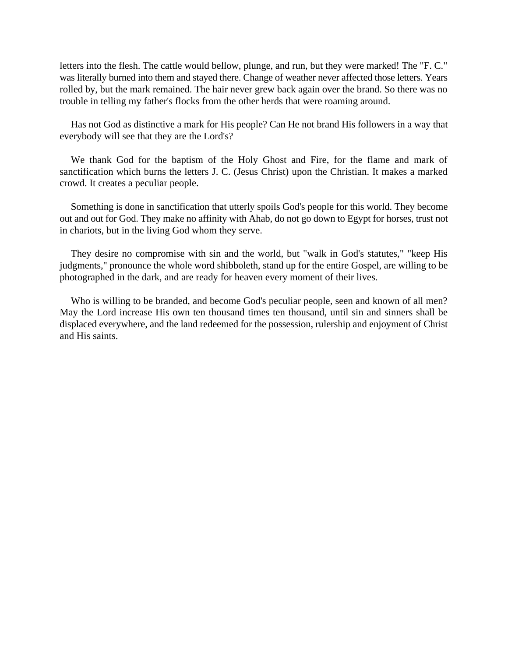letters into the flesh. The cattle would bellow, plunge, and run, but they were marked! The "F. C." was literally burned into them and stayed there. Change of weather never affected those letters. Years rolled by, but the mark remained. The hair never grew back again over the brand. So there was no trouble in telling my father's flocks from the other herds that were roaming around.

Has not God as distinctive a mark for His people? Can He not brand His followers in a way that everybody will see that they are the Lord's?

We thank God for the baptism of the Holy Ghost and Fire, for the flame and mark of sanctification which burns the letters J. C. (Jesus Christ) upon the Christian. It makes a marked crowd. It creates a peculiar people.

Something is done in sanctification that utterly spoils God's people for this world. They become out and out for God. They make no affinity with Ahab, do not go down to Egypt for horses, trust not in chariots, but in the living God whom they serve.

They desire no compromise with sin and the world, but "walk in God's statutes," "keep His judgments," pronounce the whole word shibboleth, stand up for the entire Gospel, are willing to be photographed in the dark, and are ready for heaven every moment of their lives.

Who is willing to be branded, and become God's peculiar people, seen and known of all men? May the Lord increase His own ten thousand times ten thousand, until sin and sinners shall be displaced everywhere, and the land redeemed for the possession, rulership and enjoyment of Christ and His saints.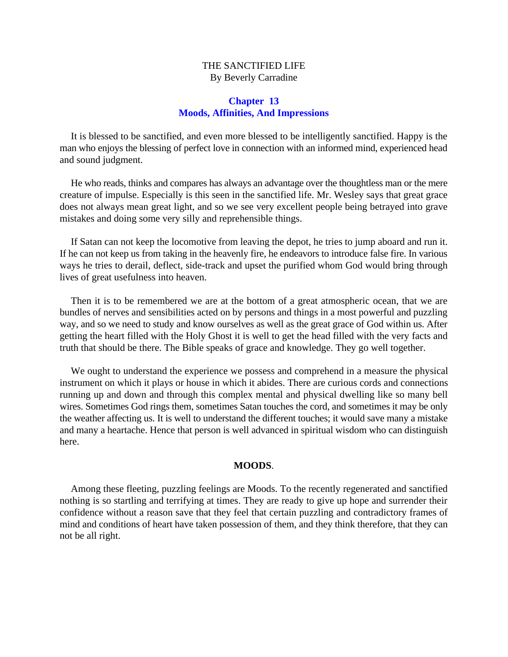# THE SANCTIFIED LIFE By Beverly Carradine

## **Chapter 13 Moods, Affinities, And Impressions**

It is blessed to be sanctified, and even more blessed to be intelligently sanctified. Happy is the man who enjoys the blessing of perfect love in connection with an informed mind, experienced head and sound judgment.

He who reads, thinks and compares has always an advantage over the thoughtless man or the mere creature of impulse. Especially is this seen in the sanctified life. Mr. Wesley says that great grace does not always mean great light, and so we see very excellent people being betrayed into grave mistakes and doing some very silly and reprehensible things.

If Satan can not keep the locomotive from leaving the depot, he tries to jump aboard and run it. If he can not keep us from taking in the heavenly fire, he endeavors to introduce false fire. In various ways he tries to derail, deflect, side-track and upset the purified whom God would bring through lives of great usefulness into heaven.

Then it is to be remembered we are at the bottom of a great atmospheric ocean, that we are bundles of nerves and sensibilities acted on by persons and things in a most powerful and puzzling way, and so we need to study and know ourselves as well as the great grace of God within us. After getting the heart filled with the Holy Ghost it is well to get the head filled with the very facts and truth that should be there. The Bible speaks of grace and knowledge. They go well together.

We ought to understand the experience we possess and comprehend in a measure the physical instrument on which it plays or house in which it abides. There are curious cords and connections running up and down and through this complex mental and physical dwelling like so many bell wires. Sometimes God rings them, sometimes Satan touches the cord, and sometimes it may be only the weather affecting us. It is well to understand the different touches; it would save many a mistake and many a heartache. Hence that person is well advanced in spiritual wisdom who can distinguish here.

### **MOODS**.

Among these fleeting, puzzling feelings are Moods. To the recently regenerated and sanctified nothing is so startling and terrifying at times. They are ready to give up hope and surrender their confidence without a reason save that they feel that certain puzzling and contradictory frames of mind and conditions of heart have taken possession of them, and they think therefore, that they can not be all right.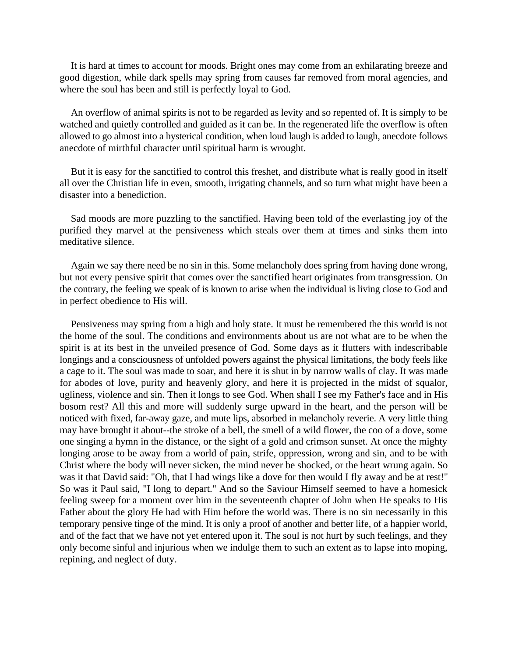It is hard at times to account for moods. Bright ones may come from an exhilarating breeze and good digestion, while dark spells may spring from causes far removed from moral agencies, and where the soul has been and still is perfectly loyal to God.

An overflow of animal spirits is not to be regarded as levity and so repented of. It is simply to be watched and quietly controlled and guided as it can be. In the regenerated life the overflow is often allowed to go almost into a hysterical condition, when loud laugh is added to laugh, anecdote follows anecdote of mirthful character until spiritual harm is wrought.

But it is easy for the sanctified to control this freshet, and distribute what is really good in itself all over the Christian life in even, smooth, irrigating channels, and so turn what might have been a disaster into a benediction.

Sad moods are more puzzling to the sanctified. Having been told of the everlasting joy of the purified they marvel at the pensiveness which steals over them at times and sinks them into meditative silence.

Again we say there need be no sin in this. Some melancholy does spring from having done wrong, but not every pensive spirit that comes over the sanctified heart originates from transgression. On the contrary, the feeling we speak of is known to arise when the individual is living close to God and in perfect obedience to His will.

Pensiveness may spring from a high and holy state. It must be remembered the this world is not the home of the soul. The conditions and environments about us are not what are to be when the spirit is at its best in the unveiled presence of God. Some days as it flutters with indescribable longings and a consciousness of unfolded powers against the physical limitations, the body feels like a cage to it. The soul was made to soar, and here it is shut in by narrow walls of clay. It was made for abodes of love, purity and heavenly glory, and here it is projected in the midst of squalor, ugliness, violence and sin. Then it longs to see God. When shall I see my Father's face and in His bosom rest? All this and more will suddenly surge upward in the heart, and the person will be noticed with fixed, far-away gaze, and mute lips, absorbed in melancholy reverie. A very little thing may have brought it about--the stroke of a bell, the smell of a wild flower, the coo of a dove, some one singing a hymn in the distance, or the sight of a gold and crimson sunset. At once the mighty longing arose to be away from a world of pain, strife, oppression, wrong and sin, and to be with Christ where the body will never sicken, the mind never be shocked, or the heart wrung again. So was it that David said: "Oh, that I had wings like a dove for then would I fly away and be at rest!" So was it Paul said, "I long to depart." And so the Saviour Himself seemed to have a homesick feeling sweep for a moment over him in the seventeenth chapter of John when He speaks to His Father about the glory He had with Him before the world was. There is no sin necessarily in this temporary pensive tinge of the mind. It is only a proof of another and better life, of a happier world, and of the fact that we have not yet entered upon it. The soul is not hurt by such feelings, and they only become sinful and injurious when we indulge them to such an extent as to lapse into moping, repining, and neglect of duty.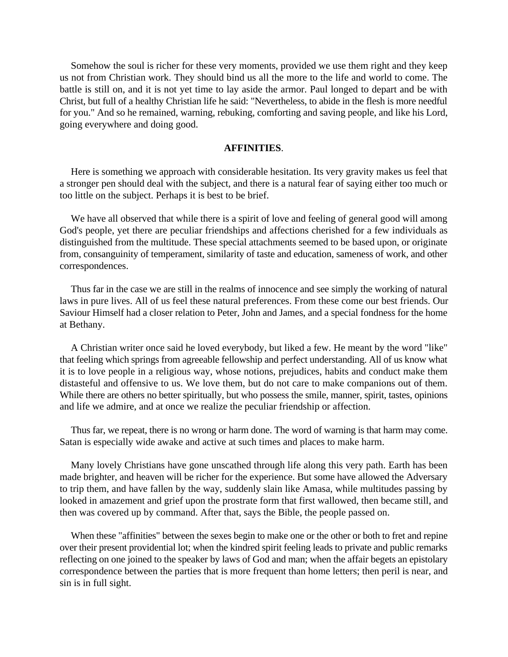Somehow the soul is richer for these very moments, provided we use them right and they keep us not from Christian work. They should bind us all the more to the life and world to come. The battle is still on, and it is not yet time to lay aside the armor. Paul longed to depart and be with Christ, but full of a healthy Christian life he said: "Nevertheless, to abide in the flesh is more needful for you." And so he remained, warning, rebuking, comforting and saving people, and like his Lord, going everywhere and doing good.

## **AFFINITIES**.

Here is something we approach with considerable hesitation. Its very gravity makes us feel that a stronger pen should deal with the subject, and there is a natural fear of saying either too much or too little on the subject. Perhaps it is best to be brief.

We have all observed that while there is a spirit of love and feeling of general good will among God's people, yet there are peculiar friendships and affections cherished for a few individuals as distinguished from the multitude. These special attachments seemed to be based upon, or originate from, consanguinity of temperament, similarity of taste and education, sameness of work, and other correspondences.

Thus far in the case we are still in the realms of innocence and see simply the working of natural laws in pure lives. All of us feel these natural preferences. From these come our best friends. Our Saviour Himself had a closer relation to Peter, John and James, and a special fondness for the home at Bethany.

A Christian writer once said he loved everybody, but liked a few. He meant by the word "like" that feeling which springs from agreeable fellowship and perfect understanding. All of us know what it is to love people in a religious way, whose notions, prejudices, habits and conduct make them distasteful and offensive to us. We love them, but do not care to make companions out of them. While there are others no better spiritually, but who possess the smile, manner, spirit, tastes, opinions and life we admire, and at once we realize the peculiar friendship or affection.

Thus far, we repeat, there is no wrong or harm done. The word of warning is that harm may come. Satan is especially wide awake and active at such times and places to make harm.

Many lovely Christians have gone unscathed through life along this very path. Earth has been made brighter, and heaven will be richer for the experience. But some have allowed the Adversary to trip them, and have fallen by the way, suddenly slain like Amasa, while multitudes passing by looked in amazement and grief upon the prostrate form that first wallowed, then became still, and then was covered up by command. After that, says the Bible, the people passed on.

When these "affinities" between the sexes begin to make one or the other or both to fret and repine over their present providential lot; when the kindred spirit feeling leads to private and public remarks reflecting on one joined to the speaker by laws of God and man; when the affair begets an epistolary correspondence between the parties that is more frequent than home letters; then peril is near, and sin is in full sight.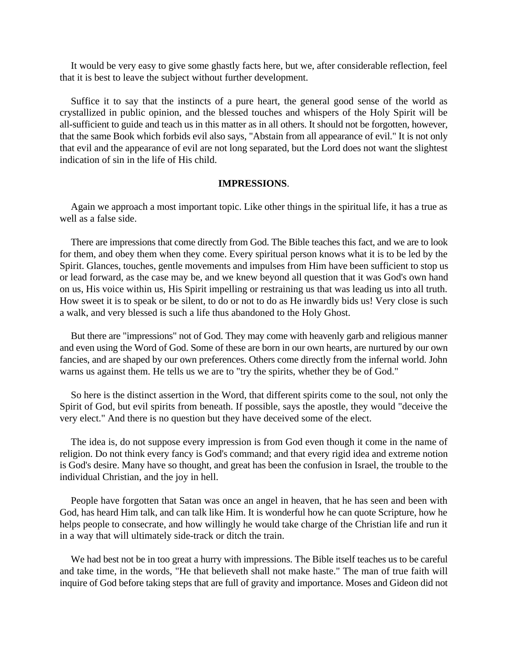It would be very easy to give some ghastly facts here, but we, after considerable reflection, feel that it is best to leave the subject without further development.

Suffice it to say that the instincts of a pure heart, the general good sense of the world as crystallized in public opinion, and the blessed touches and whispers of the Holy Spirit will be all-sufficient to guide and teach us in this matter as in all others. It should not be forgotten, however, that the same Book which forbids evil also says, "Abstain from all appearance of evil." It is not only that evil and the appearance of evil are not long separated, but the Lord does not want the slightest indication of sin in the life of His child.

### **IMPRESSIONS**.

Again we approach a most important topic. Like other things in the spiritual life, it has a true as well as a false side.

There are impressions that come directly from God. The Bible teaches this fact, and we are to look for them, and obey them when they come. Every spiritual person knows what it is to be led by the Spirit. Glances, touches, gentle movements and impulses from Him have been sufficient to stop us or lead forward, as the case may be, and we knew beyond all question that it was God's own hand on us, His voice within us, His Spirit impelling or restraining us that was leading us into all truth. How sweet it is to speak or be silent, to do or not to do as He inwardly bids us! Very close is such a walk, and very blessed is such a life thus abandoned to the Holy Ghost.

But there are "impressions" not of God. They may come with heavenly garb and religious manner and even using the Word of God. Some of these are born in our own hearts, are nurtured by our own fancies, and are shaped by our own preferences. Others come directly from the infernal world. John warns us against them. He tells us we are to "try the spirits, whether they be of God."

So here is the distinct assertion in the Word, that different spirits come to the soul, not only the Spirit of God, but evil spirits from beneath. If possible, says the apostle, they would "deceive the very elect." And there is no question but they have deceived some of the elect.

The idea is, do not suppose every impression is from God even though it come in the name of religion. Do not think every fancy is God's command; and that every rigid idea and extreme notion is God's desire. Many have so thought, and great has been the confusion in Israel, the trouble to the individual Christian, and the joy in hell.

People have forgotten that Satan was once an angel in heaven, that he has seen and been with God, has heard Him talk, and can talk like Him. It is wonderful how he can quote Scripture, how he helps people to consecrate, and how willingly he would take charge of the Christian life and run it in a way that will ultimately side-track or ditch the train.

We had best not be in too great a hurry with impressions. The Bible itself teaches us to be careful and take time, in the words, "He that believeth shall not make haste." The man of true faith will inquire of God before taking steps that are full of gravity and importance. Moses and Gideon did not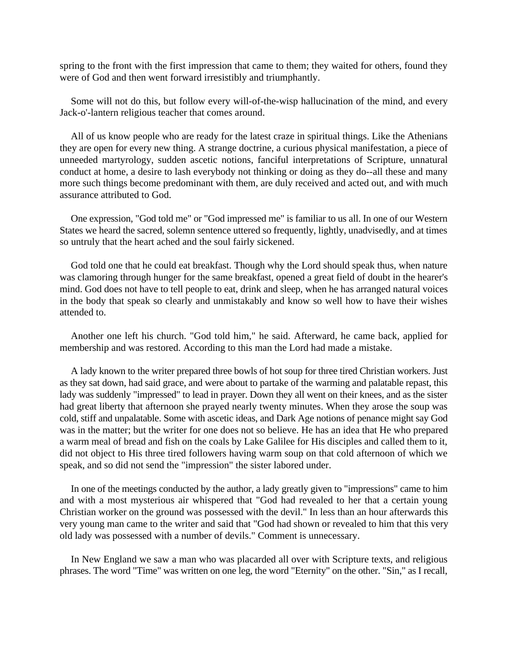spring to the front with the first impression that came to them; they waited for others, found they were of God and then went forward irresistibly and triumphantly.

Some will not do this, but follow every will-of-the-wisp hallucination of the mind, and every Jack-o'-lantern religious teacher that comes around.

All of us know people who are ready for the latest craze in spiritual things. Like the Athenians they are open for every new thing. A strange doctrine, a curious physical manifestation, a piece of unneeded martyrology, sudden ascetic notions, fanciful interpretations of Scripture, unnatural conduct at home, a desire to lash everybody not thinking or doing as they do--all these and many more such things become predominant with them, are duly received and acted out, and with much assurance attributed to God.

One expression, "God told me" or "God impressed me" is familiar to us all. In one of our Western States we heard the sacred, solemn sentence uttered so frequently, lightly, unadvisedly, and at times so untruly that the heart ached and the soul fairly sickened.

God told one that he could eat breakfast. Though why the Lord should speak thus, when nature was clamoring through hunger for the same breakfast, opened a great field of doubt in the hearer's mind. God does not have to tell people to eat, drink and sleep, when he has arranged natural voices in the body that speak so clearly and unmistakably and know so well how to have their wishes attended to.

Another one left his church. "God told him," he said. Afterward, he came back, applied for membership and was restored. According to this man the Lord had made a mistake.

A lady known to the writer prepared three bowls of hot soup for three tired Christian workers. Just as they sat down, had said grace, and were about to partake of the warming and palatable repast, this lady was suddenly "impressed" to lead in prayer. Down they all went on their knees, and as the sister had great liberty that afternoon she prayed nearly twenty minutes. When they arose the soup was cold, stiff and unpalatable. Some with ascetic ideas, and Dark Age notions of penance might say God was in the matter; but the writer for one does not so believe. He has an idea that He who prepared a warm meal of bread and fish on the coals by Lake Galilee for His disciples and called them to it, did not object to His three tired followers having warm soup on that cold afternoon of which we speak, and so did not send the "impression" the sister labored under.

In one of the meetings conducted by the author, a lady greatly given to "impressions" came to him and with a most mysterious air whispered that "God had revealed to her that a certain young Christian worker on the ground was possessed with the devil." In less than an hour afterwards this very young man came to the writer and said that "God had shown or revealed to him that this very old lady was possessed with a number of devils." Comment is unnecessary.

In New England we saw a man who was placarded all over with Scripture texts, and religious phrases. The word "Time" was written on one leg, the word "Eternity" on the other. "Sin," as I recall,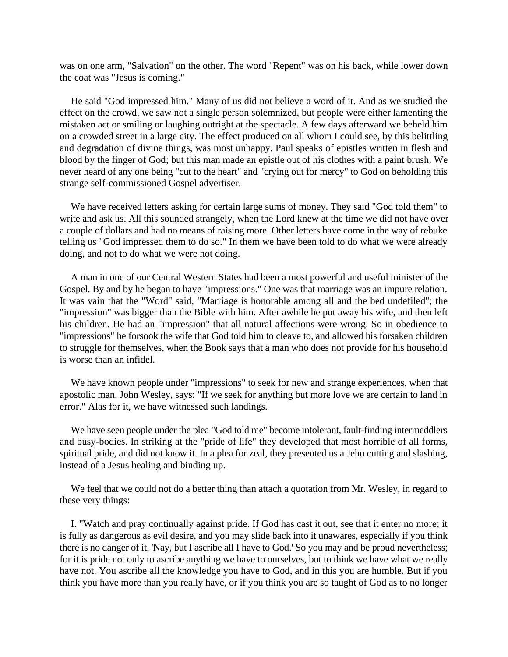was on one arm, "Salvation" on the other. The word "Repent" was on his back, while lower down the coat was "Jesus is coming."

He said "God impressed him." Many of us did not believe a word of it. And as we studied the effect on the crowd, we saw not a single person solemnized, but people were either lamenting the mistaken act or smiling or laughing outright at the spectacle. A few days afterward we beheld him on a crowded street in a large city. The effect produced on all whom I could see, by this belittling and degradation of divine things, was most unhappy. Paul speaks of epistles written in flesh and blood by the finger of God; but this man made an epistle out of his clothes with a paint brush. We never heard of any one being "cut to the heart" and "crying out for mercy" to God on beholding this strange self-commissioned Gospel advertiser.

We have received letters asking for certain large sums of money. They said "God told them" to write and ask us. All this sounded strangely, when the Lord knew at the time we did not have over a couple of dollars and had no means of raising more. Other letters have come in the way of rebuke telling us "God impressed them to do so." In them we have been told to do what we were already doing, and not to do what we were not doing.

A man in one of our Central Western States had been a most powerful and useful minister of the Gospel. By and by he began to have "impressions." One was that marriage was an impure relation. It was vain that the "Word" said, "Marriage is honorable among all and the bed undefiled"; the "impression" was bigger than the Bible with him. After awhile he put away his wife, and then left his children. He had an "impression" that all natural affections were wrong. So in obedience to "impressions" he forsook the wife that God told him to cleave to, and allowed his forsaken children to struggle for themselves, when the Book says that a man who does not provide for his household is worse than an infidel.

We have known people under "impressions" to seek for new and strange experiences, when that apostolic man, John Wesley, says: "If we seek for anything but more love we are certain to land in error." Alas for it, we have witnessed such landings.

We have seen people under the plea "God told me" become intolerant, fault-finding intermeddlers and busy-bodies. In striking at the "pride of life" they developed that most horrible of all forms, spiritual pride, and did not know it. In a plea for zeal, they presented us a Jehu cutting and slashing, instead of a Jesus healing and binding up.

We feel that we could not do a better thing than attach a quotation from Mr. Wesley, in regard to these very things:

I. "Watch and pray continually against pride. If God has cast it out, see that it enter no more; it is fully as dangerous as evil desire, and you may slide back into it unawares, especially if you think there is no danger of it. 'Nay, but I ascribe all I have to God.' So you may and be proud nevertheless; for it is pride not only to ascribe anything we have to ourselves, but to think we have what we really have not. You ascribe all the knowledge you have to God, and in this you are humble. But if you think you have more than you really have, or if you think you are so taught of God as to no longer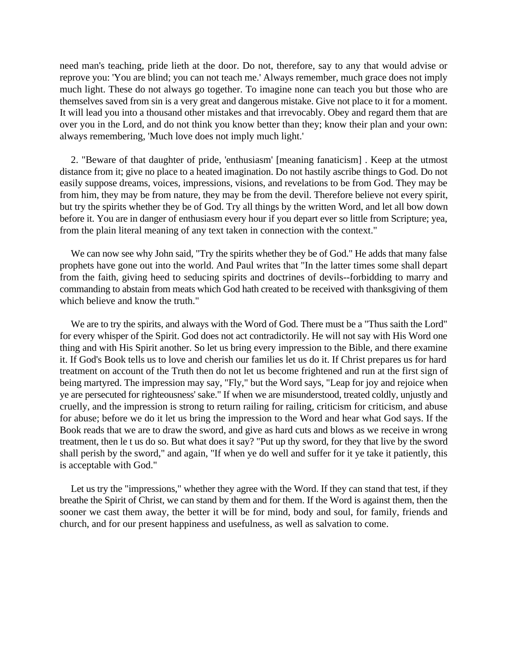need man's teaching, pride lieth at the door. Do not, therefore, say to any that would advise or reprove you: 'You are blind; you can not teach me.' Always remember, much grace does not imply much light. These do not always go together. To imagine none can teach you but those who are themselves saved from sin is a very great and dangerous mistake. Give not place to it for a moment. It will lead you into a thousand other mistakes and that irrevocably. Obey and regard them that are over you in the Lord, and do not think you know better than they; know their plan and your own: always remembering, 'Much love does not imply much light.'

2. "Beware of that daughter of pride, 'enthusiasm' [meaning fanaticism] . Keep at the utmost distance from it; give no place to a heated imagination. Do not hastily ascribe things to God. Do not easily suppose dreams, voices, impressions, visions, and revelations to be from God. They may be from him, they may be from nature, they may be from the devil. Therefore believe not every spirit, but try the spirits whether they be of God. Try all things by the written Word, and let all bow down before it. You are in danger of enthusiasm every hour if you depart ever so little from Scripture; yea, from the plain literal meaning of any text taken in connection with the context."

We can now see why John said, "Try the spirits whether they be of God." He adds that many false prophets have gone out into the world. And Paul writes that "In the latter times some shall depart from the faith, giving heed to seducing spirits and doctrines of devils--forbidding to marry and commanding to abstain from meats which God hath created to be received with thanksgiving of them which believe and know the truth."

We are to try the spirits, and always with the Word of God. There must be a "Thus saith the Lord" for every whisper of the Spirit. God does not act contradictorily. He will not say with His Word one thing and with His Spirit another. So let us bring every impression to the Bible, and there examine it. If God's Book tells us to love and cherish our families let us do it. If Christ prepares us for hard treatment on account of the Truth then do not let us become frightened and run at the first sign of being martyred. The impression may say, "Fly," but the Word says, "Leap for joy and rejoice when ye are persecuted for righteousness' sake." If when we are misunderstood, treated coldly, unjustly and cruelly, and the impression is strong to return railing for railing, criticism for criticism, and abuse for abuse; before we do it let us bring the impression to the Word and hear what God says. If the Book reads that we are to draw the sword, and give as hard cuts and blows as we receive in wrong treatment, then le t us do so. But what does it say? "Put up thy sword, for they that live by the sword shall perish by the sword," and again, "If when ye do well and suffer for it ye take it patiently, this is acceptable with God."

Let us try the "impressions," whether they agree with the Word. If they can stand that test, if they breathe the Spirit of Christ, we can stand by them and for them. If the Word is against them, then the sooner we cast them away, the better it will be for mind, body and soul, for family, friends and church, and for our present happiness and usefulness, as well as salvation to come.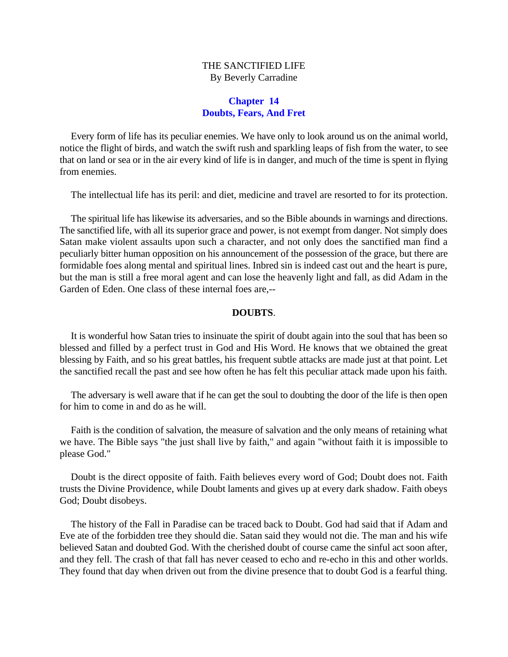# THE SANCTIFIED LIFE By Beverly Carradine

## **Chapter 14 Doubts, Fears, And Fret**

Every form of life has its peculiar enemies. We have only to look around us on the animal world, notice the flight of birds, and watch the swift rush and sparkling leaps of fish from the water, to see that on land or sea or in the air every kind of life is in danger, and much of the time is spent in flying from enemies.

The intellectual life has its peril: and diet, medicine and travel are resorted to for its protection.

The spiritual life has likewise its adversaries, and so the Bible abounds in warnings and directions. The sanctified life, with all its superior grace and power, is not exempt from danger. Not simply does Satan make violent assaults upon such a character, and not only does the sanctified man find a peculiarly bitter human opposition on his announcement of the possession of the grace, but there are formidable foes along mental and spiritual lines. Inbred sin is indeed cast out and the heart is pure, but the man is still a free moral agent and can lose the heavenly light and fall, as did Adam in the Garden of Eden. One class of these internal foes are,--

## **DOUBTS**.

It is wonderful how Satan tries to insinuate the spirit of doubt again into the soul that has been so blessed and filled by a perfect trust in God and His Word. He knows that we obtained the great blessing by Faith, and so his great battles, his frequent subtle attacks are made just at that point. Let the sanctified recall the past and see how often he has felt this peculiar attack made upon his faith.

The adversary is well aware that if he can get the soul to doubting the door of the life is then open for him to come in and do as he will.

Faith is the condition of salvation, the measure of salvation and the only means of retaining what we have. The Bible says "the just shall live by faith," and again "without faith it is impossible to please God."

Doubt is the direct opposite of faith. Faith believes every word of God; Doubt does not. Faith trusts the Divine Providence, while Doubt laments and gives up at every dark shadow. Faith obeys God; Doubt disobeys.

The history of the Fall in Paradise can be traced back to Doubt. God had said that if Adam and Eve ate of the forbidden tree they should die. Satan said they would not die. The man and his wife believed Satan and doubted God. With the cherished doubt of course came the sinful act soon after, and they fell. The crash of that fall has never ceased to echo and re-echo in this and other worlds. They found that day when driven out from the divine presence that to doubt God is a fearful thing.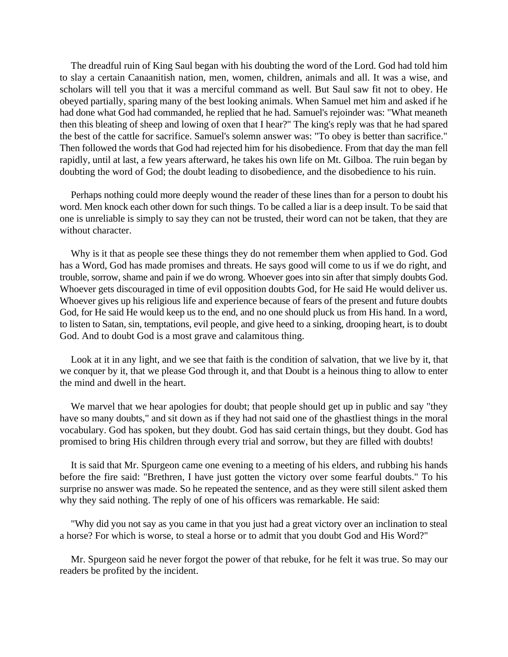The dreadful ruin of King Saul began with his doubting the word of the Lord. God had told him to slay a certain Canaanitish nation, men, women, children, animals and all. It was a wise, and scholars will tell you that it was a merciful command as well. But Saul saw fit not to obey. He obeyed partially, sparing many of the best looking animals. When Samuel met him and asked if he had done what God had commanded, he replied that he had. Samuel's rejoinder was: "What meaneth then this bleating of sheep and lowing of oxen that I hear?" The king's reply was that he had spared the best of the cattle for sacrifice. Samuel's solemn answer was: "To obey is better than sacrifice." Then followed the words that God had rejected him for his disobedience. From that day the man fell rapidly, until at last, a few years afterward, he takes his own life on Mt. Gilboa. The ruin began by doubting the word of God; the doubt leading to disobedience, and the disobedience to his ruin.

Perhaps nothing could more deeply wound the reader of these lines than for a person to doubt his word. Men knock each other down for such things. To be called a liar is a deep insult. To be said that one is unreliable is simply to say they can not be trusted, their word can not be taken, that they are without character.

Why is it that as people see these things they do not remember them when applied to God. God has a Word, God has made promises and threats. He says good will come to us if we do right, and trouble, sorrow, shame and pain if we do wrong. Whoever goes into sin after that simply doubts God. Whoever gets discouraged in time of evil opposition doubts God, for He said He would deliver us. Whoever gives up his religious life and experience because of fears of the present and future doubts God, for He said He would keep us to the end, and no one should pluck us from His hand. In a word, to listen to Satan, sin, temptations, evil people, and give heed to a sinking, drooping heart, is to doubt God. And to doubt God is a most grave and calamitous thing.

Look at it in any light, and we see that faith is the condition of salvation, that we live by it, that we conquer by it, that we please God through it, and that Doubt is a heinous thing to allow to enter the mind and dwell in the heart.

We marvel that we hear apologies for doubt; that people should get up in public and say "they have so many doubts," and sit down as if they had not said one of the ghastliest things in the moral vocabulary. God has spoken, but they doubt. God has said certain things, but they doubt. God has promised to bring His children through every trial and sorrow, but they are filled with doubts!

It is said that Mr. Spurgeon came one evening to a meeting of his elders, and rubbing his hands before the fire said: "Brethren, I have just gotten the victory over some fearful doubts." To his surprise no answer was made. So he repeated the sentence, and as they were still silent asked them why they said nothing. The reply of one of his officers was remarkable. He said:

"Why did you not say as you came in that you just had a great victory over an inclination to steal a horse? For which is worse, to steal a horse or to admit that you doubt God and His Word?"

Mr. Spurgeon said he never forgot the power of that rebuke, for he felt it was true. So may our readers be profited by the incident.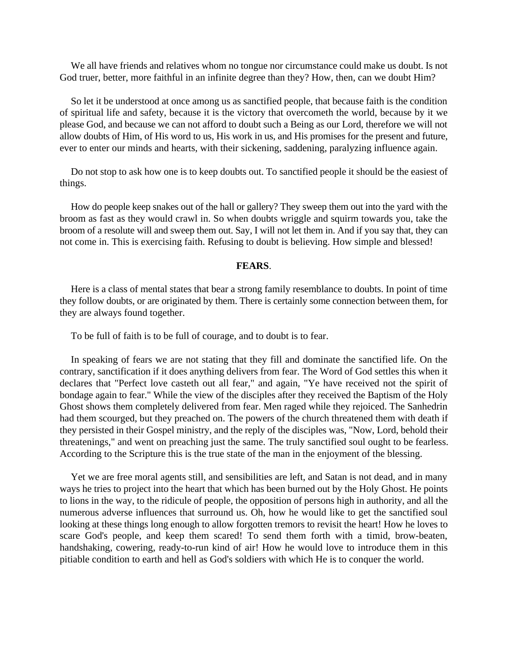We all have friends and relatives whom no tongue nor circumstance could make us doubt. Is not God truer, better, more faithful in an infinite degree than they? How, then, can we doubt Him?

So let it be understood at once among us as sanctified people, that because faith is the condition of spiritual life and safety, because it is the victory that overcometh the world, because by it we please God, and because we can not afford to doubt such a Being as our Lord, therefore we will not allow doubts of Him, of His word to us, His work in us, and His promises for the present and future, ever to enter our minds and hearts, with their sickening, saddening, paralyzing influence again.

Do not stop to ask how one is to keep doubts out. To sanctified people it should be the easiest of things.

How do people keep snakes out of the hall or gallery? They sweep them out into the yard with the broom as fast as they would crawl in. So when doubts wriggle and squirm towards you, take the broom of a resolute will and sweep them out. Say, I will not let them in. And if you say that, they can not come in. This is exercising faith. Refusing to doubt is believing. How simple and blessed!

### **FEARS**.

Here is a class of mental states that bear a strong family resemblance to doubts. In point of time they follow doubts, or are originated by them. There is certainly some connection between them, for they are always found together.

To be full of faith is to be full of courage, and to doubt is to fear.

In speaking of fears we are not stating that they fill and dominate the sanctified life. On the contrary, sanctification if it does anything delivers from fear. The Word of God settles this when it declares that "Perfect love casteth out all fear," and again, "Ye have received not the spirit of bondage again to fear." While the view of the disciples after they received the Baptism of the Holy Ghost shows them completely delivered from fear. Men raged while they rejoiced. The Sanhedrin had them scourged, but they preached on. The powers of the church threatened them with death if they persisted in their Gospel ministry, and the reply of the disciples was, "Now, Lord, behold their threatenings," and went on preaching just the same. The truly sanctified soul ought to be fearless. According to the Scripture this is the true state of the man in the enjoyment of the blessing.

Yet we are free moral agents still, and sensibilities are left, and Satan is not dead, and in many ways he tries to project into the heart that which has been burned out by the Holy Ghost. He points to lions in the way, to the ridicule of people, the opposition of persons high in authority, and all the numerous adverse influences that surround us. Oh, how he would like to get the sanctified soul looking at these things long enough to allow forgotten tremors to revisit the heart! How he loves to scare God's people, and keep them scared! To send them forth with a timid, brow-beaten, handshaking, cowering, ready-to-run kind of air! How he would love to introduce them in this pitiable condition to earth and hell as God's soldiers with which He is to conquer the world.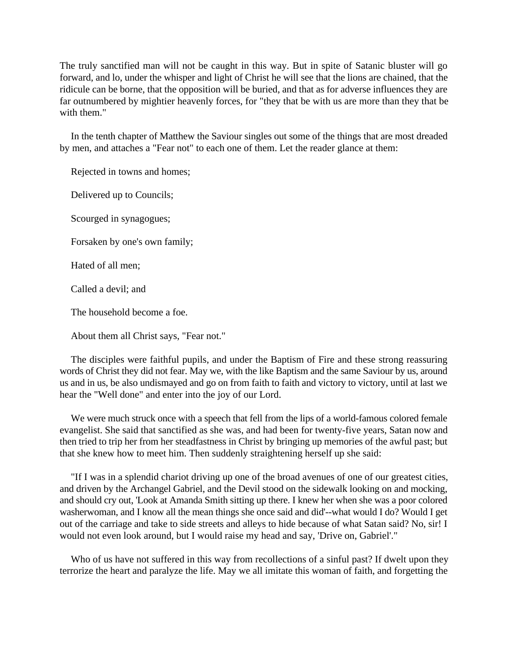The truly sanctified man will not be caught in this way. But in spite of Satanic bluster will go forward, and lo, under the whisper and light of Christ he will see that the lions are chained, that the ridicule can be borne, that the opposition will be buried, and that as for adverse influences they are far outnumbered by mightier heavenly forces, for "they that be with us are more than they that be with them."

In the tenth chapter of Matthew the Saviour singles out some of the things that are most dreaded by men, and attaches a "Fear not" to each one of them. Let the reader glance at them:

Rejected in towns and homes;

Delivered up to Councils;

Scourged in synagogues;

Forsaken by one's own family;

Hated of all men;

Called a devil; and

The household become a foe.

About them all Christ says, "Fear not."

The disciples were faithful pupils, and under the Baptism of Fire and these strong reassuring words of Christ they did not fear. May we, with the like Baptism and the same Saviour by us, around us and in us, be also undismayed and go on from faith to faith and victory to victory, until at last we hear the "Well done" and enter into the joy of our Lord.

We were much struck once with a speech that fell from the lips of a world-famous colored female evangelist. She said that sanctified as she was, and had been for twenty-five years, Satan now and then tried to trip her from her steadfastness in Christ by bringing up memories of the awful past; but that she knew how to meet him. Then suddenly straightening herself up she said:

"If I was in a splendid chariot driving up one of the broad avenues of one of our greatest cities, and driven by the Archangel Gabriel, and the Devil stood on the sidewalk looking on and mocking, and should cry out, 'Look at Amanda Smith sitting up there. I knew her when she was a poor colored washerwoman, and I know all the mean things she once said and did'--what would I do? Would I get out of the carriage and take to side streets and alleys to hide because of what Satan said? No, sir! I would not even look around, but I would raise my head and say, 'Drive on, Gabriel'."

Who of us have not suffered in this way from recollections of a sinful past? If dwelt upon they terrorize the heart and paralyze the life. May we all imitate this woman of faith, and forgetting the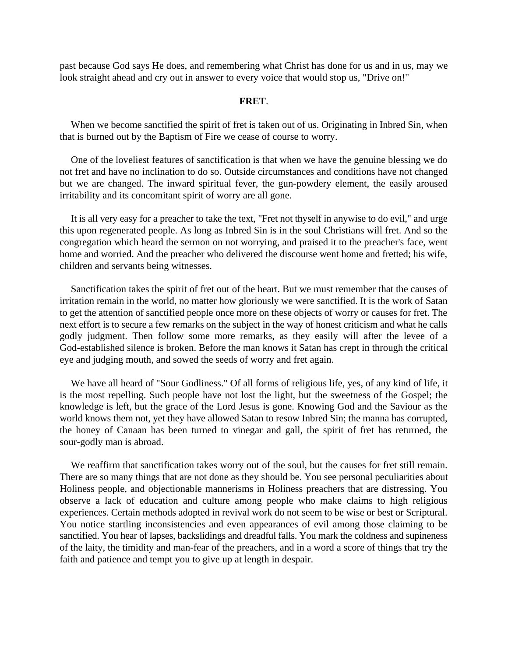past because God says He does, and remembering what Christ has done for us and in us, may we look straight ahead and cry out in answer to every voice that would stop us, "Drive on!"

#### **FRET**.

When we become sanctified the spirit of fret is taken out of us. Originating in Inbred Sin, when that is burned out by the Baptism of Fire we cease of course to worry.

One of the loveliest features of sanctification is that when we have the genuine blessing we do not fret and have no inclination to do so. Outside circumstances and conditions have not changed but we are changed. The inward spiritual fever, the gun-powdery element, the easily aroused irritability and its concomitant spirit of worry are all gone.

It is all very easy for a preacher to take the text, "Fret not thyself in anywise to do evil," and urge this upon regenerated people. As long as Inbred Sin is in the soul Christians will fret. And so the congregation which heard the sermon on not worrying, and praised it to the preacher's face, went home and worried. And the preacher who delivered the discourse went home and fretted; his wife, children and servants being witnesses.

Sanctification takes the spirit of fret out of the heart. But we must remember that the causes of irritation remain in the world, no matter how gloriously we were sanctified. It is the work of Satan to get the attention of sanctified people once more on these objects of worry or causes for fret. The next effort is to secure a few remarks on the subject in the way of honest criticism and what he calls godly judgment. Then follow some more remarks, as they easily will after the levee of a God-established silence is broken. Before the man knows it Satan has crept in through the critical eye and judging mouth, and sowed the seeds of worry and fret again.

We have all heard of "Sour Godliness." Of all forms of religious life, yes, of any kind of life, it is the most repelling. Such people have not lost the light, but the sweetness of the Gospel; the knowledge is left, but the grace of the Lord Jesus is gone. Knowing God and the Saviour as the world knows them not, yet they have allowed Satan to resow Inbred Sin; the manna has corrupted, the honey of Canaan has been turned to vinegar and gall, the spirit of fret has returned, the sour-godly man is abroad.

We reaffirm that sanctification takes worry out of the soul, but the causes for fret still remain. There are so many things that are not done as they should be. You see personal peculiarities about Holiness people, and objectionable mannerisms in Holiness preachers that are distressing. You observe a lack of education and culture among people who make claims to high religious experiences. Certain methods adopted in revival work do not seem to be wise or best or Scriptural. You notice startling inconsistencies and even appearances of evil among those claiming to be sanctified. You hear of lapses, backslidings and dreadful falls. You mark the coldness and supineness of the laity, the timidity and man-fear of the preachers, and in a word a score of things that try the faith and patience and tempt you to give up at length in despair.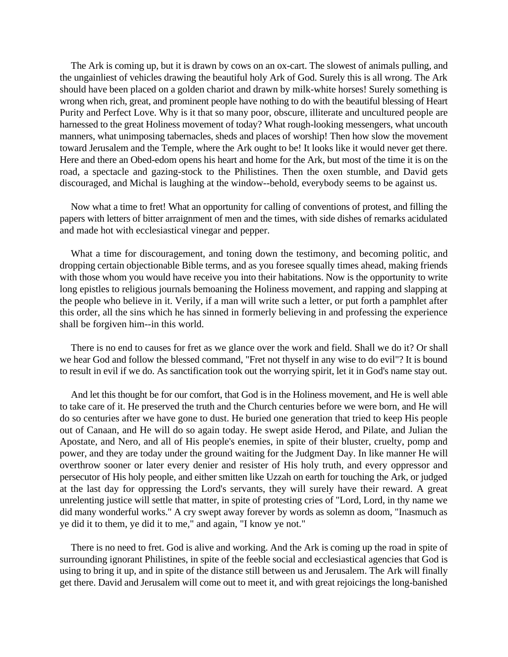The Ark is coming up, but it is drawn by cows on an ox-cart. The slowest of animals pulling, and the ungainliest of vehicles drawing the beautiful holy Ark of God. Surely this is all wrong. The Ark should have been placed on a golden chariot and drawn by milk-white horses! Surely something is wrong when rich, great, and prominent people have nothing to do with the beautiful blessing of Heart Purity and Perfect Love. Why is it that so many poor, obscure, illiterate and uncultured people are harnessed to the great Holiness movement of today? What rough-looking messengers, what uncouth manners, what unimposing tabernacles, sheds and places of worship! Then how slow the movement toward Jerusalem and the Temple, where the Ark ought to be! It looks like it would never get there. Here and there an Obed-edom opens his heart and home for the Ark, but most of the time it is on the road, a spectacle and gazing-stock to the Philistines. Then the oxen stumble, and David gets discouraged, and Michal is laughing at the window--behold, everybody seems to be against us.

Now what a time to fret! What an opportunity for calling of conventions of protest, and filling the papers with letters of bitter arraignment of men and the times, with side dishes of remarks acidulated and made hot with ecclesiastical vinegar and pepper.

What a time for discouragement, and toning down the testimony, and becoming politic, and dropping certain objectionable Bible terms, and as you foresee squally times ahead, making friends with those whom you would have receive you into their habitations. Now is the opportunity to write long epistles to religious journals bemoaning the Holiness movement, and rapping and slapping at the people who believe in it. Verily, if a man will write such a letter, or put forth a pamphlet after this order, all the sins which he has sinned in formerly believing in and professing the experience shall be forgiven him--in this world.

There is no end to causes for fret as we glance over the work and field. Shall we do it? Or shall we hear God and follow the blessed command, "Fret not thyself in any wise to do evil"? It is bound to result in evil if we do. As sanctification took out the worrying spirit, let it in God's name stay out.

And let this thought be for our comfort, that God is in the Holiness movement, and He is well able to take care of it. He preserved the truth and the Church centuries before we were born, and He will do so centuries after we have gone to dust. He buried one generation that tried to keep His people out of Canaan, and He will do so again today. He swept aside Herod, and Pilate, and Julian the Apostate, and Nero, and all of His people's enemies, in spite of their bluster, cruelty, pomp and power, and they are today under the ground waiting for the Judgment Day. In like manner He will overthrow sooner or later every denier and resister of His holy truth, and every oppressor and persecutor of His holy people, and either smitten like Uzzah on earth for touching the Ark, or judged at the last day for oppressing the Lord's servants, they will surely have their reward. A great unrelenting justice will settle that matter, in spite of protesting cries of "Lord, Lord, in thy name we did many wonderful works." A cry swept away forever by words as solemn as doom, "Inasmuch as ye did it to them, ye did it to me," and again, "I know ye not."

There is no need to fret. God is alive and working. And the Ark is coming up the road in spite of surrounding ignorant Philistines, in spite of the feeble social and ecclesiastical agencies that God is using to bring it up, and in spite of the distance still between us and Jerusalem. The Ark will finally get there. David and Jerusalem will come out to meet it, and with great rejoicings the long-banished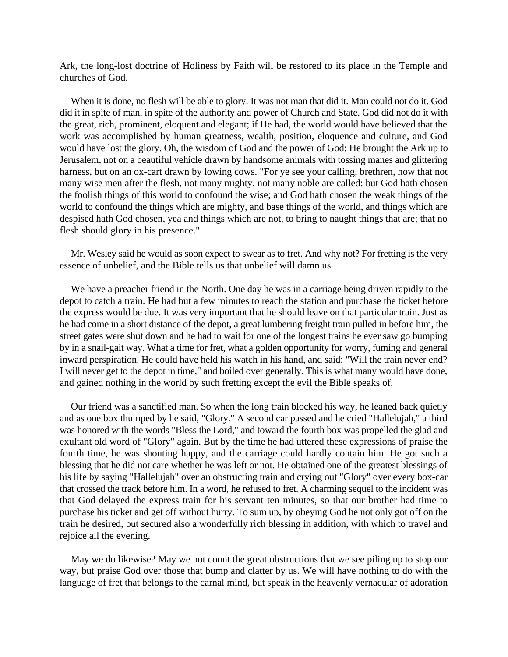Ark, the long-lost doctrine of Holiness by Faith will be restored to its place in the Temple and churches of God.

When it is done, no flesh will be able to glory. It was not man that did it. Man could not do it. God did it in spite of man, in spite of the authority and power of Church and State. God did not do it with the great, rich, prominent, eloquent and elegant; if He had, the world would have believed that the work was accomplished by human greatness, wealth, position, eloquence and culture, and God would have lost the glory. Oh, the wisdom of God and the power of God; He brought the Ark up to Jerusalem, not on a beautiful vehicle drawn by handsome animals with tossing manes and glittering harness, but on an ox-cart drawn by lowing cows. "For ye see your calling, brethren, how that not many wise men after the flesh, not many mighty, not many noble are called: but God hath chosen the foolish things of this world to confound the wise; and God hath chosen the weak things of the world to confound the things which are mighty, and base things of the world, and things which are despised hath God chosen, yea and things which are not, to bring to naught things that are; that no flesh should glory in his presence."

Mr. Wesley said he would as soon expect to swear as to fret. And why not? For fretting is the very essence of unbelief, and the Bible tells us that unbelief will damn us.

We have a preacher friend in the North. One day he was in a carriage being driven rapidly to the depot to catch a train. He had but a few minutes to reach the station and purchase the ticket before the express would be due. It was very important that he should leave on that particular train. Just as he had come in a short distance of the depot, a great lumbering freight train pulled in before him, the street gates were shut down and he had to wait for one of the longest trains he ever saw go bumping by in a snail-gait way. What a time for fret, what a golden opportunity for worry, fuming and general inward perspiration. He could have held his watch in his hand, and said: "Will the train never end? I will never get to the depot in time," and boiled over generally. This is what many would have done, and gained nothing in the world by such fretting except the evil the Bible speaks of.

Our friend was a sanctified man. So when the long train blocked his way, he leaned back quietly and as one box thumped by he said, "Glory." A second car passed and he cried "Hallelujah," a third was honored with the words "Bless the Lord," and toward the fourth box was propelled the glad and exultant old word of "Glory" again. But by the time he had uttered these expressions of praise the fourth time, he was shouting happy, and the carriage could hardly contain him. He got such a blessing that he did not care whether he was left or not. He obtained one of the greatest blessings of his life by saying "Hallelujah" over an obstructing train and crying out "Glory" over every box-car that crossed the track before him. In a word, he refused to fret. A charming sequel to the incident was that God delayed the express train for his servant ten minutes, so that our brother had time to purchase his ticket and get off without hurry. To sum up, by obeying God he not only got off on the train he desired, but secured also a wonderfully rich blessing in addition, with which to travel and rejoice all the evening.

May we do likewise? May we not count the great obstructions that we see piling up to stop our way, but praise God over those that bump and clatter by us. We will have nothing to do with the language of fret that belongs to the carnal mind, but speak in the heavenly vernacular of adoration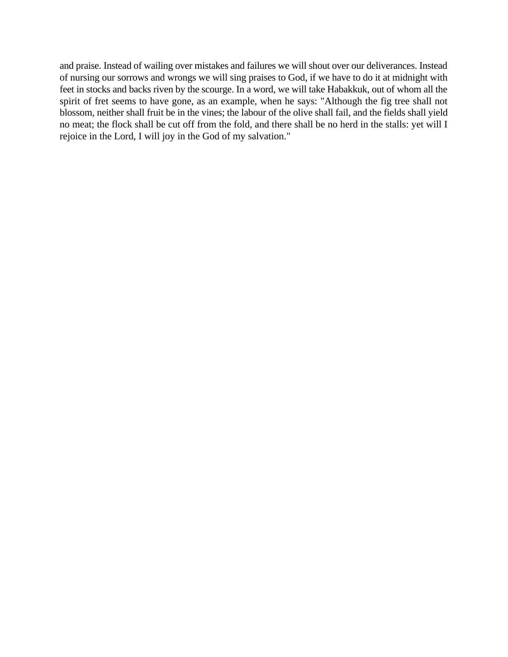and praise. Instead of wailing over mistakes and failures we will shout over our deliverances. Instead of nursing our sorrows and wrongs we will sing praises to God, if we have to do it at midnight with feet in stocks and backs riven by the scourge. In a word, we will take Habakkuk, out of whom all the spirit of fret seems to have gone, as an example, when he says: "Although the fig tree shall not blossom, neither shall fruit be in the vines; the labour of the olive shall fail, and the fields shall yield no meat; the flock shall be cut off from the fold, and there shall be no herd in the stalls: yet will I rejoice in the Lord, I will joy in the God of my salvation."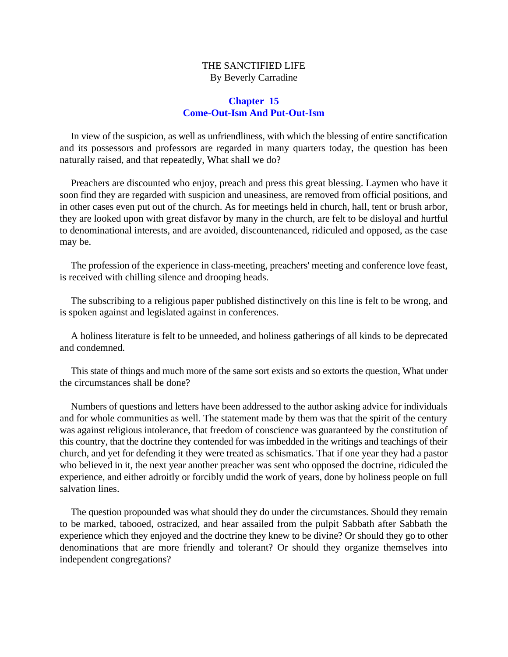# THE SANCTIFIED LIFE By Beverly Carradine

## **Chapter 15 Come-Out-Ism And Put-Out-Ism**

In view of the suspicion, as well as unfriendliness, with which the blessing of entire sanctification and its possessors and professors are regarded in many quarters today, the question has been naturally raised, and that repeatedly, What shall we do?

Preachers are discounted who enjoy, preach and press this great blessing. Laymen who have it soon find they are regarded with suspicion and uneasiness, are removed from official positions, and in other cases even put out of the church. As for meetings held in church, hall, tent or brush arbor, they are looked upon with great disfavor by many in the church, are felt to be disloyal and hurtful to denominational interests, and are avoided, discountenanced, ridiculed and opposed, as the case may be.

The profession of the experience in class-meeting, preachers' meeting and conference love feast, is received with chilling silence and drooping heads.

The subscribing to a religious paper published distinctively on this line is felt to be wrong, and is spoken against and legislated against in conferences.

A holiness literature is felt to be unneeded, and holiness gatherings of all kinds to be deprecated and condemned.

This state of things and much more of the same sort exists and so extorts the question, What under the circumstances shall be done?

Numbers of questions and letters have been addressed to the author asking advice for individuals and for whole communities as well. The statement made by them was that the spirit of the century was against religious intolerance, that freedom of conscience was guaranteed by the constitution of this country, that the doctrine they contended for was imbedded in the writings and teachings of their church, and yet for defending it they were treated as schismatics. That if one year they had a pastor who believed in it, the next year another preacher was sent who opposed the doctrine, ridiculed the experience, and either adroitly or forcibly undid the work of years, done by holiness people on full salvation lines.

The question propounded was what should they do under the circumstances. Should they remain to be marked, tabooed, ostracized, and hear assailed from the pulpit Sabbath after Sabbath the experience which they enjoyed and the doctrine they knew to be divine? Or should they go to other denominations that are more friendly and tolerant? Or should they organize themselves into independent congregations?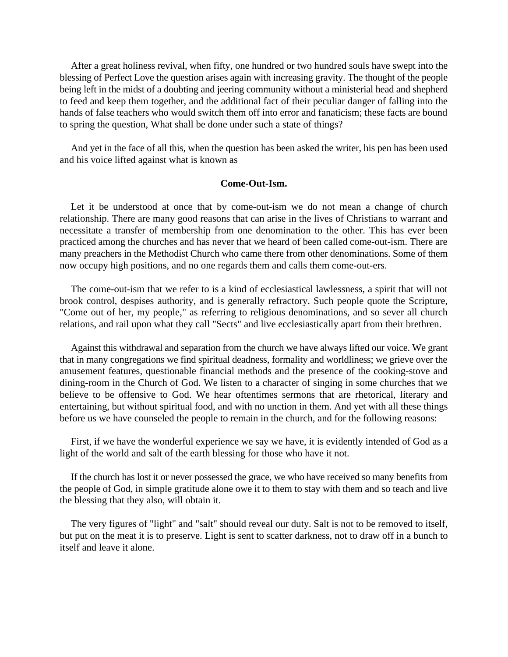After a great holiness revival, when fifty, one hundred or two hundred souls have swept into the blessing of Perfect Love the question arises again with increasing gravity. The thought of the people being left in the midst of a doubting and jeering community without a ministerial head and shepherd to feed and keep them together, and the additional fact of their peculiar danger of falling into the hands of false teachers who would switch them off into error and fanaticism; these facts are bound to spring the question, What shall be done under such a state of things?

And yet in the face of all this, when the question has been asked the writer, his pen has been used and his voice lifted against what is known as

## **Come-Out-Ism.**

Let it be understood at once that by come-out-ism we do not mean a change of church relationship. There are many good reasons that can arise in the lives of Christians to warrant and necessitate a transfer of membership from one denomination to the other. This has ever been practiced among the churches and has never that we heard of been called come-out-ism. There are many preachers in the Methodist Church who came there from other denominations. Some of them now occupy high positions, and no one regards them and calls them come-out-ers.

The come-out-ism that we refer to is a kind of ecclesiastical lawlessness, a spirit that will not brook control, despises authority, and is generally refractory. Such people quote the Scripture, "Come out of her, my people," as referring to religious denominations, and so sever all church relations, and rail upon what they call "Sects" and live ecclesiastically apart from their brethren.

Against this withdrawal and separation from the church we have always lifted our voice. We grant that in many congregations we find spiritual deadness, formality and worldliness; we grieve over the amusement features, questionable financial methods and the presence of the cooking-stove and dining-room in the Church of God. We listen to a character of singing in some churches that we believe to be offensive to God. We hear oftentimes sermons that are rhetorical, literary and entertaining, but without spiritual food, and with no unction in them. And yet with all these things before us we have counseled the people to remain in the church, and for the following reasons:

First, if we have the wonderful experience we say we have, it is evidently intended of God as a light of the world and salt of the earth blessing for those who have it not.

If the church has lost it or never possessed the grace, we who have received so many benefits from the people of God, in simple gratitude alone owe it to them to stay with them and so teach and live the blessing that they also, will obtain it.

The very figures of "light" and "salt" should reveal our duty. Salt is not to be removed to itself, but put on the meat it is to preserve. Light is sent to scatter darkness, not to draw off in a bunch to itself and leave it alone.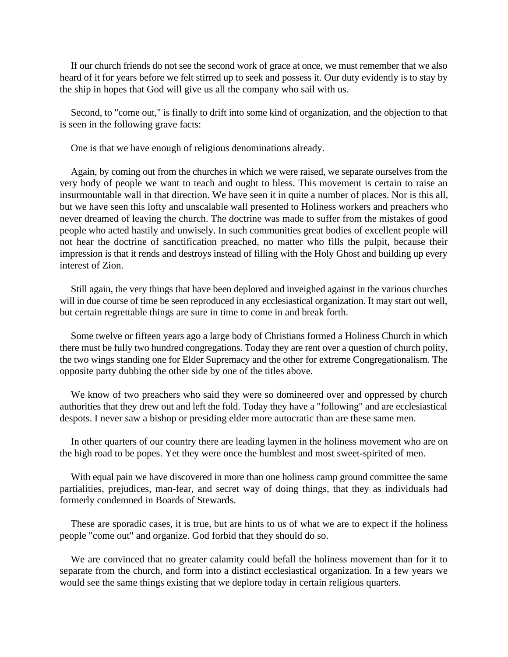If our church friends do not see the second work of grace at once, we must remember that we also heard of it for years before we felt stirred up to seek and possess it. Our duty evidently is to stay by the ship in hopes that God will give us all the company who sail with us.

Second, to "come out," is finally to drift into some kind of organization, and the objection to that is seen in the following grave facts:

One is that we have enough of religious denominations already.

Again, by coming out from the churches in which we were raised, we separate ourselves from the very body of people we want to teach and ought to bless. This movement is certain to raise an insurmountable wall in that direction. We have seen it in quite a number of places. Nor is this all, but we have seen this lofty and unscalable wall presented to Holiness workers and preachers who never dreamed of leaving the church. The doctrine was made to suffer from the mistakes of good people who acted hastily and unwisely. In such communities great bodies of excellent people will not hear the doctrine of sanctification preached, no matter who fills the pulpit, because their impression is that it rends and destroys instead of filling with the Holy Ghost and building up every interest of Zion.

Still again, the very things that have been deplored and inveighed against in the various churches will in due course of time be seen reproduced in any ecclesiastical organization. It may start out well, but certain regrettable things are sure in time to come in and break forth.

Some twelve or fifteen years ago a large body of Christians formed a Holiness Church in which there must be fully two hundred congregations. Today they are rent over a question of church polity, the two wings standing one for Elder Supremacy and the other for extreme Congregationalism. The opposite party dubbing the other side by one of the titles above.

We know of two preachers who said they were so domineered over and oppressed by church authorities that they drew out and left the fold. Today they have a "following" and are ecclesiastical despots. I never saw a bishop or presiding elder more autocratic than are these same men.

In other quarters of our country there are leading laymen in the holiness movement who are on the high road to be popes. Yet they were once the humblest and most sweet-spirited of men.

With equal pain we have discovered in more than one holiness camp ground committee the same partialities, prejudices, man-fear, and secret way of doing things, that they as individuals had formerly condemned in Boards of Stewards.

These are sporadic cases, it is true, but are hints to us of what we are to expect if the holiness people "come out" and organize. God forbid that they should do so.

We are convinced that no greater calamity could befall the holiness movement than for it to separate from the church, and form into a distinct ecclesiastical organization. In a few years we would see the same things existing that we deplore today in certain religious quarters.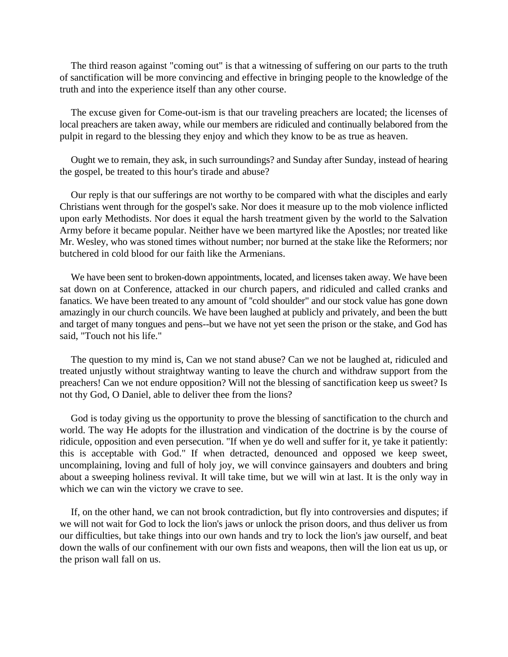The third reason against "coming out" is that a witnessing of suffering on our parts to the truth of sanctification will be more convincing and effective in bringing people to the knowledge of the truth and into the experience itself than any other course.

The excuse given for Come-out-ism is that our traveling preachers are located; the licenses of local preachers are taken away, while our members are ridiculed and continually belabored from the pulpit in regard to the blessing they enjoy and which they know to be as true as heaven.

Ought we to remain, they ask, in such surroundings? and Sunday after Sunday, instead of hearing the gospel, be treated to this hour's tirade and abuse?

Our reply is that our sufferings are not worthy to be compared with what the disciples and early Christians went through for the gospel's sake. Nor does it measure up to the mob violence inflicted upon early Methodists. Nor does it equal the harsh treatment given by the world to the Salvation Army before it became popular. Neither have we been martyred like the Apostles; nor treated like Mr. Wesley, who was stoned times without number; nor burned at the stake like the Reformers; nor butchered in cold blood for our faith like the Armenians.

We have been sent to broken-down appointments, located, and licenses taken away. We have been sat down on at Conference, attacked in our church papers, and ridiculed and called cranks and fanatics. We have been treated to any amount of ''cold shoulder" and our stock value has gone down amazingly in our church councils. We have been laughed at publicly and privately, and been the butt and target of many tongues and pens--but we have not yet seen the prison or the stake, and God has said, "Touch not his life."

The question to my mind is, Can we not stand abuse? Can we not be laughed at, ridiculed and treated unjustly without straightway wanting to leave the church and withdraw support from the preachers! Can we not endure opposition? Will not the blessing of sanctification keep us sweet? Is not thy God, O Daniel, able to deliver thee from the lions?

God is today giving us the opportunity to prove the blessing of sanctification to the church and world. The way He adopts for the illustration and vindication of the doctrine is by the course of ridicule, opposition and even persecution. "If when ye do well and suffer for it, ye take it patiently: this is acceptable with God." If when detracted, denounced and opposed we keep sweet, uncomplaining, loving and full of holy joy, we will convince gainsayers and doubters and bring about a sweeping holiness revival. It will take time, but we will win at last. It is the only way in which we can win the victory we crave to see.

If, on the other hand, we can not brook contradiction, but fly into controversies and disputes; if we will not wait for God to lock the lion's jaws or unlock the prison doors, and thus deliver us from our difficulties, but take things into our own hands and try to lock the lion's jaw ourself, and beat down the walls of our confinement with our own fists and weapons, then will the lion eat us up, or the prison wall fall on us.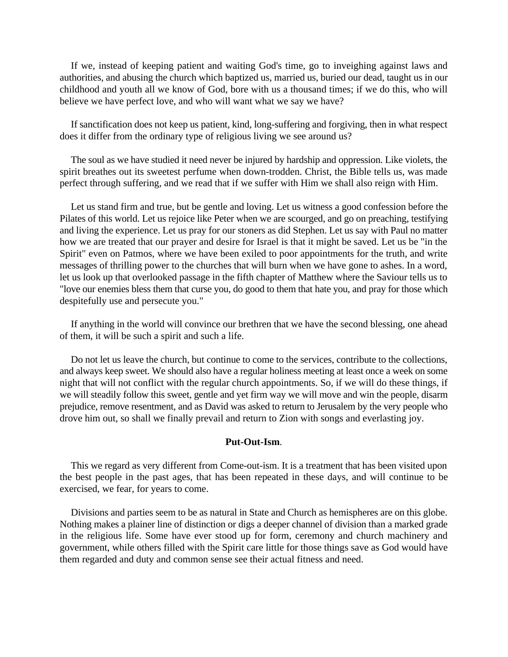If we, instead of keeping patient and waiting God's time, go to inveighing against laws and authorities, and abusing the church which baptized us, married us, buried our dead, taught us in our childhood and youth all we know of God, bore with us a thousand times; if we do this, who will believe we have perfect love, and who will want what we say we have?

If sanctification does not keep us patient, kind, long-suffering and forgiving, then in what respect does it differ from the ordinary type of religious living we see around us?

The soul as we have studied it need never be injured by hardship and oppression. Like violets, the spirit breathes out its sweetest perfume when down-trodden. Christ, the Bible tells us, was made perfect through suffering, and we read that if we suffer with Him we shall also reign with Him.

Let us stand firm and true, but be gentle and loving. Let us witness a good confession before the Pilates of this world. Let us rejoice like Peter when we are scourged, and go on preaching, testifying and living the experience. Let us pray for our stoners as did Stephen. Let us say with Paul no matter how we are treated that our prayer and desire for Israel is that it might be saved. Let us be "in the Spirit" even on Patmos, where we have been exiled to poor appointments for the truth, and write messages of thrilling power to the churches that will burn when we have gone to ashes. In a word, let us look up that overlooked passage in the fifth chapter of Matthew where the Saviour tells us to "love our enemies bless them that curse you, do good to them that hate you, and pray for those which despitefully use and persecute you."

If anything in the world will convince our brethren that we have the second blessing, one ahead of them, it will be such a spirit and such a life.

Do not let us leave the church, but continue to come to the services, contribute to the collections, and always keep sweet. We should also have a regular holiness meeting at least once a week on some night that will not conflict with the regular church appointments. So, if we will do these things, if we will steadily follow this sweet, gentle and yet firm way we will move and win the people, disarm prejudice, remove resentment, and as David was asked to return to Jerusalem by the very people who drove him out, so shall we finally prevail and return to Zion with songs and everlasting joy.

## **Put-Out-Ism**.

This we regard as very different from Come-out-ism. It is a treatment that has been visited upon the best people in the past ages, that has been repeated in these days, and will continue to be exercised, we fear, for years to come.

Divisions and parties seem to be as natural in State and Church as hemispheres are on this globe. Nothing makes a plainer line of distinction or digs a deeper channel of division than a marked grade in the religious life. Some have ever stood up for form, ceremony and church machinery and government, while others filled with the Spirit care little for those things save as God would have them regarded and duty and common sense see their actual fitness and need.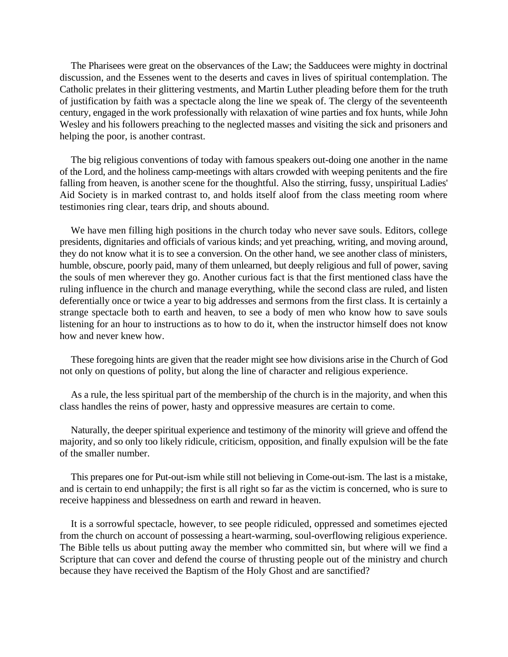The Pharisees were great on the observances of the Law; the Sadducees were mighty in doctrinal discussion, and the Essenes went to the deserts and caves in lives of spiritual contemplation. The Catholic prelates in their glittering vestments, and Martin Luther pleading before them for the truth of justification by faith was a spectacle along the line we speak of. The clergy of the seventeenth century, engaged in the work professionally with relaxation of wine parties and fox hunts, while John Wesley and his followers preaching to the neglected masses and visiting the sick and prisoners and helping the poor, is another contrast.

The big religious conventions of today with famous speakers out-doing one another in the name of the Lord, and the holiness camp-meetings with altars crowded with weeping penitents and the fire falling from heaven, is another scene for the thoughtful. Also the stirring, fussy, unspiritual Ladies' Aid Society is in marked contrast to, and holds itself aloof from the class meeting room where testimonies ring clear, tears drip, and shouts abound.

We have men filling high positions in the church today who never save souls. Editors, college presidents, dignitaries and officials of various kinds; and yet preaching, writing, and moving around, they do not know what it is to see a conversion. On the other hand, we see another class of ministers, humble, obscure, poorly paid, many of them unlearned, but deeply religious and full of power, saving the souls of men wherever they go. Another curious fact is that the first mentioned class have the ruling influence in the church and manage everything, while the second class are ruled, and listen deferentially once or twice a year to big addresses and sermons from the first class. It is certainly a strange spectacle both to earth and heaven, to see a body of men who know how to save souls listening for an hour to instructions as to how to do it, when the instructor himself does not know how and never knew how.

These foregoing hints are given that the reader might see how divisions arise in the Church of God not only on questions of polity, but along the line of character and religious experience.

As a rule, the less spiritual part of the membership of the church is in the majority, and when this class handles the reins of power, hasty and oppressive measures are certain to come.

Naturally, the deeper spiritual experience and testimony of the minority will grieve and offend the majority, and so only too likely ridicule, criticism, opposition, and finally expulsion will be the fate of the smaller number.

This prepares one for Put-out-ism while still not believing in Come-out-ism. The last is a mistake, and is certain to end unhappily; the first is all right so far as the victim is concerned, who is sure to receive happiness and blessedness on earth and reward in heaven.

It is a sorrowful spectacle, however, to see people ridiculed, oppressed and sometimes ejected from the church on account of possessing a heart-warming, soul-overflowing religious experience. The Bible tells us about putting away the member who committed sin, but where will we find a Scripture that can cover and defend the course of thrusting people out of the ministry and church because they have received the Baptism of the Holy Ghost and are sanctified?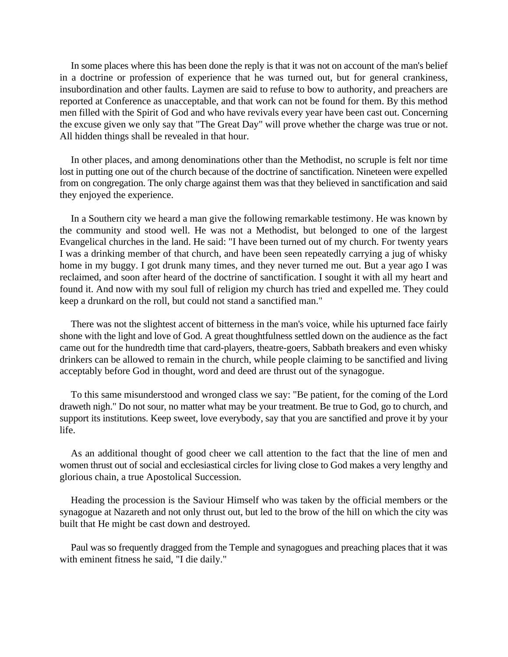In some places where this has been done the reply is that it was not on account of the man's belief in a doctrine or profession of experience that he was turned out, but for general crankiness, insubordination and other faults. Laymen are said to refuse to bow to authority, and preachers are reported at Conference as unacceptable, and that work can not be found for them. By this method men filled with the Spirit of God and who have revivals every year have been cast out. Concerning the excuse given we only say that "The Great Day" will prove whether the charge was true or not. All hidden things shall be revealed in that hour.

In other places, and among denominations other than the Methodist, no scruple is felt nor time lost in putting one out of the church because of the doctrine of sanctification. Nineteen were expelled from on congregation. The only charge against them was that they believed in sanctification and said they enjoyed the experience.

In a Southern city we heard a man give the following remarkable testimony. He was known by the community and stood well. He was not a Methodist, but belonged to one of the largest Evangelical churches in the land. He said: "I have been turned out of my church. For twenty years I was a drinking member of that church, and have been seen repeatedly carrying a jug of whisky home in my buggy. I got drunk many times, and they never turned me out. But a year ago I was reclaimed, and soon after heard of the doctrine of sanctification. I sought it with all my heart and found it. And now with my soul full of religion my church has tried and expelled me. They could keep a drunkard on the roll, but could not stand a sanctified man."

There was not the slightest accent of bitterness in the man's voice, while his upturned face fairly shone with the light and love of God. A great thoughtfulness settled down on the audience as the fact came out for the hundredth time that card-players, theatre-goers, Sabbath breakers and even whisky drinkers can be allowed to remain in the church, while people claiming to be sanctified and living acceptably before God in thought, word and deed are thrust out of the synagogue.

To this same misunderstood and wronged class we say: "Be patient, for the coming of the Lord draweth nigh." Do not sour, no matter what may be your treatment. Be true to God, go to church, and support its institutions. Keep sweet, love everybody, say that you are sanctified and prove it by your life.

As an additional thought of good cheer we call attention to the fact that the line of men and women thrust out of social and ecclesiastical circles for living close to God makes a very lengthy and glorious chain, a true Apostolical Succession.

Heading the procession is the Saviour Himself who was taken by the official members or the synagogue at Nazareth and not only thrust out, but led to the brow of the hill on which the city was built that He might be cast down and destroyed.

Paul was so frequently dragged from the Temple and synagogues and preaching places that it was with eminent fitness he said, "I die daily."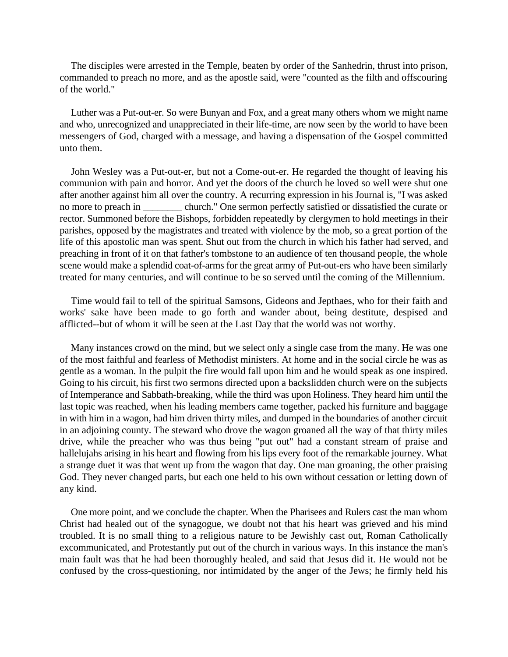The disciples were arrested in the Temple, beaten by order of the Sanhedrin, thrust into prison, commanded to preach no more, and as the apostle said, were "counted as the filth and offscouring of the world."

Luther was a Put-out-er. So were Bunyan and Fox, and a great many others whom we might name and who, unrecognized and unappreciated in their life-time, are now seen by the world to have been messengers of God, charged with a message, and having a dispensation of the Gospel committed unto them.

John Wesley was a Put-out-er, but not a Come-out-er. He regarded the thought of leaving his communion with pain and horror. And yet the doors of the church he loved so well were shut one after another against him all over the country. A recurring expression in his Journal is, "I was asked no more to preach in church." One sermon perfectly satisfied or dissatisfied the curate or rector. Summoned before the Bishops, forbidden repeatedly by clergymen to hold meetings in their parishes, opposed by the magistrates and treated with violence by the mob, so a great portion of the life of this apostolic man was spent. Shut out from the church in which his father had served, and preaching in front of it on that father's tombstone to an audience of ten thousand people, the whole scene would make a splendid coat-of-arms for the great army of Put-out-ers who have been similarly treated for many centuries, and will continue to be so served until the coming of the Millennium.

Time would fail to tell of the spiritual Samsons, Gideons and Jepthaes, who for their faith and works' sake have been made to go forth and wander about, being destitute, despised and afflicted--but of whom it will be seen at the Last Day that the world was not worthy.

Many instances crowd on the mind, but we select only a single case from the many. He was one of the most faithful and fearless of Methodist ministers. At home and in the social circle he was as gentle as a woman. In the pulpit the fire would fall upon him and he would speak as one inspired. Going to his circuit, his first two sermons directed upon a backslidden church were on the subjects of Intemperance and Sabbath-breaking, while the third was upon Holiness. They heard him until the last topic was reached, when his leading members came together, packed his furniture and baggage in with him in a wagon, had him driven thirty miles, and dumped in the boundaries of another circuit in an adjoining county. The steward who drove the wagon groaned all the way of that thirty miles drive, while the preacher who was thus being "put out" had a constant stream of praise and hallelujahs arising in his heart and flowing from his lips every foot of the remarkable journey. What a strange duet it was that went up from the wagon that day. One man groaning, the other praising God. They never changed parts, but each one held to his own without cessation or letting down of any kind.

One more point, and we conclude the chapter. When the Pharisees and Rulers cast the man whom Christ had healed out of the synagogue, we doubt not that his heart was grieved and his mind troubled. It is no small thing to a religious nature to be Jewishly cast out, Roman Catholically excommunicated, and Protestantly put out of the church in various ways. In this instance the man's main fault was that he had been thoroughly healed, and said that Jesus did it. He would not be confused by the cross-questioning, nor intimidated by the anger of the Jews; he firmly held his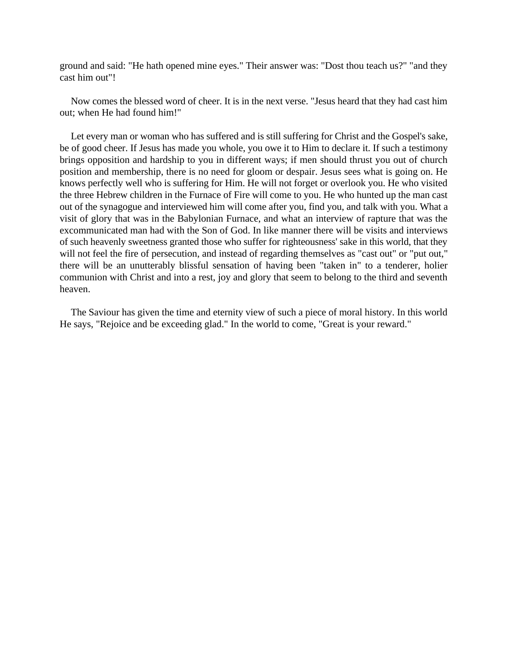ground and said: "He hath opened mine eyes." Their answer was: "Dost thou teach us?" "and they cast him out"!

Now comes the blessed word of cheer. It is in the next verse. "Jesus heard that they had cast him out; when He had found him!"

Let every man or woman who has suffered and is still suffering for Christ and the Gospel's sake, be of good cheer. If Jesus has made you whole, you owe it to Him to declare it. If such a testimony brings opposition and hardship to you in different ways; if men should thrust you out of church position and membership, there is no need for gloom or despair. Jesus sees what is going on. He knows perfectly well who is suffering for Him. He will not forget or overlook you. He who visited the three Hebrew children in the Furnace of Fire will come to you. He who hunted up the man cast out of the synagogue and interviewed him will come after you, find you, and talk with you. What a visit of glory that was in the Babylonian Furnace, and what an interview of rapture that was the excommunicated man had with the Son of God. In like manner there will be visits and interviews of such heavenly sweetness granted those who suffer for righteousness' sake in this world, that they will not feel the fire of persecution, and instead of regarding themselves as "cast out" or "put out," there will be an unutterably blissful sensation of having been "taken in" to a tenderer, holier communion with Christ and into a rest, joy and glory that seem to belong to the third and seventh heaven.

The Saviour has given the time and eternity view of such a piece of moral history. In this world He says, "Rejoice and be exceeding glad." In the world to come, "Great is your reward."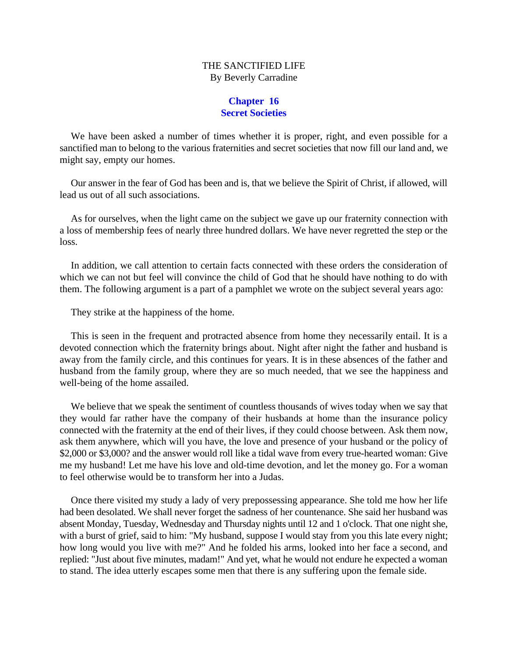# THE SANCTIFIED LIFE By Beverly Carradine

## **Chapter 16 Secret Societies**

We have been asked a number of times whether it is proper, right, and even possible for a sanctified man to belong to the various fraternities and secret societies that now fill our land and, we might say, empty our homes.

Our answer in the fear of God has been and is, that we believe the Spirit of Christ, if allowed, will lead us out of all such associations.

As for ourselves, when the light came on the subject we gave up our fraternity connection with a loss of membership fees of nearly three hundred dollars. We have never regretted the step or the loss.

In addition, we call attention to certain facts connected with these orders the consideration of which we can not but feel will convince the child of God that he should have nothing to do with them. The following argument is a part of a pamphlet we wrote on the subject several years ago:

They strike at the happiness of the home.

This is seen in the frequent and protracted absence from home they necessarily entail. It is a devoted connection which the fraternity brings about. Night after night the father and husband is away from the family circle, and this continues for years. It is in these absences of the father and husband from the family group, where they are so much needed, that we see the happiness and well-being of the home assailed.

We believe that we speak the sentiment of countless thousands of wives today when we say that they would far rather have the company of their husbands at home than the insurance policy connected with the fraternity at the end of their lives, if they could choose between. Ask them now, ask them anywhere, which will you have, the love and presence of your husband or the policy of \$2,000 or \$3,000? and the answer would roll like a tidal wave from every true-hearted woman: Give me my husband! Let me have his love and old-time devotion, and let the money go. For a woman to feel otherwise would be to transform her into a Judas.

Once there visited my study a lady of very prepossessing appearance. She told me how her life had been desolated. We shall never forget the sadness of her countenance. She said her husband was absent Monday, Tuesday, Wednesday and Thursday nights until 12 and 1 o'clock. That one night she, with a burst of grief, said to him: "My husband, suppose I would stay from you this late every night; how long would you live with me?" And he folded his arms, looked into her face a second, and replied: "Just about five minutes, madam!" And yet, what he would not endure he expected a woman to stand. The idea utterly escapes some men that there is any suffering upon the female side.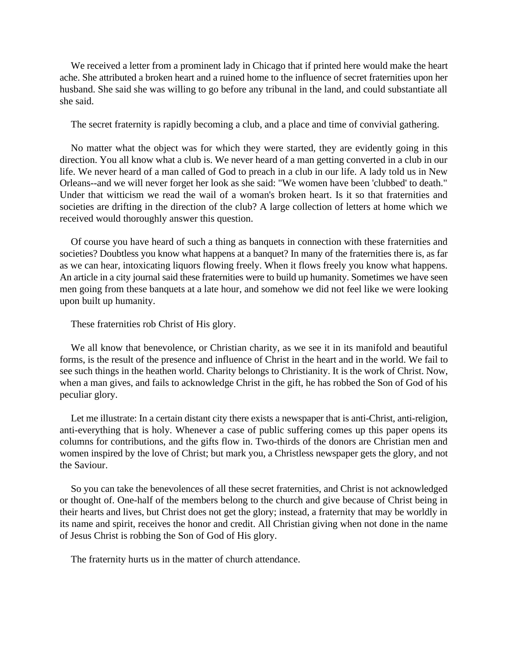We received a letter from a prominent lady in Chicago that if printed here would make the heart ache. She attributed a broken heart and a ruined home to the influence of secret fraternities upon her husband. She said she was willing to go before any tribunal in the land, and could substantiate all she said.

The secret fraternity is rapidly becoming a club, and a place and time of convivial gathering.

No matter what the object was for which they were started, they are evidently going in this direction. You all know what a club is. We never heard of a man getting converted in a club in our life. We never heard of a man called of God to preach in a club in our life. A lady told us in New Orleans--and we will never forget her look as she said: "We women have been 'clubbed' to death." Under that witticism we read the wail of a woman's broken heart. Is it so that fraternities and societies are drifting in the direction of the club? A large collection of letters at home which we received would thoroughly answer this question.

Of course you have heard of such a thing as banquets in connection with these fraternities and societies? Doubtless you know what happens at a banquet? In many of the fraternities there is, as far as we can hear, intoxicating liquors flowing freely. When it flows freely you know what happens. An article in a city journal said these fraternities were to build up humanity. Sometimes we have seen men going from these banquets at a late hour, and somehow we did not feel like we were looking upon built up humanity.

These fraternities rob Christ of His glory.

We all know that benevolence, or Christian charity, as we see it in its manifold and beautiful forms, is the result of the presence and influence of Christ in the heart and in the world. We fail to see such things in the heathen world. Charity belongs to Christianity. It is the work of Christ. Now, when a man gives, and fails to acknowledge Christ in the gift, he has robbed the Son of God of his peculiar glory.

Let me illustrate: In a certain distant city there exists a newspaper that is anti-Christ, anti-religion, anti-everything that is holy. Whenever a case of public suffering comes up this paper opens its columns for contributions, and the gifts flow in. Two-thirds of the donors are Christian men and women inspired by the love of Christ; but mark you, a Christless newspaper gets the glory, and not the Saviour.

So you can take the benevolences of all these secret fraternities, and Christ is not acknowledged or thought of. One-half of the members belong to the church and give because of Christ being in their hearts and lives, but Christ does not get the glory; instead, a fraternity that may be worldly in its name and spirit, receives the honor and credit. All Christian giving when not done in the name of Jesus Christ is robbing the Son of God of His glory.

The fraternity hurts us in the matter of church attendance.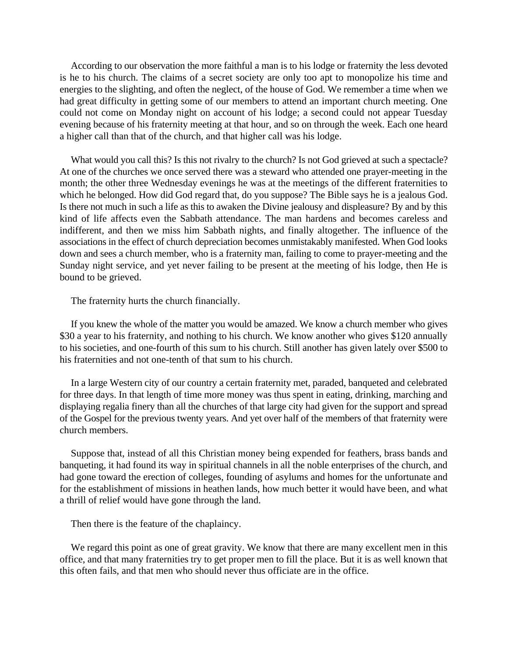According to our observation the more faithful a man is to his lodge or fraternity the less devoted is he to his church. The claims of a secret society are only too apt to monopolize his time and energies to the slighting, and often the neglect, of the house of God. We remember a time when we had great difficulty in getting some of our members to attend an important church meeting. One could not come on Monday night on account of his lodge; a second could not appear Tuesday evening because of his fraternity meeting at that hour, and so on through the week. Each one heard a higher call than that of the church, and that higher call was his lodge.

What would you call this? Is this not rivalry to the church? Is not God grieved at such a spectacle? At one of the churches we once served there was a steward who attended one prayer-meeting in the month; the other three Wednesday evenings he was at the meetings of the different fraternities to which he belonged. How did God regard that, do you suppose? The Bible says he is a jealous God. Is there not much in such a life as this to awaken the Divine jealousy and displeasure? By and by this kind of life affects even the Sabbath attendance. The man hardens and becomes careless and indifferent, and then we miss him Sabbath nights, and finally altogether. The influence of the associations in the effect of church depreciation becomes unmistakably manifested. When God looks down and sees a church member, who is a fraternity man, failing to come to prayer-meeting and the Sunday night service, and yet never failing to be present at the meeting of his lodge, then He is bound to be grieved.

The fraternity hurts the church financially.

If you knew the whole of the matter you would be amazed. We know a church member who gives \$30 a year to his fraternity, and nothing to his church. We know another who gives \$120 annually to his societies, and one-fourth of this sum to his church. Still another has given lately over \$500 to his fraternities and not one-tenth of that sum to his church.

In a large Western city of our country a certain fraternity met, paraded, banqueted and celebrated for three days. In that length of time more money was thus spent in eating, drinking, marching and displaying regalia finery than all the churches of that large city had given for the support and spread of the Gospel for the previous twenty years. And yet over half of the members of that fraternity were church members.

Suppose that, instead of all this Christian money being expended for feathers, brass bands and banqueting, it had found its way in spiritual channels in all the noble enterprises of the church, and had gone toward the erection of colleges, founding of asylums and homes for the unfortunate and for the establishment of missions in heathen lands, how much better it would have been, and what a thrill of relief would have gone through the land.

Then there is the feature of the chaplaincy.

We regard this point as one of great gravity. We know that there are many excellent men in this office, and that many fraternities try to get proper men to fill the place. But it is as well known that this often fails, and that men who should never thus officiate are in the office.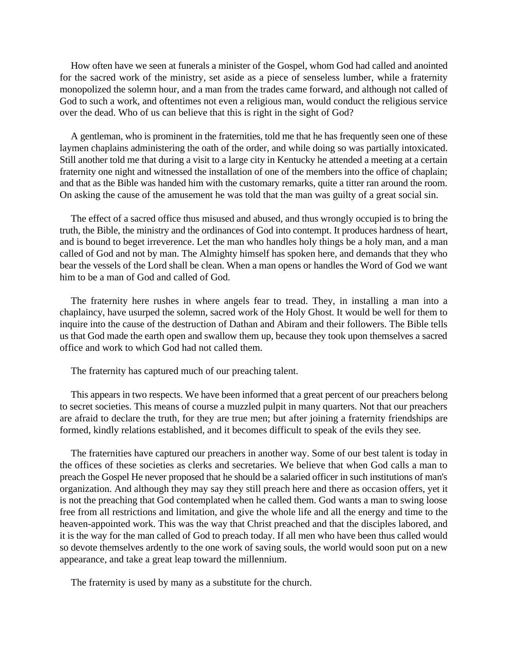How often have we seen at funerals a minister of the Gospel, whom God had called and anointed for the sacred work of the ministry, set aside as a piece of senseless lumber, while a fraternity monopolized the solemn hour, and a man from the trades came forward, and although not called of God to such a work, and oftentimes not even a religious man, would conduct the religious service over the dead. Who of us can believe that this is right in the sight of God?

A gentleman, who is prominent in the fraternities, told me that he has frequently seen one of these laymen chaplains administering the oath of the order, and while doing so was partially intoxicated. Still another told me that during a visit to a large city in Kentucky he attended a meeting at a certain fraternity one night and witnessed the installation of one of the members into the office of chaplain; and that as the Bible was handed him with the customary remarks, quite a titter ran around the room. On asking the cause of the amusement he was told that the man was guilty of a great social sin.

The effect of a sacred office thus misused and abused, and thus wrongly occupied is to bring the truth, the Bible, the ministry and the ordinances of God into contempt. It produces hardness of heart, and is bound to beget irreverence. Let the man who handles holy things be a holy man, and a man called of God and not by man. The Almighty himself has spoken here, and demands that they who bear the vessels of the Lord shall be clean. When a man opens or handles the Word of God we want him to be a man of God and called of God.

The fraternity here rushes in where angels fear to tread. They, in installing a man into a chaplaincy, have usurped the solemn, sacred work of the Holy Ghost. It would be well for them to inquire into the cause of the destruction of Dathan and Abiram and their followers. The Bible tells us that God made the earth open and swallow them up, because they took upon themselves a sacred office and work to which God had not called them.

The fraternity has captured much of our preaching talent.

This appears in two respects. We have been informed that a great percent of our preachers belong to secret societies. This means of course a muzzled pulpit in many quarters. Not that our preachers are afraid to declare the truth, for they are true men; but after joining a fraternity friendships are formed, kindly relations established, and it becomes difficult to speak of the evils they see.

The fraternities have captured our preachers in another way. Some of our best talent is today in the offices of these societies as clerks and secretaries. We believe that when God calls a man to preach the Gospel He never proposed that he should be a salaried officer in such institutions of man's organization. And although they may say they still preach here and there as occasion offers, yet it is not the preaching that God contemplated when he called them. God wants a man to swing loose free from all restrictions and limitation, and give the whole life and all the energy and time to the heaven-appointed work. This was the way that Christ preached and that the disciples labored, and it is the way for the man called of God to preach today. If all men who have been thus called would so devote themselves ardently to the one work of saving souls, the world would soon put on a new appearance, and take a great leap toward the millennium.

The fraternity is used by many as a substitute for the church.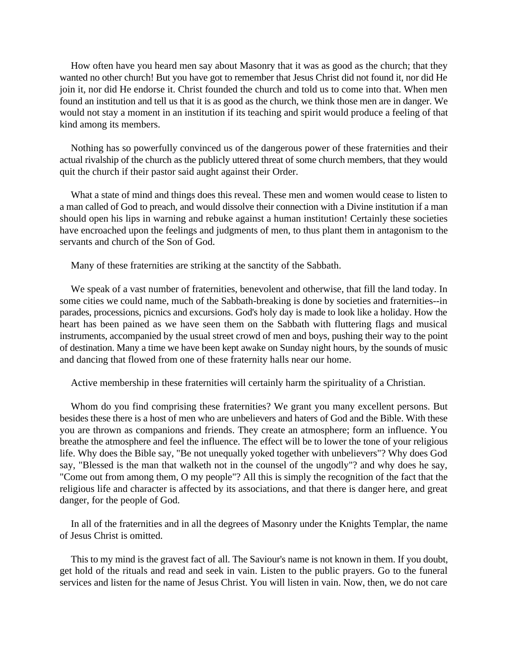How often have you heard men say about Masonry that it was as good as the church; that they wanted no other church! But you have got to remember that Jesus Christ did not found it, nor did He join it, nor did He endorse it. Christ founded the church and told us to come into that. When men found an institution and tell us that it is as good as the church, we think those men are in danger. We would not stay a moment in an institution if its teaching and spirit would produce a feeling of that kind among its members.

Nothing has so powerfully convinced us of the dangerous power of these fraternities and their actual rivalship of the church as the publicly uttered threat of some church members, that they would quit the church if their pastor said aught against their Order.

What a state of mind and things does this reveal. These men and women would cease to listen to a man called of God to preach, and would dissolve their connection with a Divine institution if a man should open his lips in warning and rebuke against a human institution! Certainly these societies have encroached upon the feelings and judgments of men, to thus plant them in antagonism to the servants and church of the Son of God.

Many of these fraternities are striking at the sanctity of the Sabbath.

We speak of a vast number of fraternities, benevolent and otherwise, that fill the land today. In some cities we could name, much of the Sabbath-breaking is done by societies and fraternities--in parades, processions, picnics and excursions. God's holy day is made to look like a holiday. How the heart has been pained as we have seen them on the Sabbath with fluttering flags and musical instruments, accompanied by the usual street crowd of men and boys, pushing their way to the point of destination. Many a time we have been kept awake on Sunday night hours, by the sounds of music and dancing that flowed from one of these fraternity halls near our home.

Active membership in these fraternities will certainly harm the spirituality of a Christian.

Whom do you find comprising these fraternities? We grant you many excellent persons. But besides these there is a host of men who are unbelievers and haters of God and the Bible. With these you are thrown as companions and friends. They create an atmosphere; form an influence. You breathe the atmosphere and feel the influence. The effect will be to lower the tone of your religious life. Why does the Bible say, "Be not unequally yoked together with unbelievers"? Why does God say, "Blessed is the man that walketh not in the counsel of the ungodly"? and why does he say, "Come out from among them, O my people"? All this is simply the recognition of the fact that the religious life and character is affected by its associations, and that there is danger here, and great danger, for the people of God.

In all of the fraternities and in all the degrees of Masonry under the Knights Templar, the name of Jesus Christ is omitted.

This to my mind is the gravest fact of all. The Saviour's name is not known in them. If you doubt, get hold of the rituals and read and seek in vain. Listen to the public prayers. Go to the funeral services and listen for the name of Jesus Christ. You will listen in vain. Now, then, we do not care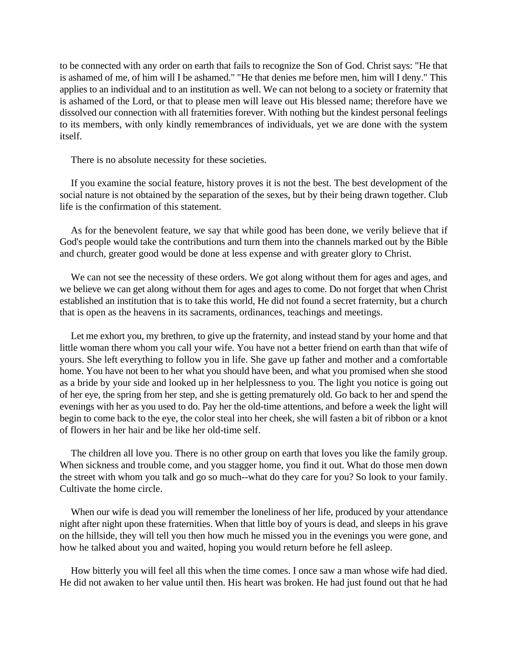to be connected with any order on earth that fails to recognize the Son of God. Christ says: "He that is ashamed of me, of him will I be ashamed." "He that denies me before men, him will I deny." This applies to an individual and to an institution as well. We can not belong to a society or fraternity that is ashamed of the Lord, or that to please men will leave out His blessed name; therefore have we dissolved our connection with all fraternities forever. With nothing but the kindest personal feelings to its members, with only kindly remembrances of individuals, yet we are done with the system itself.

There is no absolute necessity for these societies.

If you examine the social feature, history proves it is not the best. The best development of the social nature is not obtained by the separation of the sexes, but by their being drawn together. Club life is the confirmation of this statement.

As for the benevolent feature, we say that while good has been done, we verily believe that if God's people would take the contributions and turn them into the channels marked out by the Bible and church, greater good would be done at less expense and with greater glory to Christ.

We can not see the necessity of these orders. We got along without them for ages and ages, and we believe we can get along without them for ages and ages to come. Do not forget that when Christ established an institution that is to take this world, He did not found a secret fraternity, but a church that is open as the heavens in its sacraments, ordinances, teachings and meetings.

Let me exhort you, my brethren, to give up the fraternity, and instead stand by your home and that little woman there whom you call your wife. You have not a better friend on earth than that wife of yours. She left everything to follow you in life. She gave up father and mother and a comfortable home. You have not been to her what you should have been, and what you promised when she stood as a bride by your side and looked up in her helplessness to you. The light you notice is going out of her eye, the spring from her step, and she is getting prematurely old. Go back to her and spend the evenings with her as you used to do. Pay her the old-time attentions, and before a week the light will begin to come back to the eye, the color steal into her cheek, she will fasten a bit of ribbon or a knot of flowers in her hair and be like her old-time self.

The children all love you. There is no other group on earth that loves you like the family group. When sickness and trouble come, and you stagger home, you find it out. What do those men down the street with whom you talk and go so much--what do they care for you? So look to your family. Cultivate the home circle.

When our wife is dead you will remember the loneliness of her life, produced by your attendance night after night upon these fraternities. When that little boy of yours is dead, and sleeps in his grave on the hillside, they will tell you then how much he missed you in the evenings you were gone, and how he talked about you and waited, hoping you would return before he fell asleep.

How bitterly you will feel all this when the time comes. I once saw a man whose wife had died. He did not awaken to her value until then. His heart was broken. He had just found out that he had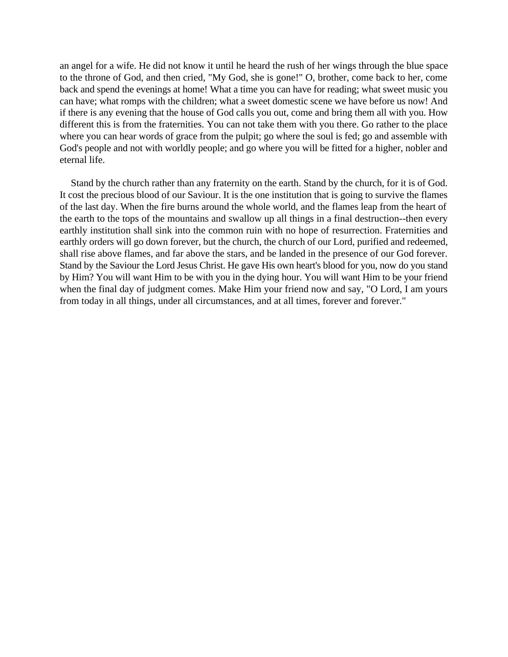an angel for a wife. He did not know it until he heard the rush of her wings through the blue space to the throne of God, and then cried, "My God, she is gone!" O, brother, come back to her, come back and spend the evenings at home! What a time you can have for reading; what sweet music you can have; what romps with the children; what a sweet domestic scene we have before us now! And if there is any evening that the house of God calls you out, come and bring them all with you. How different this is from the fraternities. You can not take them with you there. Go rather to the place where you can hear words of grace from the pulpit; go where the soul is fed; go and assemble with God's people and not with worldly people; and go where you will be fitted for a higher, nobler and eternal life.

Stand by the church rather than any fraternity on the earth. Stand by the church, for it is of God. It cost the precious blood of our Saviour. It is the one institution that is going to survive the flames of the last day. When the fire burns around the whole world, and the flames leap from the heart of the earth to the tops of the mountains and swallow up all things in a final destruction--then every earthly institution shall sink into the common ruin with no hope of resurrection. Fraternities and earthly orders will go down forever, but the church, the church of our Lord, purified and redeemed, shall rise above flames, and far above the stars, and be landed in the presence of our God forever. Stand by the Saviour the Lord Jesus Christ. He gave His own heart's blood for you, now do you stand by Him? You will want Him to be with you in the dying hour. You will want Him to be your friend when the final day of judgment comes. Make Him your friend now and say, "O Lord, I am yours from today in all things, under all circumstances, and at all times, forever and forever."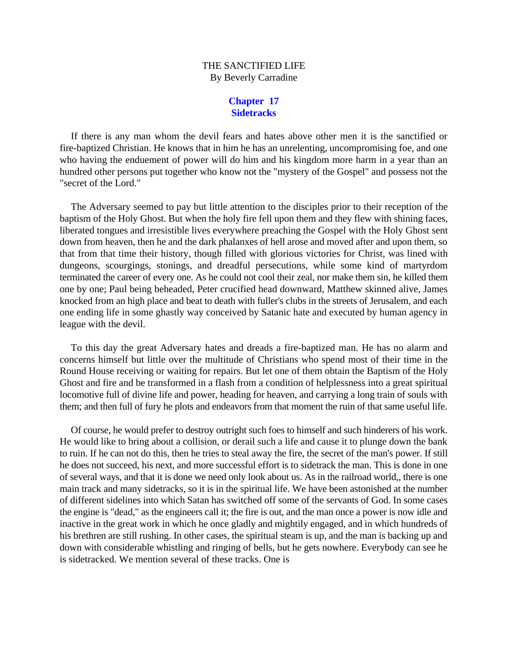# THE SANCTIFIED LIFE By Beverly Carradine

## **Chapter 17 Sidetracks**

If there is any man whom the devil fears and hates above other men it is the sanctified or fire-baptized Christian. He knows that in him he has an unrelenting, uncompromising foe, and one who having the enduement of power will do him and his kingdom more harm in a year than an hundred other persons put together who know not the "mystery of the Gospel" and possess not the "secret of the Lord."

The Adversary seemed to pay but little attention to the disciples prior to their reception of the baptism of the Holy Ghost. But when the holy fire fell upon them and they flew with shining faces, liberated tongues and irresistible lives everywhere preaching the Gospel with the Holy Ghost sent down from heaven, then he and the dark phalanxes of hell arose and moved after and upon them, so that from that time their history, though filled with glorious victories for Christ, was lined with dungeons, scourgings, stonings, and dreadful persecutions, while some kind of martyrdom terminated the career of every one. As he could not cool their zeal, nor make them sin, he killed them one by one; Paul being beheaded, Peter crucified head downward, Matthew skinned alive, James knocked from an high place and beat to death with fuller's clubs in the streets of Jerusalem, and each one ending life in some ghastly way conceived by Satanic hate and executed by human agency in league with the devil.

To this day the great Adversary hates and dreads a fire-baptized man. He has no alarm and concerns himself but little over the multitude of Christians who spend most of their time in the Round House receiving or waiting for repairs. But let one of them obtain the Baptism of the Holy Ghost and fire and be transformed in a flash from a condition of helplessness into a great spiritual locomotive full of divine life and power, heading for heaven, and carrying a long train of souls with them; and then full of fury he plots and endeavors from that moment the ruin of that same useful life.

Of course, he would prefer to destroy outright such foes to himself and such hinderers of his work. He would like to bring about a collision, or derail such a life and cause it to plunge down the bank to ruin. If he can not do this, then he tries to steal away the fire, the secret of the man's power. If still he does not succeed, his next, and more successful effort is to sidetrack the man. This is done in one of several ways, and that it is done we need only look about us. As in the railroad world,, there is one main track and many sidetracks, so it is in the spiritual life. We have been astonished at the number of different sidelines into which Satan has switched off some of the servants of God. In some cases the engine is "dead," as the engineers call it; the fire is out, and the man once a power is now idle and inactive in the great work in which he once gladly and mightily engaged, and in which hundreds of his brethren are still rushing. In other cases, the spiritual steam is up, and the man is backing up and down with considerable whistling and ringing of bells, but he gets nowhere. Everybody can see he is sidetracked. We mention several of these tracks. One is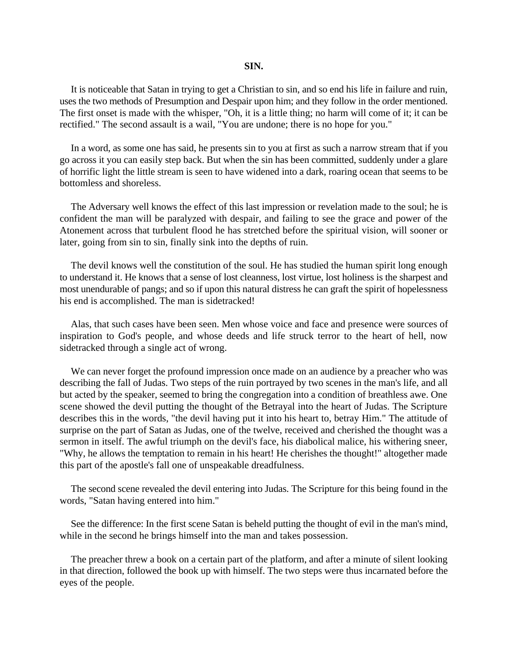### **SIN.**

It is noticeable that Satan in trying to get a Christian to sin, and so end his life in failure and ruin, uses the two methods of Presumption and Despair upon him; and they follow in the order mentioned. The first onset is made with the whisper, "Oh, it is a little thing; no harm will come of it; it can be rectified." The second assault is a wail, "You are undone; there is no hope for you."

In a word, as some one has said, he presents sin to you at first as such a narrow stream that if you go across it you can easily step back. But when the sin has been committed, suddenly under a glare of horrific light the little stream is seen to have widened into a dark, roaring ocean that seems to be bottomless and shoreless.

The Adversary well knows the effect of this last impression or revelation made to the soul; he is confident the man will be paralyzed with despair, and failing to see the grace and power of the Atonement across that turbulent flood he has stretched before the spiritual vision, will sooner or later, going from sin to sin, finally sink into the depths of ruin.

The devil knows well the constitution of the soul. He has studied the human spirit long enough to understand it. He knows that a sense of lost cleanness, lost virtue, lost holiness is the sharpest and most unendurable of pangs; and so if upon this natural distress he can graft the spirit of hopelessness his end is accomplished. The man is sidetracked!

Alas, that such cases have been seen. Men whose voice and face and presence were sources of inspiration to God's people, and whose deeds and life struck terror to the heart of hell, now sidetracked through a single act of wrong.

We can never forget the profound impression once made on an audience by a preacher who was describing the fall of Judas. Two steps of the ruin portrayed by two scenes in the man's life, and all but acted by the speaker, seemed to bring the congregation into a condition of breathless awe. One scene showed the devil putting the thought of the Betrayal into the heart of Judas. The Scripture describes this in the words, "the devil having put it into his heart to, betray Him." The attitude of surprise on the part of Satan as Judas, one of the twelve, received and cherished the thought was a sermon in itself. The awful triumph on the devil's face, his diabolical malice, his withering sneer, "Why, he allows the temptation to remain in his heart! He cherishes the thought!" altogether made this part of the apostle's fall one of unspeakable dreadfulness.

The second scene revealed the devil entering into Judas. The Scripture for this being found in the words, "Satan having entered into him."

See the difference: In the first scene Satan is beheld putting the thought of evil in the man's mind, while in the second he brings himself into the man and takes possession.

The preacher threw a book on a certain part of the platform, and after a minute of silent looking in that direction, followed the book up with himself. The two steps were thus incarnated before the eyes of the people.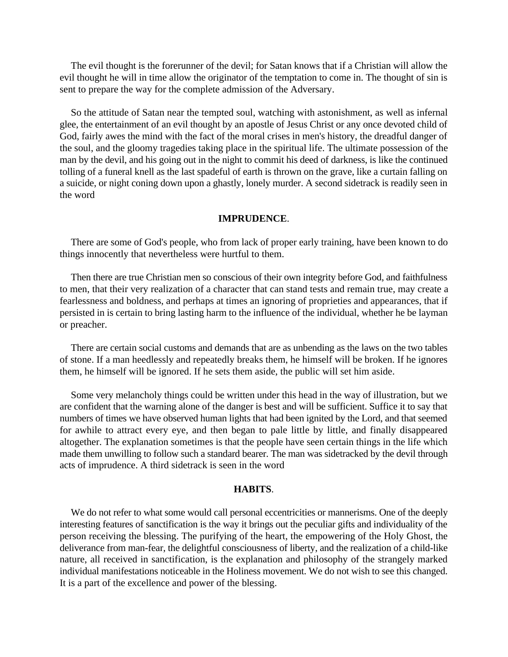The evil thought is the forerunner of the devil; for Satan knows that if a Christian will allow the evil thought he will in time allow the originator of the temptation to come in. The thought of sin is sent to prepare the way for the complete admission of the Adversary.

So the attitude of Satan near the tempted soul, watching with astonishment, as well as infernal glee, the entertainment of an evil thought by an apostle of Jesus Christ or any once devoted child of God, fairly awes the mind with the fact of the moral crises in men's history, the dreadful danger of the soul, and the gloomy tragedies taking place in the spiritual life. The ultimate possession of the man by the devil, and his going out in the night to commit his deed of darkness, is like the continued tolling of a funeral knell as the last spadeful of earth is thrown on the grave, like a curtain falling on a suicide, or night coning down upon a ghastly, lonely murder. A second sidetrack is readily seen in the word

#### **IMPRUDENCE**.

There are some of God's people, who from lack of proper early training, have been known to do things innocently that nevertheless were hurtful to them.

Then there are true Christian men so conscious of their own integrity before God, and faithfulness to men, that their very realization of a character that can stand tests and remain true, may create a fearlessness and boldness, and perhaps at times an ignoring of proprieties and appearances, that if persisted in is certain to bring lasting harm to the influence of the individual, whether he be layman or preacher.

There are certain social customs and demands that are as unbending as the laws on the two tables of stone. If a man heedlessly and repeatedly breaks them, he himself will be broken. If he ignores them, he himself will be ignored. If he sets them aside, the public will set him aside.

Some very melancholy things could be written under this head in the way of illustration, but we are confident that the warning alone of the danger is best and will be sufficient. Suffice it to say that numbers of times we have observed human lights that had been ignited by the Lord, and that seemed for awhile to attract every eye, and then began to pale little by little, and finally disappeared altogether. The explanation sometimes is that the people have seen certain things in the life which made them unwilling to follow such a standard bearer. The man was sidetracked by the devil through acts of imprudence. A third sidetrack is seen in the word

### **HABITS**.

We do not refer to what some would call personal eccentricities or mannerisms. One of the deeply interesting features of sanctification is the way it brings out the peculiar gifts and individuality of the person receiving the blessing. The purifying of the heart, the empowering of the Holy Ghost, the deliverance from man-fear, the delightful consciousness of liberty, and the realization of a child-like nature, all received in sanctification, is the explanation and philosophy of the strangely marked individual manifestations noticeable in the Holiness movement. We do not wish to see this changed. It is a part of the excellence and power of the blessing.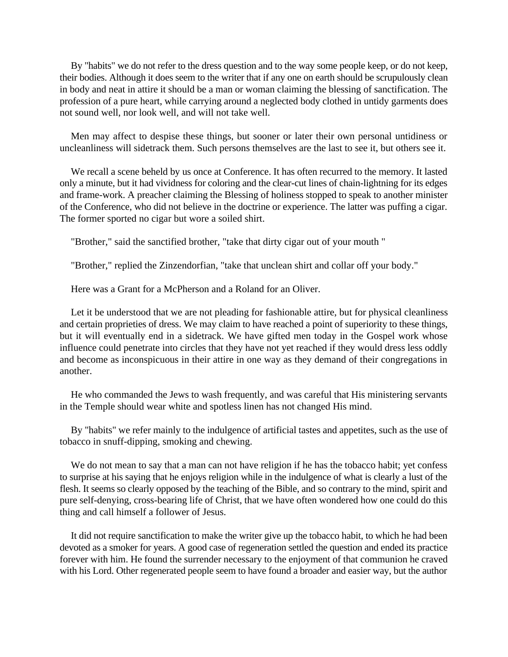By "habits" we do not refer to the dress question and to the way some people keep, or do not keep, their bodies. Although it does seem to the writer that if any one on earth should be scrupulously clean in body and neat in attire it should be a man or woman claiming the blessing of sanctification. The profession of a pure heart, while carrying around a neglected body clothed in untidy garments does not sound well, nor look well, and will not take well.

Men may affect to despise these things, but sooner or later their own personal untidiness or uncleanliness will sidetrack them. Such persons themselves are the last to see it, but others see it.

We recall a scene beheld by us once at Conference. It has often recurred to the memory. It lasted only a minute, but it had vividness for coloring and the clear-cut lines of chain-lightning for its edges and frame-work. A preacher claiming the Blessing of holiness stopped to speak to another minister of the Conference, who did not believe in the doctrine or experience. The latter was puffing a cigar. The former sported no cigar but wore a soiled shirt.

"Brother," said the sanctified brother, "take that dirty cigar out of your mouth "

"Brother," replied the Zinzendorfian, "take that unclean shirt and collar off your body."

Here was a Grant for a McPherson and a Roland for an Oliver.

Let it be understood that we are not pleading for fashionable attire, but for physical cleanliness and certain proprieties of dress. We may claim to have reached a point of superiority to these things, but it will eventually end in a sidetrack. We have gifted men today in the Gospel work whose influence could penetrate into circles that they have not yet reached if they would dress less oddly and become as inconspicuous in their attire in one way as they demand of their congregations in another.

He who commanded the Jews to wash frequently, and was careful that His ministering servants in the Temple should wear white and spotless linen has not changed His mind.

By "habits" we refer mainly to the indulgence of artificial tastes and appetites, such as the use of tobacco in snuff-dipping, smoking and chewing.

We do not mean to say that a man can not have religion if he has the tobacco habit; yet confess to surprise at his saying that he enjoys religion while in the indulgence of what is clearly a lust of the flesh. It seems so clearly opposed by the teaching of the Bible, and so contrary to the mind, spirit and pure self-denying, cross-bearing life of Christ, that we have often wondered how one could do this thing and call himself a follower of Jesus.

It did not require sanctification to make the writer give up the tobacco habit, to which he had been devoted as a smoker for years. A good case of regeneration settled the question and ended its practice forever with him. He found the surrender necessary to the enjoyment of that communion he craved with his Lord. Other regenerated people seem to have found a broader and easier way, but the author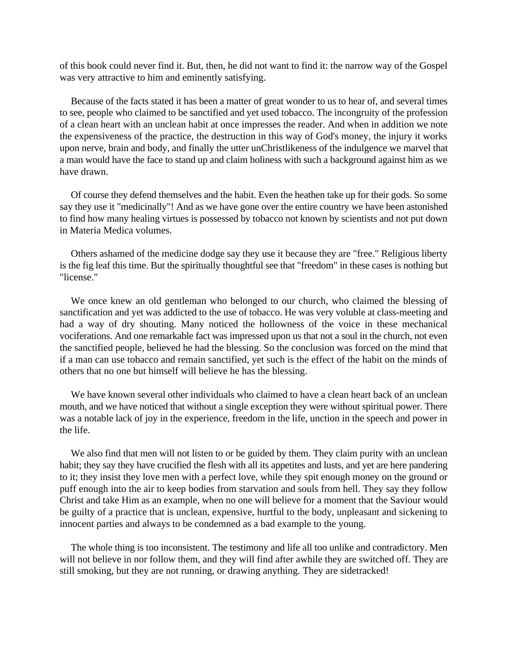of this book could never find it. But, then, he did not want to find it: the narrow way of the Gospel was very attractive to him and eminently satisfying.

Because of the facts stated it has been a matter of great wonder to us to hear of, and several times to see, people who claimed to be sanctified and yet used tobacco. The incongruity of the profession of a clean heart with an unclean habit at once impresses the reader. And when in addition we note the expensiveness of the practice, the destruction in this way of God's money, the injury it works upon nerve, brain and body, and finally the utter unChristlikeness of the indulgence we marvel that a man would have the face to stand up and claim holiness with such a background against him as we have drawn.

Of course they defend themselves and the habit. Even the heathen take up for their gods. So some say they use it "medicinally"! And as we have gone over the entire country we have been astonished to find how many healing virtues is possessed by tobacco not known by scientists and not put down in Materia Medica volumes.

Others ashamed of the medicine dodge say they use it because they are "free." Religious liberty is the fig leaf this time. But the spiritually thoughtful see that "freedom" in these cases is nothing but "license."

We once knew an old gentleman who belonged to our church, who claimed the blessing of sanctification and yet was addicted to the use of tobacco. He was very voluble at class-meeting and had a way of dry shouting. Many noticed the hollowness of the voice in these mechanical vociferations. And one remarkable fact was impressed upon us that not a soul in the church, not even the sanctified people, believed he had the blessing. So the conclusion was forced on the mind that if a man can use tobacco and remain sanctified, yet such is the effect of the habit on the minds of others that no one but himself will believe he has the blessing.

We have known several other individuals who claimed to have a clean heart back of an unclean mouth, and we have noticed that without a single exception they were without spiritual power. There was a notable lack of joy in the experience, freedom in the life, unction in the speech and power in the life.

We also find that men will not listen to or be guided by them. They claim purity with an unclean habit; they say they have crucified the flesh with all its appetites and lusts, and yet are here pandering to it; they insist they love men with a perfect love, while they spit enough money on the ground or puff enough into the air to keep bodies from starvation and souls from hell. They say they follow Christ and take Him as an example, when no one will believe for a moment that the Saviour would be guilty of a practice that is unclean, expensive, hurtful to the body, unpleasant and sickening to innocent parties and always to be condemned as a bad example to the young.

The whole thing is too inconsistent. The testimony and life all too unlike and contradictory. Men will not believe in nor follow them, and they will find after awhile they are switched off. They are still smoking, but they are not running, or drawing anything. They are sidetracked!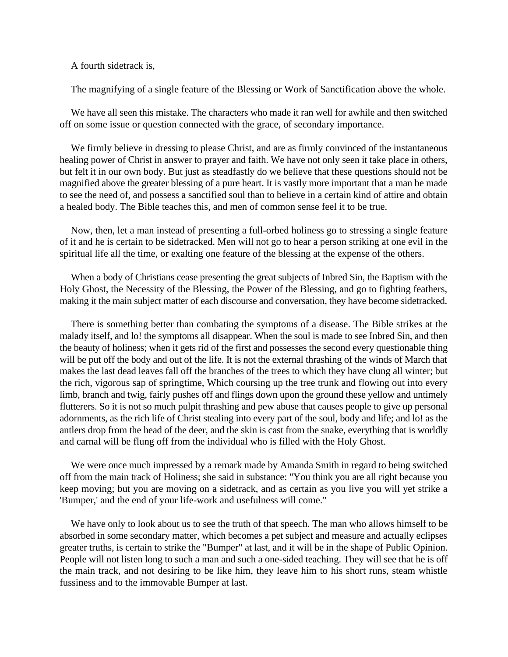A fourth sidetrack is,

The magnifying of a single feature of the Blessing or Work of Sanctification above the whole.

We have all seen this mistake. The characters who made it ran well for awhile and then switched off on some issue or question connected with the grace, of secondary importance.

We firmly believe in dressing to please Christ, and are as firmly convinced of the instantaneous healing power of Christ in answer to prayer and faith. We have not only seen it take place in others, but felt it in our own body. But just as steadfastly do we believe that these questions should not be magnified above the greater blessing of a pure heart. It is vastly more important that a man be made to see the need of, and possess a sanctified soul than to believe in a certain kind of attire and obtain a healed body. The Bible teaches this, and men of common sense feel it to be true.

Now, then, let a man instead of presenting a full-orbed holiness go to stressing a single feature of it and he is certain to be sidetracked. Men will not go to hear a person striking at one evil in the spiritual life all the time, or exalting one feature of the blessing at the expense of the others.

When a body of Christians cease presenting the great subjects of Inbred Sin, the Baptism with the Holy Ghost, the Necessity of the Blessing, the Power of the Blessing, and go to fighting feathers, making it the main subject matter of each discourse and conversation, they have become sidetracked.

There is something better than combating the symptoms of a disease. The Bible strikes at the malady itself, and lo! the symptoms all disappear. When the soul is made to see Inbred Sin, and then the beauty of holiness; when it gets rid of the first and possesses the second every questionable thing will be put off the body and out of the life. It is not the external thrashing of the winds of March that makes the last dead leaves fall off the branches of the trees to which they have clung all winter; but the rich, vigorous sap of springtime, Which coursing up the tree trunk and flowing out into every limb, branch and twig, fairly pushes off and flings down upon the ground these yellow and untimely flutterers. So it is not so much pulpit thrashing and pew abuse that causes people to give up personal adornments, as the rich life of Christ stealing into every part of the soul, body and life; and lo! as the antlers drop from the head of the deer, and the skin is cast from the snake, everything that is worldly and carnal will be flung off from the individual who is filled with the Holy Ghost.

We were once much impressed by a remark made by Amanda Smith in regard to being switched off from the main track of Holiness; she said in substance: "You think you are all right because you keep moving; but you are moving on a sidetrack, and as certain as you live you will yet strike a 'Bumper,' and the end of your life-work and usefulness will come."

We have only to look about us to see the truth of that speech. The man who allows himself to be absorbed in some secondary matter, which becomes a pet subject and measure and actually eclipses greater truths, is certain to strike the "Bumper" at last, and it will be in the shape of Public Opinion. People will not listen long to such a man and such a one-sided teaching. They will see that he is off the main track, and not desiring to be like him, they leave him to his short runs, steam whistle fussiness and to the immovable Bumper at last.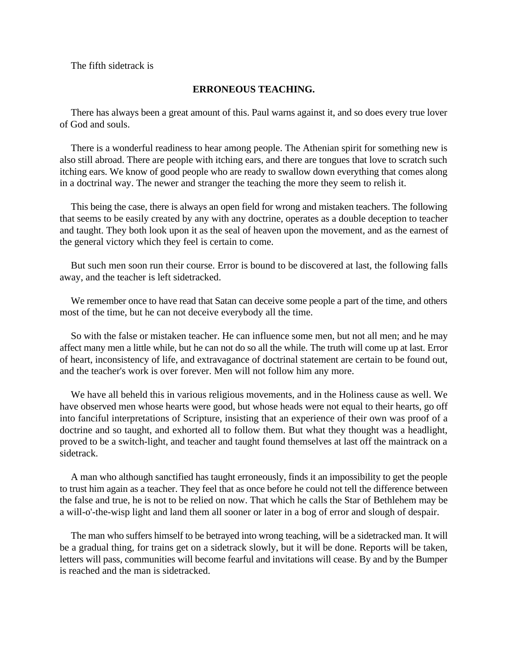The fifth sidetrack is

### **ERRONEOUS TEACHING.**

There has always been a great amount of this. Paul warns against it, and so does every true lover of God and souls.

There is a wonderful readiness to hear among people. The Athenian spirit for something new is also still abroad. There are people with itching ears, and there are tongues that love to scratch such itching ears. We know of good people who are ready to swallow down everything that comes along in a doctrinal way. The newer and stranger the teaching the more they seem to relish it.

This being the case, there is always an open field for wrong and mistaken teachers. The following that seems to be easily created by any with any doctrine, operates as a double deception to teacher and taught. They both look upon it as the seal of heaven upon the movement, and as the earnest of the general victory which they feel is certain to come.

But such men soon run their course. Error is bound to be discovered at last, the following falls away, and the teacher is left sidetracked.

We remember once to have read that Satan can deceive some people a part of the time, and others most of the time, but he can not deceive everybody all the time.

So with the false or mistaken teacher. He can influence some men, but not all men; and he may affect many men a little while, but he can not do so all the while. The truth will come up at last. Error of heart, inconsistency of life, and extravagance of doctrinal statement are certain to be found out, and the teacher's work is over forever. Men will not follow him any more.

We have all beheld this in various religious movements, and in the Holiness cause as well. We have observed men whose hearts were good, but whose heads were not equal to their hearts, go off into fanciful interpretations of Scripture, insisting that an experience of their own was proof of a doctrine and so taught, and exhorted all to follow them. But what they thought was a headlight, proved to be a switch-light, and teacher and taught found themselves at last off the maintrack on a sidetrack.

A man who although sanctified has taught erroneously, finds it an impossibility to get the people to trust him again as a teacher. They feel that as once before he could not tell the difference between the false and true, he is not to be relied on now. That which he calls the Star of Bethlehem may be a will-o'-the-wisp light and land them all sooner or later in a bog of error and slough of despair.

The man who suffers himself to be betrayed into wrong teaching, will be a sidetracked man. It will be a gradual thing, for trains get on a sidetrack slowly, but it will be done. Reports will be taken, letters will pass, communities will become fearful and invitations will cease. By and by the Bumper is reached and the man is sidetracked.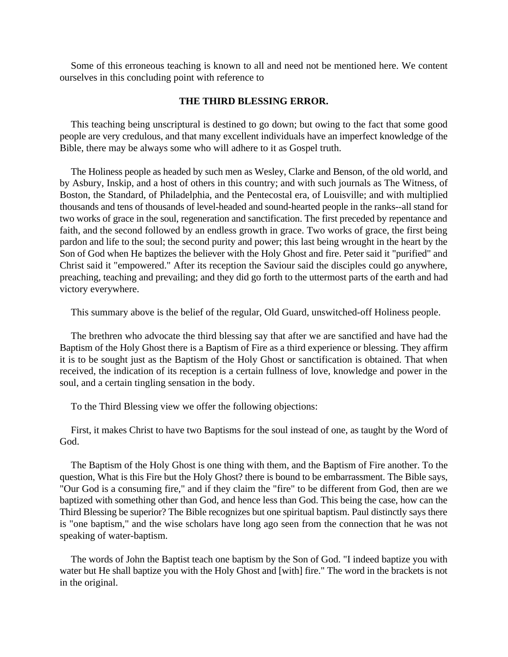Some of this erroneous teaching is known to all and need not be mentioned here. We content ourselves in this concluding point with reference to

# **THE THIRD BLESSING ERROR.**

This teaching being unscriptural is destined to go down; but owing to the fact that some good people are very credulous, and that many excellent individuals have an imperfect knowledge of the Bible, there may be always some who will adhere to it as Gospel truth.

The Holiness people as headed by such men as Wesley, Clarke and Benson, of the old world, and by Asbury, Inskip, and a host of others in this country; and with such journals as The Witness, of Boston, the Standard, of Philadelphia, and the Pentecostal era, of Louisville; and with multiplied thousands and tens of thousands of level-headed and sound-hearted people in the ranks--all stand for two works of grace in the soul, regeneration and sanctification. The first preceded by repentance and faith, and the second followed by an endless growth in grace. Two works of grace, the first being pardon and life to the soul; the second purity and power; this last being wrought in the heart by the Son of God when He baptizes the believer with the Holy Ghost and fire. Peter said it "purified" and Christ said it "empowered." After its reception the Saviour said the disciples could go anywhere, preaching, teaching and prevailing; and they did go forth to the uttermost parts of the earth and had victory everywhere.

This summary above is the belief of the regular, Old Guard, unswitched-off Holiness people.

The brethren who advocate the third blessing say that after we are sanctified and have had the Baptism of the Holy Ghost there is a Baptism of Fire as a third experience or blessing. They affirm it is to be sought just as the Baptism of the Holy Ghost or sanctification is obtained. That when received, the indication of its reception is a certain fullness of love, knowledge and power in the soul, and a certain tingling sensation in the body.

To the Third Blessing view we offer the following objections:

First, it makes Christ to have two Baptisms for the soul instead of one, as taught by the Word of God.

The Baptism of the Holy Ghost is one thing with them, and the Baptism of Fire another. To the question, What is this Fire but the Holy Ghost? there is bound to be embarrassment. The Bible says, "Our God is a consuming fire," and if they claim the "fire" to be different from God, then are we baptized with something other than God, and hence less than God. This being the case, how can the Third Blessing be superior? The Bible recognizes but one spiritual baptism. Paul distinctly says there is "one baptism," and the wise scholars have long ago seen from the connection that he was not speaking of water-baptism.

The words of John the Baptist teach one baptism by the Son of God. "I indeed baptize you with water but He shall baptize you with the Holy Ghost and [with] fire." The word in the brackets is not in the original.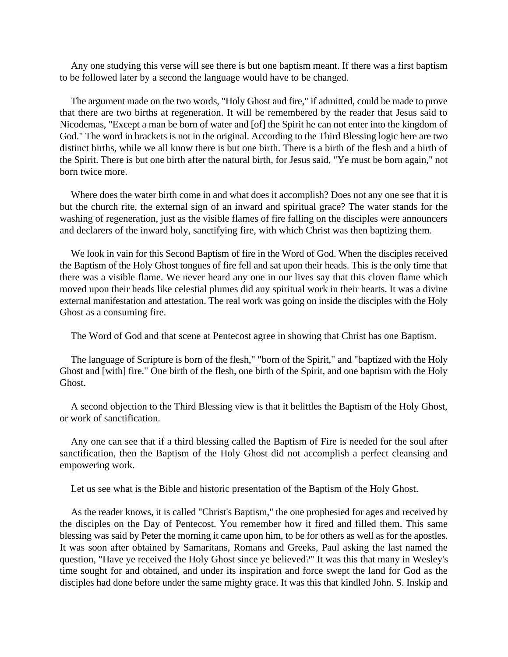Any one studying this verse will see there is but one baptism meant. If there was a first baptism to be followed later by a second the language would have to be changed.

The argument made on the two words, "Holy Ghost and fire," if admitted, could be made to prove that there are two births at regeneration. It will be remembered by the reader that Jesus said to Nicodemas, "Except a man be born of water and [of] the Spirit he can not enter into the kingdom of God." The word in brackets is not in the original. According to the Third Blessing logic here are two distinct births, while we all know there is but one birth. There is a birth of the flesh and a birth of the Spirit. There is but one birth after the natural birth, for Jesus said, "Ye must be born again," not born twice more.

Where does the water birth come in and what does it accomplish? Does not any one see that it is but the church rite, the external sign of an inward and spiritual grace? The water stands for the washing of regeneration, just as the visible flames of fire falling on the disciples were announcers and declarers of the inward holy, sanctifying fire, with which Christ was then baptizing them.

We look in vain for this Second Baptism of fire in the Word of God. When the disciples received the Baptism of the Holy Ghost tongues of fire fell and sat upon their heads. This is the only time that there was a visible flame. We never heard any one in our lives say that this cloven flame which moved upon their heads like celestial plumes did any spiritual work in their hearts. It was a divine external manifestation and attestation. The real work was going on inside the disciples with the Holy Ghost as a consuming fire.

The Word of God and that scene at Pentecost agree in showing that Christ has one Baptism.

The language of Scripture is born of the flesh," "born of the Spirit," and "baptized with the Holy Ghost and [with] fire." One birth of the flesh, one birth of the Spirit, and one baptism with the Holy Ghost.

A second objection to the Third Blessing view is that it belittles the Baptism of the Holy Ghost, or work of sanctification.

Any one can see that if a third blessing called the Baptism of Fire is needed for the soul after sanctification, then the Baptism of the Holy Ghost did not accomplish a perfect cleansing and empowering work.

Let us see what is the Bible and historic presentation of the Baptism of the Holy Ghost.

As the reader knows, it is called "Christ's Baptism," the one prophesied for ages and received by the disciples on the Day of Pentecost. You remember how it fired and filled them. This same blessing was said by Peter the morning it came upon him, to be for others as well as for the apostles. It was soon after obtained by Samaritans, Romans and Greeks, Paul asking the last named the question, "Have ye received the Holy Ghost since ye believed?" It was this that many in Wesley's time sought for and obtained, and under its inspiration and force swept the land for God as the disciples had done before under the same mighty grace. It was this that kindled John. S. Inskip and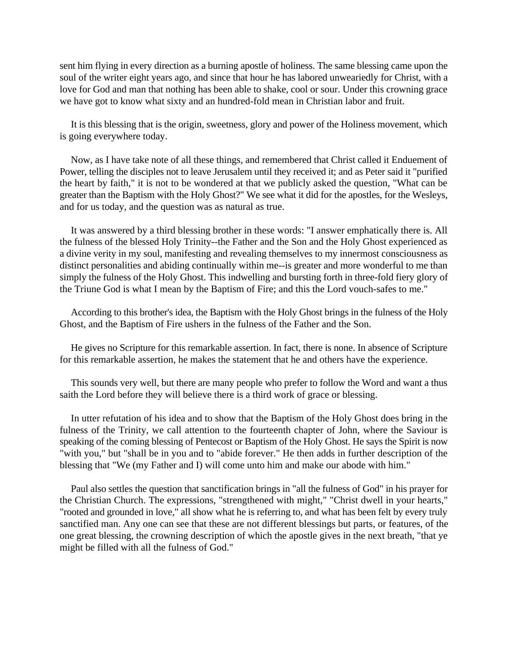sent him flying in every direction as a burning apostle of holiness. The same blessing came upon the soul of the writer eight years ago, and since that hour he has labored unweariedly for Christ, with a love for God and man that nothing has been able to shake, cool or sour. Under this crowning grace we have got to know what sixty and an hundred-fold mean in Christian labor and fruit.

It is this blessing that is the origin, sweetness, glory and power of the Holiness movement, which is going everywhere today.

Now, as I have take note of all these things, and remembered that Christ called it Enduement of Power, telling the disciples not to leave Jerusalem until they received it; and as Peter said it "purified the heart by faith," it is not to be wondered at that we publicly asked the question, "What can be greater than the Baptism with the Holy Ghost?" We see what it did for the apostles, for the Wesleys, and for us today, and the question was as natural as true.

It was answered by a third blessing brother in these words: "I answer emphatically there is. All the fulness of the blessed Holy Trinity--the Father and the Son and the Holy Ghost experienced as a divine verity in my soul, manifesting and revealing themselves to my innermost consciousness as distinct personalities and abiding continually within me--is greater and more wonderful to me than simply the fulness of the Holy Ghost. This indwelling and bursting forth in three-fold fiery glory of the Triune God is what I mean by the Baptism of Fire; and this the Lord vouch-safes to me."

According to this brother's idea, the Baptism with the Holy Ghost brings in the fulness of the Holy Ghost, and the Baptism of Fire ushers in the fulness of the Father and the Son.

He gives no Scripture for this remarkable assertion. In fact, there is none. In absence of Scripture for this remarkable assertion, he makes the statement that he and others have the experience.

This sounds very well, but there are many people who prefer to follow the Word and want a thus saith the Lord before they will believe there is a third work of grace or blessing.

In utter refutation of his idea and to show that the Baptism of the Holy Ghost does bring in the fulness of the Trinity, we call attention to the fourteenth chapter of John, where the Saviour is speaking of the coming blessing of Pentecost or Baptism of the Holy Ghost. He says the Spirit is now "with you," but "shall be in you and to "abide forever." He then adds in further description of the blessing that "We (my Father and I) will come unto him and make our abode with him."

Paul also settles the question that sanctification brings in "all the fulness of God" in his prayer for the Christian Church. The expressions, "strengthened with might," "Christ dwell in your hearts," "rooted and grounded in love," all show what he is referring to, and what has been felt by every truly sanctified man. Any one can see that these are not different blessings but parts, or features, of the one great blessing, the crowning description of which the apostle gives in the next breath, "that ye might be filled with all the fulness of God."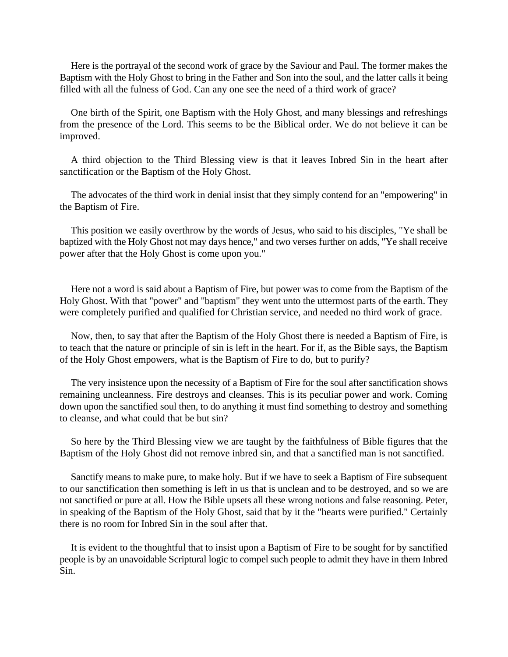Here is the portrayal of the second work of grace by the Saviour and Paul. The former makes the Baptism with the Holy Ghost to bring in the Father and Son into the soul, and the latter calls it being filled with all the fulness of God. Can any one see the need of a third work of grace?

One birth of the Spirit, one Baptism with the Holy Ghost, and many blessings and refreshings from the presence of the Lord. This seems to be the Biblical order. We do not believe it can be improved.

A third objection to the Third Blessing view is that it leaves Inbred Sin in the heart after sanctification or the Baptism of the Holy Ghost.

The advocates of the third work in denial insist that they simply contend for an "empowering" in the Baptism of Fire.

This position we easily overthrow by the words of Jesus, who said to his disciples, "Ye shall be baptized with the Holy Ghost not may days hence," and two verses further on adds, "Ye shall receive power after that the Holy Ghost is come upon you."

Here not a word is said about a Baptism of Fire, but power was to come from the Baptism of the Holy Ghost. With that "power" and "baptism" they went unto the uttermost parts of the earth. They were completely purified and qualified for Christian service, and needed no third work of grace.

Now, then, to say that after the Baptism of the Holy Ghost there is needed a Baptism of Fire, is to teach that the nature or principle of sin is left in the heart. For if, as the Bible says, the Baptism of the Holy Ghost empowers, what is the Baptism of Fire to do, but to purify?

The very insistence upon the necessity of a Baptism of Fire for the soul after sanctification shows remaining uncleanness. Fire destroys and cleanses. This is its peculiar power and work. Coming down upon the sanctified soul then, to do anything it must find something to destroy and something to cleanse, and what could that be but sin?

So here by the Third Blessing view we are taught by the faithfulness of Bible figures that the Baptism of the Holy Ghost did not remove inbred sin, and that a sanctified man is not sanctified.

Sanctify means to make pure, to make holy. But if we have to seek a Baptism of Fire subsequent to our sanctification then something is left in us that is unclean and to be destroyed, and so we are not sanctified or pure at all. How the Bible upsets all these wrong notions and false reasoning. Peter, in speaking of the Baptism of the Holy Ghost, said that by it the "hearts were purified." Certainly there is no room for Inbred Sin in the soul after that.

It is evident to the thoughtful that to insist upon a Baptism of Fire to be sought for by sanctified people is by an unavoidable Scriptural logic to compel such people to admit they have in them Inbred Sin.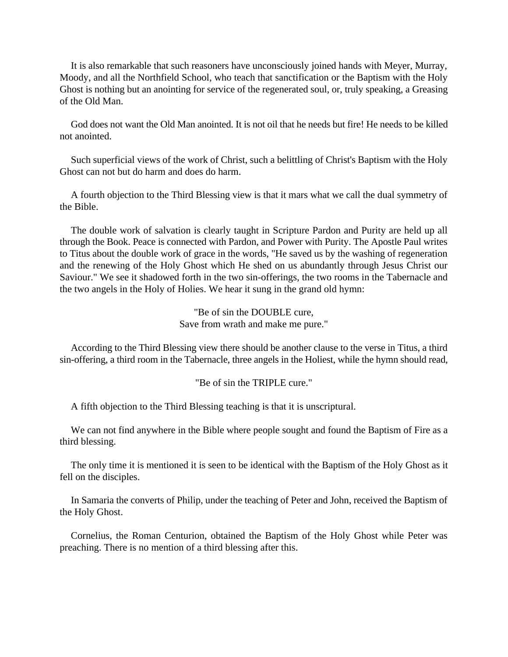It is also remarkable that such reasoners have unconsciously joined hands with Meyer, Murray, Moody, and all the Northfield School, who teach that sanctification or the Baptism with the Holy Ghost is nothing but an anointing for service of the regenerated soul, or, truly speaking, a Greasing of the Old Man.

God does not want the Old Man anointed. It is not oil that he needs but fire! He needs to be killed not anointed.

Such superficial views of the work of Christ, such a belittling of Christ's Baptism with the Holy Ghost can not but do harm and does do harm.

A fourth objection to the Third Blessing view is that it mars what we call the dual symmetry of the Bible.

The double work of salvation is clearly taught in Scripture Pardon and Purity are held up all through the Book. Peace is connected with Pardon, and Power with Purity. The Apostle Paul writes to Titus about the double work of grace in the words, "He saved us by the washing of regeneration and the renewing of the Holy Ghost which He shed on us abundantly through Jesus Christ our Saviour." We see it shadowed forth in the two sin-offerings, the two rooms in the Tabernacle and the two angels in the Holy of Holies. We hear it sung in the grand old hymn:

> "Be of sin the DOUBLE cure, Save from wrath and make me pure."

According to the Third Blessing view there should be another clause to the verse in Titus, a third sin-offering, a third room in the Tabernacle, three angels in the Holiest, while the hymn should read,

"Be of sin the TRIPLE cure."

A fifth objection to the Third Blessing teaching is that it is unscriptural.

We can not find anywhere in the Bible where people sought and found the Baptism of Fire as a third blessing.

The only time it is mentioned it is seen to be identical with the Baptism of the Holy Ghost as it fell on the disciples.

In Samaria the converts of Philip, under the teaching of Peter and John, received the Baptism of the Holy Ghost.

Cornelius, the Roman Centurion, obtained the Baptism of the Holy Ghost while Peter was preaching. There is no mention of a third blessing after this.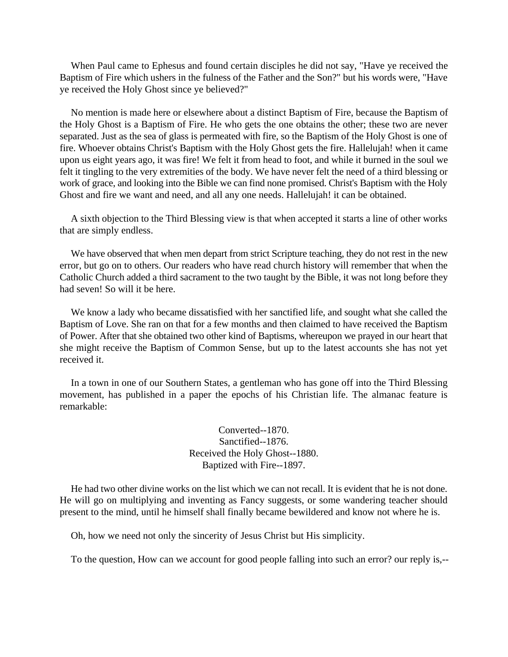When Paul came to Ephesus and found certain disciples he did not say, "Have ye received the Baptism of Fire which ushers in the fulness of the Father and the Son?" but his words were, "Have ye received the Holy Ghost since ye believed?"

No mention is made here or elsewhere about a distinct Baptism of Fire, because the Baptism of the Holy Ghost is a Baptism of Fire. He who gets the one obtains the other; these two are never separated. Just as the sea of glass is permeated with fire, so the Baptism of the Holy Ghost is one of fire. Whoever obtains Christ's Baptism with the Holy Ghost gets the fire. Hallelujah! when it came upon us eight years ago, it was fire! We felt it from head to foot, and while it burned in the soul we felt it tingling to the very extremities of the body. We have never felt the need of a third blessing or work of grace, and looking into the Bible we can find none promised. Christ's Baptism with the Holy Ghost and fire we want and need, and all any one needs. Hallelujah! it can be obtained.

A sixth objection to the Third Blessing view is that when accepted it starts a line of other works that are simply endless.

We have observed that when men depart from strict Scripture teaching, they do not rest in the new error, but go on to others. Our readers who have read church history will remember that when the Catholic Church added a third sacrament to the two taught by the Bible, it was not long before they had seven! So will it be here.

We know a lady who became dissatisfied with her sanctified life, and sought what she called the Baptism of Love. She ran on that for a few months and then claimed to have received the Baptism of Power. After that she obtained two other kind of Baptisms, whereupon we prayed in our heart that she might receive the Baptism of Common Sense, but up to the latest accounts she has not yet received it.

In a town in one of our Southern States, a gentleman who has gone off into the Third Blessing movement, has published in a paper the epochs of his Christian life. The almanac feature is remarkable:

> Converted--1870. Sanctified--1876. Received the Holy Ghost--1880. Baptized with Fire--1897.

He had two other divine works on the list which we can not recall. It is evident that he is not done. He will go on multiplying and inventing as Fancy suggests, or some wandering teacher should present to the mind, until he himself shall finally became bewildered and know not where he is.

Oh, how we need not only the sincerity of Jesus Christ but His simplicity.

To the question, How can we account for good people falling into such an error? our reply is,--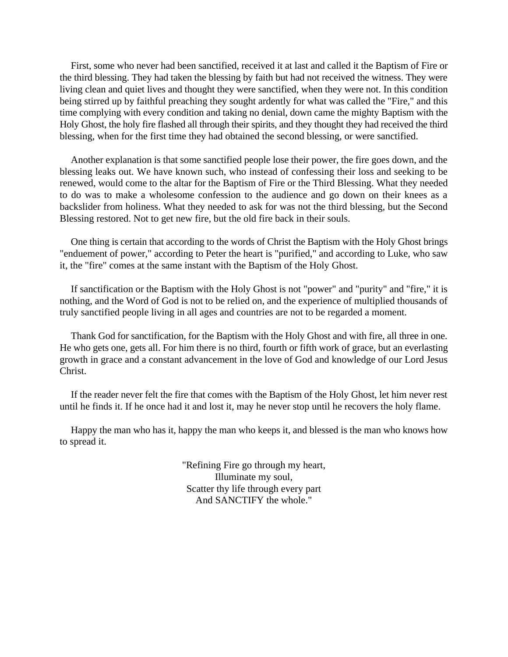First, some who never had been sanctified, received it at last and called it the Baptism of Fire or the third blessing. They had taken the blessing by faith but had not received the witness. They were living clean and quiet lives and thought they were sanctified, when they were not. In this condition being stirred up by faithful preaching they sought ardently for what was called the "Fire," and this time complying with every condition and taking no denial, down came the mighty Baptism with the Holy Ghost, the holy fire flashed all through their spirits, and they thought they had received the third blessing, when for the first time they had obtained the second blessing, or were sanctified.

Another explanation is that some sanctified people lose their power, the fire goes down, and the blessing leaks out. We have known such, who instead of confessing their loss and seeking to be renewed, would come to the altar for the Baptism of Fire or the Third Blessing. What they needed to do was to make a wholesome confession to the audience and go down on their knees as a backslider from holiness. What they needed to ask for was not the third blessing, but the Second Blessing restored. Not to get new fire, but the old fire back in their souls.

One thing is certain that according to the words of Christ the Baptism with the Holy Ghost brings "enduement of power," according to Peter the heart is "purified," and according to Luke, who saw it, the "fire" comes at the same instant with the Baptism of the Holy Ghost.

If sanctification or the Baptism with the Holy Ghost is not "power" and "purity" and "fire," it is nothing, and the Word of God is not to be relied on, and the experience of multiplied thousands of truly sanctified people living in all ages and countries are not to be regarded a moment.

Thank God for sanctification, for the Baptism with the Holy Ghost and with fire, all three in one. He who gets one, gets all. For him there is no third, fourth or fifth work of grace, but an everlasting growth in grace and a constant advancement in the love of God and knowledge of our Lord Jesus Christ.

If the reader never felt the fire that comes with the Baptism of the Holy Ghost, let him never rest until he finds it. If he once had it and lost it, may he never stop until he recovers the holy flame.

Happy the man who has it, happy the man who keeps it, and blessed is the man who knows how to spread it.

> "Refining Fire go through my heart, Illuminate my soul, Scatter thy life through every part And SANCTIFY the whole."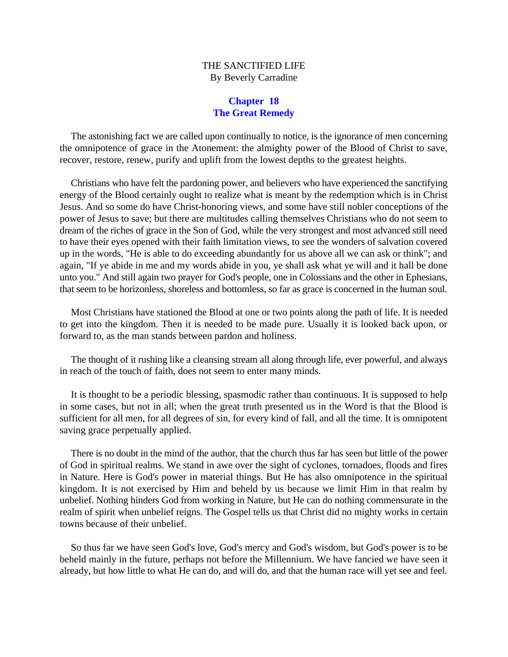## THE SANCTIFIED LIFE By Beverly Carradine

## **Chapter 18 The Great Remedy**

The astonishing fact we are called upon continually to notice, is the ignorance of men concerning the omnipotence of grace in the Atonement: the almighty power of the Blood of Christ to save, recover, restore, renew, purify and uplift from the lowest depths to the greatest heights.

Christians who have felt the pardoning power, and believers who have experienced the sanctifying energy of the Blood certainly ought to realize what is meant by the redemption which is in Christ Jesus. And so some do have Christ-honoring views, and some have still nobler conceptions of the power of Jesus to save; but there are multitudes calling themselves Christians who do not seem to dream of the riches of grace in the Son of God, while the very strongest and most advanced still need to have their eyes opened with their faith limitation views, to see the wonders of salvation covered up in the words, "He is able to do exceeding abundantly for us above all we can ask or think"; and again, "If ye abide in me and my words abide in you, ye shall ask what ye will and it hall be done unto you." And still again two prayer for God's people, one in Colossians and the other in Ephesians, that seem to be horizonless, shoreless and bottomless, so far as grace is concerned in the human soul.

Most Christians have stationed the Blood at one or two points along the path of life. It is needed to get into the kingdom. Then it is needed to be made pure. Usually it is looked back upon, or forward to, as the man stands between pardon and holiness.

The thought of it rushing like a cleansing stream all along through life, ever powerful, and always in reach of the touch of faith, does not seem to enter many minds.

It is thought to be a periodic blessing, spasmodic rather than continuous. It is supposed to help in some cases, but not in all; when the great truth presented us in the Word is that the Blood is sufficient for all men, for all degrees of sin, for every kind of fall, and all the time. It is omnipotent saving grace perpetually applied.

There is no doubt in the mind of the author, that the church thus far has seen but little of the power of God in spiritual realms. We stand in awe over the sight of cyclones, tornadoes, floods and fires in Nature. Here is God's power in material things. But He has also omnipotence in the spiritual kingdom. It is not exercised by Him and beheld by us because we limit Him in that realm by unbelief. Nothing hinders God from working in Nature, but He can do nothing commensurate in the realm of spirit when unbelief reigns. The Gospel tells us that Christ did no mighty works in certain towns because of their unbelief.

So thus far we have seen God's love, God's mercy and God's wisdom, but God's power is to be beheld mainly in the future, perhaps not before the Millennium. We have fancied we have seen it already, but how little to what He can do, and will do, and that the human race will yet see and feel.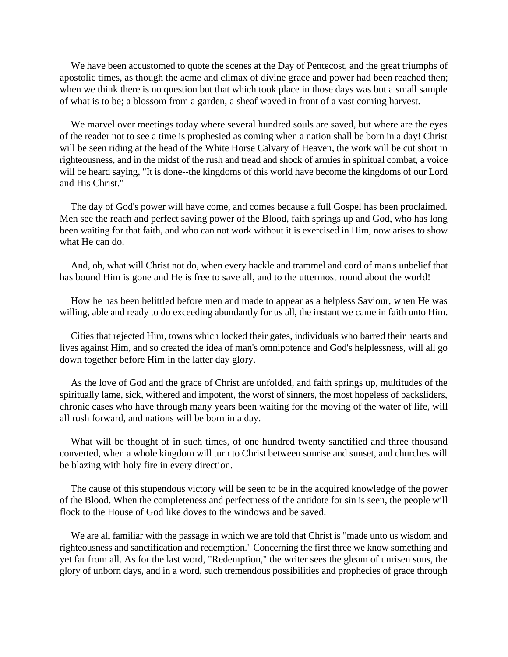We have been accustomed to quote the scenes at the Day of Pentecost, and the great triumphs of apostolic times, as though the acme and climax of divine grace and power had been reached then; when we think there is no question but that which took place in those days was but a small sample of what is to be; a blossom from a garden, a sheaf waved in front of a vast coming harvest.

We marvel over meetings today where several hundred souls are saved, but where are the eyes of the reader not to see a time is prophesied as coming when a nation shall be born in a day! Christ will be seen riding at the head of the White Horse Calvary of Heaven, the work will be cut short in righteousness, and in the midst of the rush and tread and shock of armies in spiritual combat, a voice will be heard saying, "It is done--the kingdoms of this world have become the kingdoms of our Lord and His Christ."

The day of God's power will have come, and comes because a full Gospel has been proclaimed. Men see the reach and perfect saving power of the Blood, faith springs up and God, who has long been waiting for that faith, and who can not work without it is exercised in Him, now arises to show what He can do.

And, oh, what will Christ not do, when every hackle and trammel and cord of man's unbelief that has bound Him is gone and He is free to save all, and to the uttermost round about the world!

How he has been belittled before men and made to appear as a helpless Saviour, when He was willing, able and ready to do exceeding abundantly for us all, the instant we came in faith unto Him.

Cities that rejected Him, towns which locked their gates, individuals who barred their hearts and lives against Him, and so created the idea of man's omnipotence and God's helplessness, will all go down together before Him in the latter day glory.

As the love of God and the grace of Christ are unfolded, and faith springs up, multitudes of the spiritually lame, sick, withered and impotent, the worst of sinners, the most hopeless of backsliders, chronic cases who have through many years been waiting for the moving of the water of life, will all rush forward, and nations will be born in a day.

What will be thought of in such times, of one hundred twenty sanctified and three thousand converted, when a whole kingdom will turn to Christ between sunrise and sunset, and churches will be blazing with holy fire in every direction.

The cause of this stupendous victory will be seen to be in the acquired knowledge of the power of the Blood. When the completeness and perfectness of the antidote for sin is seen, the people will flock to the House of God like doves to the windows and be saved.

We are all familiar with the passage in which we are told that Christ is "made unto us wisdom and righteousness and sanctification and redemption." Concerning the first three we know something and yet far from all. As for the last word, "Redemption," the writer sees the gleam of unrisen suns, the glory of unborn days, and in a word, such tremendous possibilities and prophecies of grace through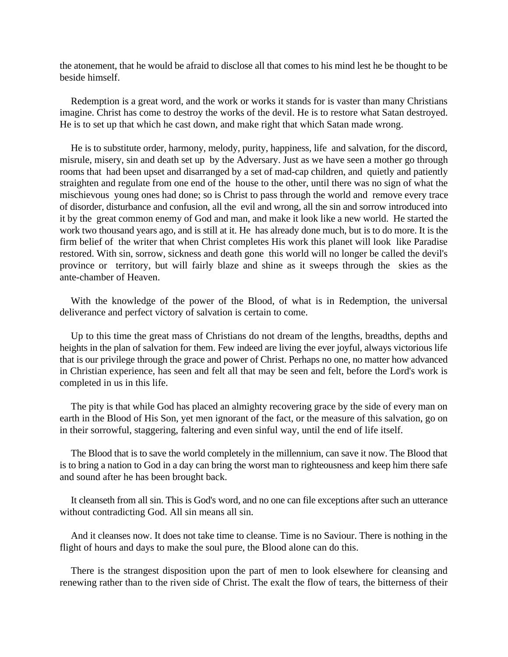the atonement, that he would be afraid to disclose all that comes to his mind lest he be thought to be beside himself.

Redemption is a great word, and the work or works it stands for is vaster than many Christians imagine. Christ has come to destroy the works of the devil. He is to restore what Satan destroyed. He is to set up that which he cast down, and make right that which Satan made wrong.

He is to substitute order, harmony, melody, purity, happiness, life and salvation, for the discord, misrule, misery, sin and death set up by the Adversary. Just as we have seen a mother go through rooms that had been upset and disarranged by a set of mad-cap children, and quietly and patiently straighten and regulate from one end of the house to the other, until there was no sign of what the mischievous young ones had done; so is Christ to pass through the world and remove every trace of disorder, disturbance and confusion, all the evil and wrong, all the sin and sorrow introduced into it by the great common enemy of God and man, and make it look like a new world. He started the work two thousand years ago, and is still at it. He has already done much, but is to do more. It is the firm belief of the writer that when Christ completes His work this planet will look like Paradise restored. With sin, sorrow, sickness and death gone this world will no longer be called the devil's province or territory, but will fairly blaze and shine as it sweeps through the skies as the ante-chamber of Heaven.

With the knowledge of the power of the Blood, of what is in Redemption, the universal deliverance and perfect victory of salvation is certain to come.

Up to this time the great mass of Christians do not dream of the lengths, breadths, depths and heights in the plan of salvation for them. Few indeed are living the ever joyful, always victorious life that is our privilege through the grace and power of Christ. Perhaps no one, no matter how advanced in Christian experience, has seen and felt all that may be seen and felt, before the Lord's work is completed in us in this life.

The pity is that while God has placed an almighty recovering grace by the side of every man on earth in the Blood of His Son, yet men ignorant of the fact, or the measure of this salvation, go on in their sorrowful, staggering, faltering and even sinful way, until the end of life itself.

The Blood that is to save the world completely in the millennium, can save it now. The Blood that is to bring a nation to God in a day can bring the worst man to righteousness and keep him there safe and sound after he has been brought back.

It cleanseth from all sin. This is God's word, and no one can file exceptions after such an utterance without contradicting God. All sin means all sin.

And it cleanses now. It does not take time to cleanse. Time is no Saviour. There is nothing in the flight of hours and days to make the soul pure, the Blood alone can do this.

There is the strangest disposition upon the part of men to look elsewhere for cleansing and renewing rather than to the riven side of Christ. The exalt the flow of tears, the bitterness of their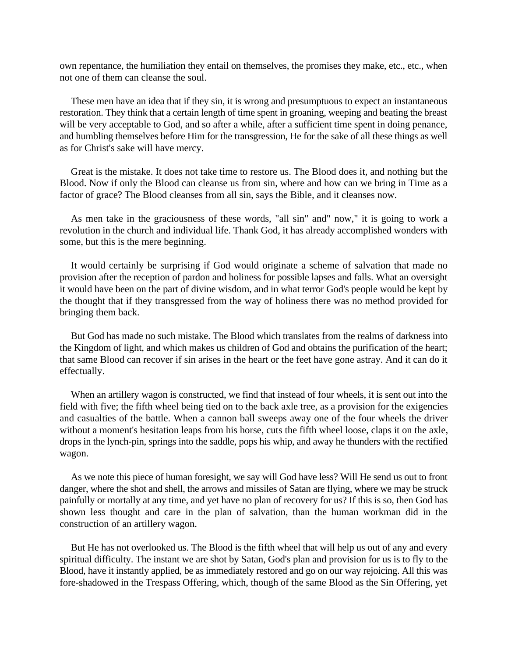own repentance, the humiliation they entail on themselves, the promises they make, etc., etc., when not one of them can cleanse the soul.

These men have an idea that if they sin, it is wrong and presumptuous to expect an instantaneous restoration. They think that a certain length of time spent in groaning, weeping and beating the breast will be very acceptable to God, and so after a while, after a sufficient time spent in doing penance, and humbling themselves before Him for the transgression, He for the sake of all these things as well as for Christ's sake will have mercy.

Great is the mistake. It does not take time to restore us. The Blood does it, and nothing but the Blood. Now if only the Blood can cleanse us from sin, where and how can we bring in Time as a factor of grace? The Blood cleanses from all sin, says the Bible, and it cleanses now.

As men take in the graciousness of these words, "all sin" and" now," it is going to work a revolution in the church and individual life. Thank God, it has already accomplished wonders with some, but this is the mere beginning.

It would certainly be surprising if God would originate a scheme of salvation that made no provision after the reception of pardon and holiness for possible lapses and falls. What an oversight it would have been on the part of divine wisdom, and in what terror God's people would be kept by the thought that if they transgressed from the way of holiness there was no method provided for bringing them back.

But God has made no such mistake. The Blood which translates from the realms of darkness into the Kingdom of light, and which makes us children of God and obtains the purification of the heart; that same Blood can recover if sin arises in the heart or the feet have gone astray. And it can do it effectually.

When an artillery wagon is constructed, we find that instead of four wheels, it is sent out into the field with five; the fifth wheel being tied on to the back axle tree, as a provision for the exigencies and casualties of the battle. When a cannon ball sweeps away one of the four wheels the driver without a moment's hesitation leaps from his horse, cuts the fifth wheel loose, claps it on the axle, drops in the lynch-pin, springs into the saddle, pops his whip, and away he thunders with the rectified wagon.

As we note this piece of human foresight, we say will God have less? Will He send us out to front danger, where the shot and shell, the arrows and missiles of Satan are flying, where we may be struck painfully or mortally at any time, and yet have no plan of recovery for us? If this is so, then God has shown less thought and care in the plan of salvation, than the human workman did in the construction of an artillery wagon.

But He has not overlooked us. The Blood is the fifth wheel that will help us out of any and every spiritual difficulty. The instant we are shot by Satan, God's plan and provision for us is to fly to the Blood, have it instantly applied, be as immediately restored and go on our way rejoicing. All this was fore-shadowed in the Trespass Offering, which, though of the same Blood as the Sin Offering, yet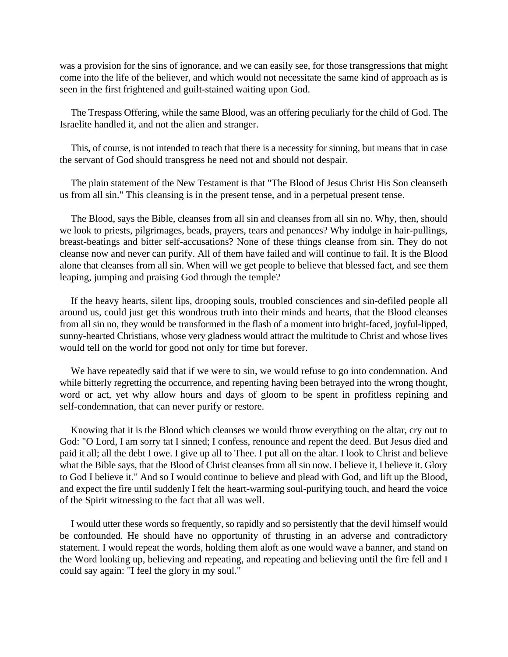was a provision for the sins of ignorance, and we can easily see, for those transgressions that might come into the life of the believer, and which would not necessitate the same kind of approach as is seen in the first frightened and guilt-stained waiting upon God.

The Trespass Offering, while the same Blood, was an offering peculiarly for the child of God. The Israelite handled it, and not the alien and stranger.

This, of course, is not intended to teach that there is a necessity for sinning, but means that in case the servant of God should transgress he need not and should not despair.

The plain statement of the New Testament is that "The Blood of Jesus Christ His Son cleanseth us from all sin." This cleansing is in the present tense, and in a perpetual present tense.

The Blood, says the Bible, cleanses from all sin and cleanses from all sin no. Why, then, should we look to priests, pilgrimages, beads, prayers, tears and penances? Why indulge in hair-pullings, breast-beatings and bitter self-accusations? None of these things cleanse from sin. They do not cleanse now and never can purify. All of them have failed and will continue to fail. It is the Blood alone that cleanses from all sin. When will we get people to believe that blessed fact, and see them leaping, jumping and praising God through the temple?

If the heavy hearts, silent lips, drooping souls, troubled consciences and sin-defiled people all around us, could just get this wondrous truth into their minds and hearts, that the Blood cleanses from all sin no, they would be transformed in the flash of a moment into bright-faced, joyful-lipped, sunny-hearted Christians, whose very gladness would attract the multitude to Christ and whose lives would tell on the world for good not only for time but forever.

We have repeatedly said that if we were to sin, we would refuse to go into condemnation. And while bitterly regretting the occurrence, and repenting having been betrayed into the wrong thought, word or act, yet why allow hours and days of gloom to be spent in profitless repining and self-condemnation, that can never purify or restore.

Knowing that it is the Blood which cleanses we would throw everything on the altar, cry out to God: "O Lord, I am sorry tat I sinned; I confess, renounce and repent the deed. But Jesus died and paid it all; all the debt I owe. I give up all to Thee. I put all on the altar. I look to Christ and believe what the Bible says, that the Blood of Christ cleanses from all sin now. I believe it, I believe it. Glory to God I believe it." And so I would continue to believe and plead with God, and lift up the Blood, and expect the fire until suddenly I felt the heart-warming soul-purifying touch, and heard the voice of the Spirit witnessing to the fact that all was well.

I would utter these words so frequently, so rapidly and so persistently that the devil himself would be confounded. He should have no opportunity of thrusting in an adverse and contradictory statement. I would repeat the words, holding them aloft as one would wave a banner, and stand on the Word looking up, believing and repeating, and repeating and believing until the fire fell and I could say again: "I feel the glory in my soul."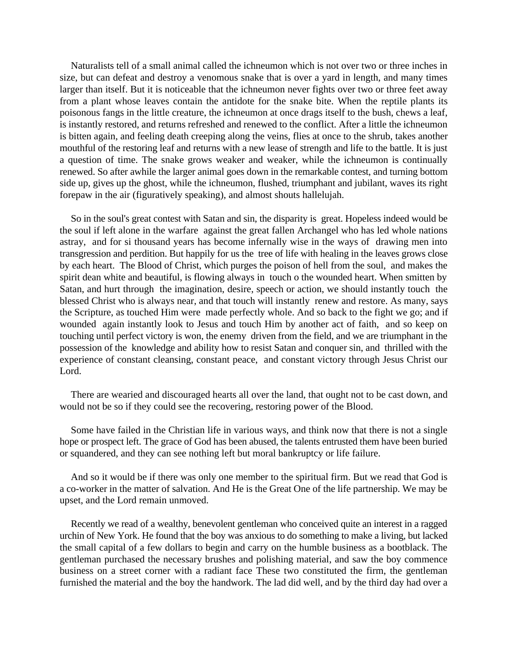Naturalists tell of a small animal called the ichneumon which is not over two or three inches in size, but can defeat and destroy a venomous snake that is over a yard in length, and many times larger than itself. But it is noticeable that the ichneumon never fights over two or three feet away from a plant whose leaves contain the antidote for the snake bite. When the reptile plants its poisonous fangs in the little creature, the ichneumon at once drags itself to the bush, chews a leaf, is instantly restored, and returns refreshed and renewed to the conflict. After a little the ichneumon is bitten again, and feeling death creeping along the veins, flies at once to the shrub, takes another mouthful of the restoring leaf and returns with a new lease of strength and life to the battle. It is just a question of time. The snake grows weaker and weaker, while the ichneumon is continually renewed. So after awhile the larger animal goes down in the remarkable contest, and turning bottom side up, gives up the ghost, while the ichneumon, flushed, triumphant and jubilant, waves its right forepaw in the air (figuratively speaking), and almost shouts hallelujah.

So in the soul's great contest with Satan and sin, the disparity is great. Hopeless indeed would be the soul if left alone in the warfare against the great fallen Archangel who has led whole nations astray, and for si thousand years has become infernally wise in the ways of drawing men into transgression and perdition. But happily for us the tree of life with healing in the leaves grows close by each heart. The Blood of Christ, which purges the poison of hell from the soul, and makes the spirit dean white and beautiful, is flowing always in touch o the wounded heart. When smitten by Satan, and hurt through the imagination, desire, speech or action, we should instantly touch the blessed Christ who is always near, and that touch will instantly renew and restore. As many, says the Scripture, as touched Him were made perfectly whole. And so back to the fight we go; and if wounded again instantly look to Jesus and touch Him by another act of faith, and so keep on touching until perfect victory is won, the enemy driven from the field, and we are triumphant in the possession of the knowledge and ability how to resist Satan and conquer sin, and thrilled with the experience of constant cleansing, constant peace, and constant victory through Jesus Christ our Lord.

There are wearied and discouraged hearts all over the land, that ought not to be cast down, and would not be so if they could see the recovering, restoring power of the Blood.

Some have failed in the Christian life in various ways, and think now that there is not a single hope or prospect left. The grace of God has been abused, the talents entrusted them have been buried or squandered, and they can see nothing left but moral bankruptcy or life failure.

And so it would be if there was only one member to the spiritual firm. But we read that God is a co-worker in the matter of salvation. And He is the Great One of the life partnership. We may be upset, and the Lord remain unmoved.

Recently we read of a wealthy, benevolent gentleman who conceived quite an interest in a ragged urchin of New York. He found that the boy was anxious to do something to make a living, but lacked the small capital of a few dollars to begin and carry on the humble business as a bootblack. The gentleman purchased the necessary brushes and polishing material, and saw the boy commence business on a street corner with a radiant face These two constituted the firm, the gentleman furnished the material and the boy the handwork. The lad did well, and by the third day had over a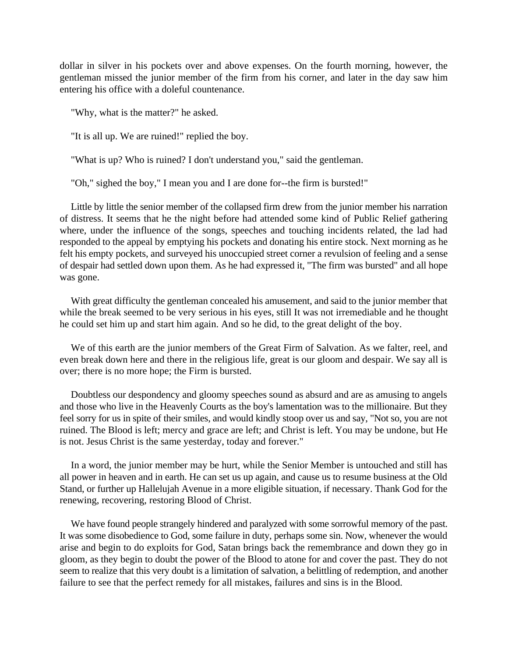dollar in silver in his pockets over and above expenses. On the fourth morning, however, the gentleman missed the junior member of the firm from his corner, and later in the day saw him entering his office with a doleful countenance.

"Why, what is the matter?" he asked.

"It is all up. We are ruined!" replied the boy.

"What is up? Who is ruined? I don't understand you," said the gentleman.

"Oh," sighed the boy," I mean you and I are done for--the firm is bursted!"

Little by little the senior member of the collapsed firm drew from the junior member his narration of distress. It seems that he the night before had attended some kind of Public Relief gathering where, under the influence of the songs, speeches and touching incidents related, the lad had responded to the appeal by emptying his pockets and donating his entire stock. Next morning as he felt his empty pockets, and surveyed his unoccupied street corner a revulsion of feeling and a sense of despair had settled down upon them. As he had expressed it, "The firm was bursted" and all hope was gone.

With great difficulty the gentleman concealed his amusement, and said to the junior member that while the break seemed to be very serious in his eyes, still It was not irremediable and he thought he could set him up and start him again. And so he did, to the great delight of the boy.

We of this earth are the junior members of the Great Firm of Salvation. As we falter, reel, and even break down here and there in the religious life, great is our gloom and despair. We say all is over; there is no more hope; the Firm is bursted.

Doubtless our despondency and gloomy speeches sound as absurd and are as amusing to angels and those who live in the Heavenly Courts as the boy's lamentation was to the millionaire. But they feel sorry for us in spite of their smiles, and would kindly stoop over us and say, "Not so, you are not ruined. The Blood is left; mercy and grace are left; and Christ is left. You may be undone, but He is not. Jesus Christ is the same yesterday, today and forever."

In a word, the junior member may be hurt, while the Senior Member is untouched and still has all power in heaven and in earth. He can set us up again, and cause us to resume business at the Old Stand, or further up Hallelujah Avenue in a more eligible situation, if necessary. Thank God for the renewing, recovering, restoring Blood of Christ.

We have found people strangely hindered and paralyzed with some sorrowful memory of the past. It was some disobedience to God, some failure in duty, perhaps some sin. Now, whenever the would arise and begin to do exploits for God, Satan brings back the remembrance and down they go in gloom, as they begin to doubt the power of the Blood to atone for and cover the past. They do not seem to realize that this very doubt is a limitation of salvation, a belittling of redemption, and another failure to see that the perfect remedy for all mistakes, failures and sins is in the Blood.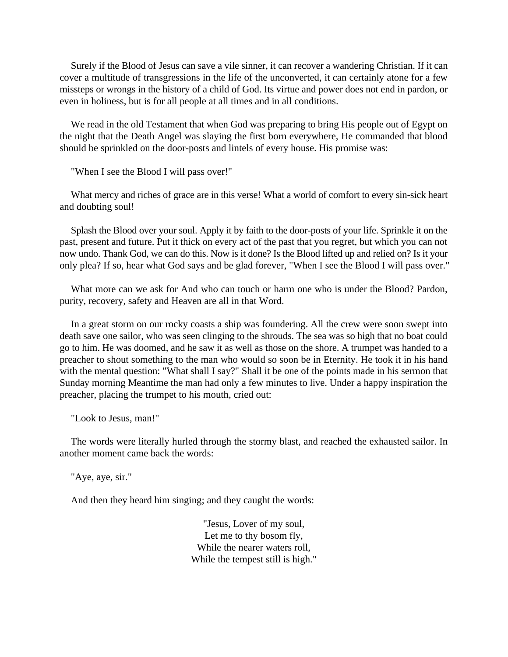Surely if the Blood of Jesus can save a vile sinner, it can recover a wandering Christian. If it can cover a multitude of transgressions in the life of the unconverted, it can certainly atone for a few missteps or wrongs in the history of a child of God. Its virtue and power does not end in pardon, or even in holiness, but is for all people at all times and in all conditions.

We read in the old Testament that when God was preparing to bring His people out of Egypt on the night that the Death Angel was slaying the first born everywhere, He commanded that blood should be sprinkled on the door-posts and lintels of every house. His promise was:

"When I see the Blood I will pass over!"

What mercy and riches of grace are in this verse! What a world of comfort to every sin-sick heart and doubting soul!

Splash the Blood over your soul. Apply it by faith to the door-posts of your life. Sprinkle it on the past, present and future. Put it thick on every act of the past that you regret, but which you can not now undo. Thank God, we can do this. Now is it done? Is the Blood lifted up and relied on? Is it your only plea? If so, hear what God says and be glad forever, "When I see the Blood I will pass over."

What more can we ask for And who can touch or harm one who is under the Blood? Pardon, purity, recovery, safety and Heaven are all in that Word.

In a great storm on our rocky coasts a ship was foundering. All the crew were soon swept into death save one sailor, who was seen clinging to the shrouds. The sea was so high that no boat could go to him. He was doomed, and he saw it as well as those on the shore. A trumpet was handed to a preacher to shout something to the man who would so soon be in Eternity. He took it in his hand with the mental question: "What shall I say?" Shall it be one of the points made in his sermon that Sunday morning Meantime the man had only a few minutes to live. Under a happy inspiration the preacher, placing the trumpet to his mouth, cried out:

"Look to Jesus, man!"

The words were literally hurled through the stormy blast, and reached the exhausted sailor. In another moment came back the words:

"Aye, aye, sir."

And then they heard him singing; and they caught the words:

"Jesus, Lover of my soul, Let me to thy bosom fly, While the nearer waters roll, While the tempest still is high."